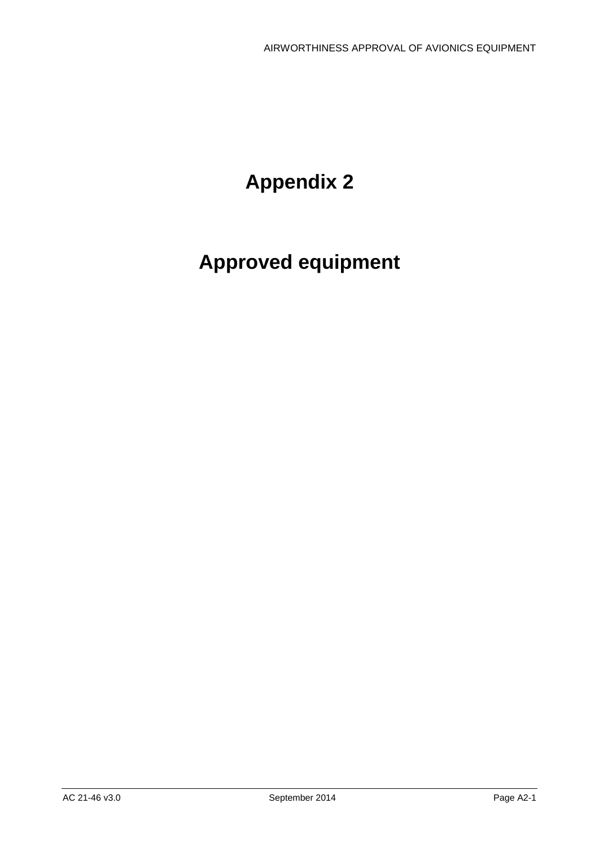# **Appendix 2**

# **Approved equipment**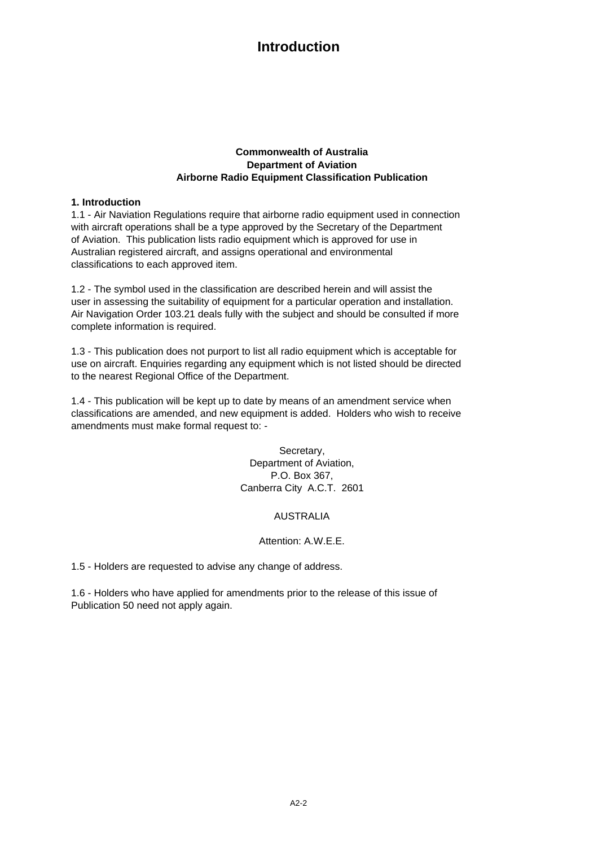#### **Commonwealth of Australia Department of Aviation Airborne Radio Equipment Classification Publication**

#### **1. Introduction**

with aircraft operations shall be a type approved by the Secretary of the Department of Aviation. This publication lists radio equipment which is approved for use in Australian registered aircraft, and assigns operational and environmental classifications to each approved item. 1.1 - Air Naviation Regulations require that airborne radio equipment used in connection

1.2 - The symbol used in the classification are described herein and will assist the user in assessing the suitability of equipment for a particular operation and installation. Air Navigation Order 103.21 deals fully with the subject and should be consulted if more complete information is required.

1.3 - This publication does not purport to list all radio equipment which is acceptable for use on aircraft. Enquiries regarding any equipment which is not listed should be directed to the nearest Regional Office of the Department.

1.4 - This publication will be kept up to date by means of an amendment service when classifications are amended, and new equipment is added. Holders who wish to receive amendments must make formal request to: -

> Secretary, Department of Aviation, P.O. Box 367, Canberra City A.C.T. 2601

#### AUSTRALIA

#### Attention: A.W.E.E.

1.5 - Holders are requested to advise any change of address.

1.6 - Holders who have applied for amendments prior to the release of this issue of Publication 50 need not apply again.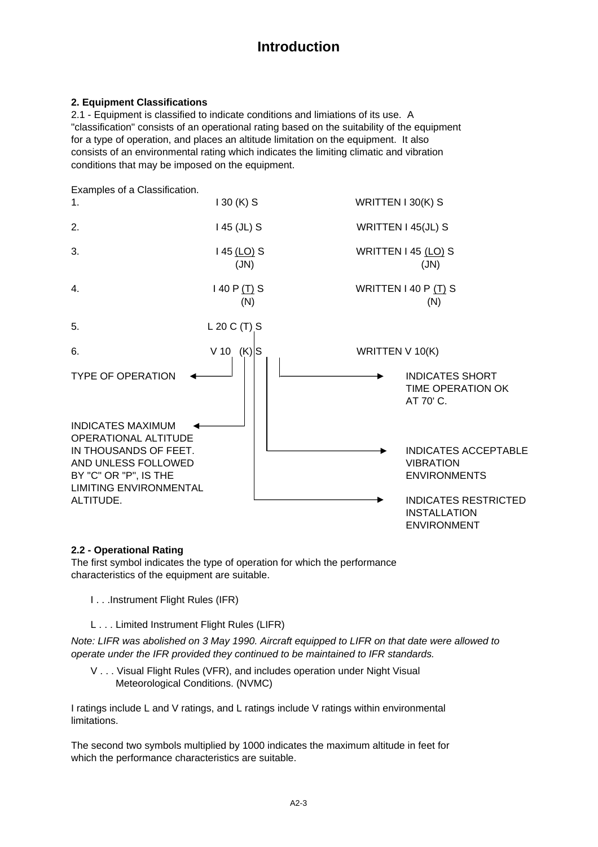#### **2. Equipment Classifications**

consists of an environmental rating which indicates the limiting climatic and vibration conditions that may be imposed on the equipment. 2.1 - Equipment is classified to indicate conditions and limiations of its use. A for a type of operation, and places an altitude limitation on the equipment. It also "classification" consists of an operational rating based on the suitability of the equipment



#### **2.2 - Operational Rating**

The first symbol indicates the type of operation for which the performance characteristics of the equipment are suitable.

- I . . .Instrument Flight Rules (IFR)
- L . . . Limited Instrument Flight Rules (LIFR)

*Note: LIFR was abolished on 3 May 1990. Aircraft equipped to LIFR on that date were allowed to operate under the IFR provided they continued to be maintained to IFR standards.*

 V . . . Visual Flight Rules (VFR), and includes operation under Night Visual Meteorological Conditions. (NVMC)

I ratings include L and V ratings, and L ratings include V ratings within environmental limitations.

The second two symbols multiplied by 1000 indicates the maximum altitude in feet for which the performance characteristics are suitable.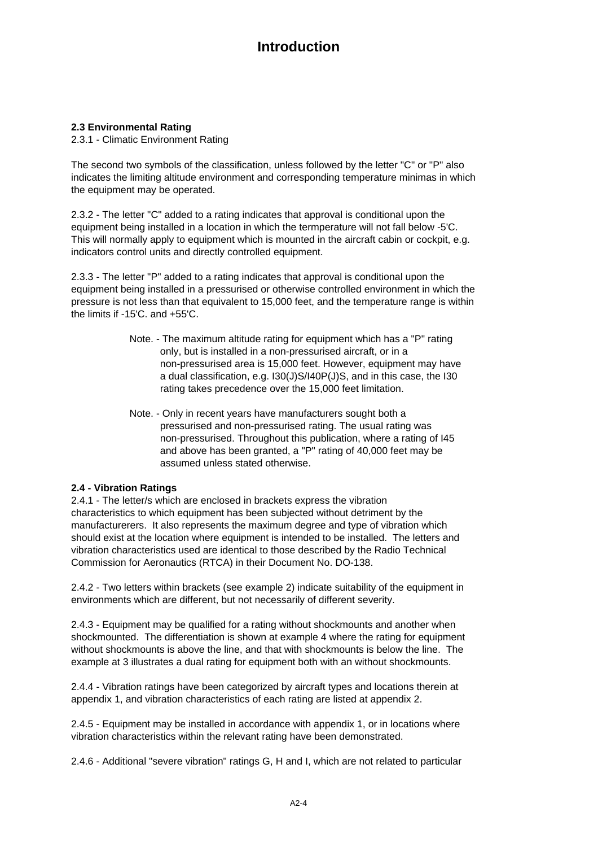#### **2.3 Environmental Rating**

2.3.1 - Climatic Environment Rating

The second two symbols of the classification, unless followed by the letter "C" or "P" also indicates the limiting altitude environment and corresponding temperature minimas in which the equipment may be operated.

2.3.2 - The letter "C" added to a rating indicates that approval is conditional upon the equipment being installed in a location in which the termperature will not fall below -5'C. This will normally apply to equipment which is mounted in the aircraft cabin or cockpit, e.g. indicators control units and directly controlled equipment.

2.3.3 - The letter "P" added to a rating indicates that approval is conditional upon the equipment being installed in a pressurised or otherwise controlled environment in which the pressure is not less than that equivalent to 15,000 feet, and the temperature range is within the limits if -15'C. and +55'C.

- Note. The maximum altitude rating for equipment which has a "P" rating only, but is installed in a non-pressurised aircraft, or in a non-pressurised area is 15,000 feet. However, equipment may have a dual classification, e.g. I30(J)S/I40P(J)S, and in this case, the I30 rating takes precedence over the 15,000 feet limitation.
- Note. Only in recent years have manufacturers sought both a pressurised and non-pressurised rating. The usual rating was non-pressurised. Throughout this publication, where a rating of I45 and above has been granted, a "P" rating of 40,000 feet may be assumed unless stated otherwise.

#### **2.4 - Vibration Ratings**

2.4.1 - The letter/s which are enclosed in brackets express the vibration characteristics to which equipment has been subjected without detriment by the manufacturerers. It also represents the maximum degree and type of vibration which should exist at the location where equipment is intended to be installed. The letters and vibration characteristics used are identical to those described by the Radio Technical Commission for Aeronautics (RTCA) in their Document No. DO-138.

2.4.2 - Two letters within brackets (see example 2) indicate suitability of the equipment in environments which are different, but not necessarily of different severity.

2.4.3 - Equipment may be qualified for a rating without shockmounts and another when shockmounted. The differentiation is shown at example 4 where the rating for equipment without shockmounts is above the line, and that with shockmounts is below the line. The example at 3 illustrates a dual rating for equipment both with an without shockmounts.

2.4.4 - Vibration ratings have been categorized by aircraft types and locations therein at appendix 1, and vibration characteristics of each rating are listed at appendix 2.

2.4.5 - Equipment may be installed in accordance with appendix 1, or in locations where vibration characteristics within the relevant rating have been demonstrated.

2.4.6 - Additional "severe vibration" ratings G, H and I, which are not related to particular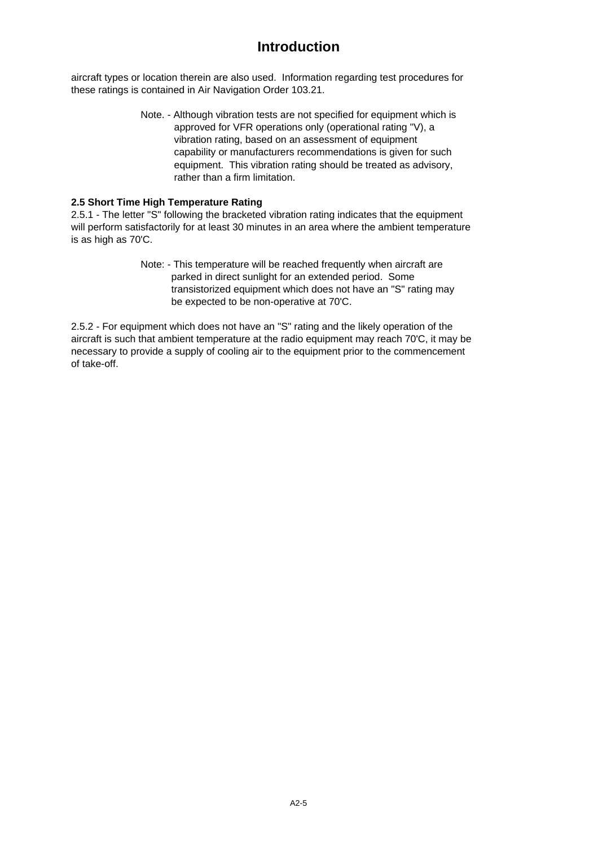aircraft types or location therein are also used. Information regarding test procedures for these ratings is contained in Air Navigation Order 103.21.

> Note. - Although vibration tests are not specified for equipment which is approved for VFR operations only (operational rating "V), a vibration rating, based on an assessment of equipment capability or manufacturers recommendations is given for such equipment. This vibration rating should be treated as advisory, rather than a firm limitation.

#### **2.5 Short Time High Temperature Rating**

2.5.1 - The letter "S" following the bracketed vibration rating indicates that the equipment will perform satisfactorily for at least 30 minutes in an area where the ambient temperature is as high as 70'C.

> Note: - This temperature will be reached frequently when aircraft are parked in direct sunlight for an extended period. Some transistorized equipment which does not have an "S" rating may be expected to be non-operative at 70'C.

2.5.2 - For equipment which does not have an "S" rating and the likely operation of the aircraft is such that ambient temperature at the radio equipment may reach 70'C, it may be necessary to provide a supply of cooling air to the equipment prior to the commencement of take-off.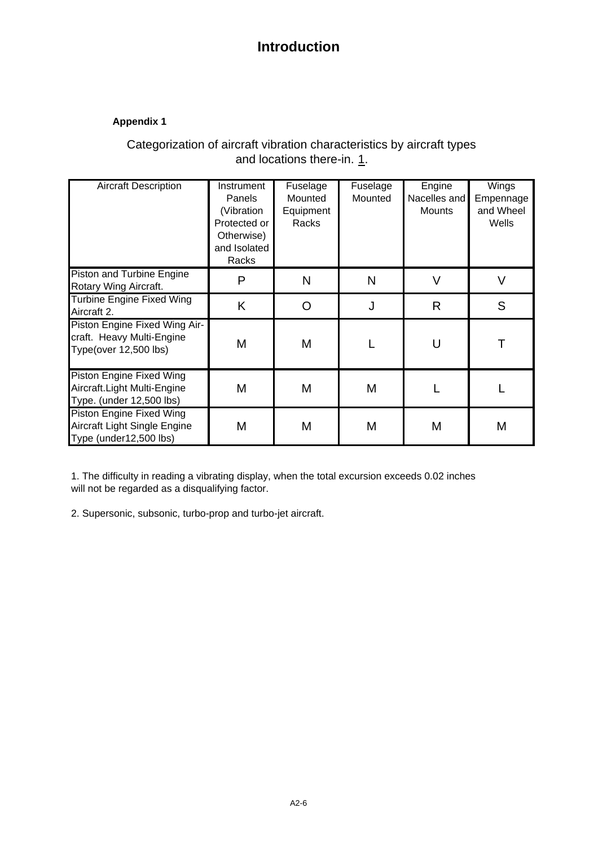### **Appendix 1**

### Categorization of aircraft vibration characteristics by aircraft types and locations there-in. 1.

| <b>Aircraft Description</b>                                                                | Instrument<br>Panels<br>(Vibration<br>Protected or<br>Otherwise)<br>and Isolated<br>Racks | Fuselage<br>Mounted<br>Equipment<br>Racks | Fuselage<br>Mounted | Engine<br>Nacelles and<br><b>Mounts</b> | Wings<br>Empennage<br>and Wheel<br>Wells |
|--------------------------------------------------------------------------------------------|-------------------------------------------------------------------------------------------|-------------------------------------------|---------------------|-----------------------------------------|------------------------------------------|
| Piston and Turbine Engine<br>Rotary Wing Aircraft.                                         | P                                                                                         | N                                         | N                   | V                                       | V                                        |
| <b>Turbine Engine Fixed Wing</b><br>Aircraft 2.                                            | K                                                                                         | O                                         | J                   | R                                       | S                                        |
| Piston Engine Fixed Wing Air-<br>craft. Heavy Multi-Engine<br><b>Type(over 12,500 lbs)</b> | M                                                                                         | Μ                                         |                     |                                         |                                          |
| Piston Engine Fixed Wing<br>Aircraft. Light Multi-Engine<br>Type. (under 12,500 lbs)       | M                                                                                         | M                                         | M                   |                                         |                                          |
| Piston Engine Fixed Wing<br>Aircraft Light Single Engine<br>Type (under12,500 lbs)         | M                                                                                         | Μ                                         | M                   | M                                       | M                                        |

1. The difficulty in reading a vibrating display, when the total excursion exceeds 0.02 inches will not be regarded as a disqualifying factor.

2. Supersonic, subsonic, turbo-prop and turbo-jet aircraft.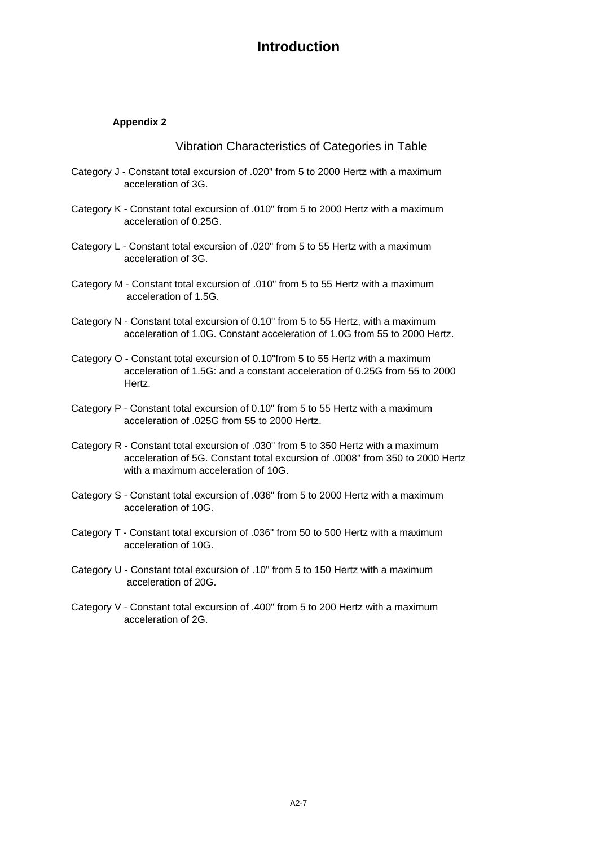### **Appendix 2**

Vibration Characteristics of Categories in Table

- Category J Constant total excursion of .020" from 5 to 2000 Hertz with a maximum acceleration of 3G.
- Category K Constant total excursion of .010" from 5 to 2000 Hertz with a maximum acceleration of 0.25G.
- Category L Constant total excursion of .020" from 5 to 55 Hertz with a maximum acceleration of 3G.
- Category M Constant total excursion of .010" from 5 to 55 Hertz with a maximum acceleration of 1.5G.
- Category N Constant total excursion of 0.10" from 5 to 55 Hertz, with a maximum acceleration of 1.0G. Constant acceleration of 1.0G from 55 to 2000 Hertz.
- Category O Constant total excursion of 0.10"from 5 to 55 Hertz with a maximum acceleration of 1.5G: and a constant acceleration of 0.25G from 55 to 2000 Hertz.
- Category P Constant total excursion of 0.10" from 5 to 55 Hertz with a maximum acceleration of .025G from 55 to 2000 Hertz.
- Category R Constant total excursion of .030" from 5 to 350 Hertz with a maximum acceleration of 5G. Constant total excursion of .0008" from 350 to 2000 Hertz with a maximum acceleration of 10G.
- Category S Constant total excursion of .036" from 5 to 2000 Hertz with a maximum acceleration of 10G.
- Category T Constant total excursion of .036" from 50 to 500 Hertz with a maximum acceleration of 10G.
- Category U Constant total excursion of .10" from 5 to 150 Hertz with a maximum acceleration of 20G.
- Category V Constant total excursion of .400" from 5 to 200 Hertz with a maximum acceleration of 2G.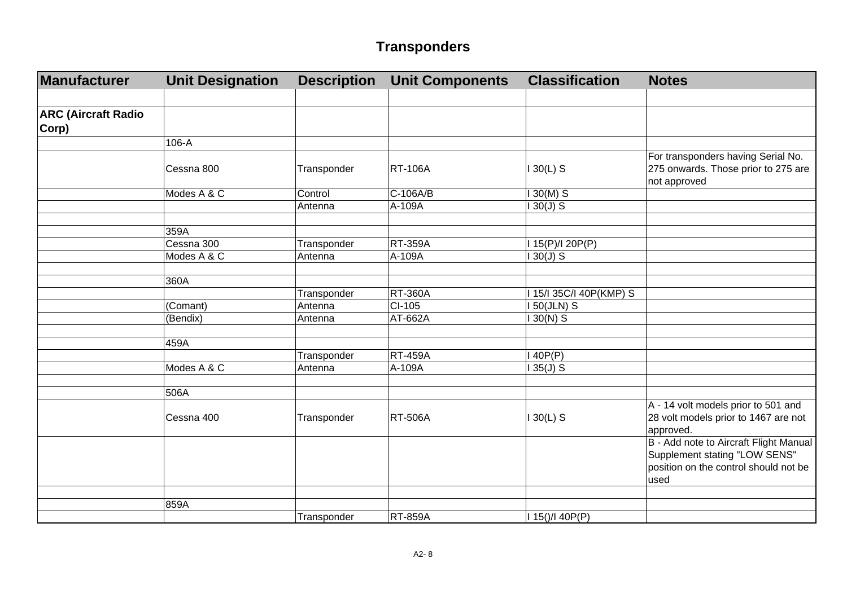| Manufacturer                        | <b>Unit Designation</b> | <b>Description</b> | <b>Unit Components</b> | <b>Classification</b> | <b>Notes</b>                                                                                                             |
|-------------------------------------|-------------------------|--------------------|------------------------|-----------------------|--------------------------------------------------------------------------------------------------------------------------|
|                                     |                         |                    |                        |                       |                                                                                                                          |
| <b>ARC (Aircraft Radio</b><br>Corp) |                         |                    |                        |                       |                                                                                                                          |
|                                     | 106-A                   |                    |                        |                       |                                                                                                                          |
|                                     | Cessna 800              | Transponder        | <b>RT-106A</b>         | $130(L)$ S            | For transponders having Serial No.<br>275 onwards. Those prior to 275 are<br>not approved                                |
|                                     | Modes A & C             | Control            | $C-106A/B$             | $130(M)$ S            |                                                                                                                          |
|                                     |                         | Antenna            | A-109A                 | $130(J)$ S            |                                                                                                                          |
|                                     |                         |                    |                        |                       |                                                                                                                          |
|                                     | 359A                    |                    |                        |                       |                                                                                                                          |
|                                     | Cessna 300              | Transponder        | <b>RT-359A</b>         | I 15(P)/I 20P(P)      |                                                                                                                          |
|                                     | Modes A & C             | Antenna            | A-109A                 | $130(J)$ S            |                                                                                                                          |
|                                     |                         |                    |                        |                       |                                                                                                                          |
|                                     | 360A                    |                    |                        |                       |                                                                                                                          |
|                                     |                         | Transponder        | <b>RT-360A</b>         | 15/I 35C/I 40P(KMP) S |                                                                                                                          |
|                                     | (Comant)                | Antenna            | $CI-105$               | I 50(JLN) S           |                                                                                                                          |
|                                     | (Bendix)                | Antenna            | AT-662A                | $130(N)$ S            |                                                                                                                          |
|                                     |                         |                    |                        |                       |                                                                                                                          |
|                                     | 459A                    |                    |                        |                       |                                                                                                                          |
|                                     |                         | Transponder        | <b>RT-459A</b>         | 140P(P)               |                                                                                                                          |
|                                     | Modes A & C             | Antenna            | A-109A                 | $135(J)$ S            |                                                                                                                          |
|                                     |                         |                    |                        |                       |                                                                                                                          |
|                                     | 506A                    |                    |                        |                       |                                                                                                                          |
|                                     | Cessna 400              | Transponder        | <b>RT-506A</b>         | $130(L)$ S            | A - 14 volt models prior to 501 and<br>28 volt models prior to 1467 are not<br>approved.                                 |
|                                     |                         |                    |                        |                       | B - Add note to Aircraft Flight Manual<br>Supplement stating "LOW SENS"<br>position on the control should not be<br>used |
|                                     |                         |                    |                        |                       |                                                                                                                          |
|                                     | 859A                    |                    |                        |                       |                                                                                                                          |
|                                     |                         | Transponder        | <b>RT-859A</b>         | $115()$ / $140P(P)$   |                                                                                                                          |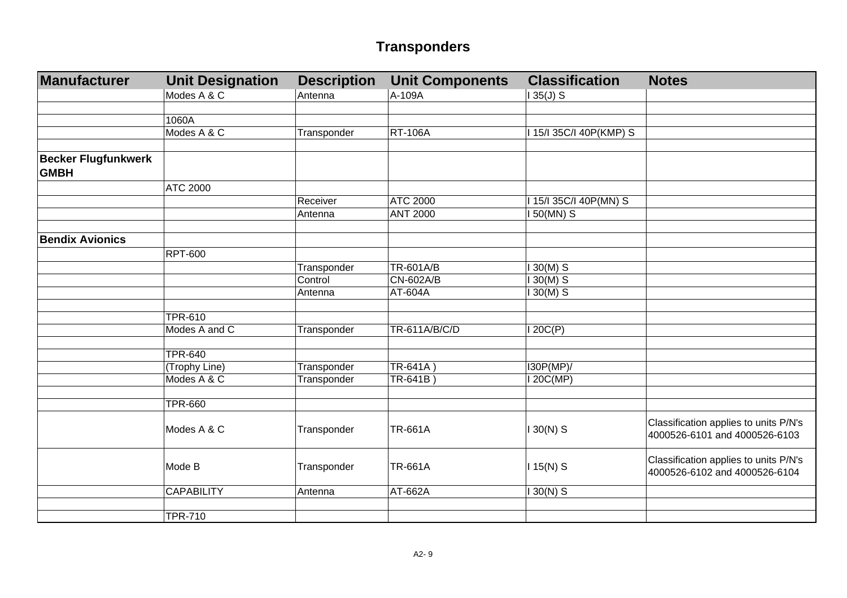| Manufacturer                              | <b>Unit Designation</b> | <b>Description</b> | <b>Unit Components</b> | <b>Classification</b>   | <b>Notes</b>                                                           |
|-------------------------------------------|-------------------------|--------------------|------------------------|-------------------------|------------------------------------------------------------------------|
|                                           | Modes A & C             | Antenna            | A-109A                 | $135(J)$ S              |                                                                        |
|                                           |                         |                    |                        |                         |                                                                        |
|                                           | 1060A                   |                    |                        |                         |                                                                        |
|                                           | Modes A & C             | Transponder        | <b>RT-106A</b>         | 1 15/1 35C/I 40P(KMP) S |                                                                        |
|                                           |                         |                    |                        |                         |                                                                        |
| <b>Becker Flugfunkwerk</b><br><b>GMBH</b> |                         |                    |                        |                         |                                                                        |
|                                           | <b>ATC 2000</b>         |                    |                        |                         |                                                                        |
|                                           |                         | Receiver           | <b>ATC 2000</b>        | I 15/I 35C/I 40P(MN) S  |                                                                        |
|                                           |                         | Antenna            | <b>ANT 2000</b>        | I 50(MN) S              |                                                                        |
|                                           |                         |                    |                        |                         |                                                                        |
| <b>Bendix Avionics</b>                    |                         |                    |                        |                         |                                                                        |
|                                           | <b>RPT-600</b>          |                    |                        |                         |                                                                        |
|                                           |                         | Transponder        | TR-601A/B              | $130(M)$ S              |                                                                        |
|                                           |                         | Control            | <b>CN-602A/B</b>       | $130(M)$ S              |                                                                        |
|                                           |                         | Antenna            | AT-604A                | $30(M)$ S               |                                                                        |
|                                           |                         |                    |                        |                         |                                                                        |
|                                           | <b>TPR-610</b>          |                    |                        |                         |                                                                        |
|                                           | Modes A and C           | Transponder        | TR-611A/B/C/D          | 120C(P)                 |                                                                        |
|                                           |                         |                    |                        |                         |                                                                        |
|                                           | <b>TPR-640</b>          |                    |                        |                         |                                                                        |
|                                           | (Trophy Line)           | Transponder        | TR-641A)               | I30P(MP)/               |                                                                        |
|                                           | Modes A & C             | Transponder        | TR-641B)               | 120C(MP)                |                                                                        |
|                                           |                         |                    |                        |                         |                                                                        |
|                                           | <b>TPR-660</b>          |                    |                        |                         |                                                                        |
|                                           | Modes A & C             | Transponder        | <b>TR-661A</b>         | $130(N)$ S              | Classification applies to units P/N's<br>4000526-6101 and 4000526-6103 |
|                                           | Mode B                  | Transponder        | <b>TR-661A</b>         | $115(N)$ S              | Classification applies to units P/N's<br>4000526-6102 and 4000526-6104 |
|                                           | <b>CAPABILITY</b>       | Antenna            | AT-662A                | $130(N)$ S              |                                                                        |
|                                           |                         |                    |                        |                         |                                                                        |
|                                           | <b>TPR-710</b>          |                    |                        |                         |                                                                        |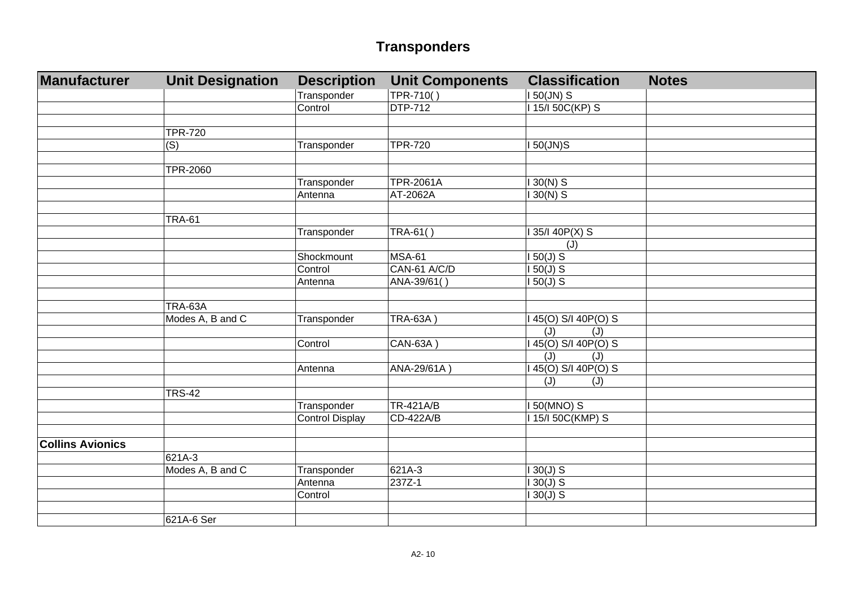| Manufacturer            | <b>Unit Designation</b> | <b>Description</b>     | <b>Unit Components</b> | <b>Classification</b> | <b>Notes</b> |
|-------------------------|-------------------------|------------------------|------------------------|-----------------------|--------------|
|                         |                         | Transponder            | TPR-710()              | I 50(JN) S            |              |
|                         |                         | Control                | <b>DTP-712</b>         | 15/150C(KP) S         |              |
|                         |                         |                        |                        |                       |              |
|                         | <b>TPR-720</b>          |                        |                        |                       |              |
|                         | (S)                     | Transponder            | <b>TPR-720</b>         | <b>150(JN)S</b>       |              |
|                         |                         |                        |                        |                       |              |
|                         | <b>TPR-2060</b>         |                        |                        |                       |              |
|                         |                         | Transponder            | <b>TPR-2061A</b>       | $30(N)$ S             |              |
|                         |                         | Antenna                | AT-2062A               | $30(N)$ S             |              |
|                         |                         |                        |                        |                       |              |
|                         | <b>TRA-61</b>           |                        |                        |                       |              |
|                         |                         | Transponder            | TRA-61()               | 35/I 40P(X) S         |              |
|                         |                         |                        |                        | (J)                   |              |
|                         |                         | Shockmount             | <b>MSA-61</b>          | $50(J)$ S             |              |
|                         |                         | Control                | CAN-61 A/C/D           | $150(J)$ S            |              |
|                         |                         | Antenna                | ANA-39/61()            | $150(J)$ S            |              |
|                         |                         |                        |                        |                       |              |
|                         | TRA-63A                 |                        |                        |                       |              |
|                         | Modes A, B and C        | Transponder            | <b>TRA-63A)</b>        | 45(0) S/I 40P(0) S    |              |
|                         |                         |                        |                        | (J)<br>(J)            |              |
|                         |                         | Control                | CAN-63A                | 45(0) S/I 40P(0) S    |              |
|                         |                         |                        |                        | (J)<br>(J)            |              |
|                         |                         | Antenna                | ANA-29/61A)            | 45(0) S/I 40P(0) S    |              |
|                         |                         |                        |                        | (J)<br>(J)            |              |
|                         | <b>TRS-42</b>           |                        |                        |                       |              |
|                         |                         | Transponder            | TR-421A/B              | 150(MNO) S            |              |
|                         |                         | <b>Control Display</b> | CD-422A/B              | 15/150C(KMP) S        |              |
|                         |                         |                        |                        |                       |              |
| <b>Collins Avionics</b> |                         |                        |                        |                       |              |
|                         | 621A-3                  |                        |                        |                       |              |
|                         | Modes A, B and C        | Transponder            | 621A-3                 | $130(J)$ S            |              |
|                         |                         | Antenna                | 237Z-1                 | $130(J)$ S            |              |
|                         |                         | Control                |                        | $30(J)$ S             |              |
|                         |                         |                        |                        |                       |              |
|                         | 621A-6 Ser              |                        |                        |                       |              |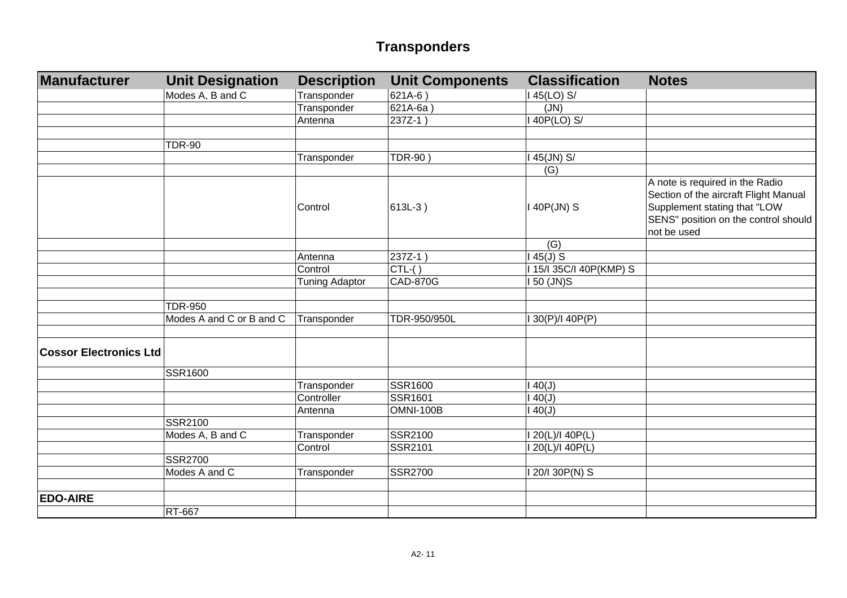| Manufacturer                  | <b>Unit Designation</b>  | <b>Description</b>    | <b>Unit Components</b> | <b>Classification</b>   | <b>Notes</b>                                                                                                                                                    |
|-------------------------------|--------------------------|-----------------------|------------------------|-------------------------|-----------------------------------------------------------------------------------------------------------------------------------------------------------------|
|                               | Modes A, B and C         | Transponder           | 621A-6)                | I 45(LO) S/             |                                                                                                                                                                 |
|                               |                          | Transponder           | $621A-6a$              | (JN)                    |                                                                                                                                                                 |
|                               |                          | Antenna               | 237Z-1)                | I 40P(LO) S/            |                                                                                                                                                                 |
|                               |                          |                       |                        |                         |                                                                                                                                                                 |
|                               | <b>TDR-90</b>            |                       |                        |                         |                                                                                                                                                                 |
|                               |                          | Transponder           | <b>TDR-90)</b>         | I 45(JN) S/             |                                                                                                                                                                 |
|                               |                          |                       |                        | (G)                     |                                                                                                                                                                 |
|                               |                          | Control               | 613L-3)                | I 40P(JN) S             | A note is required in the Radio<br>Section of the aircraft Flight Manual<br>Supplement stating that "LOW<br>SENS" position on the control should<br>not be used |
|                               |                          |                       |                        | (G)                     |                                                                                                                                                                 |
|                               |                          | Antenna               | 237Z-1)                | $145(J)$ S              |                                                                                                                                                                 |
|                               |                          | Control               | $CTL-( )$              | I 15/I 35C/I 40P(KMP) S |                                                                                                                                                                 |
|                               |                          | <b>Tuning Adaptor</b> | <b>CAD-870G</b>        | I 50 (JN)S              |                                                                                                                                                                 |
|                               |                          |                       |                        |                         |                                                                                                                                                                 |
|                               | <b>TDR-950</b>           |                       |                        |                         |                                                                                                                                                                 |
|                               | Modes A and C or B and C | Transponder           | TDR-950/950L           | 130(P)/140P(P)          |                                                                                                                                                                 |
|                               |                          |                       |                        |                         |                                                                                                                                                                 |
| <b>Cossor Electronics Ltd</b> |                          |                       |                        |                         |                                                                                                                                                                 |
|                               | SSR1600                  |                       |                        |                         |                                                                                                                                                                 |
|                               |                          | Transponder           | SSR1600                | 140(J)                  |                                                                                                                                                                 |
|                               |                          | Controller            | <b>SSR1601</b>         | 140(J)                  |                                                                                                                                                                 |
|                               |                          | Antenna               | OMNI-100B              | 140(J)                  |                                                                                                                                                                 |
|                               | SSR2100                  |                       |                        |                         |                                                                                                                                                                 |
|                               | Modes A, B and C         | Transponder           | SSR2100                | 120(L)/140P(L)          |                                                                                                                                                                 |
|                               |                          | Control               | SSR2101                | 120(L)/140P(L)          |                                                                                                                                                                 |
|                               | <b>SSR2700</b>           |                       |                        |                         |                                                                                                                                                                 |
|                               | Modes A and C            | Transponder           | <b>SSR2700</b>         | I 20/I 30P(N) S         |                                                                                                                                                                 |
|                               |                          |                       |                        |                         |                                                                                                                                                                 |
| <b>EDO-AIRE</b>               |                          |                       |                        |                         |                                                                                                                                                                 |
|                               | RT-667                   |                       |                        |                         |                                                                                                                                                                 |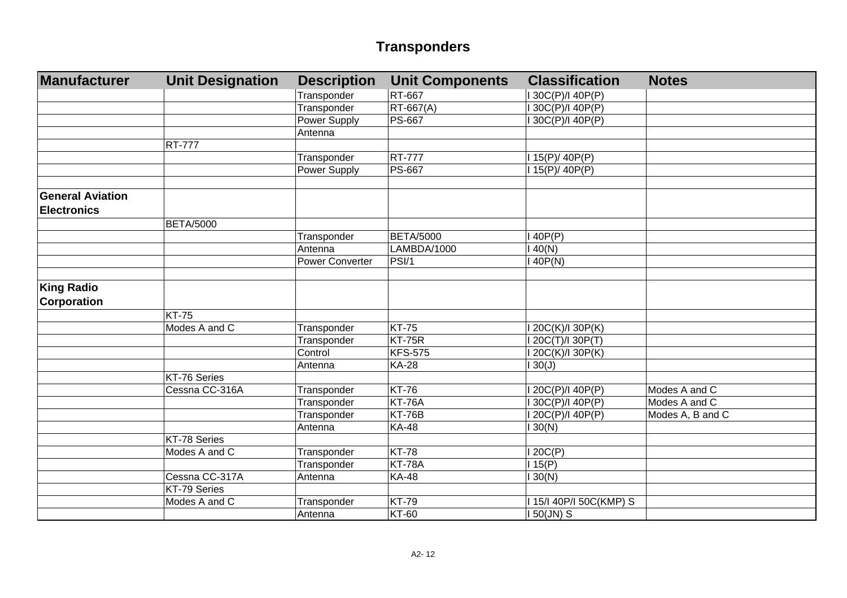| Manufacturer            | <b>Unit Designation</b> | <b>Description</b>     | <b>Unit Components</b> | <b>Classification</b>        | <b>Notes</b>     |
|-------------------------|-------------------------|------------------------|------------------------|------------------------------|------------------|
|                         |                         | Transponder            | <b>RT-667</b>          | I 30C(P)/I 40P(P)            |                  |
|                         |                         | Transponder            | $RT-667(A)$            | I 30C(P)/I 40P(P)            |                  |
|                         |                         | Power Supply           | <b>PS-667</b>          | I 30C(P)/I 40P(P)            |                  |
|                         |                         | Antenna                |                        |                              |                  |
|                         | <b>RT-777</b>           |                        |                        |                              |                  |
|                         |                         | Transponder            | <b>RT-777</b>          | I 15(P)/ 40P(P)              |                  |
|                         |                         | Power Supply           | <b>PS-667</b>          | $\overline{115(P)}$ / 40P(P) |                  |
|                         |                         |                        |                        |                              |                  |
| <b>General Aviation</b> |                         |                        |                        |                              |                  |
| <b>Electronics</b>      |                         |                        |                        |                              |                  |
|                         | <b>BETA/5000</b>        |                        |                        |                              |                  |
|                         |                         | Transponder            | <b>BETA/5000</b>       | 140P(P)                      |                  |
|                         |                         | Antenna                | LAMBDA/1000            | 40(N)                        |                  |
|                         |                         | <b>Power Converter</b> | PSI/1                  | 140P(N)                      |                  |
|                         |                         |                        |                        |                              |                  |
| <b>King Radio</b>       |                         |                        |                        |                              |                  |
| <b>Corporation</b>      |                         |                        |                        |                              |                  |
|                         | <b>KT-75</b>            |                        |                        |                              |                  |
|                         | Modes A and C           | Transponder            | <b>KT-75</b>           | I 20C(K)/I 30P(K)            |                  |
|                         |                         | Transponder            | KT-75R                 | I 20C(T)/I 30P(T)            |                  |
|                         |                         | Control                | <b>KFS-575</b>         | I 20C(K)/I 30P(K)            |                  |
|                         |                         | Antenna                | <b>KA-28</b>           | 130(J)                       |                  |
|                         | KT-76 Series            |                        |                        |                              |                  |
|                         | Cessna CC-316A          | Transponder            | <b>KT-76</b>           | I 20C(P)/I 40P(P)            | Modes A and C    |
|                         |                         | Transponder            | <b>KT-76A</b>          | I 30C(P)/I 40P(P)            | Modes A and C    |
|                         |                         | Transponder            | <b>KT-76B</b>          | I 20C(P)/I 40P(P)            | Modes A, B and C |
|                         |                         | Antenna                | <b>KA-48</b>           | 130(N)                       |                  |
|                         | KT-78 Series            |                        |                        |                              |                  |
|                         | Modes A and C           | Transponder            | <b>KT-78</b>           | 120C(P)                      |                  |
|                         |                         | Transponder            | <b>KT-78A</b>          | 115(P)                       |                  |
|                         | Cessna CC-317A          | Antenna                | <b>KA-48</b>           | 130(N)                       |                  |
|                         | KT-79 Series            |                        |                        |                              |                  |
|                         | Modes A and C           | Transponder            | <b>KT-79</b>           | I 15/I 40P/I 50C(KMP) S      |                  |
|                         |                         | Antenna                | <b>KT-60</b>           | $150$ (JN) S                 |                  |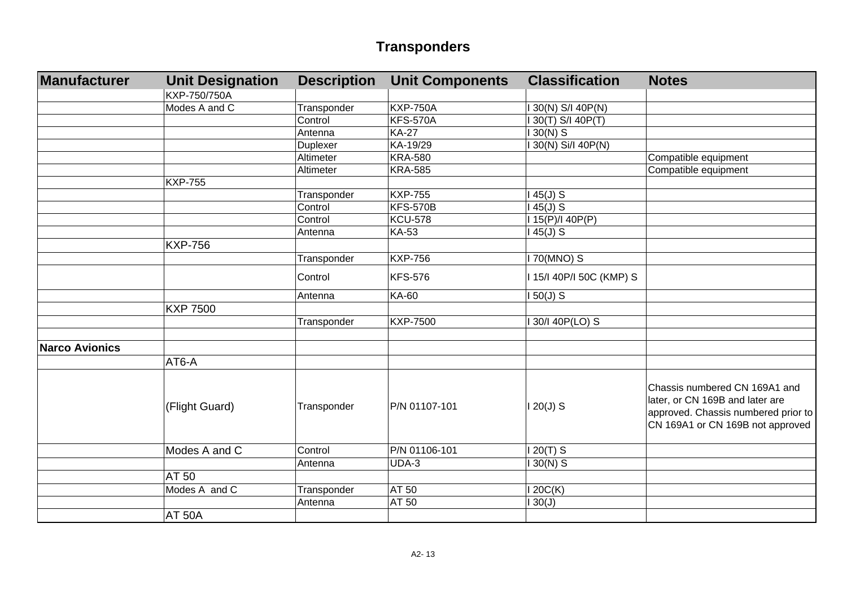| Manufacturer          | <b>Unit Designation</b> | <b>Description</b> | <b>Unit Components</b> | <b>Classification</b>    | <b>Notes</b>                                                                                                                                |
|-----------------------|-------------------------|--------------------|------------------------|--------------------------|---------------------------------------------------------------------------------------------------------------------------------------------|
|                       | KXP-750/750A            |                    |                        |                          |                                                                                                                                             |
|                       | Modes A and C           | Transponder        | <b>KXP-750A</b>        | 30(N) S/I 40P(N)         |                                                                                                                                             |
|                       |                         | Control            | <b>KFS-570A</b>        | 30(T) S/I 40P(T)         |                                                                                                                                             |
|                       |                         | Antenna            | <b>KA-27</b>           | $30(N)$ S                |                                                                                                                                             |
|                       |                         | Duplexer           | KA-19/29               | 30(N) Si/I 40P(N)        |                                                                                                                                             |
|                       |                         | Altimeter          | <b>KRA-580</b>         |                          | Compatible equipment                                                                                                                        |
|                       |                         | Altimeter          | <b>KRA-585</b>         |                          | Compatible equipment                                                                                                                        |
|                       | <b>KXP-755</b>          |                    |                        |                          |                                                                                                                                             |
|                       |                         | Transponder        | <b>KXP-755</b>         | $45(J)$ S                |                                                                                                                                             |
|                       |                         | Control            | <b>KFS-570B</b>        | $45(J)$ S                |                                                                                                                                             |
|                       |                         | Control            | <b>KCU-578</b>         | 15(P)/140P(P)            |                                                                                                                                             |
|                       |                         | Antenna            | <b>KA-53</b>           | 45(J) S                  |                                                                                                                                             |
|                       | <b>KXP-756</b>          |                    |                        |                          |                                                                                                                                             |
|                       |                         | Transponder        | <b>KXP-756</b>         | 170(MNO) S               |                                                                                                                                             |
|                       |                         | Control            | <b>KFS-576</b>         | 1 15/1 40P/I 50C (KMP) S |                                                                                                                                             |
|                       |                         | Antenna            | KA-60                  | $150(J)$ S               |                                                                                                                                             |
|                       | <b>KXP 7500</b>         |                    |                        |                          |                                                                                                                                             |
|                       |                         | Transponder        | <b>KXP-7500</b>        | 130/140P(LO) S           |                                                                                                                                             |
|                       |                         |                    |                        |                          |                                                                                                                                             |
| <b>Narco Avionics</b> |                         |                    |                        |                          |                                                                                                                                             |
|                       | AT6-A                   |                    |                        |                          |                                                                                                                                             |
|                       | (Flight Guard)          | Transponder        | P/N 01107-101          | $120(J)$ S               | Chassis numbered CN 169A1 and<br>later, or CN 169B and later are<br>approved. Chassis numbered prior to<br>CN 169A1 or CN 169B not approved |
|                       | Modes A and C           | Control            | P/N 01106-101          | $20(T)$ S                |                                                                                                                                             |
|                       |                         | Antenna            | UDA-3                  | $130(N)$ S               |                                                                                                                                             |
|                       | AT 50                   |                    |                        |                          |                                                                                                                                             |
|                       | Modes A and C           | Transponder        | AT 50                  | 120C(K)                  |                                                                                                                                             |
|                       |                         | Antenna            | AT 50                  | 30(J)                    |                                                                                                                                             |
|                       | <b>AT 50A</b>           |                    |                        |                          |                                                                                                                                             |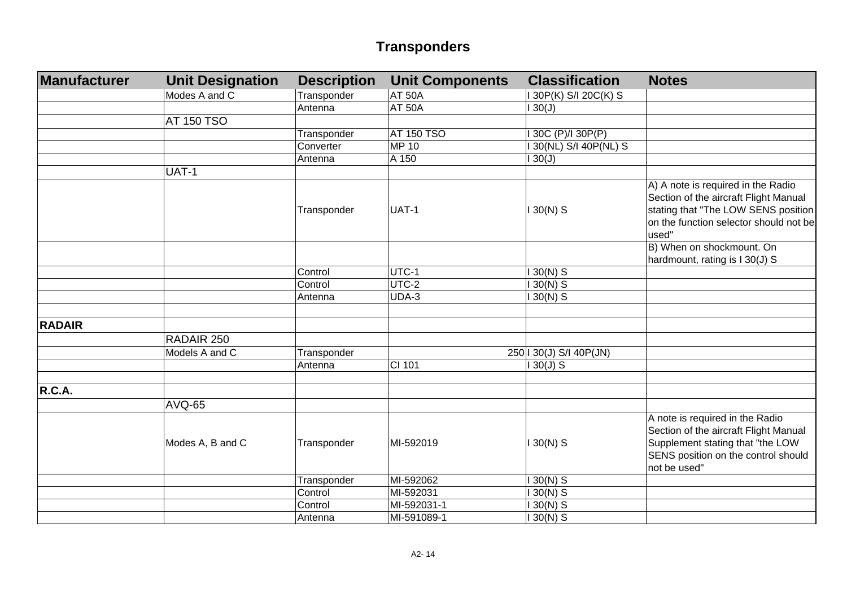| Manufacturer  | <b>Unit Designation</b> | <b>Description</b> | <b>Unit Components</b> | <b>Classification</b>   | <b>Notes</b>                                                                                                                                                          |
|---------------|-------------------------|--------------------|------------------------|-------------------------|-----------------------------------------------------------------------------------------------------------------------------------------------------------------------|
|               | Modes A and C           | Transponder        | <b>AT 50A</b>          | 130P(K) S/I 20C(K) S    |                                                                                                                                                                       |
|               |                         | Antenna            | <b>AT 50A</b>          | 130(J)                  |                                                                                                                                                                       |
|               | <b>AT 150 TSO</b>       |                    |                        |                         |                                                                                                                                                                       |
|               |                         | Transponder        | <b>AT 150 TSO</b>      | 30C (P)/I 30P(P)        |                                                                                                                                                                       |
|               |                         | Converter          | <b>MP 10</b>           | 130(NL) S/I 40P(NL) S   |                                                                                                                                                                       |
|               |                         | Antenna            | A 150                  | 130(J)                  |                                                                                                                                                                       |
|               | UAT-1                   |                    |                        |                         |                                                                                                                                                                       |
|               |                         | Transponder        | UAT-1                  | $130(N)$ S              | A) A note is required in the Radio<br>Section of the aircraft Flight Manual<br>stating that "The LOW SENS position<br>on the function selector should not be<br>used" |
|               |                         |                    |                        |                         | B) When on shockmount. On<br>hardmount, rating is I 30(J) S                                                                                                           |
|               |                         | Control            | UTC-1                  | $130(N)$ S              |                                                                                                                                                                       |
|               |                         | Control            | UTC-2                  | $130(N)$ S              |                                                                                                                                                                       |
|               |                         | Antenna            | UDA-3                  | $130(N)$ S              |                                                                                                                                                                       |
|               |                         |                    |                        |                         |                                                                                                                                                                       |
| <b>RADAIR</b> |                         |                    |                        |                         |                                                                                                                                                                       |
|               | RADAIR 250              |                    |                        |                         |                                                                                                                                                                       |
|               | Models A and C          | Transponder        |                        | 250   30(J) S/I 40P(JN) |                                                                                                                                                                       |
|               |                         | Antenna            | CI 101                 | $130(J)$ S              |                                                                                                                                                                       |
|               |                         |                    |                        |                         |                                                                                                                                                                       |
| R.C.A.        |                         |                    |                        |                         |                                                                                                                                                                       |
|               | <b>AVQ-65</b>           |                    |                        |                         |                                                                                                                                                                       |
|               | Modes A, B and C        | Transponder        | MI-592019              | $130(N)$ S              | A note is required in the Radio<br>Section of the aircraft Flight Manual<br>Supplement stating that "the LOW<br>SENS position on the control should<br>not be used"   |
|               |                         | Transponder        | MI-592062              | $130(N)$ S              |                                                                                                                                                                       |
|               |                         | Control            | MI-592031              | $30(N)$ S               |                                                                                                                                                                       |
|               |                         | Control            | MI-592031-1            | $30(N)$ S               |                                                                                                                                                                       |
|               |                         | Antenna            | MI-591089-1            | $130(N)$ S              |                                                                                                                                                                       |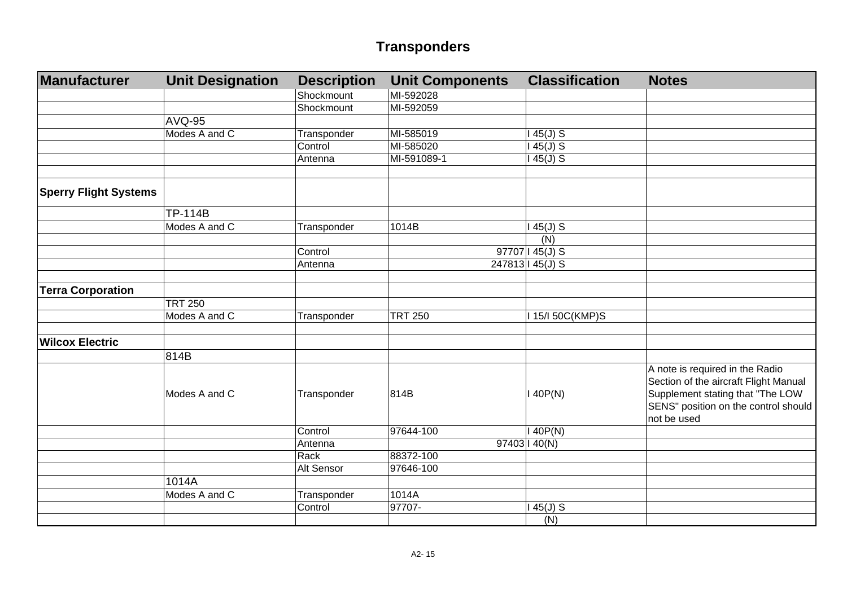| Manufacturer                 | <b>Unit Designation</b> | <b>Description</b> | <b>Unit Components</b> | <b>Classification</b> | <b>Notes</b>                                                                                                                                                        |
|------------------------------|-------------------------|--------------------|------------------------|-----------------------|---------------------------------------------------------------------------------------------------------------------------------------------------------------------|
|                              |                         | Shockmount         | MI-592028              |                       |                                                                                                                                                                     |
|                              |                         | Shockmount         | MI-592059              |                       |                                                                                                                                                                     |
|                              | <b>AVQ-95</b>           |                    |                        |                       |                                                                                                                                                                     |
|                              | Modes A and C           | Transponder        | MI-585019              | $145(J)$ S            |                                                                                                                                                                     |
|                              |                         | Control            | MI-585020              | $145(J)$ S            |                                                                                                                                                                     |
|                              |                         | Antenna            | MI-591089-1            | $145(J)$ S            |                                                                                                                                                                     |
|                              |                         |                    |                        |                       |                                                                                                                                                                     |
| <b>Sperry Flight Systems</b> |                         |                    |                        |                       |                                                                                                                                                                     |
|                              | <b>TP-114B</b>          |                    |                        |                       |                                                                                                                                                                     |
|                              | Modes A and C           | Transponder        | 1014B                  | $45(J)$ S             |                                                                                                                                                                     |
|                              |                         |                    |                        | (N)                   |                                                                                                                                                                     |
|                              |                         | Control            |                        | 97707   45(J) S       |                                                                                                                                                                     |
|                              |                         | Antenna            |                        | 247813   45(J) S      |                                                                                                                                                                     |
| <b>Terra Corporation</b>     |                         |                    |                        |                       |                                                                                                                                                                     |
|                              | <b>TRT 250</b>          |                    |                        |                       |                                                                                                                                                                     |
|                              | Modes A and C           | Transponder        | <b>TRT 250</b>         | I 15/I 50C(KMP)S      |                                                                                                                                                                     |
|                              |                         |                    |                        |                       |                                                                                                                                                                     |
| <b>Wilcox Electric</b>       |                         |                    |                        |                       |                                                                                                                                                                     |
|                              | 814B                    |                    |                        |                       |                                                                                                                                                                     |
|                              | Modes A and C           | Transponder        | 814B                   | 140P(N)               | A note is required in the Radio<br>Section of the aircraft Flight Manual<br>Supplement stating that "The LOW<br>SENS" position on the control should<br>not be used |
|                              |                         | Control            | 97644-100              | 140P(N)               |                                                                                                                                                                     |
|                              |                         | Antenna            |                        | 97403   40(N)         |                                                                                                                                                                     |
|                              |                         | Rack               | 88372-100              |                       |                                                                                                                                                                     |
|                              |                         | Alt Sensor         | 97646-100              |                       |                                                                                                                                                                     |
|                              | 1014A                   |                    |                        |                       |                                                                                                                                                                     |
|                              | Modes A and C           | Transponder        | 1014A                  |                       |                                                                                                                                                                     |
|                              |                         | Control            | 97707-                 | $45(J)$ S             |                                                                                                                                                                     |
|                              |                         |                    |                        | (N)                   |                                                                                                                                                                     |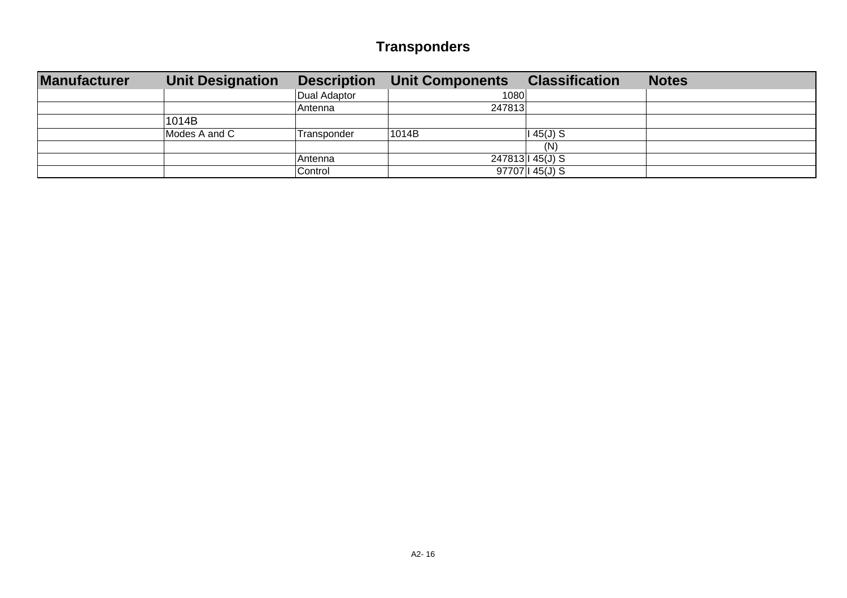| <b>Manufacturer</b> | <b>Unit Designation</b> |              | <b>Description Unit Components</b> | <b>Classification</b><br><b>Notes</b> |
|---------------------|-------------------------|--------------|------------------------------------|---------------------------------------|
|                     |                         | Dual Adaptor | 1080                               |                                       |
|                     |                         | Antenna      | 247813                             |                                       |
|                     | 1014B                   |              |                                    |                                       |
|                     | Modes A and C           | Transponder  | 1014B<br>l 45(J) S                 |                                       |
|                     |                         |              | (N)                                |                                       |
|                     |                         | Antenna      | 247813   45(J) S                   |                                       |
|                     |                         | Control      | 97707 145(J) S                     |                                       |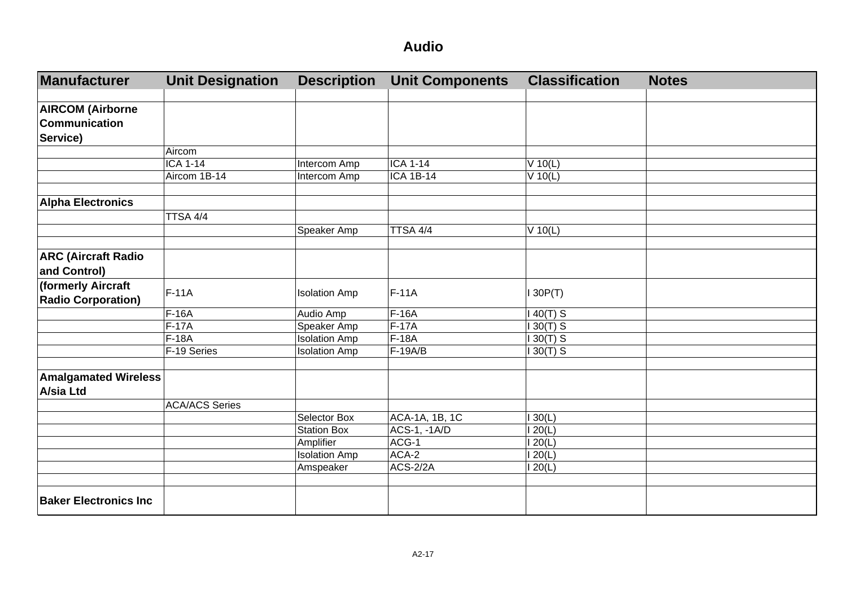| Manufacturer                 | <b>Unit Designation</b> | <b>Description</b>   | <b>Unit Components</b> | <b>Classification</b> | <b>Notes</b> |
|------------------------------|-------------------------|----------------------|------------------------|-----------------------|--------------|
|                              |                         |                      |                        |                       |              |
| <b>AIRCOM (Airborne</b>      |                         |                      |                        |                       |              |
| Communication                |                         |                      |                        |                       |              |
| Service)                     |                         |                      |                        |                       |              |
|                              | Aircom                  |                      |                        |                       |              |
|                              | <b>ICA 1-14</b>         | Intercom Amp         | <b>ICA 1-14</b>        | $V$ 10(L)             |              |
|                              | Aircom 1B-14            | Intercom Amp         | <b>ICA 1B-14</b>       | $V$ 10(L)             |              |
|                              |                         |                      |                        |                       |              |
| <b>Alpha Electronics</b>     |                         |                      |                        |                       |              |
|                              | TTSA 4/4                |                      |                        |                       |              |
|                              |                         | Speaker Amp          | TTSA 4/4               | $V$ 10(L)             |              |
|                              |                         |                      |                        |                       |              |
| <b>ARC (Aircraft Radio</b>   |                         |                      |                        |                       |              |
| and Control)                 |                         |                      |                        |                       |              |
| (formerly Aircraft           |                         |                      |                        |                       |              |
| <b>Radio Corporation)</b>    | $F-11A$                 | <b>Isolation Amp</b> | $F-11A$                | 130P(T)               |              |
|                              | F-16A                   | Audio Amp            | F-16A                  | $40(T)$ S             |              |
|                              | $F-17A$                 | Speaker Amp          | $F-17A$                | $130(T)$ S            |              |
|                              | F-18A                   | <b>Isolation Amp</b> | F-18A                  | $30(T)$ S             |              |
|                              | F-19 Series             | <b>Isolation Amp</b> | F-19A/B                | $30(T)$ S             |              |
|                              |                         |                      |                        |                       |              |
| <b>Amalgamated Wireless</b>  |                         |                      |                        |                       |              |
| <b>A/sia Ltd</b>             |                         |                      |                        |                       |              |
|                              | <b>ACA/ACS Series</b>   |                      |                        |                       |              |
|                              |                         | Selector Box         | ACA-1A, 1B, 1C         | 30(L)                 |              |
|                              |                         | <b>Station Box</b>   | ACS-1, -1A/D           | 120(L)                |              |
|                              |                         | Amplifier            | ACG-1                  | 120(L)                |              |
|                              |                         | <b>Isolation Amp</b> | ACA-2                  | 120(L)                |              |
|                              |                         | Amspeaker            | ACS-2/2A               | 120(L)                |              |
|                              |                         |                      |                        |                       |              |
| <b>Baker Electronics Inc</b> |                         |                      |                        |                       |              |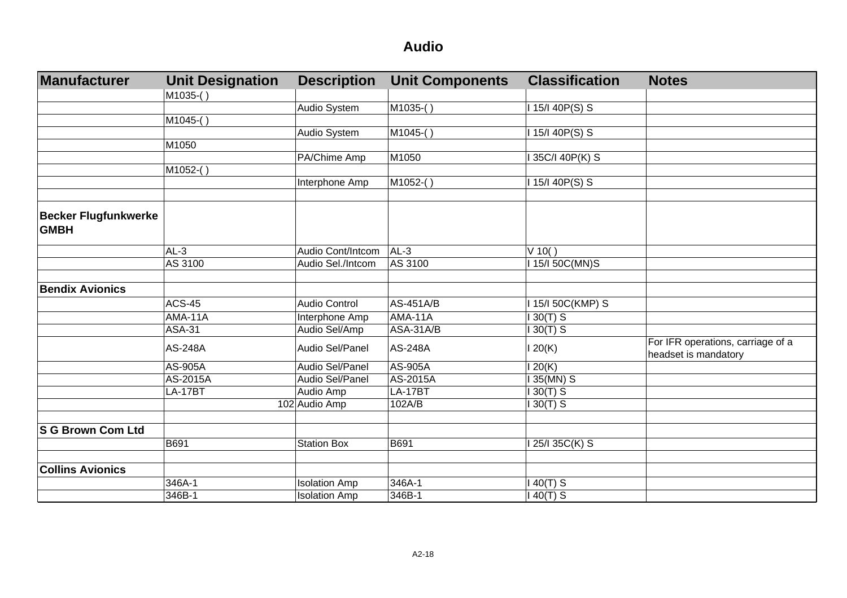| Manufacturer                               | <b>Unit Designation</b> | <b>Description</b>   | <b>Unit Components</b> | <b>Classification</b> | <b>Notes</b>                                              |
|--------------------------------------------|-------------------------|----------------------|------------------------|-----------------------|-----------------------------------------------------------|
|                                            | M1035-()                |                      |                        |                       |                                                           |
|                                            |                         | Audio System         | M1035-()               | 1 15/1 40P(S) S       |                                                           |
|                                            | M1045-()                |                      |                        |                       |                                                           |
|                                            |                         | Audio System         | M1045-()               | 1 15/1 40P(S) S       |                                                           |
|                                            | M1050                   |                      |                        |                       |                                                           |
|                                            |                         | PA/Chime Amp         | M1050                  | 35C/I 40P(K) S        |                                                           |
|                                            | M1052-()                |                      |                        |                       |                                                           |
|                                            |                         | Interphone Amp       | M1052-()               | 1 15/1 40P(S) S       |                                                           |
|                                            |                         |                      |                        |                       |                                                           |
| <b>Becker Flugfunkwerke</b><br><b>GMBH</b> |                         |                      |                        |                       |                                                           |
|                                            | $AL-3$                  | Audio Cont/Intcom    | $AL-3$                 | $V$ 10()              |                                                           |
|                                            | AS 3100                 | Audio Sel./Intcom    | AS 3100                | 115/150C(MN)S         |                                                           |
|                                            |                         |                      |                        |                       |                                                           |
| <b>Bendix Avionics</b>                     |                         |                      |                        |                       |                                                           |
|                                            | <b>ACS-45</b>           | Audio Control        | <b>AS-451A/B</b>       | 15/I 50C(KMP) S       |                                                           |
|                                            | <b>AMA-11A</b>          | Interphone Amp       | AMA-11A                | $130(T)$ S            |                                                           |
|                                            | <b>ASA-31</b>           | Audio Sel/Amp        | ASA-31A/B              | $30(T)$ S             |                                                           |
|                                            | AS-248A                 | Audio Sel/Panel      | AS-248A                | 120(K)                | For IFR operations, carriage of a<br>headset is mandatory |
|                                            | AS-905A                 | Audio Sel/Panel      | AS-905A                | 120(K)                |                                                           |
|                                            | AS-2015A                | Audio Sel/Panel      | AS-2015A               | 135(MN) S             |                                                           |
|                                            | <b>LA-17BT</b>          | Audio Amp            | <b>LA-17BT</b>         | $130(T)$ S            |                                                           |
|                                            |                         | 102 Audio Amp        | 102A/B                 | $130(T)$ S            |                                                           |
| S G Brown Com Ltd                          |                         |                      |                        |                       |                                                           |
|                                            | B691                    | <b>Station Box</b>   | B691                   | 25/I 35C(K) S         |                                                           |
|                                            |                         |                      |                        |                       |                                                           |
| <b>Collins Avionics</b>                    |                         |                      |                        |                       |                                                           |
|                                            | 346A-1                  | <b>Isolation Amp</b> | 346A-1                 | $40(T)$ S             |                                                           |
|                                            | 346B-1                  | <b>Isolation Amp</b> | 346B-1                 | $140(T)$ S            |                                                           |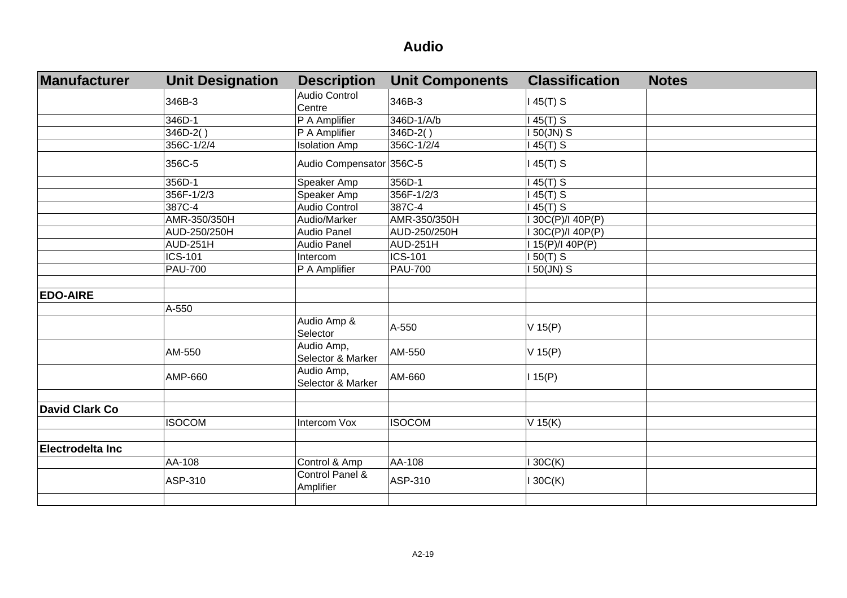| <b>Manufacturer</b>     | <b>Unit Designation</b> | <b>Description</b>              | <b>Unit Components</b> | <b>Classification</b> | <b>Notes</b> |
|-------------------------|-------------------------|---------------------------------|------------------------|-----------------------|--------------|
|                         | 346B-3                  | Audio Control<br>Centre         | 346B-3                 | 145(T) S              |              |
|                         | 346D-1                  | P A Amplifier                   | 346D-1/A/b             | $45(T)$ S             |              |
|                         | $346D-2()$              | P A Amplifier                   | 346D-2()               | 50(JN) S              |              |
|                         | 356C-1/2/4              | <b>Isolation Amp</b>            | 356C-1/2/4             | 145(T) S              |              |
|                         | 356C-5                  | Audio Compensator 356C-5        |                        | 145(T) S              |              |
|                         | 356D-1                  | Speaker Amp                     | 356D-1                 | $145(T)$ S            |              |
|                         | 356F-1/2/3              | Speaker Amp                     | 356F-1/2/3             | $145(T)$ S            |              |
|                         | 387C-4                  | Audio Control                   | 387C-4                 | $145(T)$ S            |              |
|                         | AMR-350/350H            | Audio/Marker                    | AMR-350/350H           | I 30C(P)/I 40P(P)     |              |
|                         | AUD-250/250H            | <b>Audio Panel</b>              | AUD-250/250H           | I 30C(P)/I 40P(P)     |              |
|                         | <b>AUD-251H</b>         | <b>Audio Panel</b>              | <b>AUD-251H</b>        | I 15(P)/I 40P(P)      |              |
|                         | <b>ICS-101</b>          | Intercom                        | <b>ICS-101</b>         | $150(T)$ S            |              |
|                         | <b>PAU-700</b>          | P A Amplifier                   | <b>PAU-700</b>         | $150$ (JN) S          |              |
|                         |                         |                                 |                        |                       |              |
| <b>EDO-AIRE</b>         |                         |                                 |                        |                       |              |
|                         | A-550                   |                                 |                        |                       |              |
|                         |                         | Audio Amp &<br>Selector         | A-550                  | $V$ 15(P)             |              |
|                         | AM-550                  | Audio Amp,<br>Selector & Marker | AM-550                 | $V$ 15(P)             |              |
|                         | AMP-660                 | Audio Amp,<br>Selector & Marker | AM-660                 | 115(P)                |              |
|                         |                         |                                 |                        |                       |              |
| David Clark Co          |                         |                                 |                        |                       |              |
|                         | <b>ISOCOM</b>           | Intercom Vox                    | <b>ISOCOM</b>          | $V$ 15(K)             |              |
|                         |                         |                                 |                        |                       |              |
| <b>Electrodelta Inc</b> |                         |                                 |                        |                       |              |
|                         | AA-108                  | Control & Amp                   | AA-108                 | 130C(K)               |              |
|                         | ASP-310                 | Control Panel &<br>Amplifier    | ASP-310                | 130C(K)               |              |
|                         |                         |                                 |                        |                       |              |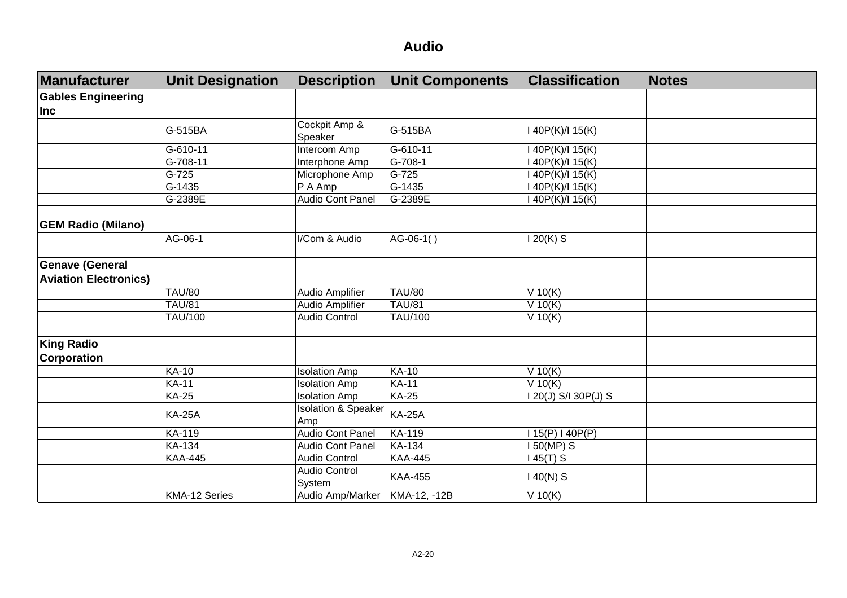| <b>Manufacturer</b>          | <b>Unit Designation</b> | <b>Description</b>                    | <b>Unit Components</b> | <b>Classification</b> | <b>Notes</b> |
|------------------------------|-------------------------|---------------------------------------|------------------------|-----------------------|--------------|
| <b>Gables Engineering</b>    |                         |                                       |                        |                       |              |
| <b>Inc</b>                   |                         |                                       |                        |                       |              |
|                              | G-515BA                 | Cockpit Amp &<br>Speaker              | G-515BA                | I 40P(K)/I 15(K)      |              |
|                              | G-610-11                | Intercom Amp                          | G-610-11               | 40P(K)/I 15(K)        |              |
|                              | G-708-11                | Interphone Amp                        | G-708-1                | 40P(K)/I 15(K)        |              |
|                              | G-725                   | Microphone Amp                        | G-725                  | 40P(K)/I 15(K)        |              |
|                              | G-1435                  | $P$ A Amp                             | G-1435                 | I 40P(K)/I 15(K)      |              |
|                              | G-2389E                 | Audio Cont Panel                      | G-2389E                | I 40P(K)/I 15(K)      |              |
|                              |                         |                                       |                        |                       |              |
| <b>GEM Radio (Milano)</b>    |                         |                                       |                        |                       |              |
|                              | AG-06-1                 | I/Com & Audio                         | AG-06-1()              | 120(K) S              |              |
|                              |                         |                                       |                        |                       |              |
| <b>Genave (General</b>       |                         |                                       |                        |                       |              |
| <b>Aviation Electronics)</b> |                         |                                       |                        |                       |              |
|                              | <b>TAU/80</b>           | Audio Amplifier                       | <b>TAU/80</b>          | $V$ 10(K)             |              |
|                              | <b>TAU/81</b>           | Audio Amplifier                       | <b>TAU/81</b>          | $V$ 10(K)             |              |
|                              | <b>TAU/100</b>          | Audio Control                         | TAU/100                | $V$ 10(K)             |              |
|                              |                         |                                       |                        |                       |              |
| <b>King Radio</b>            |                         |                                       |                        |                       |              |
| <b>Corporation</b>           |                         |                                       |                        |                       |              |
|                              | <b>KA-10</b>            | <b>Isolation Amp</b>                  | <b>KA-10</b>           | $V$ 10(K)             |              |
|                              | <b>KA-11</b>            | <b>Isolation Amp</b>                  | <b>KA-11</b>           | $V$ 10(K)             |              |
|                              | <b>KA-25</b>            | <b>Isolation Amp</b>                  | <b>KA-25</b>           | 20(J) S/I 30P(J) S    |              |
|                              | <b>KA-25A</b>           | <b>Isolation &amp; Speaker</b><br>Amp | <b>KA-25A</b>          |                       |              |
|                              | KA-119                  | Audio Cont Panel                      | KA-119                 | 115(P) 140P(P)        |              |
|                              | KA-134                  | Audio Cont Panel                      | <b>KA-134</b>          | 150(MP) S             |              |
|                              | <b>KAA-445</b>          | Audio Control                         | <b>KAA-445</b>         | 145(T) S              |              |
|                              |                         | <b>Audio Control</b><br>System        | <b>KAA-455</b>         | $140(N)$ S            |              |
|                              | KMA-12 Series           | Audio Amp/Marker   KMA-12, -12B       |                        | $V$ 10(K)             |              |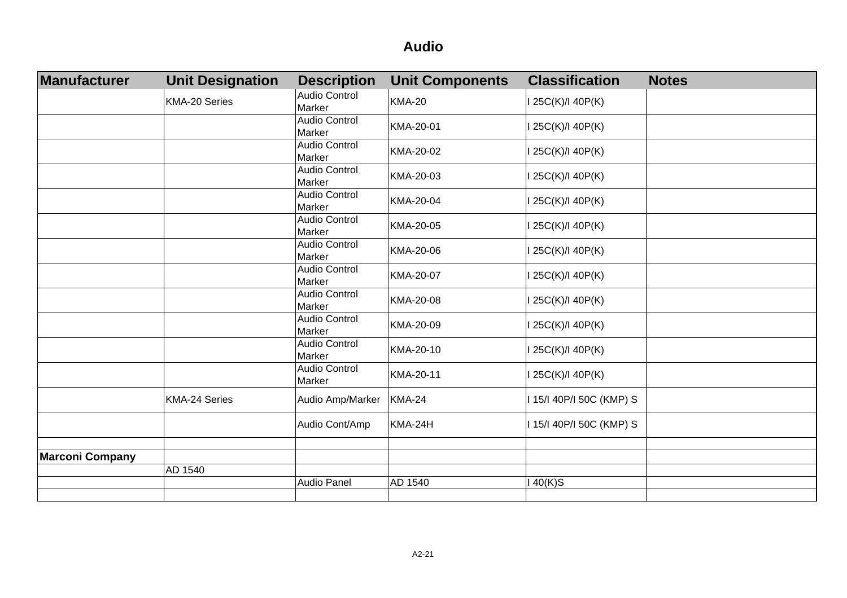| Manufacturer           | <b>Unit Designation</b> | <b>Description</b>             | <b>Unit Components</b> | <b>Classification</b><br><b>Notes</b> |
|------------------------|-------------------------|--------------------------------|------------------------|---------------------------------------|
|                        | KMA-20 Series           | Audio Control<br>Marker        | <b>KMA-20</b>          | 25C(K)/l 40P(K)                       |
|                        |                         | Audio Control<br>Marker        | KMA-20-01              | 25C(K)/I 40P(K)                       |
|                        |                         | Audio Control<br>Marker        | KMA-20-02              | 125C(K)/140P(K)                       |
|                        |                         | Audio Control<br>Marker        | KMA-20-03              | 125C(K)/I 40P(K)                      |
|                        |                         | Audio Control<br>Marker        | KMA-20-04              | 25C(K)/I 40P(K)                       |
|                        |                         | Audio Control<br>Marker        | KMA-20-05              | 125C(K)/I 40P(K)                      |
|                        |                         | <b>Audio Control</b><br>Marker | KMA-20-06              | 25C(K)/I 40P(K)                       |
|                        |                         | <b>Audio Control</b><br>Marker | KMA-20-07              | 25C(K)/I 40P(K)                       |
|                        |                         | Audio Control<br>Marker        | KMA-20-08              | 125C(K)/I 40P(K)                      |
|                        |                         | Audio Control<br>Marker        | KMA-20-09              | 25C(K)/I 40P(K)                       |
|                        |                         | <b>Audio Control</b><br>Marker | KMA-20-10              | 25C(K)/I 40P(K)                       |
|                        |                         | Audio Control<br>Marker        | KMA-20-11              | I 25C(K)/I 40P(K)                     |
|                        | <b>KMA-24 Series</b>    | Audio Amp/Marker               | <b>KMA-24</b>          | I 15/I 40P/I 50C (KMP) S              |
|                        |                         | Audio Cont/Amp                 | KMA-24H                | I 15/I 40P/I 50C (KMP) S              |
|                        |                         |                                |                        |                                       |
| <b>Marconi Company</b> |                         |                                |                        |                                       |
|                        | AD 1540                 |                                |                        |                                       |
|                        |                         | Audio Panel                    | AD 1540                | $40(K)$ S                             |
|                        |                         |                                |                        |                                       |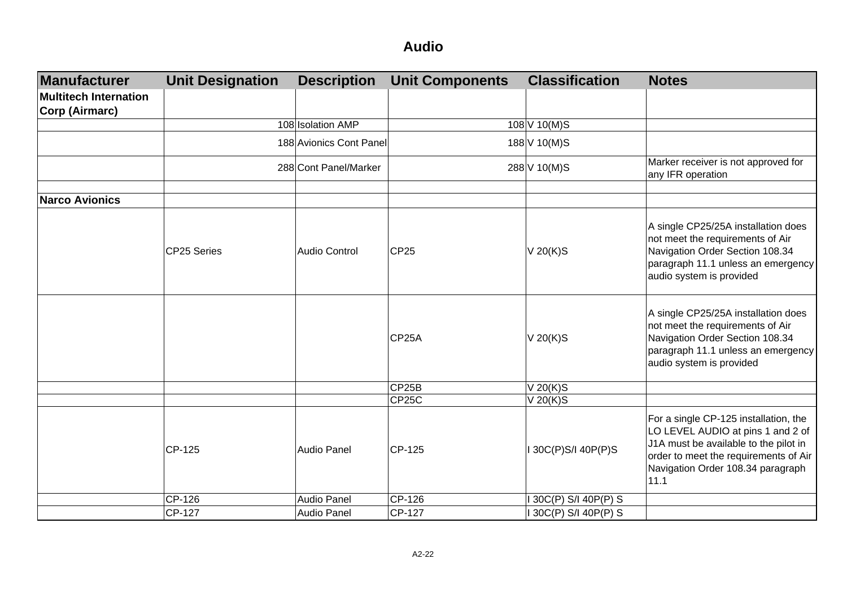| Manufacturer          | <b>Unit Designation</b> | <b>Description</b>      | <b>Unit Components</b> | <b>Classification</b> | <b>Notes</b>                                                                                                                                                                                              |
|-----------------------|-------------------------|-------------------------|------------------------|-----------------------|-----------------------------------------------------------------------------------------------------------------------------------------------------------------------------------------------------------|
| Multitech Internation |                         |                         |                        |                       |                                                                                                                                                                                                           |
| Corp (Airmarc)        |                         |                         |                        |                       |                                                                                                                                                                                                           |
|                       |                         | 108 Isolation AMP       |                        | 108 V 10(M)S          |                                                                                                                                                                                                           |
|                       |                         | 188 Avionics Cont Panel |                        | 188 V 10(M)S          |                                                                                                                                                                                                           |
|                       |                         | 288 Cont Panel/Marker   |                        | 288 V 10(M)S          | Marker receiver is not approved for<br>any IFR operation                                                                                                                                                  |
| <b>Narco Avionics</b> |                         |                         |                        |                       |                                                                                                                                                                                                           |
|                       | CP25 Series             | Audio Control           | <b>CP25</b>            | V 20(K)S              | A single CP25/25A installation does<br>not meet the requirements of Air<br>Navigation Order Section 108.34<br>paragraph 11.1 unless an emergency<br>audio system is provided                              |
|                       |                         |                         | CP <sub>25</sub> A     | V 20(K)S              | A single CP25/25A installation does<br>not meet the requirements of Air<br>Navigation Order Section 108.34<br>paragraph 11.1 unless an emergency<br>audio system is provided                              |
|                       |                         |                         | CP <sub>25</sub> B     | V 20(K)S              |                                                                                                                                                                                                           |
|                       |                         |                         | CP <sub>25</sub> C     | V 20(K)S              |                                                                                                                                                                                                           |
|                       | CP-125                  | Audio Panel             | CP-125                 | I 30C(P)S/I 40P(P)S   | For a single CP-125 installation, the<br>LO LEVEL AUDIO at pins 1 and 2 of<br>J1A must be available to the pilot in<br>order to meet the requirements of Air<br>Navigation Order 108.34 paragraph<br>11.1 |
|                       | CP-126                  | <b>Audio Panel</b>      | CP-126                 | 30C(P) S/I 40P(P) S   |                                                                                                                                                                                                           |
|                       | CP-127                  | Audio Panel             | CP-127                 | 30C(P) S/I 40P(P) S   |                                                                                                                                                                                                           |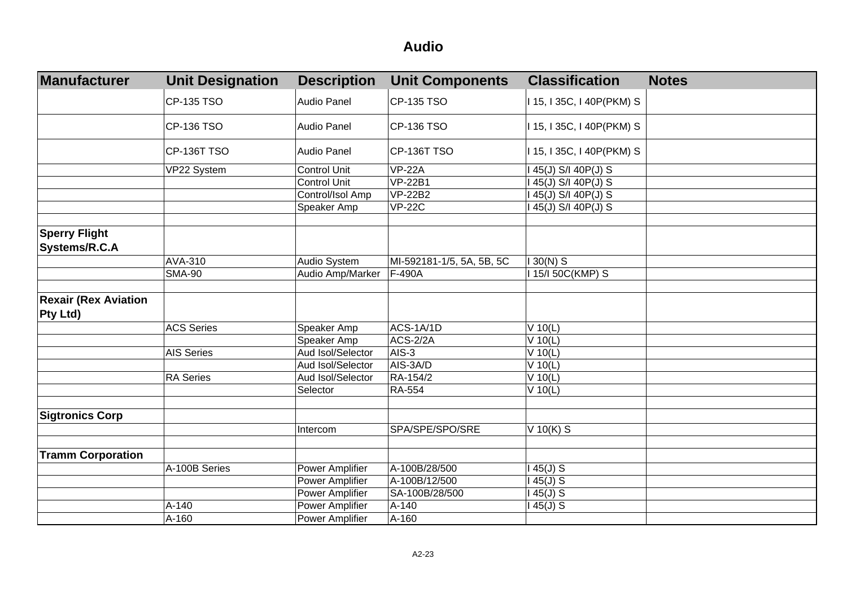| <b>Manufacturer</b>                            | <b>Unit Designation</b> | <b>Description</b> | <b>Unit Components</b>    | <b>Classification</b>     | <b>Notes</b> |
|------------------------------------------------|-------------------------|--------------------|---------------------------|---------------------------|--------------|
|                                                | CP-135 TSO              | Audio Panel        | CP-135 TSO                | I 15, I 35C, I 40P(PKM) S |              |
|                                                | CP-136 TSO              | <b>Audio Panel</b> | CP-136 TSO                | I 15, I 35C, I 40P(PKM) S |              |
|                                                | CP-136T TSO             | Audio Panel        | CP-136T TSO               | I 15, I 35C, I 40P(PKM) S |              |
|                                                | VP22 System             | Control Unit       | <b>VP-22A</b>             | I 45(J) S/I 40P(J) S      |              |
|                                                |                         | Control Unit       | <b>VP-22B1</b>            | I 45(J) S/I 40P(J) S      |              |
|                                                |                         | Control/Isol Amp   | <b>VP-22B2</b>            | I 45(J) S/I 40P(J) S      |              |
|                                                |                         | Speaker Amp        | <b>VP-22C</b>             | I 45(J) S/I 40P(J) S      |              |
| <b>Sperry Flight</b><br>Systems/R.C.A          |                         |                    |                           |                           |              |
|                                                | AVA-310                 | Audio System       | MI-592181-1/5, 5A, 5B, 5C | $130(N)$ S                |              |
|                                                | <b>SMA-90</b>           | Audio Amp/Marker   | F-490A                    | 115/150C(KMP) S           |              |
|                                                |                         |                    |                           |                           |              |
| <b>Rexair (Rex Aviation</b><br><b>Pty Ltd)</b> |                         |                    |                           |                           |              |
|                                                | <b>ACS Series</b>       | Speaker Amp        | ACS-1A/1D                 | $V$ 10(L)                 |              |
|                                                |                         | Speaker Amp        | <b>ACS-2/2A</b>           | $V$ 10(L)                 |              |
|                                                | <b>AIS Series</b>       | Aud Isol/Selector  | AIS-3                     | $V$ 10(L)                 |              |
|                                                |                         | Aud Isol/Selector  | AIS-3A/D                  | $V$ 10(L)                 |              |
|                                                | <b>RA</b> Series        | Aud Isol/Selector  | RA-154/2                  | $V$ 10(L)                 |              |
|                                                |                         | Selector           | <b>RA-554</b>             | $V$ 10(L)                 |              |
|                                                |                         |                    |                           |                           |              |
| <b>Sigtronics Corp</b>                         |                         |                    |                           |                           |              |
|                                                |                         | Intercom           | SPA/SPE/SPO/SRE           | $V$ 10(K) S               |              |
|                                                |                         |                    |                           |                           |              |
| <b>Tramm Corporation</b>                       |                         |                    |                           |                           |              |
|                                                | A-100B Series           | Power Amplifier    | A-100B/28/500             | $145(J)$ S                |              |
|                                                |                         | Power Amplifier    | A-100B/12/500             | $145(J)$ S                |              |
|                                                |                         | Power Amplifier    | SA-100B/28/500            | $145(J)$ S                |              |
|                                                | A-140                   | Power Amplifier    | A-140                     | $45(J)$ S                 |              |
|                                                | A-160                   | Power Amplifier    | A-160                     |                           |              |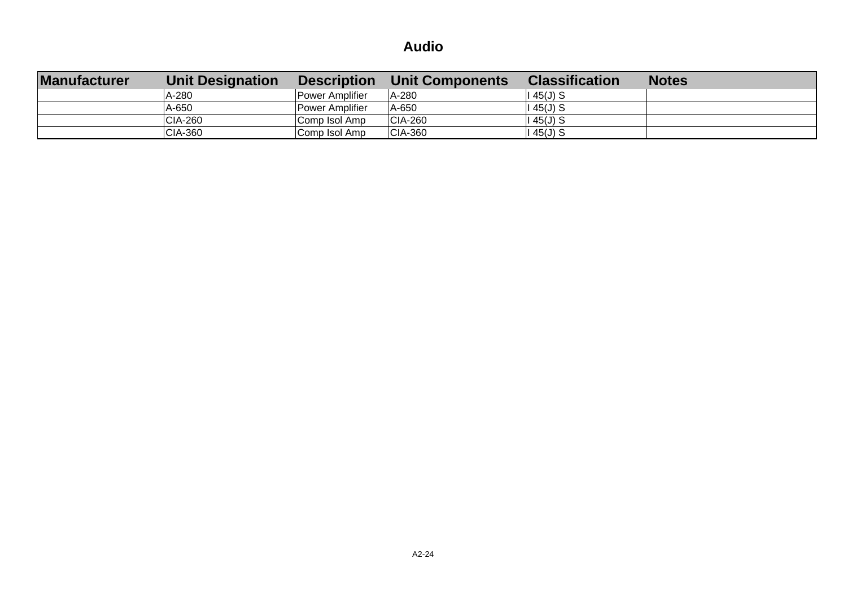| <b>Manufacturer</b> | <b>Unit Designation</b> | <b>Description</b> | <b>Unit Components</b> | <b>Classification</b> | <b>Notes</b> |
|---------------------|-------------------------|--------------------|------------------------|-----------------------|--------------|
|                     | A-280                   | Power Amplifier    | A-280                  | $145(J)$ S            |              |
|                     | A-650                   | Power Amplifier    | A-650                  | $145(J)$ S            |              |
|                     | <b>CIA-260</b>          | Comp Isol Amp      | <b>CIA-260</b>         | $145(J)$ S            |              |
|                     | CIA-360                 | Comp Isol Amp      | <b>CIA-360</b>         | $145(J)$ S            |              |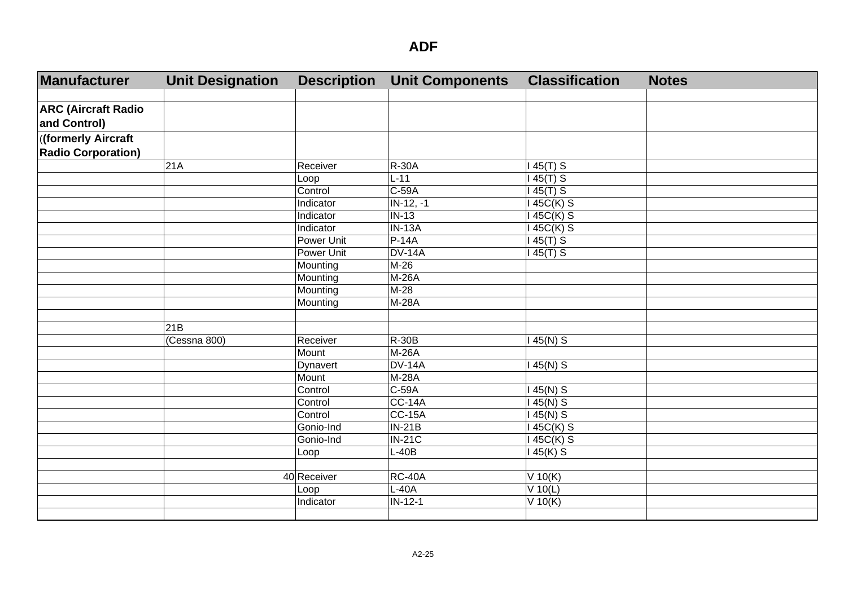| Manufacturer               | <b>Unit Designation</b> | <b>Description</b> | <b>Unit Components</b> | <b>Classification</b> | <b>Notes</b> |
|----------------------------|-------------------------|--------------------|------------------------|-----------------------|--------------|
|                            |                         |                    |                        |                       |              |
| <b>ARC (Aircraft Radio</b> |                         |                    |                        |                       |              |
| and Control)               |                         |                    |                        |                       |              |
| ((formerly Aircraft        |                         |                    |                        |                       |              |
| <b>Radio Corporation)</b>  |                         |                    |                        |                       |              |
|                            | 21A                     | Receiver           | <b>R-30A</b>           | $145(T)$ S            |              |
|                            |                         | Loop               | $L-11$                 | $145(T)$ S            |              |
|                            |                         | Control            | $C-59A$                | $145(T)$ S            |              |
|                            |                         | Indicator          | $IN-12, -1$            | 145C(K) S             |              |
|                            |                         | Indicator          | $IN-13$                | 145C(K) S             |              |
|                            |                         | Indicator          | $IN-13A$               | 45C(K) S              |              |
|                            |                         | <b>Power Unit</b>  | $P-14A$                | $145(T)$ S            |              |
|                            |                         | <b>Power Unit</b>  | <b>DV-14A</b>          | 145(T) S              |              |
|                            |                         | Mounting           | M-26                   |                       |              |
|                            |                         | Mounting           | M-26A                  |                       |              |
|                            |                         | Mounting           | $M-28$                 |                       |              |
|                            |                         | Mounting           | <b>M-28A</b>           |                       |              |
|                            |                         |                    |                        |                       |              |
|                            | 21B                     |                    |                        |                       |              |
|                            | (Cessna 800)            | Receiver           | <b>R-30B</b>           | $145(N)$ S            |              |
|                            |                         | Mount              | $M-26A$                |                       |              |
|                            |                         | Dynavert           | <b>DV-14A</b>          | $145(N)$ S            |              |
|                            |                         | Mount              | $M-28A$                |                       |              |
|                            |                         | Control            | $C-59A$                | $145(N)$ S            |              |
|                            |                         | Control            | $CC-14A$               | $145(N)$ S            |              |
|                            |                         | Control            | $CC-15A$               | $145(N)$ S            |              |
|                            |                         | Gonio-Ind          | $IN-21B$               | 145C(K) S             |              |
|                            |                         | Gonio-Ind          | <b>IN-21C</b>          | 145C(K) S             |              |
|                            |                         | Loop               | $L-40B$                | 145(K) S              |              |
|                            |                         |                    |                        |                       |              |
|                            |                         | 40 Receiver        | <b>RC-40A</b>          | $V$ 10(K)             |              |
|                            |                         | Loop               | $L-40A$                | $V$ 10(L)             |              |
|                            |                         | Indicator          | $IN-12-1$              | $V$ 10(K)             |              |
|                            |                         |                    |                        |                       |              |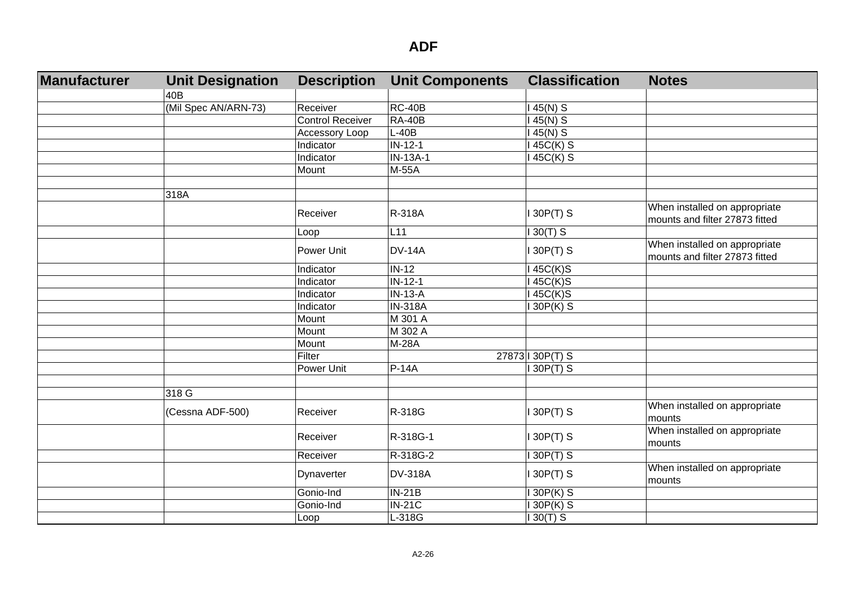| Manufacturer | <b>Unit Designation</b> | <b>Description</b>      | <b>Unit Components</b> | <b>Classification</b> | <b>Notes</b>                                                    |
|--------------|-------------------------|-------------------------|------------------------|-----------------------|-----------------------------------------------------------------|
|              | 40B                     |                         |                        |                       |                                                                 |
|              | (Mil Spec AN/ARN-73)    | Receiver                | $RC-40B$               | 45(N) S               |                                                                 |
|              |                         | <b>Control Receiver</b> | <b>RA-40B</b>          | $45(N)$ S             |                                                                 |
|              |                         | Accessory Loop          | $L-40B$                | 45(N) S               |                                                                 |
|              |                         | Indicator               | $IN-12-1$              | 145C(K) S             |                                                                 |
|              |                         | Indicator               | IN-13A-1               | 45C(K) S              |                                                                 |
|              |                         | Mount                   | M-55A                  |                       |                                                                 |
|              |                         |                         |                        |                       |                                                                 |
|              | 318A                    |                         |                        |                       |                                                                 |
|              |                         | Receiver                | R-318A                 | $130P(T)$ S           | When installed on appropriate                                   |
|              |                         |                         |                        |                       | mounts and filter 27873 fitted                                  |
|              |                         | Loop                    | L11                    | $130(T)$ S            |                                                                 |
|              |                         | Power Unit              | <b>DV-14A</b>          | 130P(T) S             | When installed on appropriate<br>mounts and filter 27873 fitted |
|              |                         | Indicator               | $IN-12$                | 145C(K)S              |                                                                 |
|              |                         | Indicator               | $IN-12-1$              | 45C(K)S               |                                                                 |
|              |                         | Indicator               | $IN-13-A$              | 45C(K)S               |                                                                 |
|              |                         | Indicator               | <b>IN-318A</b>         | 30P(K) S              |                                                                 |
|              |                         | Mount                   | M 301 A                |                       |                                                                 |
|              |                         | Mount                   | M 302 A                |                       |                                                                 |
|              |                         | Mount                   | M-28A                  |                       |                                                                 |
|              |                         | Filter                  |                        | 27873 130P(T) S       |                                                                 |
|              |                         | Power Unit              | $P-14A$                | 30P(T) S              |                                                                 |
|              |                         |                         |                        |                       |                                                                 |
|              | 318 G                   |                         |                        |                       |                                                                 |
|              | (Cessna ADF-500)        | Receiver                | R-318G                 | 130P(T) S             | When installed on appropriate<br>mounts                         |
|              |                         | Receiver                | R-318G-1               | 130P(T) S             | When installed on appropriate<br>mounts                         |
|              |                         | Receiver                | R-318G-2               | 130P(T) S             |                                                                 |
|              |                         | Dynaverter              | <b>DV-318A</b>         | $130P(T)$ S           | When installed on appropriate<br>mounts                         |
|              |                         | Gonio-Ind               | $IN-21B$               | 130P(K) S             |                                                                 |
|              |                         | Gonio-Ind               | $IN-21C$               | 30P(K) S              |                                                                 |
|              |                         | Loop                    | L-318G                 | $30(T)$ S             |                                                                 |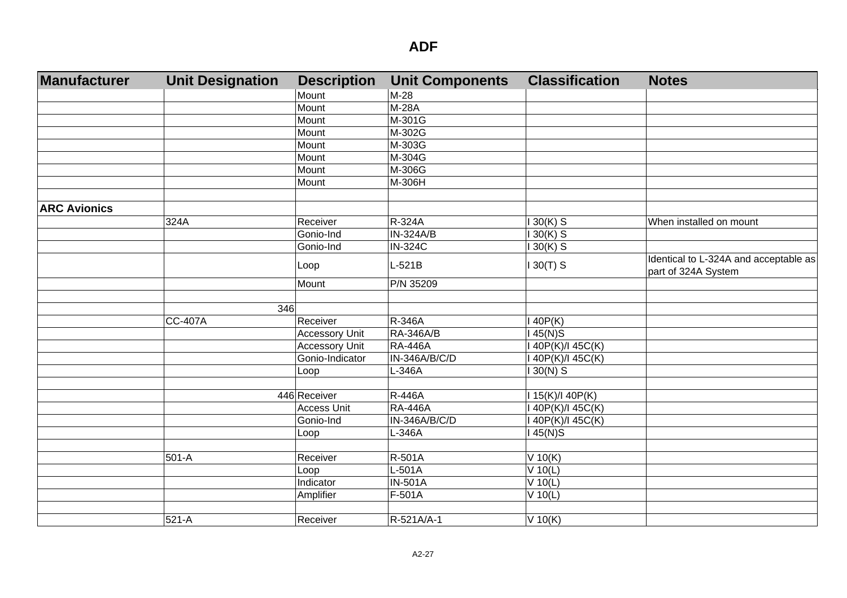| <b>Manufacturer</b> | <b>Unit Designation</b> | <b>Description</b>    | <b>Unit Components</b> | <b>Classification</b> | <b>Notes</b>                                                 |
|---------------------|-------------------------|-----------------------|------------------------|-----------------------|--------------------------------------------------------------|
|                     |                         | Mount                 | M-28                   |                       |                                                              |
|                     |                         | Mount                 | $M-28A$                |                       |                                                              |
|                     |                         | Mount                 | M-301G                 |                       |                                                              |
|                     |                         | Mount                 | M-302G                 |                       |                                                              |
|                     |                         | Mount                 | M-303G                 |                       |                                                              |
|                     |                         | Mount                 | M-304G                 |                       |                                                              |
|                     |                         | Mount                 | M-306G                 |                       |                                                              |
|                     |                         | Mount                 | M-306H                 |                       |                                                              |
| <b>ARC Avionics</b> |                         |                       |                        |                       |                                                              |
|                     | 324A                    | Receiver              | R-324A                 | $130(K)$ S            | When installed on mount                                      |
|                     |                         | Gonio-Ind             | IN-324A/B              | $130(K)$ S            |                                                              |
|                     |                         | Gonio-Ind             | <b>IN-324C</b>         | $130(K)$ S            |                                                              |
|                     |                         | Loop                  | $L-521B$               | $130(T)$ S            | Identical to L-324A and acceptable as<br>part of 324A System |
|                     |                         | Mount                 | P/N 35209              |                       |                                                              |
|                     |                         |                       |                        |                       |                                                              |
|                     |                         | 346                   |                        |                       |                                                              |
|                     | CC-407A                 | Receiver              | R-346A                 | 140P(K)               |                                                              |
|                     |                         | <b>Accessory Unit</b> | <b>RA-346A/B</b>       | $145(N)$ S            |                                                              |
|                     |                         | <b>Accessory Unit</b> | <b>RA-446A</b>         | I 40P(K)/I 45C(K)     |                                                              |
|                     |                         | Gonio-Indicator       | IN-346A/B/C/D          | I 40P(K)/I 45C(K)     |                                                              |
|                     |                         | Loop                  | L-346A                 | $130(N)$ S            |                                                              |
|                     |                         |                       |                        |                       |                                                              |
|                     |                         | 446 Receiver          | <b>R-446A</b>          | 115(K)/140P(K)        |                                                              |
|                     |                         | <b>Access Unit</b>    | <b>RA-446A</b>         | I 40P(K)/I 45C(K)     |                                                              |
|                     |                         | Gonio-Ind             | IN-346A/B/C/D          | I 40P(K)/I 45C(K)     |                                                              |
|                     |                         | Loop                  | L-346A                 | $145(N)$ S            |                                                              |
|                     |                         |                       |                        |                       |                                                              |
|                     | 501-A                   | Receiver              | R-501A                 | $V$ 10(K)             |                                                              |
|                     |                         | Loop                  | L-501A                 | V 10(L)               |                                                              |
|                     |                         | Indicator             | $N-501A$               | V 10(L)               |                                                              |
|                     |                         | Amplifier             | F-501A                 | V 10(L)               |                                                              |
|                     | 521-A                   | Receiver              | R-521A/A-1             | V 10(K)               |                                                              |
|                     |                         |                       |                        |                       |                                                              |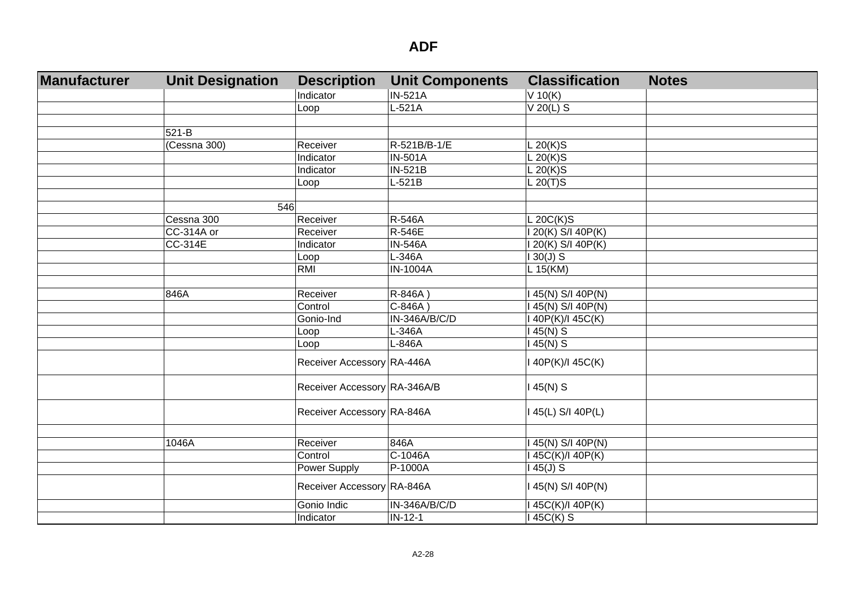| Manufacturer | <b>Unit Designation</b> | <b>Description</b>           | <b>Unit Components</b> | <b>Classification</b> | <b>Notes</b> |
|--------------|-------------------------|------------------------------|------------------------|-----------------------|--------------|
|              |                         | Indicator                    | <b>IN-521A</b>         | $V$ 10(K)             |              |
|              |                         | Loop                         | $L-521A$               | $V$ 20(L) S           |              |
|              |                         |                              |                        |                       |              |
|              | 521-B                   |                              |                        |                       |              |
|              | (Cessna 300)            | Receiver                     | R-521B/B-1/E           | L 20(K)S              |              |
|              |                         | Indicator                    | <b>IN-501A</b>         | L 20(K)S              |              |
|              |                         | Indicator                    | <b>IN-521B</b>         | $L 20(K)$ S           |              |
|              |                         | Loop                         | $L-521B$               | $L$ 20(T)S            |              |
|              |                         |                              |                        |                       |              |
|              | 546                     |                              |                        |                       |              |
|              | Cessna 300              | Receiver                     | R-546A                 | L 20C(K)S             |              |
|              | CC-314A or              | Receiver                     | R-546E                 | 1 20(K) S/I 40P(K)    |              |
|              | $CC-314E$               | Indicator                    | <b>IN-546A</b>         | 1 20(K) S/I 40P(K)    |              |
|              |                         | Loop                         | L-346A                 | $130(J)$ S            |              |
|              |                         | RMI                          | <b>IN-1004A</b>        | L 15(KM)              |              |
|              |                         |                              |                        |                       |              |
|              | 846A                    | Receiver                     | R-846A)                | 45(N) S/I 40P(N)      |              |
|              |                         | Control                      | $C-846A)$              | 45(N) S/I 40P(N)      |              |
|              |                         | Gonio-Ind                    | IN-346A/B/C/D          | 40P(K)/I 45C(K)       |              |
|              |                         | Loop                         | L-346A                 | 45(N) S               |              |
|              |                         | Loop                         | L-846A                 | $45(N)$ S             |              |
|              |                         | Receiver Accessory RA-446A   |                        | 40P(K)/I 45C(K)       |              |
|              |                         | Receiver Accessory RA-346A/B |                        | 145(N) S              |              |
|              |                         | Receiver Accessory RA-846A   |                        | 145(L) S/I 40P(L)     |              |
|              |                         |                              |                        |                       |              |
|              | 1046A                   | Receiver                     | 846A                   | 45(N) S/I 40P(N)      |              |
|              |                         | Control                      | C-1046A                | 45C(K)/I 40P(K)       |              |
|              |                         | Power Supply                 | P-1000A                | $45(J)$ S             |              |
|              |                         | Receiver Accessory RA-846A   |                        | 45(N) S/I 40P(N)      |              |
|              |                         | Gonio Indic                  | IN-346A/B/C/D          | 45C(K)/I 40P(K)       |              |
|              |                         | Indicator                    | $IN-12-1$              | $\sqrt{45}C(K)$ S     |              |
|              |                         |                              |                        |                       |              |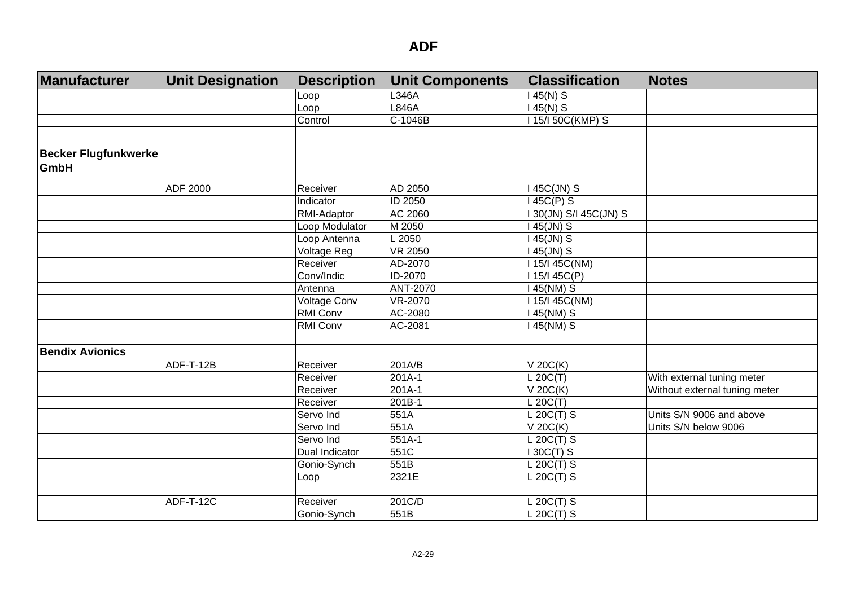| Manufacturer                               | <b>Unit Designation</b> | <b>Description</b> | <b>Unit Components</b> | <b>Classification</b>  | <b>Notes</b>                  |
|--------------------------------------------|-------------------------|--------------------|------------------------|------------------------|-------------------------------|
|                                            |                         | Loop               | L346A                  | $145(N)$ S             |                               |
|                                            |                         | Loop               | L846A                  | $145(N)$ S             |                               |
|                                            |                         | Control            | C-1046B                | I 15/I 50C(KMP) S      |                               |
|                                            |                         |                    |                        |                        |                               |
| <b>Becker Flugfunkwerke</b><br><b>GmbH</b> |                         |                    |                        |                        |                               |
|                                            | ADF 2000                | Receiver           | AD 2050                | I 45C(JN) S            |                               |
|                                            |                         | Indicator          | ID 2050                | $145C(P)$ S            |                               |
|                                            |                         | RMI-Adaptor        | AC 2060                | I 30(JN) S/I 45C(JN) S |                               |
|                                            |                         | Loop Modulator     | M 2050                 | I 45(JN) S             |                               |
|                                            |                         | Loop Antenna       | L 2050                 | I 45(JN) S             |                               |
|                                            |                         | Voltage Reg        | <b>VR 2050</b>         | I 45(JN) S             |                               |
|                                            |                         | Receiver           | AD-2070                | I 15/I 45C(NM)         |                               |
|                                            |                         | Conv/Indic         | ID-2070                | I 15/I 45C(P)          |                               |
|                                            |                         | Antenna            | ANT-2070               | 145(NM) S              |                               |
|                                            |                         | Voltage Conv       | VR-2070                | I 15/I 45C(NM)         |                               |
|                                            |                         | <b>RMI Conv</b>    | AC-2080                | 145(NM) S              |                               |
|                                            |                         | <b>RMI Conv</b>    | AC-2081                | 145(NM) S              |                               |
|                                            |                         |                    |                        |                        |                               |
| <b>Bendix Avionics</b>                     |                         |                    |                        |                        |                               |
|                                            | ADF-T-12B               | Receiver           | 201A/B                 | $V$ 20 $C(K)$          |                               |
|                                            |                         | Receiver           | 201A-1                 | L 20C(T)               | With external tuning meter    |
|                                            |                         | Receiver           | 201A-1                 | $V$ 20 $C(K)$          | Without external tuning meter |
|                                            |                         | Receiver           | 201B-1                 | L 20C(T)               |                               |
|                                            |                         | Servo Ind          | 551A                   | L 20C(T) S             | Units S/N 9006 and above      |
|                                            |                         | Servo Ind          | 551A                   | V 20C(K)               | Units S/N below 9006          |
|                                            |                         | Servo Ind          | 551A-1                 | L 20C(T) S             |                               |
|                                            |                         | Dual Indicator     | 551C                   | $I$ 30C(T) S           |                               |
|                                            |                         | Gonio-Synch        | 551B                   | L 20C(T) S             |                               |
|                                            |                         | Loop               | 2321E                  | $L$ 20C(T) S           |                               |
|                                            |                         |                    |                        |                        |                               |
|                                            | ADF-T-12C               | Receiver           | 201C/D                 | L 20C(T) S             |                               |
|                                            |                         | Gonio-Synch        | 551B                   | L 20C(T) S             |                               |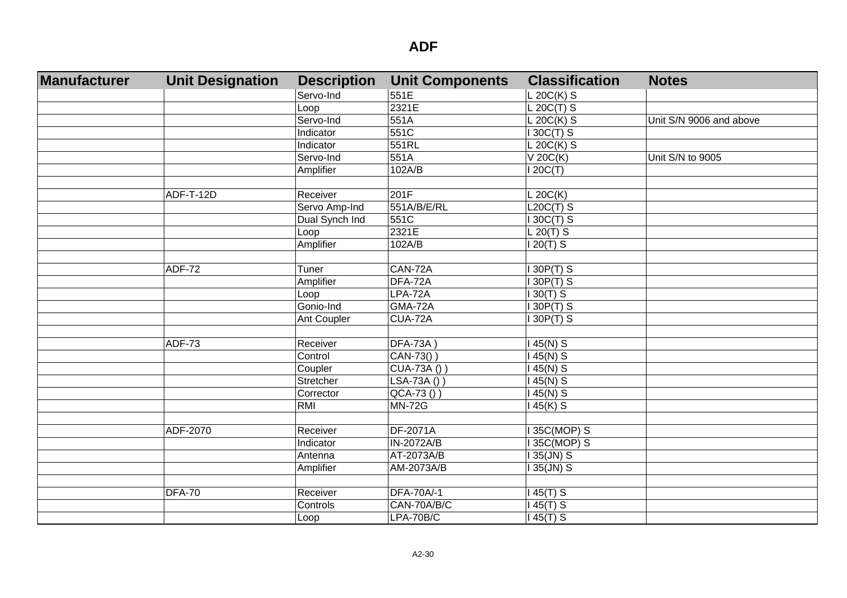| Manufacturer | <b>Unit Designation</b> | <b>Description</b> | <b>Unit Components</b> | <b>Classification</b> | <b>Notes</b>            |
|--------------|-------------------------|--------------------|------------------------|-----------------------|-------------------------|
|              |                         | Servo-Ind          | 551E                   | $L$ 20C(K) S          |                         |
|              |                         | Loop               | 2321E                  | $L 20C(T)$ S          |                         |
|              |                         | Servo-Ind          | 551A                   | $L 20C(K)$ S          | Unit S/N 9006 and above |
|              |                         | Indicator          | 551C                   | 130C(T) S             |                         |
|              |                         | Indicator          | 551RL                  | $L 20C(K)$ S          |                         |
|              |                         | Servo-Ind          | 551A                   | V 20C(K)              | Unit S/N to 9005        |
|              |                         | Amplifier          | 102A/B                 | 120C(T)               |                         |
|              |                         |                    |                        |                       |                         |
|              | ADF-T-12D               | Receiver           | 201F                   | $L$ 20C(K)            |                         |
|              |                         | Servo Amp-Ind      | 551A/B/E/RL            | $L20C(T)$ S           |                         |
|              |                         | Dual Synch Ind     | 551C                   | 130C(T) S             |                         |
|              |                         | Loop               | 2321E                  | $L 20(T)$ S           |                         |
|              |                         | Amplifier          | 102A/B                 | $120(T)$ S            |                         |
|              |                         |                    |                        |                       |                         |
|              | <b>ADF-72</b>           | Tuner              | CAN-72A                | 30P(T) S              |                         |
|              |                         | Amplifier          | DFA-72A                | $130P(T)$ S           |                         |
|              |                         | Loop               | LPA-72A                | $130(T)$ S            |                         |
|              |                         | Gonio-Ind          | GMA-72A                | 30P(T) S              |                         |
|              |                         | Ant Coupler        | CUA-72A                | $130P(T)$ S           |                         |
|              |                         |                    |                        |                       |                         |
|              | <b>ADF-73</b>           | Receiver           | <b>DFA-73A)</b>        | $145(N)$ S            |                         |
|              |                         | Control            | CAN-73())              | $145(N)$ S            |                         |
|              |                         | Coupler            | CUA-73A () )           | $145(N)$ S            |                         |
|              |                         | Stretcher          | LSA-73A())             | $145(N)$ S            |                         |
|              |                         | Corrector          | $QCA-73()$             | $45(N)$ S             |                         |
|              |                         | RMI                | <b>MN-72G</b>          | 145(K) S              |                         |
|              |                         |                    |                        |                       |                         |
|              | ADF-2070                | Receiver           | DF-2071A               | 35C(MOP) S            |                         |
|              |                         | <b>Indicator</b>   | IN-2072A/B             | 35C(MOP) S            |                         |
|              |                         | Antenna            | AT-2073A/B             | 135(JN) S             |                         |
|              |                         | Amplifier          | AM-2073A/B             | 135(JN) S             |                         |
|              |                         |                    |                        |                       |                         |
|              | <b>DFA-70</b>           | Receiver           | DFA-70A/-1             | 145(T) S              |                         |
|              |                         | Controls           | CAN-70A/B/C            | $145(T)$ S            |                         |
|              |                         | Loop               | LPA-70B/C              | 145(T) S              |                         |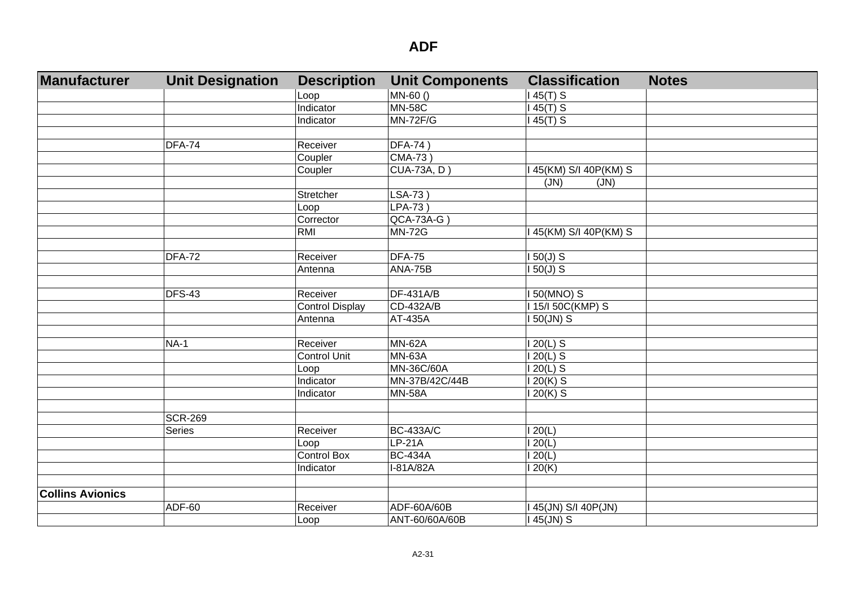| Manufacturer            | <b>Unit Designation</b> | <b>Description</b>     | <b>Unit Components</b> | <b>Classification</b> | <b>Notes</b> |
|-------------------------|-------------------------|------------------------|------------------------|-----------------------|--------------|
|                         |                         | Loop                   | MN-60()                | $145(T)$ S            |              |
|                         |                         | Indicator              | <b>MN-58C</b>          | $45(T)$ S             |              |
|                         |                         | Indicator              | <b>MN-72F/G</b>        | $45(T)$ S             |              |
|                         |                         |                        |                        |                       |              |
|                         | DFA-74                  | Receiver               | <b>DFA-74)</b>         |                       |              |
|                         |                         | Coupler                | CMA-73)                |                       |              |
|                         |                         | Coupler                | CUA-73A, D             | 45(KM) S/I 40P(KM) S  |              |
|                         |                         |                        |                        | (JN)<br>(JN)          |              |
|                         |                         | Stretcher              | LSA-73)                |                       |              |
|                         |                         | Loop                   | $LPA-73$ )             |                       |              |
|                         |                         | Corrector              | $QCA-73A-G$            |                       |              |
|                         |                         | RMI                    | <b>MN-72G</b>          | 145(KM) S/I 40P(KM) S |              |
|                         |                         |                        |                        |                       |              |
|                         | DFA-72                  | Receiver               | <b>DFA-75</b>          | $150(J)$ S            |              |
|                         |                         | Antenna                | ANA-75B                | $150(J)$ S            |              |
|                         |                         |                        |                        |                       |              |
|                         | DFS-43                  | Receiver               | <b>DF-431A/B</b>       | $150(MNO)$ S          |              |
|                         |                         | <b>Control Display</b> | CD-432A/B              | 115/150C(KMP) S       |              |
|                         |                         | Antenna                | AT-435A                | 150(JN) S             |              |
|                         |                         |                        |                        |                       |              |
|                         | $NA-1$                  | Receiver               | <b>MN-62A</b>          | $120(L)$ S            |              |
|                         |                         | <b>Control Unit</b>    | <b>MN-63A</b>          | $120(L)$ S            |              |
|                         |                         | Loop                   | MN-36C/60A             | $120(L)$ S            |              |
|                         |                         | Indicator              | MN-37B/42C/44B         | $120(K)$ S            |              |
|                         |                         | Indicator              | <b>MN-58A</b>          | $120(K)$ S            |              |
|                         |                         |                        |                        |                       |              |
|                         | <b>SCR-269</b>          |                        |                        |                       |              |
|                         | Series                  | Receiver               | <b>BC-433A/C</b>       | 120(L)                |              |
|                         |                         | Loop                   | $LP-21A$               | 120(L)                |              |
|                         |                         | <b>Control Box</b>     | <b>BC-434A</b>         | 120(L)                |              |
|                         |                         | Indicator              | $I-81A/82A$            | 120(K)                |              |
|                         |                         |                        |                        |                       |              |
| <b>Collins Avionics</b> |                         |                        |                        |                       |              |
|                         | ADF-60                  | Receiver               | ADF-60A/60B            | 45(JN) S/I 40P(JN)    |              |
|                         |                         | Loop                   | ANT-60/60A/60B         | 145(JN) S             |              |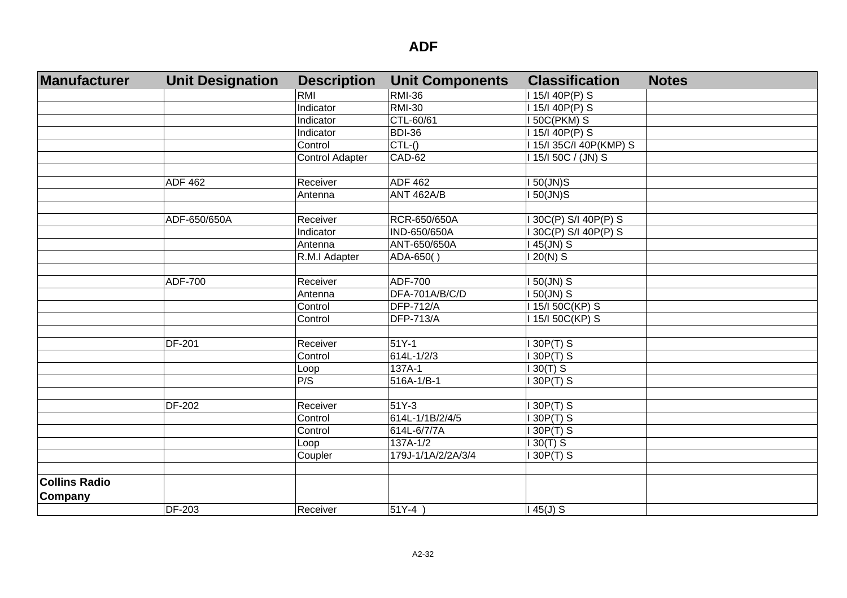| Manufacturer         | <b>Unit Designation</b> | <b>Description</b>     | <b>Unit Components</b> | <b>Classification</b>   | <b>Notes</b> |
|----------------------|-------------------------|------------------------|------------------------|-------------------------|--------------|
|                      |                         | <b>RMI</b>             | <b>RMI-36</b>          | 115/140P(P) S           |              |
|                      |                         | Indicator              | <b>RMI-30</b>          | 115/140P(P) S           |              |
|                      |                         | Indicator              | CTL-60/61              | <b>150C(PKM) S</b>      |              |
|                      |                         | Indicator              | <b>BDI-36</b>          | 1 15/1 40P(P) S         |              |
|                      |                         | Control                | $CTL-()$               | I 15/I 35C/I 40P(KMP) S |              |
|                      |                         | <b>Control Adapter</b> | CAD-62                 | 115/150C / (JN) S       |              |
|                      |                         |                        |                        |                         |              |
|                      | <b>ADF 462</b>          | Receiver               | <b>ADF 462</b>         | 50(JN)S                 |              |
|                      |                         | Antenna                | <b>ANT 462A/B</b>      | 150(JN)S                |              |
|                      |                         |                        |                        |                         |              |
|                      | ADF-650/650A            | Receiver               | RCR-650/650A           | 130C(P) S/I 40P(P) S    |              |
|                      |                         | Indicator              | IND-650/650A           | 30C(P) S/I 40P(P) S     |              |
|                      |                         | Antenna                | ANT-650/650A           | 45(JN) S                |              |
|                      |                         | R.M.I Adapter          | ADA-650()              | $20(N)$ S               |              |
|                      |                         |                        |                        |                         |              |
|                      | <b>ADF-700</b>          | Receiver               | ADF-700                | 150(JN) S               |              |
|                      |                         | Antenna                | DFA-701A/B/C/D         | 150(JN) S               |              |
|                      |                         | Control                | <b>DFP-712/A</b>       | 115/150C(KP) S          |              |
|                      |                         | Control                | <b>DFP-713/A</b>       | 115/150C(KP) S          |              |
|                      |                         |                        |                        |                         |              |
|                      | <b>DF-201</b>           | Receiver               | $51Y-1$                | 30P(T) S                |              |
|                      |                         | Control                | 614L-1/2/3             | 30P(T) S                |              |
|                      |                         | Loop                   | 137A-1                 | $30(T)$ S               |              |
|                      |                         | P/S                    | 516A-1/B-1             | 30P(T) S                |              |
|                      |                         |                        |                        |                         |              |
|                      | <b>DF-202</b>           | Receiver               | 51Y-3                  | 30P(T) S                |              |
|                      |                         | Control                | 614L-1/1B/2/4/5        | 30P(T) S                |              |
|                      |                         | Control                | 614L-6/7/7A            | 30P(T) S                |              |
|                      |                         | Loop                   | 137A-1/2               | $130(T)$ S              |              |
|                      |                         | Coupler                | 179J-1/1A/2/2A/3/4     | 30P(T) S                |              |
|                      |                         |                        |                        |                         |              |
| <b>Collins Radio</b> |                         |                        |                        |                         |              |
| <b>Company</b>       |                         |                        |                        |                         |              |
|                      | <b>DF-203</b>           | Receiver               | $51Y-4)$               | $145(J)$ S              |              |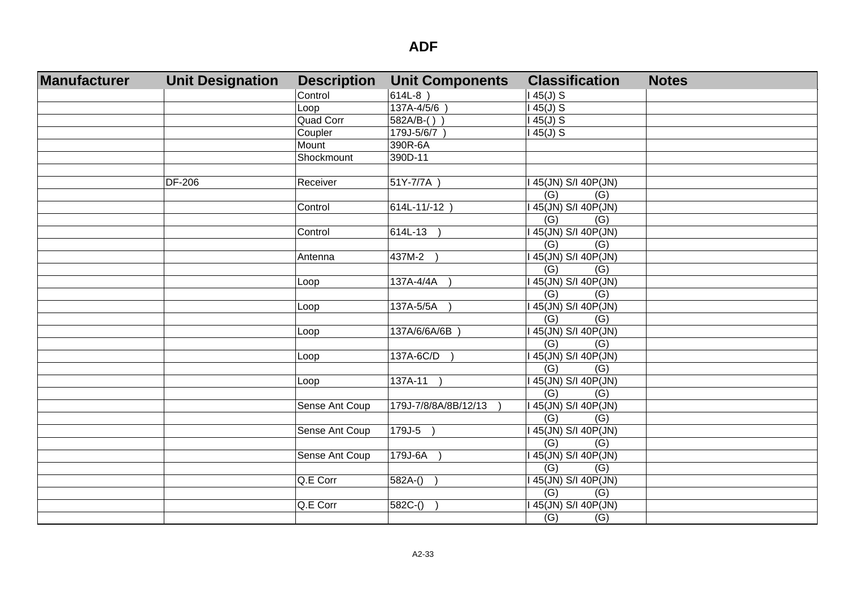| Manufacturer | <b>Unit Designation</b> | <b>Description</b> | <b>Unit Components</b> | <b>Classification</b>   | <b>Notes</b> |
|--------------|-------------------------|--------------------|------------------------|-------------------------|--------------|
|              |                         | Control            | 614L-8)                | $145(J)$ S              |              |
|              |                         | Loop               | 137A-4/5/6             | $145(J)$ S              |              |
|              |                         | <b>Quad Corr</b>   | $582A/B-()$            | $145(J)$ S              |              |
|              |                         | Coupler            | 179J-5/6/7             | $145(J)$ S              |              |
|              |                         | Mount              | 390R-6A                |                         |              |
|              |                         | Shockmount         | 390D-11                |                         |              |
|              |                         |                    |                        |                         |              |
|              | <b>DF-206</b>           | Receiver           | 51Y-7/7A               | 45(JN) S/I 40P(JN)      |              |
|              |                         |                    |                        | (G)<br>(G)              |              |
|              |                         | Control            | $614L - 11/-12$        | 145(JN) S/I 40P(JN)     |              |
|              |                         |                    |                        | (G)<br>(G)              |              |
|              |                         | Control            | 614L-13                | 45(JN) S/I 40P(JN)      |              |
|              |                         |                    |                        | (G)<br>(G)              |              |
|              |                         | Antenna            | 437M-2                 | 45(JN) S/I 40P(JN)      |              |
|              |                         |                    |                        | (G)<br>(G)              |              |
|              |                         | Loop               | 137A-4/4A              | 45(JN) S/I 40P(JN)      |              |
|              |                         |                    |                        | $\overline{(G)}$<br>(G) |              |
|              |                         | Loop               | 137A-5/5A              | 45(JN) S/I 40P(JN)      |              |
|              |                         |                    |                        | $\overline{(G)}$<br>(G) |              |
|              |                         | Loop               | 137A/6/6A/6B           | 45(JN) S/I 40P(JN)      |              |
|              |                         |                    |                        | $\overline{(G)}$<br>(G) |              |
|              |                         | Loop               | 137A-6C/D              | 45(JN) S/I 40P(JN)      |              |
|              |                         |                    |                        | (G)<br>(G)              |              |
|              |                         | Loop               | 137A-11                | 45(JN) S/I 40P(JN)      |              |
|              |                         |                    |                        | (G)<br>(G)              |              |
|              |                         | Sense Ant Coup     | 179J-7/8/8A/8B/12/13   | 145(JN) S/I 40P(JN)     |              |
|              |                         |                    |                        | (G)<br>(G)              |              |
|              |                         | Sense Ant Coup     | 179J-5                 | 45(JN) S/I 40P(JN)      |              |
|              |                         |                    |                        | (G)<br>(G)              |              |
|              |                         | Sense Ant Coup     | 179J-6A                | 145(JN) S/I 40P(JN)     |              |
|              |                         |                    |                        | (G)<br>(G)              |              |
|              |                         | Q.E Corr           | $582A-()$              | 45(JN) S/I 40P(JN)      |              |
|              |                         |                    |                        | (G)<br>(G)              |              |
|              |                         | Q.E Corr           | $582C-()$              | 145(JN) S/I 40P(JN)     |              |
|              |                         |                    |                        | (G)<br>(G)              |              |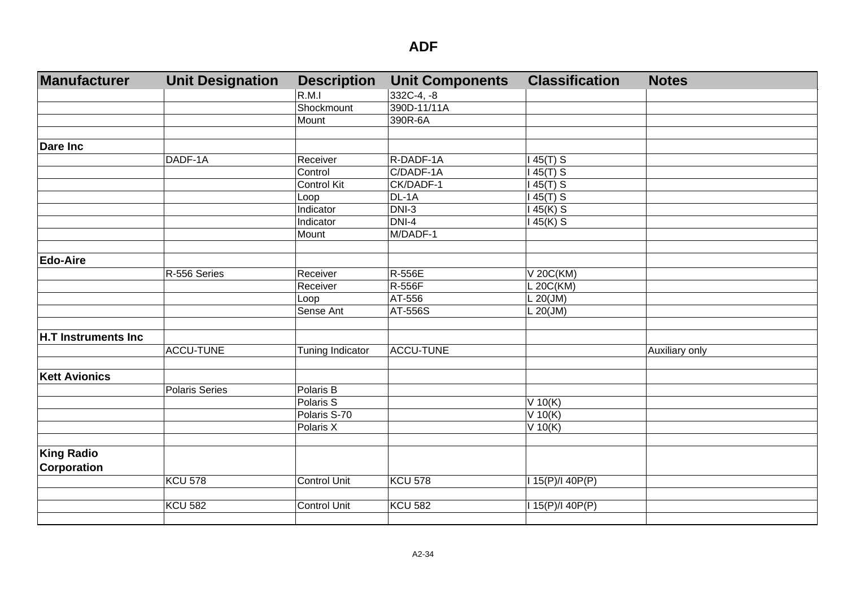| Manufacturer         | <b>Unit Designation</b> | <b>Description</b>      | <b>Unit Components</b> | <b>Classification</b> | <b>Notes</b>   |
|----------------------|-------------------------|-------------------------|------------------------|-----------------------|----------------|
|                      |                         | R.M.1                   | 332C-4, -8             |                       |                |
|                      |                         | Shockmount              | 390D-11/11A            |                       |                |
|                      |                         | Mount                   | 390R-6A                |                       |                |
|                      |                         |                         |                        |                       |                |
| <b>Dare Inc</b>      |                         |                         |                        |                       |                |
|                      | DADF-1A                 | Receiver                | R-DADF-1A              | 45(T) S               |                |
|                      |                         | Control                 | C/DADF-1A              | $45(T)$ S             |                |
|                      |                         | <b>Control Kit</b>      | CK/DADF-1              | $45(T)$ S             |                |
|                      |                         | Loop                    | $DL-1A$                | $45(T)$ S             |                |
|                      |                         | Indicator               | $DNI-3$                | 145(K) S              |                |
|                      |                         | Indicator               | $DNI-4$                | $45(K)$ S             |                |
|                      |                         | Mount                   | M/DADF-1               |                       |                |
|                      |                         |                         |                        |                       |                |
| <b>Edo-Aire</b>      |                         |                         |                        |                       |                |
|                      | R-556 Series            | Receiver                | R-556E                 | V 20C(KM)             |                |
|                      |                         | Receiver                | <b>R-556F</b>          | L 20C(KM)             |                |
|                      |                         | Loop                    | AT-556                 | $L 20$ (JM)           |                |
|                      |                         | Sense Ant               | AT-556S                | $L$ 20(JM)            |                |
| H.T Instruments Inc  |                         |                         |                        |                       |                |
|                      | <b>ACCU-TUNE</b>        |                         | <b>ACCU-TUNE</b>       |                       |                |
|                      |                         | <b>Tuning Indicator</b> |                        |                       | Auxiliary only |
| <b>Kett Avionics</b> |                         |                         |                        |                       |                |
|                      | Polaris Series          | Polaris B               |                        |                       |                |
|                      |                         | Polaris S               |                        | V 10(K)               |                |
|                      |                         | Polaris S-70            |                        | $\overline{V}$ 10(K)  |                |
|                      |                         | Polaris X               |                        | V 10(K)               |                |
|                      |                         |                         |                        |                       |                |
| <b>King Radio</b>    |                         |                         |                        |                       |                |
| <b>Corporation</b>   |                         |                         |                        |                       |                |
|                      | <b>KCU 578</b>          | <b>Control Unit</b>     | <b>KCU 578</b>         | 115(P)/140P(P)        |                |
|                      | <b>KCU 582</b>          | <b>Control Unit</b>     | <b>KCU 582</b>         |                       |                |
|                      |                         |                         |                        | I 15(P)/I 40P(P)      |                |
|                      |                         |                         |                        |                       |                |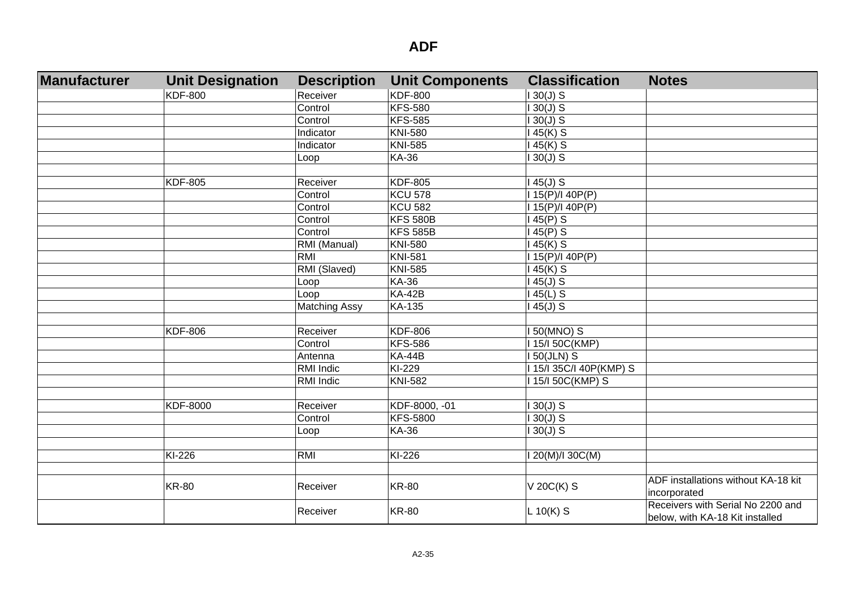| Manufacturer | <b>Unit Designation</b> | <b>Description</b>   | <b>Unit Components</b> | <b>Classification</b>   | <b>Notes</b>                                                         |
|--------------|-------------------------|----------------------|------------------------|-------------------------|----------------------------------------------------------------------|
|              | <b>KDF-800</b>          | Receiver             | <b>KDF-800</b>         | $130(J)$ S              |                                                                      |
|              |                         | Control              | <b>KFS-580</b>         | $130(J)$ S              |                                                                      |
|              |                         | Control              | <b>KFS-585</b>         | $30(J)$ S               |                                                                      |
|              |                         | <b>Indicator</b>     | <b>KNI-580</b>         | 45(K) S                 |                                                                      |
|              |                         | Indicator            | <b>KNI-585</b>         | 145(K) S                |                                                                      |
|              |                         | Loop                 | <b>KA-36</b>           | $130(J)$ S              |                                                                      |
|              |                         |                      |                        |                         |                                                                      |
|              | <b>KDF-805</b>          | Receiver             | <b>KDF-805</b>         | $145(J)$ S              |                                                                      |
|              |                         | Control              | <b>KCU 578</b>         | I 15(P)/I 40P(P)        |                                                                      |
|              |                         | Control              | <b>KCU 582</b>         | I 15(P)/I 40P(P)        |                                                                      |
|              |                         | Control              | <b>KFS 580B</b>        | $145(P)$ S              |                                                                      |
|              |                         | Control              | <b>KFS 585B</b>        | $145(P)$ S              |                                                                      |
|              |                         | RMI (Manual)         | <b>KNI-580</b>         | $145(K)$ S              |                                                                      |
|              |                         | RMI                  | <b>KNI-581</b>         | I 15(P)/I 40P(P)        |                                                                      |
|              |                         | RMI (Slaved)         | <b>KNI-585</b>         | $145(K)$ S              |                                                                      |
|              |                         | Loop                 | <b>KA-36</b>           | $145(J)$ S              |                                                                      |
|              |                         | Loop                 | <b>KA-42B</b>          | $145(L)$ S              |                                                                      |
|              |                         | <b>Matching Assy</b> | KA-135                 | $145(J)$ S              |                                                                      |
|              |                         |                      |                        |                         |                                                                      |
|              | <b>KDF-806</b>          | Receiver             | <b>KDF-806</b>         | 50(MNO) S               |                                                                      |
|              |                         | Control              | <b>KFS-586</b>         | 115/150C(KMP)           |                                                                      |
|              |                         | Antenna              | <b>KA-44B</b>          | <b>150(JLN) S</b>       |                                                                      |
|              |                         | RMI Indic            | KI-229                 | I 15/I 35C/I 40P(KMP) S |                                                                      |
|              |                         | RMI Indic            | <b>KNI-582</b>         | 115/150C(KMP) S         |                                                                      |
|              |                         |                      |                        |                         |                                                                      |
|              | KDF-8000                | Receiver             | KDF-8000, -01          | $130(J)$ S              |                                                                      |
|              |                         | Control              | <b>KFS-5800</b>        | $130(J)$ S              |                                                                      |
|              |                         | Loop                 | <b>KA-36</b>           | $130(J)$ S              |                                                                      |
|              |                         |                      |                        |                         |                                                                      |
|              | KI-226                  | RMI                  | KI-226                 | I 20(M)/I 30C(M)        |                                                                      |
|              |                         |                      |                        |                         |                                                                      |
|              | <b>KR-80</b>            | Receiver             | <b>KR-80</b>           | V 20C(K) S              | ADF installations without KA-18 kit<br>incorporated                  |
|              |                         | Receiver             | <b>KR-80</b>           | $L$ 10(K) S             | Receivers with Serial No 2200 and<br>below, with KA-18 Kit installed |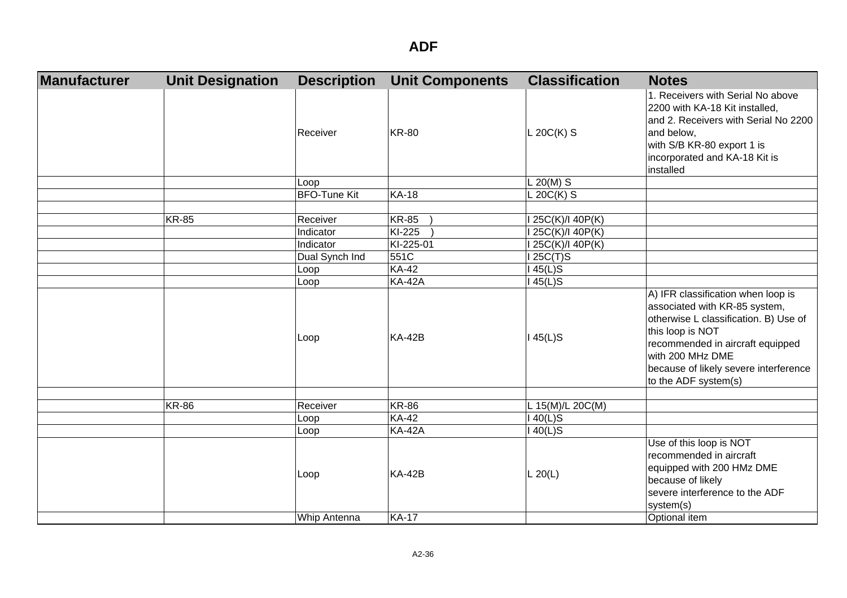| Manufacturer | <b>Unit Designation</b> | <b>Description</b>  | <b>Unit Components</b> | <b>Classification</b> | <b>Notes</b>                                                                                                                                                                                                                                              |
|--------------|-------------------------|---------------------|------------------------|-----------------------|-----------------------------------------------------------------------------------------------------------------------------------------------------------------------------------------------------------------------------------------------------------|
|              |                         | Receiver            | <b>KR-80</b>           | $L$ 20C(K) S          | 1. Receivers with Serial No above<br>2200 with KA-18 Kit installed,<br>and 2. Receivers with Serial No 2200<br>and below,<br>with S/B KR-80 export 1 is<br>incorporated and KA-18 Kit is<br>installed                                                     |
|              |                         | Loop                |                        | L 20(M) S             |                                                                                                                                                                                                                                                           |
|              |                         | <b>BFO-Tune Kit</b> | <b>KA-18</b>           | $L 20C(K)$ S          |                                                                                                                                                                                                                                                           |
|              | <b>KR-85</b>            | Receiver            | <b>KR-85</b>           | 25C(K)/I 40P(K)       |                                                                                                                                                                                                                                                           |
|              |                         | Indicator           | KI-225                 | 25C(K)/I 40P(K)       |                                                                                                                                                                                                                                                           |
|              |                         | Indicator           | KI-225-01              | 25C(K)/I 40P(K)       |                                                                                                                                                                                                                                                           |
|              |                         | Dual Synch Ind      | 551C                   | 25C(T)S               |                                                                                                                                                                                                                                                           |
|              |                         | Loop                | <b>KA-42</b>           | $45(L)$ S             |                                                                                                                                                                                                                                                           |
|              |                         | Loop                | <b>KA-42A</b>          | $45(L)$ S             |                                                                                                                                                                                                                                                           |
|              |                         | Loop                | <b>KA-42B</b>          | $145(L)$ S            | A) IFR classification when loop is<br>associated with KR-85 system,<br>otherwise L classification. B) Use of<br>this loop is NOT<br>recommended in aircraft equipped<br>with 200 MHz DME<br>because of likely severe interference<br>to the ADF system(s) |
|              |                         |                     |                        |                       |                                                                                                                                                                                                                                                           |
|              | <b>KR-86</b>            | Receiver            | <b>KR-86</b>           | L 15(M)/L 20C(M)      |                                                                                                                                                                                                                                                           |
|              |                         | Loop                | <b>KA-42</b>           | $40(L)$ S             |                                                                                                                                                                                                                                                           |
|              |                         | Loop                | <b>KA-42A</b>          | $40(L)$ S             |                                                                                                                                                                                                                                                           |
|              |                         | Loop                | <b>KA-42B</b>          | L 20(L)               | Use of this loop is NOT<br>recommended in aircraft<br>equipped with 200 HMz DME<br>because of likely<br>severe interference to the ADF<br>system(s)                                                                                                       |
|              |                         | Whip Antenna        | <b>KA-17</b>           |                       | Optional item                                                                                                                                                                                                                                             |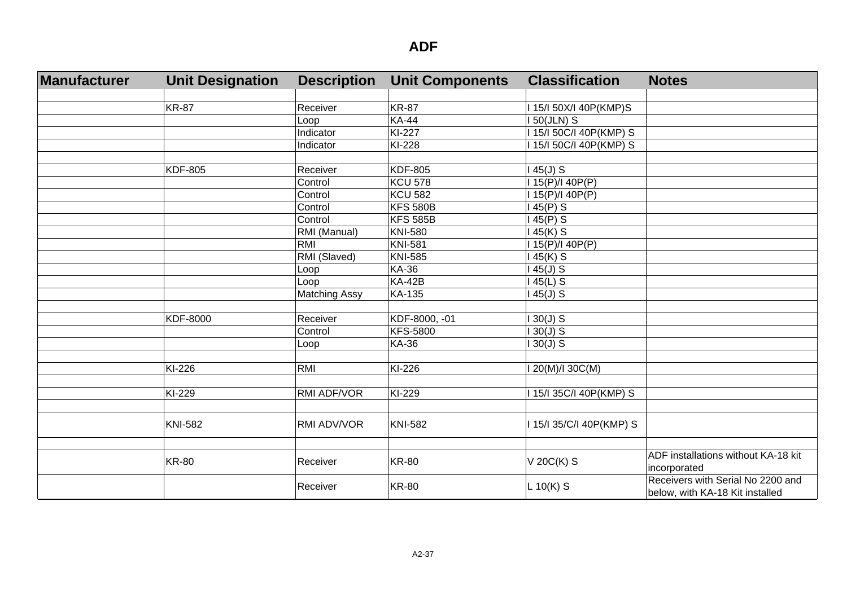| Manufacturer | <b>Unit Designation</b> | <b>Description</b>   | <b>Unit Components</b> | <b>Classification</b>    | <b>Notes</b>                                                         |
|--------------|-------------------------|----------------------|------------------------|--------------------------|----------------------------------------------------------------------|
|              |                         |                      |                        |                          |                                                                      |
|              | <b>KR-87</b>            | Receiver             | <b>KR-87</b>           | I 15/I 50X/I 40P(KMP)S   |                                                                      |
|              |                         | Loop                 | <b>KA-44</b>           | <b>150(JLN) S</b>        |                                                                      |
|              |                         | Indicator            | KI-227                 | I 15/I 50C/I 40P(KMP) S  |                                                                      |
|              |                         | Indicator            | KI-228                 | 115/150C/I 40P(KMP) S    |                                                                      |
|              |                         |                      |                        |                          |                                                                      |
|              | <b>KDF-805</b>          | Receiver             | <b>KDF-805</b>         | $45(J)$ S                |                                                                      |
|              |                         | Control              | <b>KCU 578</b>         | 15(P)/140P(P)            |                                                                      |
|              |                         | Control              | <b>KCU 582</b>         | I 15(P)/I 40P(P)         |                                                                      |
|              |                         | Control              | <b>KFS 580B</b>        | $45(P)$ S                |                                                                      |
|              |                         | Control              | <b>KFS 585B</b>        | $45(P)$ S                |                                                                      |
|              |                         | RMI (Manual)         | <b>KNI-580</b>         | 45(K) S                  |                                                                      |
|              |                         | RMI                  | <b>KNI-581</b>         | I 15(P)/I 40P(P)         |                                                                      |
|              |                         | RMI (Slaved)         | <b>KNI-585</b>         | 145(K) S                 |                                                                      |
|              |                         | Loop                 | <b>KA-36</b>           | $45(J)$ S                |                                                                      |
|              |                         | Loop                 | <b>KA-42B</b>          | $45(L)$ S                |                                                                      |
|              |                         | <b>Matching Assy</b> | KA-135                 | $45(J)$ S                |                                                                      |
|              |                         |                      |                        |                          |                                                                      |
|              | <b>KDF-8000</b>         | Receiver             | KDF-8000, -01          | $30(J)$ S                |                                                                      |
|              |                         | Control              | <b>KFS-5800</b>        | $30(J)$ S                |                                                                      |
|              |                         | Loop                 | <b>KA-36</b>           | $30(J)$ S                |                                                                      |
|              | KI-226                  | RMI                  | KI-226                 | 20(M)/I 30C(M)           |                                                                      |
|              |                         |                      |                        |                          |                                                                      |
|              | KI-229                  | RMI ADF/VOR          | KI-229                 | 15/135C/I 40P(KMP) S     |                                                                      |
|              |                         |                      |                        |                          |                                                                      |
|              | <b>KNI-582</b>          | RMI ADV/VOR          | <b>KNI-582</b>         | I 15/I 35/C/I 40P(KMP) S |                                                                      |
|              |                         |                      |                        |                          |                                                                      |
|              | <b>KR-80</b>            | Receiver             | <b>KR-80</b>           | V 20C(K) S               | ADF installations without KA-18 kit<br>incorporated                  |
|              |                         | Receiver             | <b>KR-80</b>           | $L 10(K)$ S              | Receivers with Serial No 2200 and<br>below, with KA-18 Kit installed |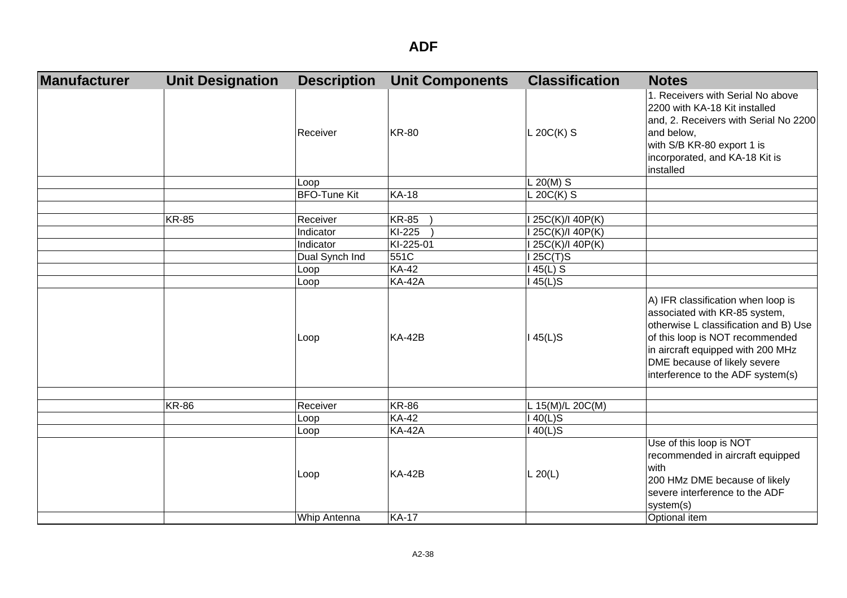| Manufacturer | <b>Unit Designation</b> | <b>Description</b>  | <b>Unit Components</b> | <b>Classification</b> | <b>Notes</b>                                                                                                                                                                                                                                              |
|--------------|-------------------------|---------------------|------------------------|-----------------------|-----------------------------------------------------------------------------------------------------------------------------------------------------------------------------------------------------------------------------------------------------------|
|              |                         | Receiver            | <b>KR-80</b>           | $L 20C(K)$ S          | 1. Receivers with Serial No above<br>2200 with KA-18 Kit installed<br>and, 2. Receivers with Serial No 2200<br>and below,<br>with S/B KR-80 export 1 is<br>incorporated, and KA-18 Kit is<br>installed                                                    |
|              |                         | Loop                |                        | $L 20(M)$ S           |                                                                                                                                                                                                                                                           |
|              |                         | <b>BFO-Tune Kit</b> | <b>KA-18</b>           | $L 20C(K)$ S          |                                                                                                                                                                                                                                                           |
|              | <b>KR-85</b>            | Receiver            | <b>KR-85</b>           | 25C(K)/I 40P(K)       |                                                                                                                                                                                                                                                           |
|              |                         | Indicator           | KI-225                 | 25C(K)/I 40P(K)       |                                                                                                                                                                                                                                                           |
|              |                         | Indicator           | KI-225-01              | 25C(K)/I 40P(K)       |                                                                                                                                                                                                                                                           |
|              |                         | Dual Synch Ind      | 551C                   | 125C(T)S              |                                                                                                                                                                                                                                                           |
|              |                         | Loop                | <b>KA-42</b>           | 45(L) S               |                                                                                                                                                                                                                                                           |
|              |                         | Loop                | <b>KA-42A</b>          | 45(L)S                |                                                                                                                                                                                                                                                           |
|              |                         | Loop                | <b>KA-42B</b>          | $145(L)$ S            | A) IFR classification when loop is<br>associated with KR-85 system,<br>otherwise L classification and B) Use<br>of this loop is NOT recommended<br>in aircraft equipped with 200 MHz<br>DME because of likely severe<br>interference to the ADF system(s) |
|              | <b>KR-86</b>            | Receiver            | <b>KR-86</b>           | L 15(M)/L 20C(M)      |                                                                                                                                                                                                                                                           |
|              |                         | Loop                | <b>KA-42</b>           | $40(L)$ S             |                                                                                                                                                                                                                                                           |
|              |                         | Loop                | <b>KA-42A</b>          | $140(L)$ S            |                                                                                                                                                                                                                                                           |
|              |                         | Loop                | <b>KA-42B</b>          | L 20(L)               | Use of this loop is NOT<br>recommended in aircraft equipped<br>with<br>200 HMz DME because of likely<br>severe interference to the ADF<br>system(s)                                                                                                       |
|              |                         | Whip Antenna        | <b>KA-17</b>           |                       | Optional item                                                                                                                                                                                                                                             |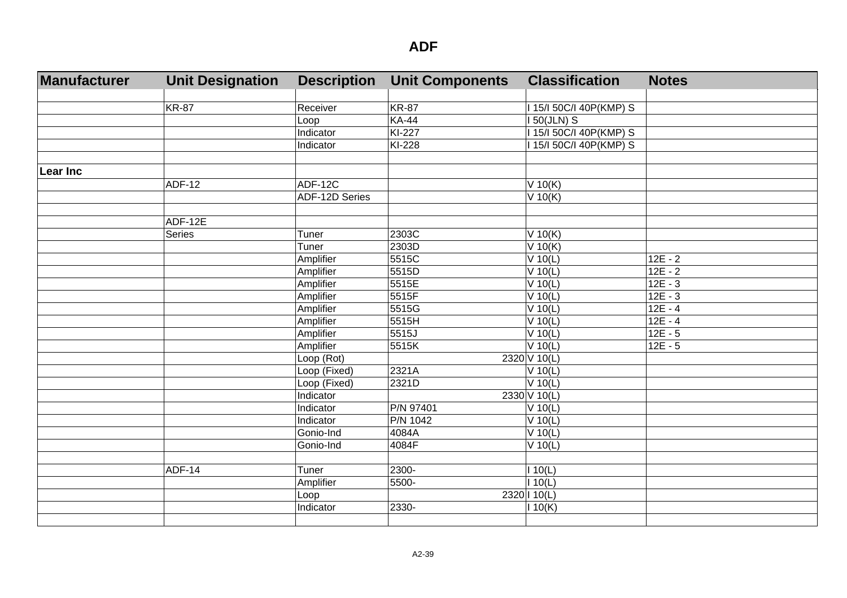| Manufacturer    | <b>Unit Designation</b> | <b>Description</b> | <b>Unit Components</b> | <b>Classification</b>   | <b>Notes</b> |
|-----------------|-------------------------|--------------------|------------------------|-------------------------|--------------|
|                 |                         |                    |                        |                         |              |
|                 | <b>KR-87</b>            | Receiver           | <b>KR-87</b>           | I 15/I 50C/I 40P(KMP) S |              |
|                 |                         | Loop               | <b>KA-44</b>           | <b>150(JLN) S</b>       |              |
|                 |                         | Indicator          | KI-227                 | 1 15/1 50C/I 40P(KMP) S |              |
|                 |                         | Indicator          | KI-228                 | 15/150C/I 40P(KMP) S    |              |
|                 |                         |                    |                        |                         |              |
| <b>Lear Inc</b> |                         |                    |                        |                         |              |
|                 | <b>ADF-12</b>           | ADF-12C            |                        | $V$ 10(K)               |              |
|                 |                         | ADF-12D Series     |                        | $V$ 10(K)               |              |
|                 | ADF-12E                 |                    |                        |                         |              |
|                 | Series                  | Tuner              | 2303C                  | $V$ 10(K)               |              |
|                 |                         | Tuner              | 2303D                  | $V$ 10(K)               |              |
|                 |                         | Amplifier          | 5515C                  | $V$ 10(L)               | $12E - 2$    |
|                 |                         | Amplifier          | 5515D                  | $V$ 10(L)               | $12E - 2$    |
|                 |                         | Amplifier          | 5515E                  | $V$ 10(L)               | $12E - 3$    |
|                 |                         | Amplifier          | 5515F                  | $V$ 10(L)               | $12E - 3$    |
|                 |                         | Amplifier          | 5515G                  | $V$ 10(L)               | $12E - 4$    |
|                 |                         | Amplifier          | 5515H                  | $V$ 10(L)               | $12E - 4$    |
|                 |                         | Amplifier          | 5515J                  | $V$ 10(L)               | $12E - 5$    |
|                 |                         | Amplifier          | 5515K                  | $V$ 10(L)               | $12E - 5$    |
|                 |                         | Loop (Rot)         |                        | 2320 V 10(L)            |              |
|                 |                         | Loop (Fixed)       | 2321A                  | $V$ 10(L)               |              |
|                 |                         | Loop (Fixed)       | 2321D                  | $V$ 10(L)               |              |
|                 |                         | Indicator          |                        | 2330 V 10(L)            |              |
|                 |                         | Indicator          | P/N 97401              | $V$ 10(L)               |              |
|                 |                         | Indicator          | P/N 1042               | $V$ 10(L)               |              |
|                 |                         | Gonio-Ind          | 4084A                  | $V$ 10(L)               |              |
|                 |                         | Gonio-Ind          | 4084F                  | $V$ 10(L)               |              |
|                 |                         |                    |                        |                         |              |
|                 | <b>ADF-14</b>           | Tuner              | 2300-                  | 110(L)                  |              |
|                 |                         | Amplifier          | 5500-                  | 110(L)                  |              |
|                 |                         | Loop               |                        | 2320   10(L)            |              |
|                 |                         | Indicator          | 2330-                  | 10(K)                   |              |
|                 |                         |                    |                        |                         |              |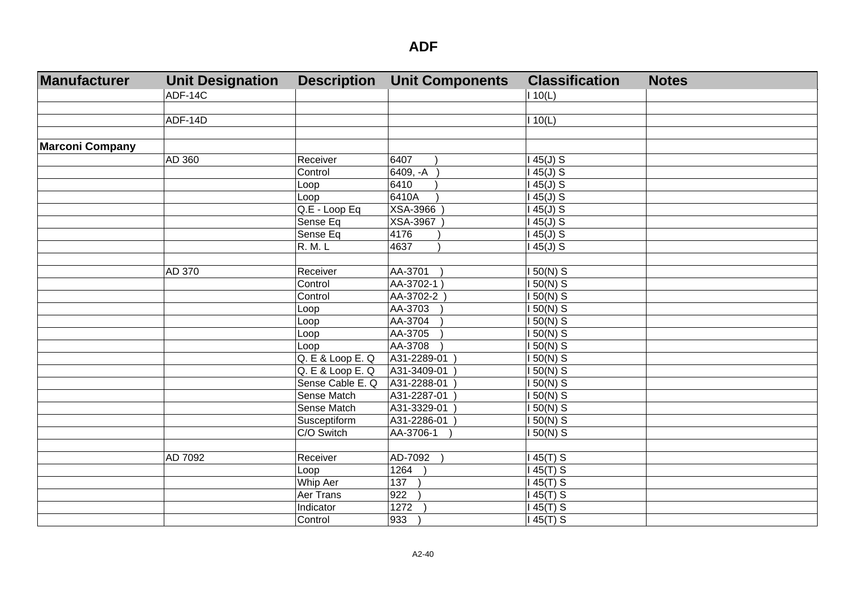| Manufacturer           | <b>Unit Designation</b> | <b>Description</b> | <b>Unit Components</b> | <b>Classification</b> | <b>Notes</b> |
|------------------------|-------------------------|--------------------|------------------------|-----------------------|--------------|
|                        | ADF-14C                 |                    |                        | 110(L)                |              |
|                        |                         |                    |                        |                       |              |
|                        | ADF-14D                 |                    |                        | 110(L)                |              |
|                        |                         |                    |                        |                       |              |
| <b>Marconi Company</b> |                         |                    |                        |                       |              |
|                        | AD 360                  | Receiver           | 6407                   | $45(J)$ S             |              |
|                        |                         | Control            | 6409, -A               | 45(J) S               |              |
|                        |                         | Loop               | 6410                   | $145(J)$ S            |              |
|                        |                         | Loop               | 6410A                  | $145(J)$ S            |              |
|                        |                         | Q.E - Loop Eq      | <b>XSA-3966</b>        | 45(J) S               |              |
|                        |                         | Sense Eq           | XSA-3967               | $145(J)$ S            |              |
|                        |                         | Sense Eq           | 4176                   | $145(J)$ S            |              |
|                        |                         | <b>R. M. L</b>     | 4637                   | $145(J)$ S            |              |
|                        |                         |                    |                        |                       |              |
|                        | AD 370                  | Receiver           | AA-3701                | 150(N) S              |              |
|                        |                         | Control            | AA-3702-1              | I 50(N) S             |              |
|                        |                         | Control            | AA-3702-2              | $150(N)$ S            |              |
|                        |                         | Loop               | AA-3703                | 150(N) S              |              |
|                        |                         | Loop               | AA-3704                | 150(N) S              |              |
|                        |                         | Loop               | AA-3705                | 150(N) S              |              |
|                        |                         | Loop               | AA-3708                | 150(N) S              |              |
|                        |                         | Q. E & Loop E. Q   | A31-2289-01            | 150(N) S              |              |
|                        |                         | Q. E & Loop E. Q   | A31-3409-01            | $150(N)$ S            |              |
|                        |                         | Sense Cable E. Q   | A31-2288-01            | $150(N)$ S            |              |
|                        |                         | Sense Match        | A31-2287-01            | $150(N)$ S            |              |
|                        |                         | Sense Match        | A31-3329-01            | $150(N)$ S            |              |
|                        |                         | Susceptiform       | A31-2286-01            | $150(N)$ S            |              |
|                        |                         | C/O Switch         | AA-3706-1              | 150(N) S              |              |
|                        |                         |                    |                        |                       |              |
|                        | AD 7092                 | Receiver           | AD-7092                | 45(T) S               |              |
|                        |                         | Loop               | 1264                   | 45(T) S               |              |
|                        |                         | Whip Aer           | 137                    | 145(T) S              |              |
|                        |                         | Aer Trans          | 922                    | $145(T)$ S            |              |
|                        |                         | Indicator          | 1272                   | $145(T)$ S            |              |
|                        |                         | Control            | 933                    | $145(T)$ S            |              |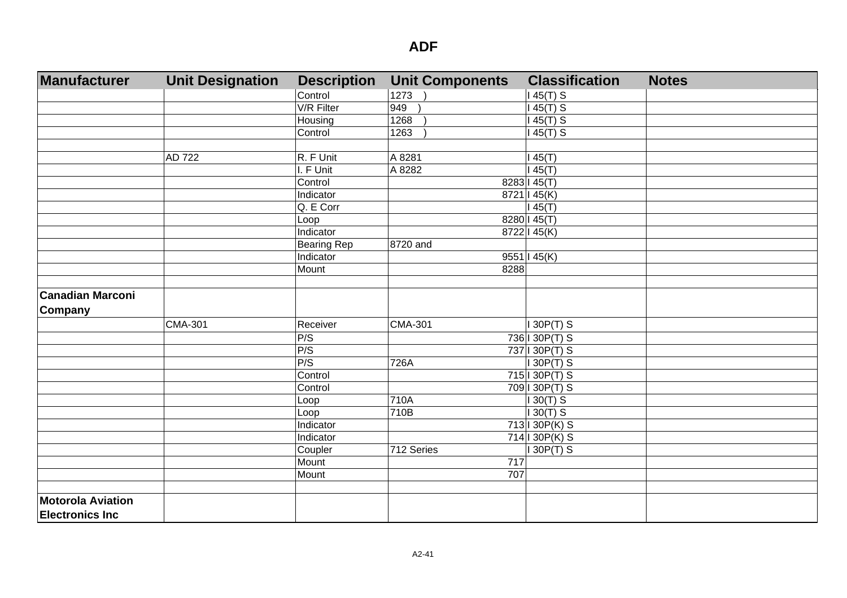| Manufacturer             | <b>Unit Designation</b> | <b>Description</b> | <b>Unit Components</b> | <b>Classification</b> | <b>Notes</b> |
|--------------------------|-------------------------|--------------------|------------------------|-----------------------|--------------|
|                          |                         | Control            | 1273                   | 145(T) S              |              |
|                          |                         | V/R Filter         | 949                    | 145(T) S              |              |
|                          |                         | Housing            | 1268                   | $145(T)$ S            |              |
|                          |                         | Control            | 1263                   | 45(T) S               |              |
|                          |                         |                    |                        |                       |              |
|                          | <b>AD 722</b>           | R. F Unit          | A 8281                 | 145(T)                |              |
|                          |                         | I. F Unit          | A 8282                 | 45(T)                 |              |
|                          |                         | Control            |                        | 8283 145(T)           |              |
|                          |                         | Indicator          |                        | 8721   45(K)          |              |
|                          |                         | Q. E Corr          |                        | 145(T)                |              |
|                          |                         | Loop               |                        | 8280   45(T)          |              |
|                          |                         | Indicator          |                        | 8722   45(K)          |              |
|                          |                         | <b>Bearing Rep</b> | 8720 and               |                       |              |
|                          |                         | Indicator          |                        | 9551   45(K)          |              |
|                          |                         | Mount              | 8288                   |                       |              |
|                          |                         |                    |                        |                       |              |
| <b>Canadian Marconi</b>  |                         |                    |                        |                       |              |
| Company                  |                         |                    |                        |                       |              |
|                          | <b>CMA-301</b>          | Receiver           | <b>CMA-301</b>         | 130P(T) S             |              |
|                          |                         | P/S                |                        | 736 1 30 P(T) S       |              |
|                          |                         | P/S                |                        | 737 1 30 P(T) S       |              |
|                          |                         | P/S                | 726A                   | I 30P(T) S            |              |
|                          |                         | Control            |                        | 715 130 P(T) S        |              |
|                          |                         | Control            |                        | 709 130 P(T) S        |              |
|                          |                         | Loop               | 710A                   | $130(T)$ S            |              |
|                          |                         | Loop               | 710B                   | $130(T)$ S            |              |
|                          |                         | Indicator          |                        | $713$   30P(K) S      |              |
|                          |                         | Indicator          |                        | $714$   30P(K) S      |              |
|                          |                         | Coupler            | 712 Series             | $130P(T)$ S           |              |
|                          |                         | Mount              | 717                    |                       |              |
|                          |                         | Mount              | 707                    |                       |              |
|                          |                         |                    |                        |                       |              |
| <b>Motorola Aviation</b> |                         |                    |                        |                       |              |
| <b>Electronics Inc</b>   |                         |                    |                        |                       |              |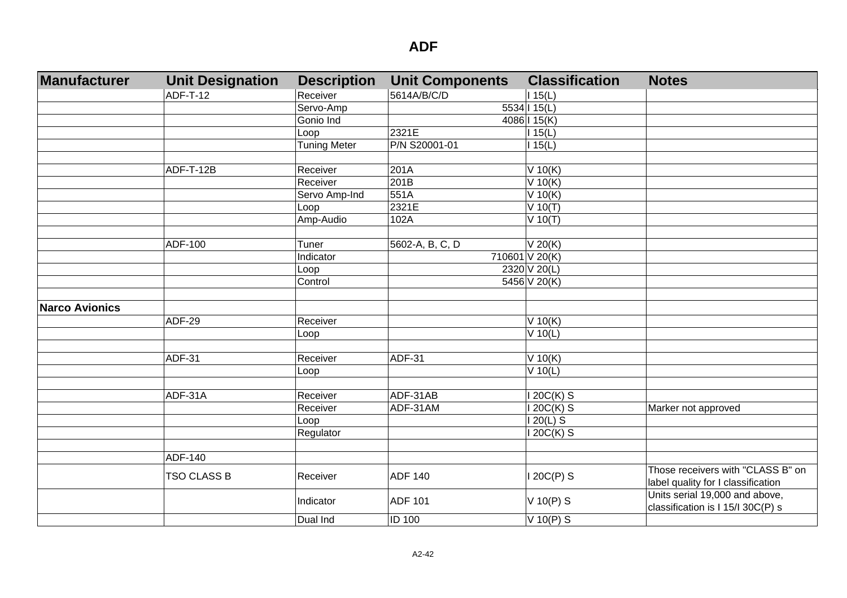| <b>Manufacturer</b>   | <b>Unit Designation</b> | <b>Description</b>  | <b>Unit Components</b> | <b>Classification</b> | <b>Notes</b>                       |
|-----------------------|-------------------------|---------------------|------------------------|-----------------------|------------------------------------|
|                       | <b>ADF-T-12</b>         | Receiver            | 5614A/B/C/D            | 115(L)                |                                    |
|                       |                         | Servo-Amp           |                        | 5534   15(L)          |                                    |
|                       |                         | Gonio Ind           |                        | 4086   15(K)          |                                    |
|                       |                         | Loop                | 2321E                  | 15(L)                 |                                    |
|                       |                         | <b>Tuning Meter</b> | P/N S20001-01          | 115(L)                |                                    |
|                       |                         |                     |                        |                       |                                    |
|                       | ADF-T-12B               | Receiver            | 201A                   | $V$ 10(K)             |                                    |
|                       |                         | Receiver            | 201B                   | $V$ 10(K)             |                                    |
|                       |                         | Servo Amp-Ind       | 551A                   | $V$ 10(K)             |                                    |
|                       |                         | Loop                | 2321E                  | $V$ 10(T)             |                                    |
|                       |                         | Amp-Audio           | 102A                   | $V$ 10(T)             |                                    |
|                       |                         |                     |                        |                       |                                    |
|                       | ADF-100                 | Tuner               | 5602-A, B, C, D        | V 20(K)               |                                    |
|                       |                         | Indicator           |                        | 710601 V 20(K)        |                                    |
|                       |                         | Loop                |                        | 2320 V 20(L)          |                                    |
|                       |                         | Control             |                        | 5456 V 20(K)          |                                    |
|                       |                         |                     |                        |                       |                                    |
| <b>Narco Avionics</b> |                         |                     |                        |                       |                                    |
|                       | <b>ADF-29</b>           | Receiver            |                        | V 10(K)               |                                    |
|                       |                         | Loop                |                        | $V$ 10(L)             |                                    |
|                       |                         |                     |                        |                       |                                    |
|                       | ADF-31                  | Receiver            | <b>ADF-31</b>          | V 10(K)               |                                    |
|                       |                         | Loop                |                        | $V$ 10(L)             |                                    |
|                       |                         |                     |                        |                       |                                    |
|                       | ADF-31A                 | Receiver            | ADF-31AB               | 20C(K) S              |                                    |
|                       |                         | Receiver            | ADF-31AM               | $20C(K)$ S            | Marker not approved                |
|                       |                         | Loop                |                        | 20(L) S               |                                    |
|                       |                         | Regulator           |                        | 20C(K) S              |                                    |
|                       |                         |                     |                        |                       |                                    |
|                       | ADF-140                 |                     |                        |                       |                                    |
|                       | <b>TSO CLASS B</b>      | Receiver            | <b>ADF 140</b>         | 120C(P) S             | Those receivers with "CLASS B" on  |
|                       |                         |                     |                        |                       | label quality for I classification |
|                       |                         | Indicator           | <b>ADF 101</b>         | V 10(P) S             | Units serial 19,000 and above,     |
|                       |                         |                     |                        |                       | classification is I 15/I 30C(P) s  |
|                       |                         | Dual Ind            | <b>ID 100</b>          | $\sqrt{10(P)}$ S      |                                    |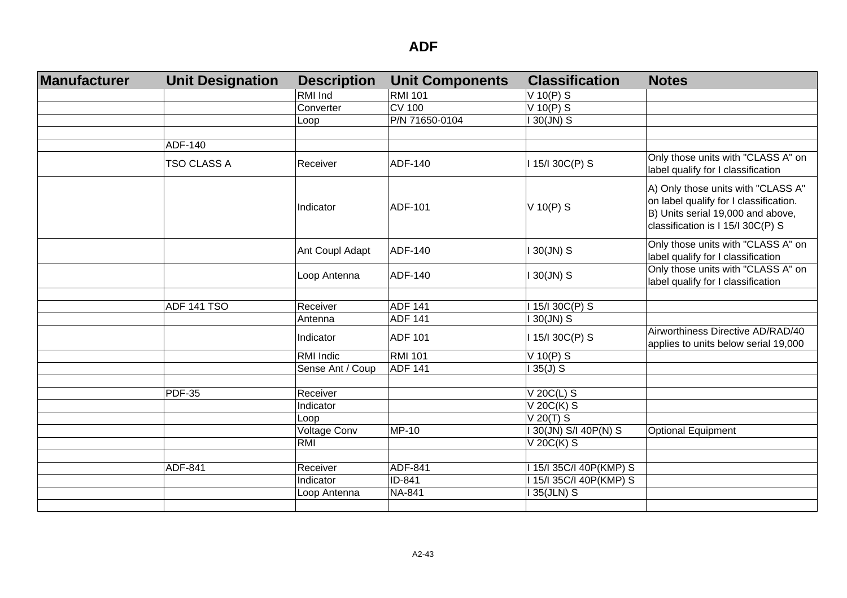| Manufacturer | <b>Unit Designation</b> | <b>Description</b> | <b>Unit Components</b> | <b>Classification</b>                              | <b>Notes</b>                                                                                                                                           |
|--------------|-------------------------|--------------------|------------------------|----------------------------------------------------|--------------------------------------------------------------------------------------------------------------------------------------------------------|
|              |                         | RMI Ind            | <b>RMI 101</b>         | $V$ 10(P) S                                        |                                                                                                                                                        |
|              |                         | Converter          | <b>CV 100</b>          | $V$ 10(P) S                                        |                                                                                                                                                        |
|              |                         | Loop               | P/N 71650-0104         | $130$ (JN) S                                       |                                                                                                                                                        |
|              |                         |                    |                        |                                                    |                                                                                                                                                        |
|              | ADF-140                 |                    |                        |                                                    |                                                                                                                                                        |
|              | <b>TSO CLASS A</b>      | Receiver           | ADF-140                | I 15/I 30C(P) S                                    | Only those units with "CLASS A" on<br>label qualify for I classification                                                                               |
|              |                         | Indicator          | ADF-101                | $V$ 10(P) S                                        | A) Only those units with "CLASS A"<br>on label qualify for I classification.<br>B) Units serial 19,000 and above,<br>classification is I 15/I 30C(P) S |
|              |                         | Ant Coupl Adapt    | ADF-140                | $130$ (JN) S                                       | Only those units with "CLASS A" on<br>label qualify for I classification                                                                               |
|              |                         | Loop Antenna       | ADF-140                | I 30(JN) S                                         | Only those units with "CLASS A" on<br>label qualify for I classification                                                                               |
|              |                         |                    |                        |                                                    |                                                                                                                                                        |
|              | <b>ADF 141 TSO</b>      | Receiver           | <b>ADF 141</b>         | I 15/I 30C(P) S                                    |                                                                                                                                                        |
|              |                         | Antenna            | <b>ADF 141</b>         | $130$ (JN) S                                       |                                                                                                                                                        |
|              |                         | Indicator          | <b>ADF 101</b>         | I 15/I 30C(P) S                                    | Airworthiness Directive AD/RAD/40<br>applies to units below serial 19,000                                                                              |
|              |                         | RMI Indic          | <b>RMI 101</b>         | $V$ 10(P) S                                        |                                                                                                                                                        |
|              |                         | Sense Ant / Coup   | <b>ADF 141</b>         | $135(J)$ S                                         |                                                                                                                                                        |
|              |                         |                    |                        |                                                    |                                                                                                                                                        |
|              | <b>PDF-35</b>           | Receiver           |                        | $V$ 20C(L) S                                       |                                                                                                                                                        |
|              |                         | Indicator          |                        | V 20C(K) S                                         |                                                                                                                                                        |
|              |                         | Loop               |                        | $V$ 20(T) $S$                                      |                                                                                                                                                        |
|              |                         | Voltage Conv       | MP-10                  | I 30(JN) S/I 40P(N) S                              | <b>Optional Equipment</b>                                                                                                                              |
|              |                         | RMI                |                        | $V$ 20 $C(K)$ S                                    |                                                                                                                                                        |
|              | ADF-841                 | Receiver           | ADF-841                |                                                    |                                                                                                                                                        |
|              |                         | Indicator          | ID-841                 | I 15/I 35C/I 40P(KMP) S<br>I 15/I 35C/I 40P(KMP) S |                                                                                                                                                        |
|              |                         |                    | <b>NA-841</b>          | 135(JLN) S                                         |                                                                                                                                                        |
|              |                         | Loop Antenna       |                        |                                                    |                                                                                                                                                        |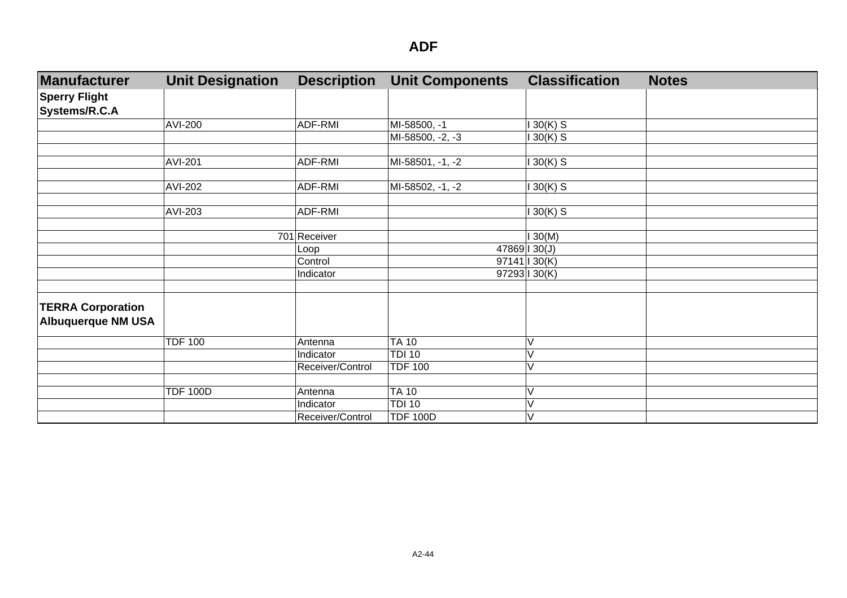| Manufacturer                          | <b>Unit Designation</b> | <b>Description</b> | <b>Unit Components</b> | <b>Classification</b> | <b>Notes</b> |
|---------------------------------------|-------------------------|--------------------|------------------------|-----------------------|--------------|
| <b>Sperry Flight</b><br>Systems/R.C.A |                         |                    |                        |                       |              |
|                                       | <b>AVI-200</b>          | ADF-RMI            | MI-58500, -1           | $30(K)$ S             |              |
|                                       |                         |                    | MI-58500, -2, -3       | $30(K)$ S             |              |
|                                       |                         |                    |                        |                       |              |
|                                       | AVI-201                 | ADF-RMI            | MI-58501, -1, -2       | $30(K)$ S             |              |
|                                       |                         |                    |                        |                       |              |
|                                       | AVI-202                 | ADF-RMI            | MI-58502, -1, -2       | 30(K) S               |              |
|                                       | AVI-203                 | ADF-RMI            |                        | 30(K) S               |              |
|                                       |                         |                    |                        |                       |              |
|                                       |                         | 701 Receiver       |                        | 130(M)                |              |
|                                       |                         | Loop               |                        | 47869   30(J)         |              |
|                                       |                         | Control            |                        | 97141   30(K)         |              |
|                                       |                         | Indicator          |                        | 97293 1 30(K)         |              |
|                                       |                         |                    |                        |                       |              |
| <b>TERRA Corporation</b>              |                         |                    |                        |                       |              |
| <b>Albuquerque NM USA</b>             |                         |                    |                        |                       |              |
|                                       | <b>TDF 100</b>          | Antenna            | <b>TA 10</b>           |                       |              |
|                                       |                         | Indicator          | <b>TDI 10</b>          |                       |              |
|                                       |                         | Receiver/Control   | <b>TDF 100</b>         | V                     |              |
|                                       |                         |                    |                        |                       |              |
|                                       | <b>TDF 100D</b>         | Antenna            | <b>TA 10</b>           |                       |              |
|                                       |                         | Indicator          | <b>TDI 10</b>          |                       |              |
|                                       |                         | Receiver/Control   | <b>TDF 100D</b>        | V                     |              |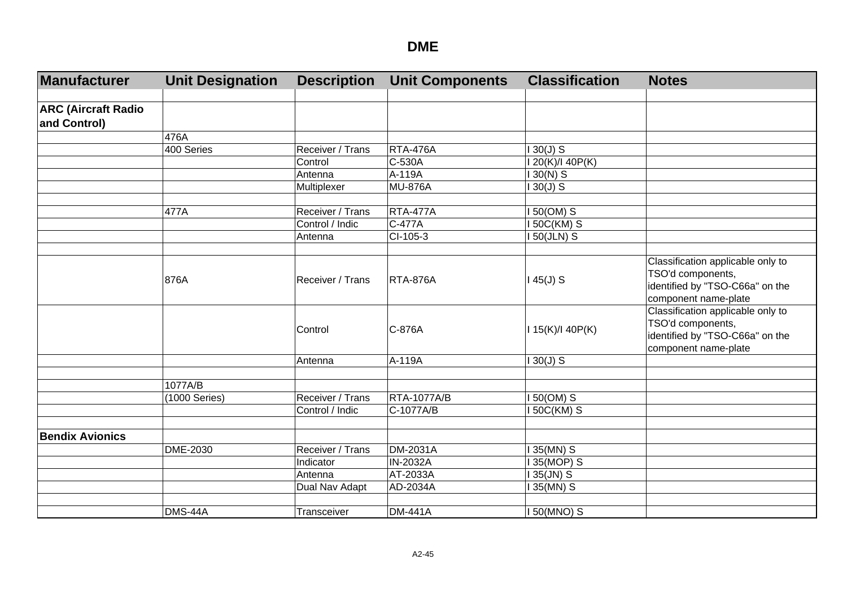| Manufacturer               | <b>Unit Designation</b> | <b>Description</b> | <b>Unit Components</b> | <b>Classification</b> | <b>Notes</b>                                                                                                      |
|----------------------------|-------------------------|--------------------|------------------------|-----------------------|-------------------------------------------------------------------------------------------------------------------|
|                            |                         |                    |                        |                       |                                                                                                                   |
| <b>ARC (Aircraft Radio</b> |                         |                    |                        |                       |                                                                                                                   |
| and Control)               |                         |                    |                        |                       |                                                                                                                   |
|                            | 476A                    |                    |                        |                       |                                                                                                                   |
|                            | 400 Series              | Receiver / Trans   | <b>RTA-476A</b>        | $130(J)$ S            |                                                                                                                   |
|                            |                         | Control            | C-530A                 | I 20(K)/I 40P(K)      |                                                                                                                   |
|                            |                         | Antenna            | A-119A                 | $130(N)$ S            |                                                                                                                   |
|                            |                         | Multiplexer        | <b>MU-876A</b>         | $130(J)$ S            |                                                                                                                   |
|                            |                         |                    |                        |                       |                                                                                                                   |
|                            | 477A                    | Receiver / Trans   | <b>RTA-477A</b>        | I 50(OM) S            |                                                                                                                   |
|                            |                         | Control / Indic    | C-477A                 | <b>150C(KM) S</b>     |                                                                                                                   |
|                            |                         | Antenna            | CI-105-3               | <b>150(JLN) S</b>     |                                                                                                                   |
|                            |                         |                    |                        |                       |                                                                                                                   |
|                            | 876A                    | Receiver / Trans   | <b>RTA-876A</b>        | $145(J)$ S            | Classification applicable only to<br>TSO'd components,<br>identified by "TSO-C66a" on the<br>component name-plate |
|                            |                         | Control            | C-876A                 | 115(K)/140P(K)        | Classification applicable only to<br>TSO'd components,<br>identified by "TSO-C66a" on the<br>component name-plate |
|                            |                         | Antenna            | A-119A                 | $130(J)$ S            |                                                                                                                   |
|                            |                         |                    |                        |                       |                                                                                                                   |
|                            | 1077A/B                 |                    |                        |                       |                                                                                                                   |
|                            | (1000 Series)           | Receiver / Trans   | <b>RTA-1077A/B</b>     | $150(OM)$ S           |                                                                                                                   |
|                            |                         | Control / Indic    | C-1077A/B              | 50C(KM) S             |                                                                                                                   |
|                            |                         |                    |                        |                       |                                                                                                                   |
| <b>Bendix Avionics</b>     |                         |                    |                        |                       |                                                                                                                   |
|                            | DME-2030                | Receiver / Trans   | <b>DM-2031A</b>        | 135(MN) S             |                                                                                                                   |
|                            |                         | Indicator          | IN-2032A               | 135(MOP) S            |                                                                                                                   |
|                            |                         | Antenna            | AT-2033A               | $135$ (JN) S          |                                                                                                                   |
|                            |                         | Dual Nav Adapt     | AD-2034A               | 135(MN) S             |                                                                                                                   |
|                            |                         |                    |                        |                       |                                                                                                                   |
|                            | DMS-44A                 | Transceiver        | <b>DM-441A</b>         | I 50(MNO) S           |                                                                                                                   |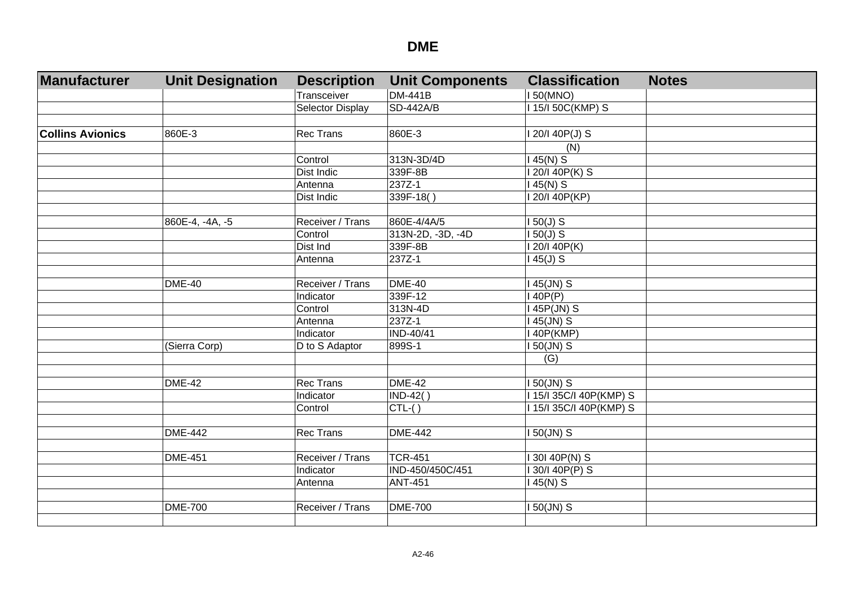| Manufacturer            | <b>Unit Designation</b> | <b>Description</b> | <b>Unit Components</b> | <b>Classification</b> | <b>Notes</b> |
|-------------------------|-------------------------|--------------------|------------------------|-----------------------|--------------|
|                         |                         | Transceiver        | <b>DM-441B</b>         | <b>150(MNO)</b>       |              |
|                         |                         | Selector Display   | <b>SD-442A/B</b>       | 15/150C(KMP) S        |              |
|                         |                         |                    |                        |                       |              |
| <b>Collins Avionics</b> | 860E-3                  | <b>Rec Trans</b>   | 860E-3                 | 20/I 40P(J) S         |              |
|                         |                         |                    |                        | (N)                   |              |
|                         |                         | Control            | 313N-3D/4D             | $45(N)$ S             |              |
|                         |                         | <b>Dist Indic</b>  | 339F-8B                | 20/140P(K) S          |              |
|                         |                         | Antenna            | 237Z-1                 | 145(N) S              |              |
|                         |                         | Dist Indic         | 339F-18()              | 120/140P(KP)          |              |
|                         |                         |                    |                        |                       |              |
|                         | 860E-4, -4A, -5         | Receiver / Trans   | 860E-4/4A/5            | $50(J)$ S             |              |
|                         |                         | Control            | $313N-2D, -3D, -4D$    | $50(J)$ S             |              |
|                         |                         | Dist Ind           | 339F-8B                | 120/140P(K)           |              |
|                         |                         | Antenna            | 237Z-1                 | $45(J)$ S             |              |
|                         |                         |                    |                        |                       |              |
|                         | <b>DME-40</b>           | Receiver / Trans   | <b>DME-40</b>          | 45(JN) S              |              |
|                         |                         | Indicator          | 339F-12                | 40P(P)                |              |
|                         |                         | Control            | 313N-4D                | 45P(JN) S             |              |
|                         |                         | Antenna            | 237Z-1                 | 45(JN) S              |              |
|                         |                         | Indicator          | IND-40/41              | 40P(KMP)              |              |
|                         | (Sierra Corp)           | D to S Adaptor     | 899S-1                 | 50(JN) S              |              |
|                         |                         |                    |                        | (G)                   |              |
|                         |                         |                    |                        |                       |              |
|                         | <b>DME-42</b>           | <b>Rec Trans</b>   | <b>DME-42</b>          | 50(JN) S              |              |
|                         |                         | Indicator          | $IND-42()$             | 15/135C/140P(KMP) S   |              |
|                         |                         | Control            | $CTL-( )$              | 15/135C/140P(KMP) S   |              |
|                         |                         |                    |                        |                       |              |
|                         | <b>DME-442</b>          | <b>Rec Trans</b>   | <b>DME-442</b>         | I 50(JN) S            |              |
|                         | <b>DME-451</b>          | Receiver / Trans   | <b>TCR-451</b>         |                       |              |
|                         |                         |                    |                        | 130140P(N) S          |              |
|                         |                         | Indicator          | IND-450/450C/451       | 30/I 40P(P) S         |              |
|                         |                         | Antenna            | <b>ANT-451</b>         | $145(N)$ S            |              |
|                         |                         |                    |                        |                       |              |
|                         | <b>DME-700</b>          | Receiver / Trans   | <b>DME-700</b>         | 50(JN) S              |              |
|                         |                         |                    |                        |                       |              |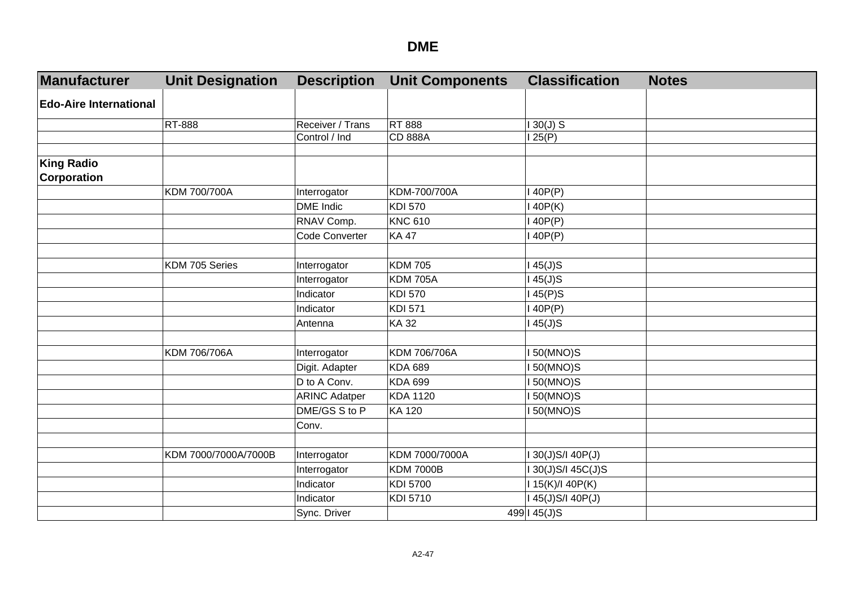| Manufacturer                            | <b>Unit Designation</b> | <b>Description</b>   | <b>Unit Components</b> | <b>Classification</b> | <b>Notes</b> |
|-----------------------------------------|-------------------------|----------------------|------------------------|-----------------------|--------------|
| <b>Edo-Aire International</b>           |                         |                      |                        |                       |              |
|                                         | RT-888                  | Receiver / Trans     | <b>RT 888</b>          | $130(J)$ S            |              |
|                                         |                         | Control / Ind        | <b>CD 888A</b>         | 125(P)                |              |
|                                         |                         |                      |                        |                       |              |
| <b>King Radio</b><br><b>Corporation</b> |                         |                      |                        |                       |              |
|                                         | KDM 700/700A            | Interrogator         | KDM-700/700A           | 140P(P)               |              |
|                                         |                         | <b>DME</b> Indic     | <b>KDI 570</b>         | 140P(K)               |              |
|                                         |                         | RNAV Comp.           | <b>KNC 610</b>         | 140P(P)               |              |
|                                         |                         | Code Converter       | <b>KA47</b>            | 140P(P)               |              |
|                                         |                         |                      |                        |                       |              |
|                                         | KDM 705 Series          | Interrogator         | <b>KDM 705</b>         | $45(J)$ S             |              |
|                                         |                         | Interrogator         | <b>KDM 705A</b>        | $145(J)$ S            |              |
|                                         |                         | Indicator            | <b>KDI 570</b>         | 145(P)S               |              |
|                                         |                         | Indicator            | <b>KDI 571</b>         | 140P(P)               |              |
|                                         |                         | Antenna              | <b>KA32</b>            | 145(J)S               |              |
|                                         |                         |                      |                        |                       |              |
|                                         | KDM 706/706A            | Interrogator         | KDM 706/706A           | <b>150(MNO)S</b>      |              |
|                                         |                         | Digit. Adapter       | <b>KDA 689</b>         | <b>150(MNO)S</b>      |              |
|                                         |                         | D to A Conv.         | <b>KDA 699</b>         | <b>150(MNO)S</b>      |              |
|                                         |                         | <b>ARINC Adatper</b> | <b>KDA 1120</b>        | <b>150(MNO)S</b>      |              |
|                                         |                         | DME/GS S to P        | <b>KA 120</b>          | <b>150(MNO)S</b>      |              |
|                                         |                         | Conv.                |                        |                       |              |
|                                         |                         |                      |                        |                       |              |
|                                         | KDM 7000/7000A/7000B    | Interrogator         | KDM 7000/7000A         | I 30(J)S/I 40P(J)     |              |
|                                         |                         | Interrogator         | <b>KDM 7000B</b>       | I 30(J)S/I 45C(J)S    |              |
|                                         |                         | Indicator            | <b>KDI 5700</b>        | I 15(K)/I 40P(K)      |              |
|                                         |                         | Indicator            | KDI 5710               | I 45(J)S/I 40P(J)     |              |
|                                         |                         | Sync. Driver         |                        | 499   45(J)S          |              |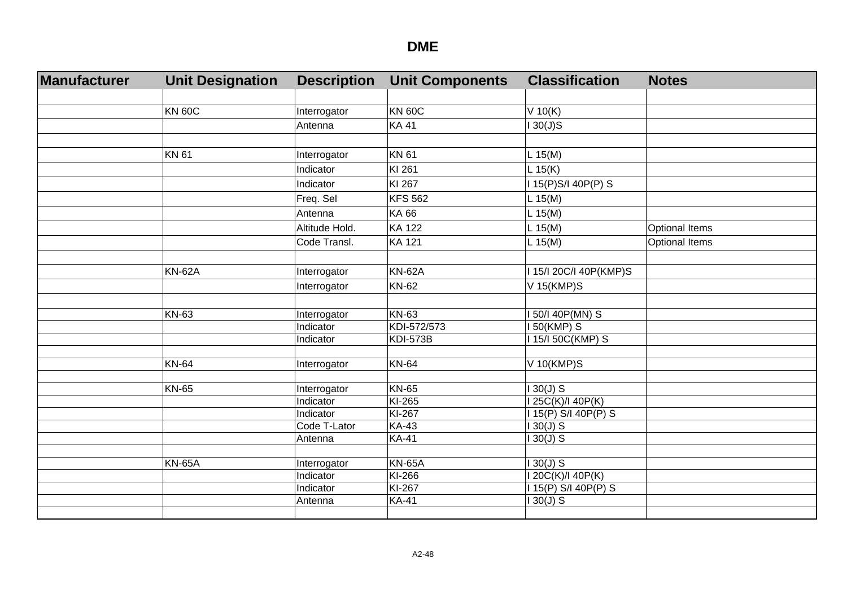| Manufacturer | <b>Unit Designation</b> | <b>Description</b>        | <b>Unit Components</b> | <b>Classification</b>              | <b>Notes</b>          |
|--------------|-------------------------|---------------------------|------------------------|------------------------------------|-----------------------|
|              |                         |                           |                        |                                    |                       |
|              | <b>KN 60C</b>           | Interrogator              | <b>KN 60C</b>          | V 10(K)                            |                       |
|              |                         | Antenna                   | <b>KA41</b>            | $130(J)$ S                         |                       |
|              |                         |                           |                        |                                    |                       |
|              | <b>KN61</b>             | Interrogator              | <b>KN 61</b>           | $L$ 15(M)                          |                       |
|              |                         | Indicator                 | KI 261                 | L 15(K)                            |                       |
|              |                         | Indicator                 | KI 267                 | I 15(P)S/I 40P(P) S                |                       |
|              |                         | Freq. Sel                 | <b>KFS 562</b>         | L 15(M)                            |                       |
|              |                         | Antenna                   | <b>KA66</b>            | $L$ 15(M)                          |                       |
|              |                         | Altitude Hold.            | <b>KA 122</b>          | L 15(M)                            | <b>Optional Items</b> |
|              |                         | Code Transl.              | <b>KA 121</b>          | L 15(M)                            | <b>Optional Items</b> |
|              |                         |                           |                        |                                    |                       |
|              | <b>KN-62A</b>           | Interrogator              | <b>KN-62A</b>          | I 15/I 20C/I 40P(KMP)S             |                       |
|              |                         | Interrogator              | <b>KN-62</b>           | V 15(KMP)S                         |                       |
|              |                         |                           |                        |                                    |                       |
|              | KN-63                   | Interrogator              | <b>KN-63</b>           | 50/I 40P(MN) S                     |                       |
|              |                         | Indicator                 | KDI-572/573            | 150(KMP) S                         |                       |
|              |                         | Indicator                 | <b>KDI-573B</b>        | 115/150C(KMP) S                    |                       |
|              |                         |                           |                        |                                    |                       |
|              | <b>KN-64</b>            | Interrogator              | <b>KN-64</b>           | V 10(KMP)S                         |                       |
|              | <b>KN-65</b>            | Interrogator              | <b>KN-65</b>           | $130(J)$ S                         |                       |
|              |                         | Indicator                 | KI-265                 | 25C(K)/I 40P(K)                    |                       |
|              |                         | Indicator                 | KI-267                 | I 15(P) S/I 40P(P) S               |                       |
|              |                         | Code T-Lator              | <b>KA-43</b>           | $130(J)$ S                         |                       |
|              |                         | Antenna                   | <b>KA-41</b>           | $130(J)$ S                         |                       |
|              |                         |                           |                        |                                    |                       |
|              | <b>KN-65A</b>           | Interrogator<br>Indicator | <b>KN-65A</b>          | $130(J)$ S                         |                       |
|              |                         | Indicator                 | KI-266<br>KI-267       | I 20C(K)/I 40P(K)                  |                       |
|              |                         | Antenna                   | <b>KA-41</b>           | I 15(P) S/I 40P(P) S<br>$130(J)$ S |                       |
|              |                         |                           |                        |                                    |                       |
|              |                         |                           |                        |                                    |                       |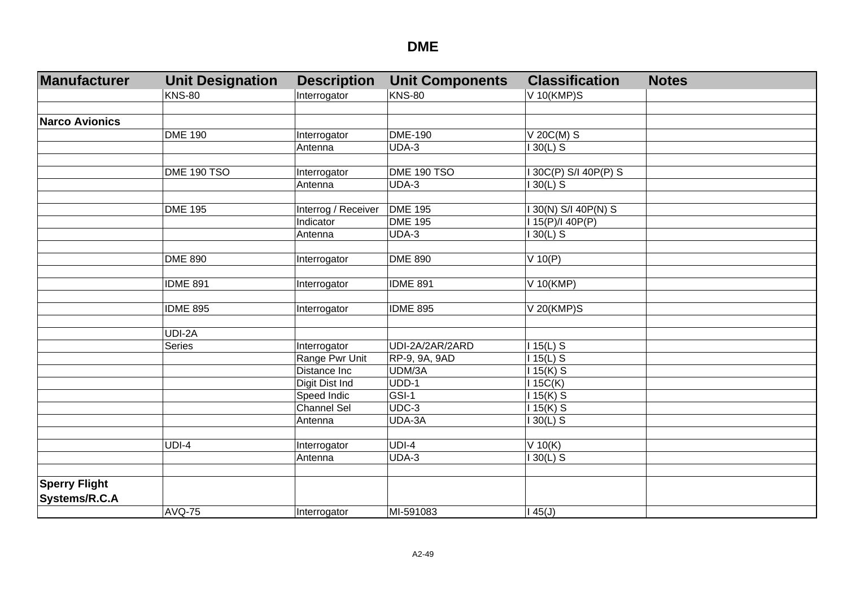| Manufacturer          | <b>Unit Designation</b> | <b>Description</b>  | <b>Unit Components</b> | <b>Classification</b> | <b>Notes</b> |
|-----------------------|-------------------------|---------------------|------------------------|-----------------------|--------------|
|                       | <b>KNS-80</b>           | Interrogator        | <b>KNS-80</b>          | V 10(KMP)S            |              |
|                       |                         |                     |                        |                       |              |
| <b>Narco Avionics</b> |                         |                     |                        |                       |              |
|                       | <b>DME 190</b>          | Interrogator        | <b>DME-190</b>         | $V$ 20C(M) S          |              |
|                       |                         | Antenna             | UDA-3                  | $30(L)$ S             |              |
|                       |                         |                     |                        |                       |              |
|                       | DME 190 TSO             | Interrogator        | DME 190 TSO            | 130C(P) S/I 40P(P) S  |              |
|                       |                         | Antenna             | UDA-3                  | $30(L)$ S             |              |
|                       |                         |                     |                        |                       |              |
|                       | <b>DME 195</b>          | Interrog / Receiver | <b>DME 195</b>         | 30(N) S/I 40P(N) S    |              |
|                       |                         | Indicator           | <b>DME 195</b>         | 15(P)/140P(P)         |              |
|                       |                         | Antenna             | UDA-3                  | $30(L)$ S             |              |
|                       |                         |                     |                        |                       |              |
|                       | <b>DME 890</b>          | Interrogator        | <b>DME 890</b>         | $V$ 10(P)             |              |
|                       |                         |                     |                        |                       |              |
|                       | <b>IDME 891</b>         | Interrogator        | <b>IDME 891</b>        | V 10(KMP)             |              |
|                       |                         |                     |                        |                       |              |
|                       | <b>IDME 895</b>         | Interrogator        | <b>IDME 895</b>        | V 20(KMP)S            |              |
|                       |                         |                     |                        |                       |              |
|                       | UDI-2A                  |                     |                        |                       |              |
|                       | <b>Series</b>           | Interrogator        | UDI-2A/2AR/2ARD        | $115(L)$ S            |              |
|                       |                         | Range Pwr Unit      | RP-9, 9A, 9AD          | $15(L)$ S             |              |
|                       |                         | Distance Inc        | UDM/3A                 | $15(K)$ S             |              |
|                       |                         | Digit Dist Ind      | UDD-1                  | 15C(K)                |              |
|                       |                         | Speed Indic         | $GSI-1$                | $115(K)$ S            |              |
|                       |                         | <b>Channel Sel</b>  | $UDC-3$                | $115(K)$ S            |              |
|                       |                         | Antenna             | UDA-3A                 | $130(L)$ S            |              |
|                       |                         |                     |                        |                       |              |
|                       | $UDI-4$                 | Interrogator        | $UDI-4$                | $V$ 10(K)             |              |
|                       |                         | Antenna             | $UDA-3$                | $130(L)$ S            |              |
|                       |                         |                     |                        |                       |              |
| <b>Sperry Flight</b>  |                         |                     |                        |                       |              |
| Systems/R.C.A         |                         |                     |                        |                       |              |
|                       | <b>AVQ-75</b>           | Interrogator        | MI-591083              | 45(J)                 |              |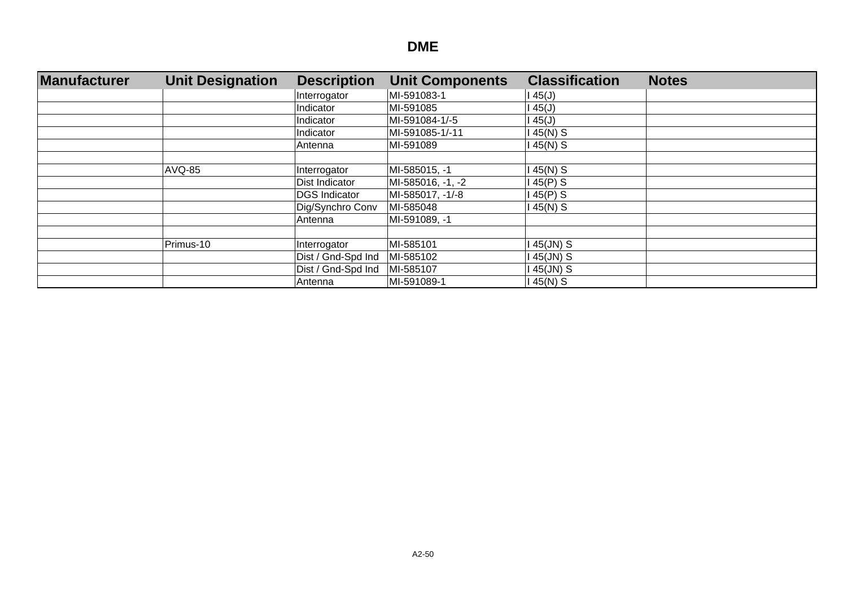| Manufacturer | <b>Unit Designation</b> | <b>Description</b>   | <b>Unit Components</b> | <b>Classification</b> | <b>Notes</b> |
|--------------|-------------------------|----------------------|------------------------|-----------------------|--------------|
|              |                         | Interrogator         | MI-591083-1            | 145(J)                |              |
|              |                         | Indicator            | MI-591085              | l 45(J)               |              |
|              |                         | Indicator            | MI-591084-1/-5         | 45(J)                 |              |
|              |                         | Indicator            | MI-591085-1/-11        | 145(N) S              |              |
|              |                         | Antenna              | MI-591089              | 145(N) S              |              |
|              |                         |                      |                        |                       |              |
|              | <b>AVQ-85</b>           | Interrogator         | MI-585015, -1          | 145(N) S              |              |
|              |                         | Dist Indicator       | MI-585016, -1, -2      | 45(P) S               |              |
|              |                         | <b>DGS</b> Indicator | MI-585017, -1/-8       | 145(P) S              |              |
|              |                         | Dig/Synchro Conv     | MI-585048              | 145(N) S              |              |
|              |                         | Antenna              | MI-591089, -1          |                       |              |
|              |                         |                      |                        |                       |              |
|              | Primus-10               | Interrogator         | MI-585101              | 45(JN) S              |              |
|              |                         | Dist / Gnd-Spd Ind   | MI-585102              | 45(JN) S              |              |
|              |                         | Dist / Gnd-Spd Ind   | MI-585107              | 145(JN) S             |              |
|              |                         | Antenna              | MI-591089-1            | 145(N) S              |              |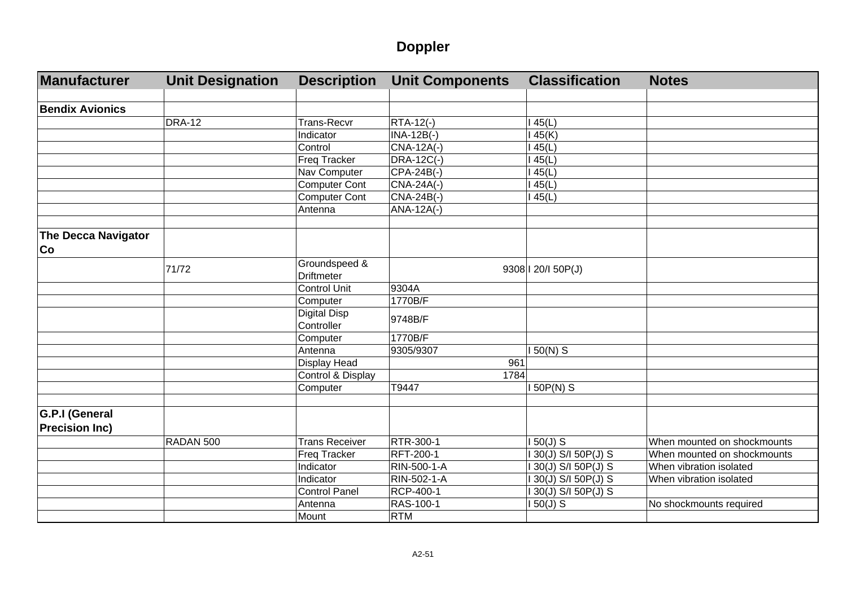# **Doppler**

| Manufacturer                            | <b>Unit Designation</b> | <b>Description</b>    | <b>Unit Components</b> | <b>Classification</b> | <b>Notes</b>                |
|-----------------------------------------|-------------------------|-----------------------|------------------------|-----------------------|-----------------------------|
|                                         |                         |                       |                        |                       |                             |
| <b>Bendix Avionics</b>                  |                         |                       |                        |                       |                             |
|                                         | <b>DRA-12</b>           | <b>Trans-Recvr</b>    | RTA-12(-)              | 145(L)                |                             |
|                                         |                         | Indicator             | $INA-12B(-)$           | 145(K)                |                             |
|                                         |                         | Control               | CNA-12A(-)             | 145(L)                |                             |
|                                         |                         | <b>Freq Tracker</b>   | DRA-12C(-)             | 145(L)                |                             |
|                                         |                         | Nav Computer          | CPA-24B(-)             | 145(L)                |                             |
|                                         |                         | <b>Computer Cont</b>  | CNA-24A(-)             | 145(L)                |                             |
|                                         |                         | <b>Computer Cont</b>  | CNA-24B(-)             | 145(L)                |                             |
|                                         |                         | Antenna               | ANA-12A(-)             |                       |                             |
| <b>The Decca Navigator</b>              |                         |                       |                        |                       |                             |
| Co                                      |                         |                       |                        |                       |                             |
|                                         | 71/72                   | Groundspeed &         |                        | 9308 1 20/1 50 P(J)   |                             |
|                                         |                         | <b>Driftmeter</b>     |                        |                       |                             |
|                                         |                         | <b>Control Unit</b>   | 9304A                  |                       |                             |
|                                         |                         | Computer              | 1770B/F                |                       |                             |
|                                         |                         | <b>Digital Disp</b>   | 9748B/F                |                       |                             |
|                                         |                         | Controller            |                        |                       |                             |
|                                         |                         | Computer              | 1770B/F                |                       |                             |
|                                         |                         | Antenna               | 9305/9307              | 50(N) S               |                             |
|                                         |                         | Display Head          |                        | 961                   |                             |
|                                         |                         | Control & Display     | 1784                   |                       |                             |
|                                         |                         | Computer              | T9447                  | $150P(N)$ S           |                             |
|                                         |                         |                       |                        |                       |                             |
| G.P.I (General<br><b>Precision Inc)</b> |                         |                       |                        |                       |                             |
|                                         | RADAN 500               | <b>Trans Receiver</b> | <b>RTR-300-1</b>       | $150(J)$ S            | When mounted on shockmounts |
|                                         |                         | <b>Freq Tracker</b>   | RFT-200-1              | 130(J) S/I 50P(J) S   | When mounted on shockmounts |
|                                         |                         | Indicator             | RIN-500-1-A            | 1 30(J) S/I 50P(J) S  | When vibration isolated     |
|                                         |                         | Indicator             | <b>RIN-502-1-A</b>     | I 30(J) S/I 50P(J) S  | When vibration isolated     |
|                                         |                         | <b>Control Panel</b>  | RCP-400-1              | 1 30(J) S/I 50P(J) S  |                             |
|                                         |                         | Antenna               | RAS-100-1              | $150(J)$ S            | No shockmounts required     |
|                                         |                         | Mount                 | <b>RTM</b>             |                       |                             |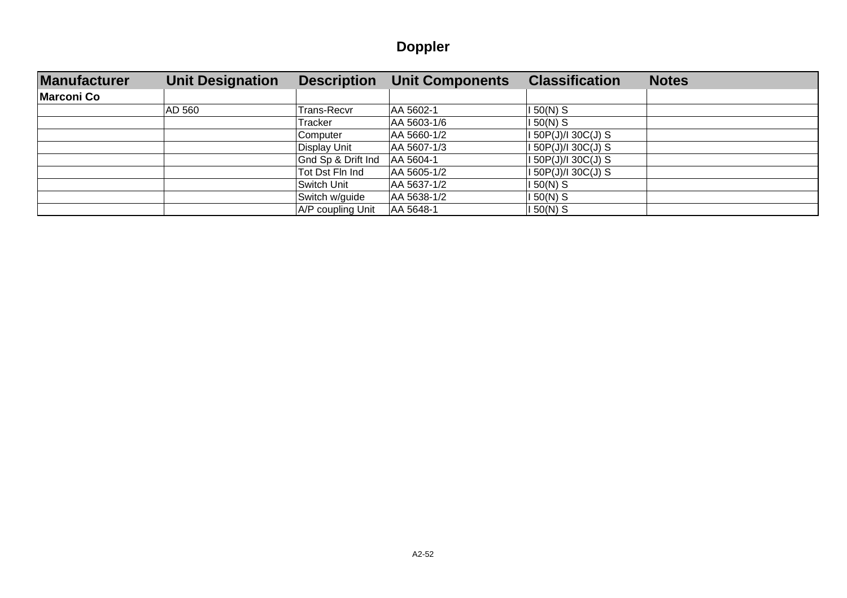# **Doppler**

| <b>Manufacturer</b> | <b>Unit Designation</b> | <b>Description</b> | <b>Unit Components</b> | <b>Classification</b> | <b>Notes</b> |
|---------------------|-------------------------|--------------------|------------------------|-----------------------|--------------|
| <b>Marconi Co</b>   |                         |                    |                        |                       |              |
|                     | AD 560                  | Trans-Recvr        | AA 5602-1              | 150(N) S              |              |
|                     |                         | Tracker            | AA 5603-1/6            | $150(N)$ S            |              |
|                     |                         | Computer           | AA 5660-1/2            | I 50P(J)/I 30C(J) S   |              |
|                     |                         | Display Unit       | AA 5607-1/3            | I 50P(J)/I 30C(J) S   |              |
|                     |                         | Gnd Sp & Drift Ind | AA 5604-1              | I 50P(J)/I 30C(J) S   |              |
|                     |                         | Tot Dst Fln Ind    | AA 5605-1/2            | I 50P(J)/I 30C(J) S   |              |
|                     |                         | Switch Unit        | AA 5637-1/2            | 150(N) S              |              |
|                     |                         | Switch w/guide     | AA 5638-1/2            | 150(N) S              |              |
|                     |                         | A/P coupling Unit  | AA 5648-1              | I 50(N) S             |              |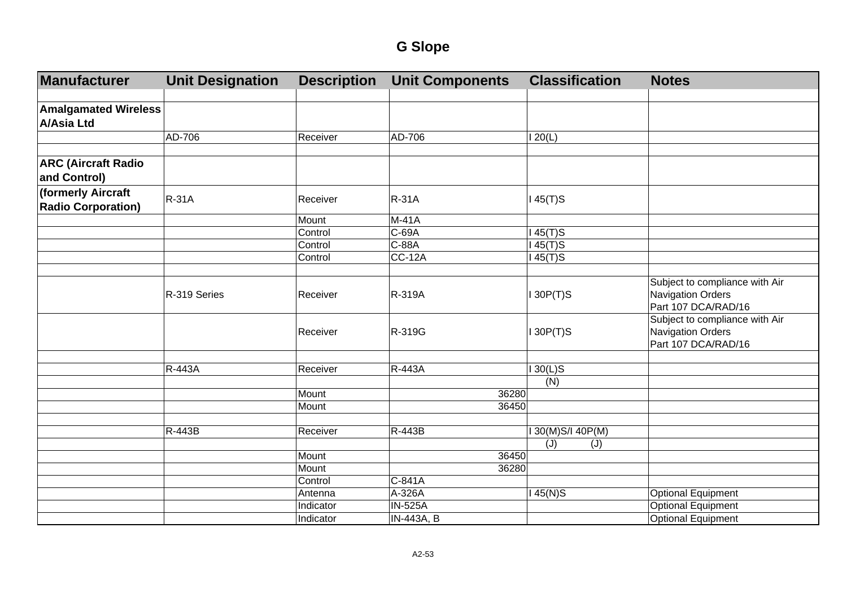| Manufacturer                                    | <b>Unit Designation</b> | <b>Description</b> | <b>Unit Components</b> | <b>Classification</b> | <b>Notes</b>                                                                      |
|-------------------------------------------------|-------------------------|--------------------|------------------------|-----------------------|-----------------------------------------------------------------------------------|
| <b>Amalgamated Wireless</b>                     |                         |                    |                        |                       |                                                                                   |
| <b>A/Asia Ltd</b>                               |                         |                    |                        |                       |                                                                                   |
|                                                 | AD-706                  | Receiver           | AD-706                 | 120(L)                |                                                                                   |
|                                                 |                         |                    |                        |                       |                                                                                   |
| <b>ARC (Aircraft Radio</b><br>and Control)      |                         |                    |                        |                       |                                                                                   |
| (formerly Aircraft<br><b>Radio Corporation)</b> | <b>R-31A</b>            | Receiver           | <b>R-31A</b>           | $145(T)$ S            |                                                                                   |
|                                                 |                         | Mount              | $M-41A$                |                       |                                                                                   |
|                                                 |                         | Control            | C-69A                  | $145(T)$ S            |                                                                                   |
|                                                 |                         | Control            | C-88A                  | $145(T)$ S            |                                                                                   |
|                                                 |                         | Control            | <b>CC-12A</b>          | $145(T)$ S            |                                                                                   |
|                                                 |                         |                    |                        |                       |                                                                                   |
|                                                 | R-319 Series            | Receiver           | R-319A                 | 130P(T)S              | Subject to compliance with Air<br><b>Navigation Orders</b><br>Part 107 DCA/RAD/16 |
|                                                 |                         | Receiver           | R-319G                 | $I$ 30P(T)S           | Subject to compliance with Air<br><b>Navigation Orders</b><br>Part 107 DCA/RAD/16 |
|                                                 |                         |                    |                        |                       |                                                                                   |
|                                                 | R-443A                  | Receiver           | R-443A                 | $130(L)$ S            |                                                                                   |
|                                                 |                         |                    |                        | (N)                   |                                                                                   |
|                                                 |                         | Mount              |                        | 36280                 |                                                                                   |
|                                                 |                         | Mount              |                        | 36450                 |                                                                                   |
|                                                 |                         |                    |                        |                       |                                                                                   |
|                                                 | R-443B                  | Receiver           | R-443B                 | I 30(M)S/I 40P(M)     |                                                                                   |
|                                                 |                         |                    |                        | (J)<br>(J)            |                                                                                   |
|                                                 |                         | Mount              |                        | 36450                 |                                                                                   |
|                                                 |                         | Mount              |                        | 36280                 |                                                                                   |
|                                                 |                         | Control            | C-841A                 |                       |                                                                                   |
|                                                 |                         | Antenna            | A-326A                 | $145(N)$ S            | <b>Optional Equipment</b>                                                         |
|                                                 |                         | Indicator          | <b>IN-525A</b>         |                       | <b>Optional Equipment</b>                                                         |
|                                                 |                         | Indicator          | IN-443A, B             |                       | <b>Optional Equipment</b>                                                         |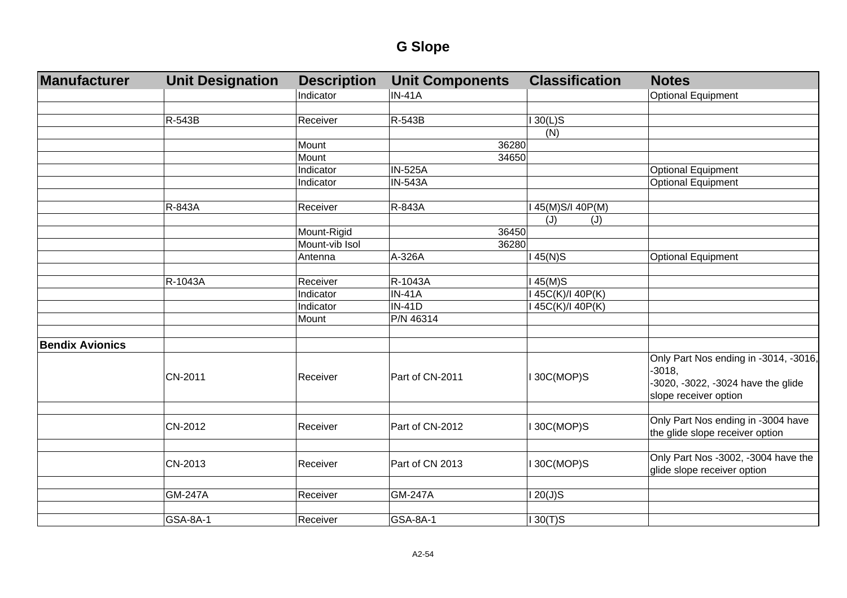| Manufacturer           | <b>Unit Designation</b> | <b>Description</b> | <b>Unit Components</b> | <b>Classification</b> | <b>Notes</b>                                                                                                     |
|------------------------|-------------------------|--------------------|------------------------|-----------------------|------------------------------------------------------------------------------------------------------------------|
|                        |                         | Indicator          | <b>IN-41A</b>          |                       | <b>Optional Equipment</b>                                                                                        |
|                        |                         |                    |                        |                       |                                                                                                                  |
|                        | R-543B                  | Receiver           | R-543B                 | $130(L)$ S            |                                                                                                                  |
|                        |                         |                    |                        | (N)                   |                                                                                                                  |
|                        |                         | Mount              | 36280                  |                       |                                                                                                                  |
|                        |                         | Mount              | 34650                  |                       |                                                                                                                  |
|                        |                         | Indicator          | <b>IN-525A</b>         |                       | <b>Optional Equipment</b>                                                                                        |
|                        |                         | Indicator          | <b>IN-543A</b>         |                       | <b>Optional Equipment</b>                                                                                        |
|                        |                         |                    |                        |                       |                                                                                                                  |
|                        | R-843A                  | Receiver           | R-843A                 | I 45(M)S/I 40P(M)     |                                                                                                                  |
|                        |                         |                    |                        | (J)<br>(J)            |                                                                                                                  |
|                        |                         | Mount-Rigid        | 36450                  |                       |                                                                                                                  |
|                        |                         | Mount-vib Isol     | 36280                  |                       |                                                                                                                  |
|                        |                         | Antenna            | A-326A                 | $145(N)$ S            | <b>Optional Equipment</b>                                                                                        |
|                        |                         |                    |                        |                       |                                                                                                                  |
|                        | R-1043A                 | Receiver           | R-1043A                | $145(M)$ S            |                                                                                                                  |
|                        |                         | Indicator          | <b>IN-41A</b>          | I 45C(K)/I 40P(K)     |                                                                                                                  |
|                        |                         | Indicator          | <b>IN-41D</b>          | 145C(K)/140P(K)       |                                                                                                                  |
|                        |                         | Mount              | P/N 46314              |                       |                                                                                                                  |
|                        |                         |                    |                        |                       |                                                                                                                  |
| <b>Bendix Avionics</b> |                         |                    |                        |                       |                                                                                                                  |
|                        | CN-2011                 | Receiver           | Part of CN-2011        | I 30C(MOP)S           | Only Part Nos ending in -3014, -3016,<br>$-3018,$<br>-3020, -3022, -3024 have the glide<br>slope receiver option |
|                        |                         |                    |                        |                       |                                                                                                                  |
|                        | CN-2012                 | Receiver           | Part of CN-2012        | I 30C(MOP)S           | Only Part Nos ending in -3004 have<br>the glide slope receiver option                                            |
|                        |                         |                    |                        |                       | Only Part Nos -3002, -3004 have the                                                                              |
|                        | CN-2013                 | Receiver           | Part of CN 2013        | I 30C(MOP)S           | glide slope receiver option                                                                                      |
|                        | <b>GM-247A</b>          | Receiver           | <b>GM-247A</b>         | 120(J)S               |                                                                                                                  |
|                        |                         |                    |                        |                       |                                                                                                                  |
|                        | GSA-8A-1                | Receiver           | GSA-8A-1               | $130(T)$ S            |                                                                                                                  |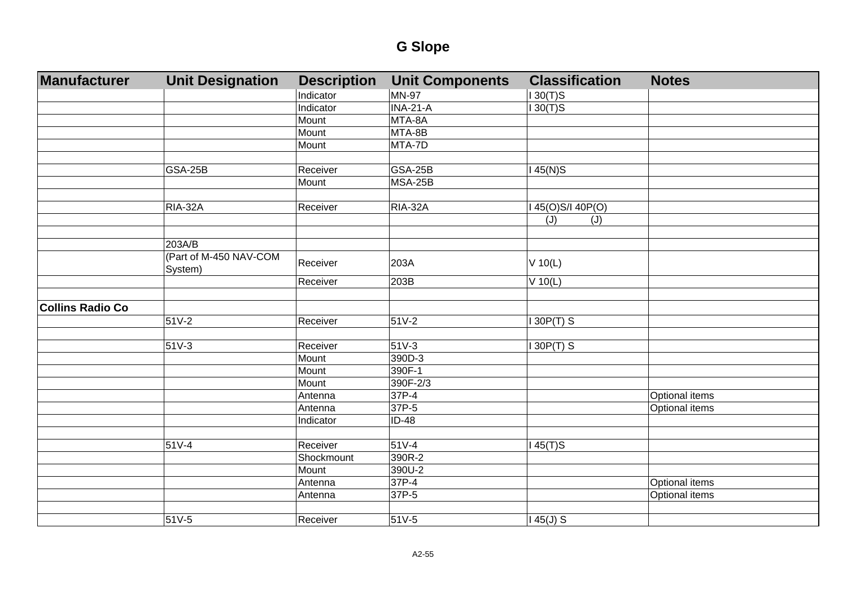| Manufacturer            | <b>Unit Designation</b> | <b>Description</b> | <b>Unit Components</b> | <b>Classification</b> | <b>Notes</b>   |
|-------------------------|-------------------------|--------------------|------------------------|-----------------------|----------------|
|                         |                         | Indicator          | <b>MN-97</b>           | $130(T)$ S            |                |
|                         |                         | Indicator          | $INA-21-A$             | $130(T)$ S            |                |
|                         |                         | Mount              | MTA-8A                 |                       |                |
|                         |                         | Mount              | MTA-8B                 |                       |                |
|                         |                         | Mount              | MTA-7D                 |                       |                |
|                         |                         |                    |                        |                       |                |
|                         | <b>GSA-25B</b>          | Receiver           | <b>GSA-25B</b>         | $145(N)$ S            |                |
|                         |                         | Mount              | <b>MSA-25B</b>         |                       |                |
|                         |                         |                    |                        |                       |                |
|                         | RIA-32A                 | Receiver           | <b>RIA-32A</b>         | I 45(O)S/I 40P(O)     |                |
|                         |                         |                    |                        | (J)<br>(J)            |                |
|                         |                         |                    |                        |                       |                |
|                         | 203A/B                  |                    |                        |                       |                |
|                         | (Part of M-450 NAV-COM  | Receiver           | 203A                   | $V$ 10(L)             |                |
|                         | System)                 |                    |                        |                       |                |
|                         |                         | Receiver           | 203B                   | $V$ 10(L)             |                |
| <b>Collins Radio Co</b> |                         |                    |                        |                       |                |
|                         | $51V-2$                 | Receiver           | $51V-2$                | $130P(T)$ S           |                |
|                         |                         |                    |                        |                       |                |
|                         | $51V-3$                 | Receiver           | $51V-3$                | $130P(T)$ S           |                |
|                         |                         | Mount              | 390D-3                 |                       |                |
|                         |                         | Mount              | 390F-1                 |                       |                |
|                         |                         | Mount              | 390F-2/3               |                       |                |
|                         |                         | Antenna            | 37P-4                  |                       | Optional items |
|                         |                         | Antenna            | 37P-5                  |                       | Optional items |
|                         |                         | Indicator          | $ID-48$                |                       |                |
|                         |                         |                    |                        |                       |                |
|                         | 51V-4                   | Receiver           | 51V-4                  | $145(T)$ S            |                |
|                         |                         | Shockmount         | 390R-2                 |                       |                |
|                         |                         | Mount              | 390U-2                 |                       |                |
|                         |                         | Antenna            | 37P-4                  |                       | Optional items |
|                         |                         | Antenna            | 37P-5                  |                       | Optional items |
|                         |                         |                    |                        |                       |                |
|                         | 51V-5                   | Receiver           | $51V-5$                | $145(J)$ S            |                |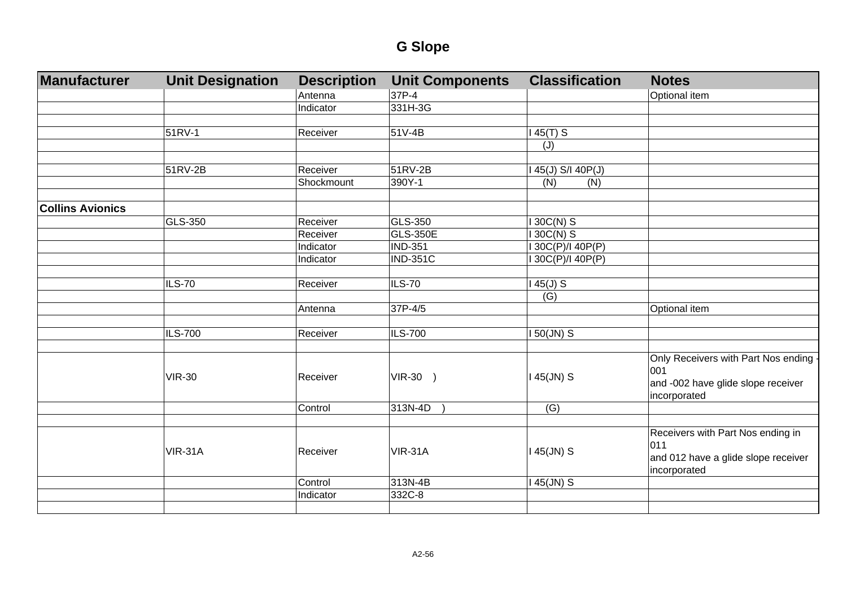| Manufacturer            | <b>Unit Designation</b> | <b>Description</b> | <b>Unit Components</b> | <b>Classification</b>    | <b>Notes</b>                          |
|-------------------------|-------------------------|--------------------|------------------------|--------------------------|---------------------------------------|
|                         |                         | Antenna            | 37P-4                  |                          | Optional item                         |
|                         |                         | Indicator          | 331H-3G                |                          |                                       |
|                         |                         |                    |                        |                          |                                       |
|                         | 51RV-1                  | Receiver           | 51V-4B                 | $145(T)$ S               |                                       |
|                         |                         |                    |                        | (J)                      |                                       |
|                         |                         |                    |                        |                          |                                       |
|                         | 51RV-2B                 | Receiver           | 51RV-2B                | 45(J) S/I 40P(J)         |                                       |
|                         |                         | Shockmount         | 390Y-1                 | (N)<br>(N)               |                                       |
|                         |                         |                    |                        |                          |                                       |
| <b>Collins Avionics</b> | GLS-350                 | Receiver           | GLS-350                |                          |                                       |
|                         |                         | Receiver           | <b>GLS-350E</b>        | 130C(N) S<br>$130C(N)$ S |                                       |
|                         |                         |                    | <b>IND-351</b>         | I 30C(P)/I 40P(P)        |                                       |
|                         |                         | Indicator          |                        |                          |                                       |
|                         |                         | Indicator          | <b>IND-351C</b>        | I 30C(P)/I 40P(P)        |                                       |
|                         | <b>ILS-70</b>           | Receiver           | <b>ILS-70</b>          | $45(J)$ S                |                                       |
|                         |                         |                    |                        | (G)                      |                                       |
|                         |                         | Antenna            | 37P-4/5                |                          | Optional item                         |
|                         |                         |                    |                        |                          |                                       |
|                         | <b>ILS-700</b>          | Receiver           | <b>ILS-700</b>         | $150$ (JN) S             |                                       |
|                         |                         |                    |                        |                          |                                       |
|                         |                         |                    |                        |                          | Only Receivers with Part Nos ending - |
|                         | <b>VIR-30</b>           | Receiver           | VIR-30 )               | $145$ (JN) S             | 001                                   |
|                         |                         |                    |                        |                          | and -002 have glide slope receiver    |
|                         |                         |                    |                        |                          | incorporated                          |
|                         |                         | Control            | 313N-4D                | (G)                      |                                       |
|                         |                         |                    |                        |                          |                                       |
|                         |                         |                    |                        |                          | Receivers with Part Nos ending in     |
|                         | <b>VIR-31A</b>          | Receiver           | <b>VIR-31A</b>         | $145$ (JN) S             | 011                                   |
|                         |                         |                    |                        |                          | and 012 have a glide slope receiver   |
|                         |                         | Control            | 313N-4B                |                          | incorporated                          |
|                         |                         | Indicator          | 332C-8                 | $145$ (JN) S             |                                       |
|                         |                         |                    |                        |                          |                                       |
|                         |                         |                    |                        |                          |                                       |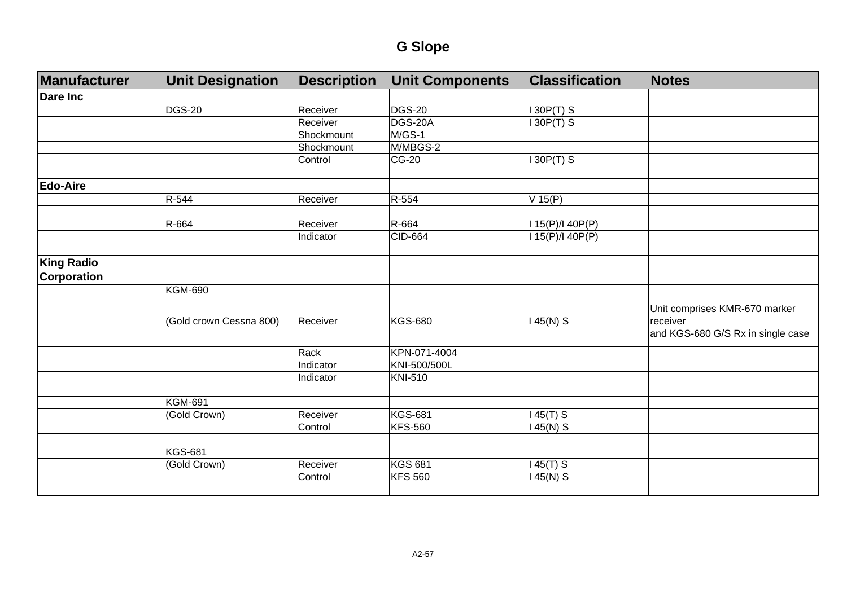| Manufacturer       | <b>Unit Designation</b> | <b>Description</b> | <b>Unit Components</b> | <b>Classification</b> | <b>Notes</b>                                                                   |
|--------------------|-------------------------|--------------------|------------------------|-----------------------|--------------------------------------------------------------------------------|
| <b>Dare Inc</b>    |                         |                    |                        |                       |                                                                                |
|                    | <b>DGS-20</b>           | Receiver           | <b>DGS-20</b>          | 30P(T) S              |                                                                                |
|                    |                         | Receiver           | DGS-20A                | 30P(T) S              |                                                                                |
|                    |                         | Shockmount         | M/GS-1                 |                       |                                                                                |
|                    |                         | Shockmount         | M/MBGS-2               |                       |                                                                                |
|                    |                         | Control            | CG-20                  | $30P(T)$ S            |                                                                                |
|                    |                         |                    |                        |                       |                                                                                |
| <b>Edo-Aire</b>    |                         |                    |                        |                       |                                                                                |
|                    | R-544                   | Receiver           | R-554                  | $V$ 15(P)             |                                                                                |
|                    |                         |                    |                        |                       |                                                                                |
|                    | R-664                   | Receiver           | R-664                  | 15(P)/I 40P(P)        |                                                                                |
|                    |                         | Indicator          | CID-664                | 15(P)/140P(P)         |                                                                                |
|                    |                         |                    |                        |                       |                                                                                |
| <b>King Radio</b>  |                         |                    |                        |                       |                                                                                |
| <b>Corporation</b> |                         |                    |                        |                       |                                                                                |
|                    | <b>KGM-690</b>          |                    |                        |                       |                                                                                |
|                    | (Gold crown Cessna 800) | Receiver           | <b>KGS-680</b>         | 145(N) S              | Unit comprises KMR-670 marker<br>receiver<br>and KGS-680 G/S Rx in single case |
|                    |                         | Rack               | KPN-071-4004           |                       |                                                                                |
|                    |                         | <b>Indicator</b>   | KNI-500/500L           |                       |                                                                                |
|                    |                         | Indicator          | KNI-510                |                       |                                                                                |
|                    |                         |                    |                        |                       |                                                                                |
|                    | <b>KGM-691</b>          |                    |                        |                       |                                                                                |
|                    | (Gold Crown)            | Receiver           | <b>KGS-681</b>         | $45(T)$ S             |                                                                                |
|                    |                         | Control            | <b>KFS-560</b>         | 45(N) S               |                                                                                |
|                    |                         |                    |                        |                       |                                                                                |
|                    | <b>KGS-681</b>          |                    |                        |                       |                                                                                |
|                    | (Gold Crown)            | Receiver           | <b>KGS 681</b>         | $45(T)$ S             |                                                                                |
|                    |                         | Control            | <b>KFS 560</b>         | 45(N) S               |                                                                                |
|                    |                         |                    |                        |                       |                                                                                |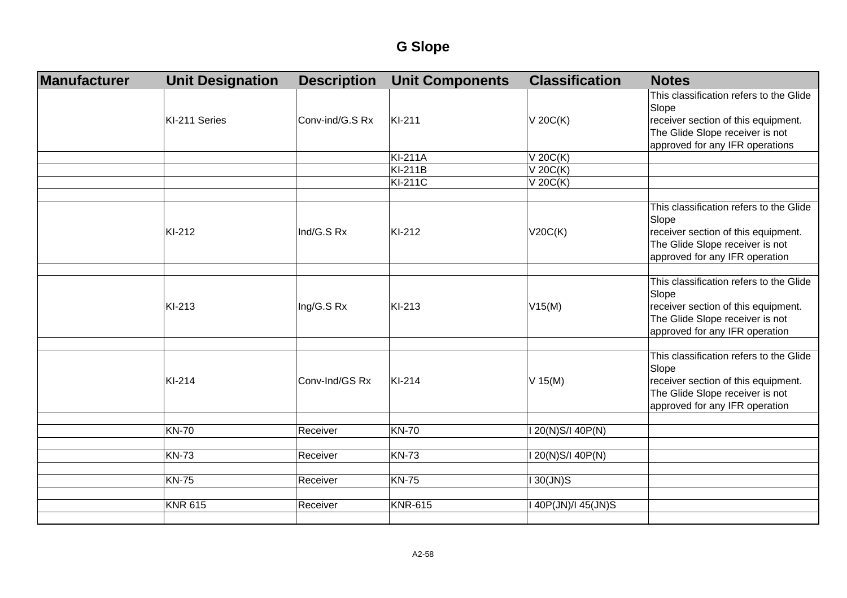| Manufacturer | <b>Unit Designation</b> | <b>Description</b> | <b>Unit Components</b> | <b>Classification</b> | <b>Notes</b>                                                           |
|--------------|-------------------------|--------------------|------------------------|-----------------------|------------------------------------------------------------------------|
|              |                         |                    |                        |                       | This classification refers to the Glide<br>Slope                       |
|              | KI-211 Series           | Conv-ind/G.S Rx    | KI-211                 | $V$ 20 $C(K)$         | receiver section of this equipment.                                    |
|              |                         |                    |                        |                       | The Glide Slope receiver is not                                        |
|              |                         |                    |                        |                       | approved for any IFR operations                                        |
|              |                         |                    | <b>KI-211A</b>         | $V$ 20 $C(K)$         |                                                                        |
|              |                         |                    | <b>KI-211B</b>         | $V$ 20 $C(K)$         |                                                                        |
|              |                         |                    | <b>KI-211C</b>         | $V$ 20 $C(K)$         |                                                                        |
|              |                         |                    |                        |                       |                                                                        |
|              |                         |                    |                        |                       | This classification refers to the Glide                                |
|              | KI-212                  | Ind/G.S Rx         | KI-212                 |                       | Slope                                                                  |
|              |                         |                    |                        | V20C(K)               | receiver section of this equipment.<br>The Glide Slope receiver is not |
|              |                         |                    |                        |                       | approved for any IFR operation                                         |
|              |                         |                    |                        |                       |                                                                        |
|              |                         |                    |                        |                       | This classification refers to the Glide                                |
|              |                         |                    |                        |                       | Slope                                                                  |
|              | KI-213                  | Ing/G.S Rx         | KI-213                 | V15(M)                | receiver section of this equipment.                                    |
|              |                         |                    |                        |                       | The Glide Slope receiver is not                                        |
|              |                         |                    |                        |                       | approved for any IFR operation                                         |
|              |                         |                    |                        |                       |                                                                        |
|              |                         |                    |                        |                       | This classification refers to the Glide                                |
|              |                         |                    |                        |                       | Slope                                                                  |
|              | KI-214                  | Conv-Ind/GS Rx     | KI-214                 | $V$ 15(M)             | receiver section of this equipment.                                    |
|              |                         |                    |                        |                       | The Glide Slope receiver is not<br>approved for any IFR operation      |
|              |                         |                    |                        |                       |                                                                        |
|              | <b>KN-70</b>            | Receiver           | <b>KN-70</b>           | I 20(N)S/I 40P(N)     |                                                                        |
|              |                         |                    |                        |                       |                                                                        |
|              | <b>KN-73</b>            | Receiver           | <b>KN-73</b>           | I 20(N)S/I 40P(N)     |                                                                        |
|              |                         |                    |                        |                       |                                                                        |
|              | <b>KN-75</b>            | Receiver           | <b>KN-75</b>           | I 30(JN)S             |                                                                        |
|              |                         |                    |                        |                       |                                                                        |
|              | <b>KNR 615</b>          | Receiver           | <b>KNR-615</b>         | I 40P(JN)/I 45(JN)S   |                                                                        |
|              |                         |                    |                        |                       |                                                                        |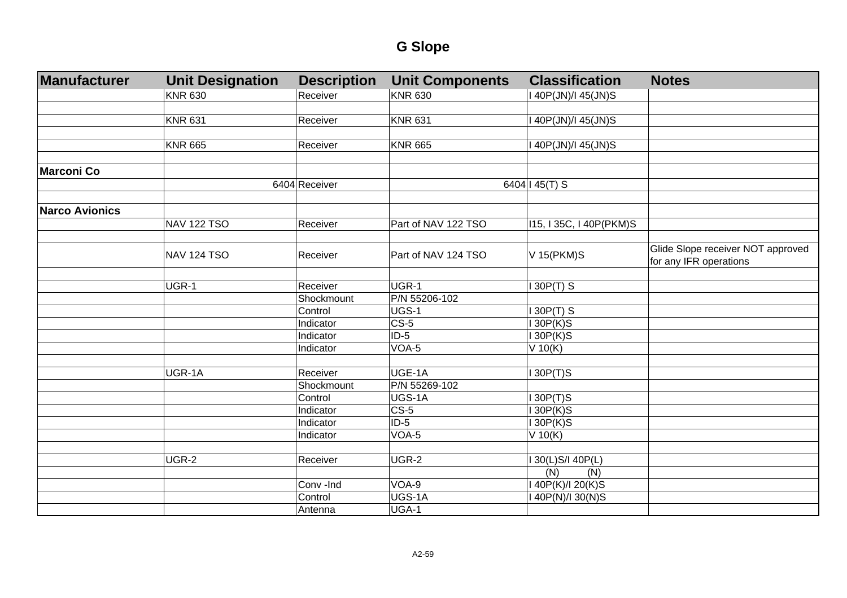| Manufacturer          | <b>Unit Designation</b> | <b>Description</b> | <b>Unit Components</b> | <b>Classification</b>   | <b>Notes</b>                                                |
|-----------------------|-------------------------|--------------------|------------------------|-------------------------|-------------------------------------------------------------|
|                       | <b>KNR 630</b>          | Receiver           | <b>KNR 630</b>         | I 40P(JN)/I 45(JN)S     |                                                             |
|                       |                         |                    |                        |                         |                                                             |
|                       | <b>KNR 631</b>          | Receiver           | <b>KNR 631</b>         | 140P(JN)/145(JN)S       |                                                             |
|                       |                         |                    |                        |                         |                                                             |
|                       | <b>KNR 665</b>          | Receiver           | <b>KNR 665</b>         | I 40P(JN)/I 45(JN)S     |                                                             |
|                       |                         |                    |                        |                         |                                                             |
| <b>Marconi Co</b>     |                         |                    |                        |                         |                                                             |
|                       |                         | 6404 Receiver      |                        | 6404   45(T) S          |                                                             |
|                       |                         |                    |                        |                         |                                                             |
| <b>Narco Avionics</b> |                         |                    |                        |                         |                                                             |
|                       | <b>NAV 122 TSO</b>      | Receiver           | Part of NAV 122 TSO    | 115, I 35C, I 40P(PKM)S |                                                             |
|                       |                         |                    |                        |                         |                                                             |
|                       | <b>NAV 124 TSO</b>      | Receiver           | Part of NAV 124 TSO    | V 15(PKM)S              | Glide Slope receiver NOT approved<br>for any IFR operations |
|                       |                         |                    |                        |                         |                                                             |
|                       | UGR-1                   | Receiver           | UGR-1                  | 130P(T) S               |                                                             |
|                       |                         | Shockmount         | P/N 55206-102          |                         |                                                             |
|                       |                         | Control            | UGS-1                  | $130P(T)$ S             |                                                             |
|                       |                         | Indicator          | $CS-5$                 | 130P(K)S                |                                                             |
|                       |                         | Indicator          | $ID-5$                 | 130P(K)S                |                                                             |
|                       |                         | Indicator          | VOA-5                  | $V$ 10(K)               |                                                             |
|                       |                         |                    |                        |                         |                                                             |
|                       | UGR-1A                  | Receiver           | UGE-1A                 | $I$ 30P(T)S             |                                                             |
|                       |                         | Shockmount         | P/N 55269-102          |                         |                                                             |
|                       |                         | Control            | UGS-1A                 | 130P(T)S                |                                                             |
|                       |                         | Indicator          | $CS-5$                 | 130P(K)S                |                                                             |
|                       |                         | Indicator          | $ID-5$                 | 130P(K)S                |                                                             |
|                       |                         | Indicator          | VOA-5                  | $V$ 10(K)               |                                                             |
|                       |                         |                    |                        |                         |                                                             |
|                       | UGR-2                   | Receiver           | UGR-2                  | 30(L)S/I 40P(L)         |                                                             |
|                       |                         |                    |                        | (N)<br>(N)              |                                                             |
|                       |                         | Conv -Ind          | VOA-9                  | I 40P(K)/I 20(K)S       |                                                             |
|                       |                         | Control            | UGS-1A                 | I 40P(N)/I 30(N)S       |                                                             |
|                       |                         | Antenna            | UGA-1                  |                         |                                                             |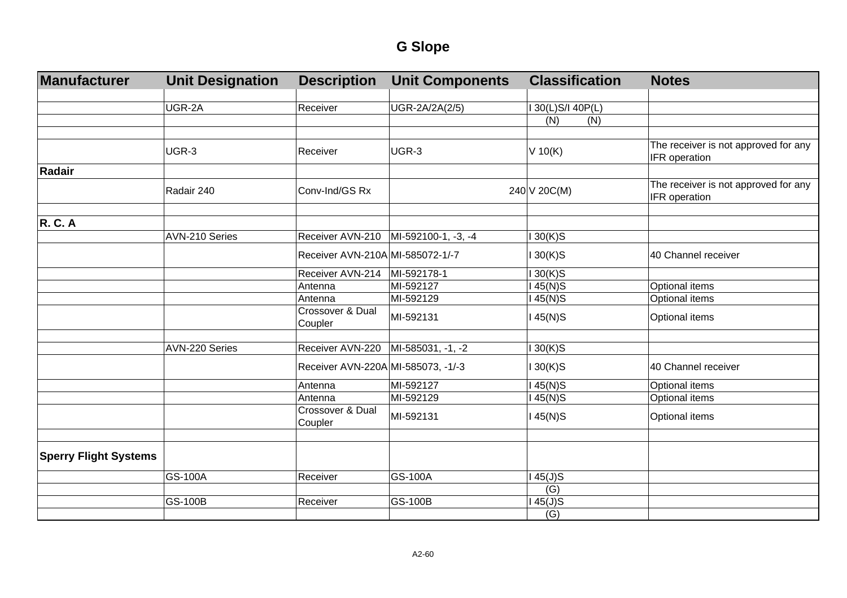| Manufacturer                 | <b>Unit Designation</b> | <b>Description</b>                     | <b>Unit Components</b> | <b>Classification</b> | <b>Notes</b>                                          |
|------------------------------|-------------------------|----------------------------------------|------------------------|-----------------------|-------------------------------------------------------|
|                              |                         |                                        |                        |                       |                                                       |
|                              | UGR-2A                  | Receiver                               | UGR-2A/2A(2/5)         | I 30(L)S/I 40P(L)     |                                                       |
|                              |                         |                                        |                        | (N)<br>(N)            |                                                       |
|                              |                         |                                        |                        |                       |                                                       |
|                              | UGR-3                   | Receiver                               | UGR-3                  | $V$ 10(K)             | The receiver is not approved for any<br>IFR operation |
| Radair                       |                         |                                        |                        |                       |                                                       |
|                              | Radair 240              | Conv-Ind/GS Rx                         |                        | 240 V 20C(M)          | The receiver is not approved for any<br>IFR operation |
|                              |                         |                                        |                        |                       |                                                       |
| <b>R. C. A</b>               |                         |                                        |                        |                       |                                                       |
|                              | AVN-210 Series          | Receiver AVN-210   MI-592100-1, -3, -4 |                        | $130(K)$ S            |                                                       |
|                              |                         | Receiver AVN-210A MI-585072-1/-7       |                        | $130(K)$ S            | 40 Channel receiver                                   |
|                              |                         | Receiver AVN-214                       | MI-592178-1            | $130(K)$ S            |                                                       |
|                              |                         | Antenna                                | MI-592127              | 145(N)S               | Optional items                                        |
|                              |                         | Antenna                                | MI-592129              | $145(N)$ S            | Optional items                                        |
|                              |                         | <b>Crossover &amp; Dual</b><br>Coupler | MI-592131              | $145(N)$ S            | Optional items                                        |
|                              |                         |                                        |                        |                       |                                                       |
|                              | AVN-220 Series          | Receiver AVN-220                       | MI-585031, -1, -2      | $130(K)$ S            |                                                       |
|                              |                         | Receiver AVN-220A MI-585073, -1/-3     |                        | $130(K)$ S            | 40 Channel receiver                                   |
|                              |                         | Antenna                                | MI-592127              | 145(N)S               | Optional items                                        |
|                              |                         | Antenna                                | MI-592129              | $145(N)$ S            | Optional items                                        |
|                              |                         | Crossover & Dual<br>Coupler            | MI-592131              | 145(N)S               | Optional items                                        |
|                              |                         |                                        |                        |                       |                                                       |
| <b>Sperry Flight Systems</b> |                         |                                        |                        |                       |                                                       |
|                              | GS-100A                 | Receiver                               | GS-100A                | $145(J)$ S            |                                                       |
|                              |                         |                                        |                        | (G)                   |                                                       |
|                              | <b>GS-100B</b>          | Receiver                               | <b>GS-100B</b>         | $145(J)$ S            |                                                       |
|                              |                         |                                        |                        | (G)                   |                                                       |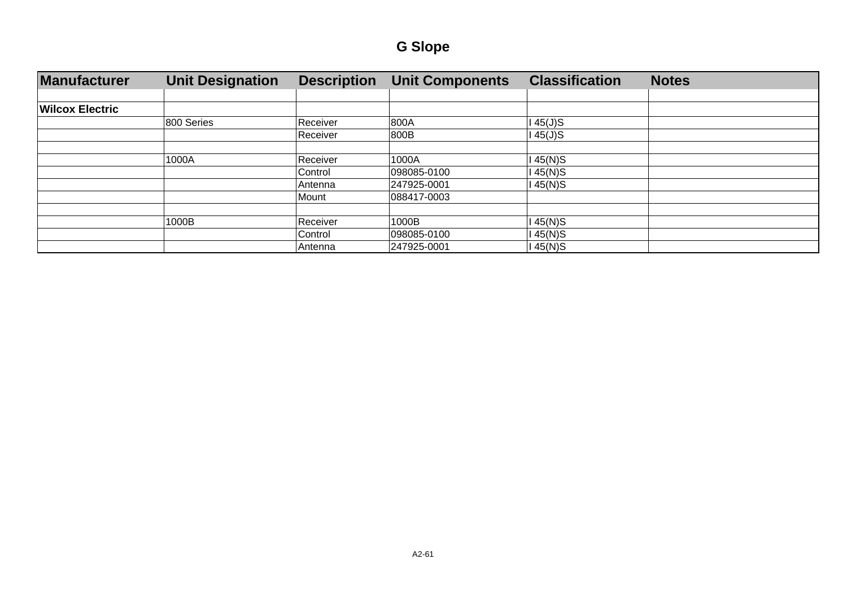| Manufacturer           | <b>Unit Designation</b> | <b>Description</b> | <b>Unit Components</b> | <b>Classification</b> | <b>Notes</b> |
|------------------------|-------------------------|--------------------|------------------------|-----------------------|--------------|
|                        |                         |                    |                        |                       |              |
| <b>Wilcox Electric</b> |                         |                    |                        |                       |              |
|                        | 800 Series              | Receiver           | 800A                   | $45(J)$ S             |              |
|                        |                         | Receiver           | 800B                   | 145(J)S               |              |
|                        |                         |                    |                        |                       |              |
|                        | 1000A                   | Receiver           | 1000A                  | $45(N)$ S             |              |
|                        |                         | Control            | 098085-0100            | 145(N)S               |              |
|                        |                         | Antenna            | 247925-0001            | 45(N)S                |              |
|                        |                         | Mount              | 088417-0003            |                       |              |
|                        |                         |                    |                        |                       |              |
|                        | 1000B                   | Receiver           | 1000B                  | 45(N)S                |              |
|                        |                         | Control            | 098085-0100            | 145(N)S               |              |
|                        |                         | Antenna            | 247925-0001            | 145(N)S               |              |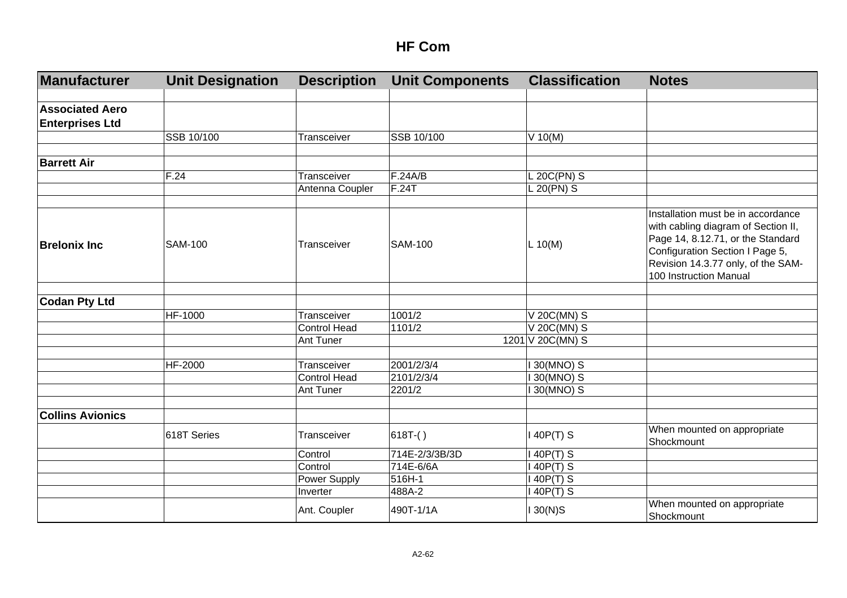| Manufacturer            | <b>Unit Designation</b> | <b>Description</b>  | <b>Unit Components</b> | <b>Classification</b> | <b>Notes</b>                                                                                                                                                                                                      |
|-------------------------|-------------------------|---------------------|------------------------|-----------------------|-------------------------------------------------------------------------------------------------------------------------------------------------------------------------------------------------------------------|
|                         |                         |                     |                        |                       |                                                                                                                                                                                                                   |
| <b>Associated Aero</b>  |                         |                     |                        |                       |                                                                                                                                                                                                                   |
| <b>Enterprises Ltd</b>  |                         |                     |                        |                       |                                                                                                                                                                                                                   |
|                         | SSB 10/100              | Transceiver         | SSB 10/100             | $V$ 10(M)             |                                                                                                                                                                                                                   |
|                         |                         |                     |                        |                       |                                                                                                                                                                                                                   |
| <b>Barrett Air</b>      |                         |                     |                        |                       |                                                                                                                                                                                                                   |
|                         | F.24                    | Transceiver         | F.24A/B                | L 20C(PN) S           |                                                                                                                                                                                                                   |
|                         |                         | Antenna Coupler     | F.24T                  | L 20(PN) S            |                                                                                                                                                                                                                   |
|                         |                         |                     |                        |                       |                                                                                                                                                                                                                   |
| <b>Brelonix Inc</b>     | <b>SAM-100</b>          | Transceiver         | <b>SAM-100</b>         | L 10(M)               | Installation must be in accordance<br>with cabling diagram of Section II,<br>Page 14, 8.12.71, or the Standard<br>Configuration Section I Page 5,<br>Revision 14.3.77 only, of the SAM-<br>100 Instruction Manual |
|                         |                         |                     |                        |                       |                                                                                                                                                                                                                   |
| <b>Codan Pty Ltd</b>    |                         |                     |                        |                       |                                                                                                                                                                                                                   |
|                         | HF-1000                 | Transceiver         | 1001/2                 | V 20C(MN) S           |                                                                                                                                                                                                                   |
|                         |                         | <b>Control Head</b> | 1101/2                 | V 20C(MN) S           |                                                                                                                                                                                                                   |
|                         |                         | Ant Tuner           |                        | 1201 V 20C(MN) S      |                                                                                                                                                                                                                   |
|                         |                         |                     |                        |                       |                                                                                                                                                                                                                   |
|                         | HF-2000                 | Transceiver         | 2001/2/3/4             | <b>130(MNO) S</b>     |                                                                                                                                                                                                                   |
|                         |                         | <b>Control Head</b> | 2101/2/3/4             | I 30(MNO) S           |                                                                                                                                                                                                                   |
|                         |                         | Ant Tuner           | 2201/2                 | 30(MNO) S             |                                                                                                                                                                                                                   |
|                         |                         |                     |                        |                       |                                                                                                                                                                                                                   |
| <b>Collins Avionics</b> |                         |                     |                        |                       |                                                                                                                                                                                                                   |
|                         | 618T Series             | Transceiver         | $618T-()$              | 140P(T) S             | When mounted on appropriate<br>Shockmount                                                                                                                                                                         |
|                         |                         | Control             | 714E-2/3/3B/3D         | 40P(T) S              |                                                                                                                                                                                                                   |
|                         |                         | Control             | 714E-6/6A              | 140P(T) S             |                                                                                                                                                                                                                   |
|                         |                         | Power Supply        | 516H-1                 | $140P(T)$ S           |                                                                                                                                                                                                                   |
|                         |                         | Inverter            | 488A-2                 | 140P(T) S             |                                                                                                                                                                                                                   |
|                         |                         | Ant. Coupler        | 490T-1/1A              | $130(N)$ S            | When mounted on appropriate<br>Shockmount                                                                                                                                                                         |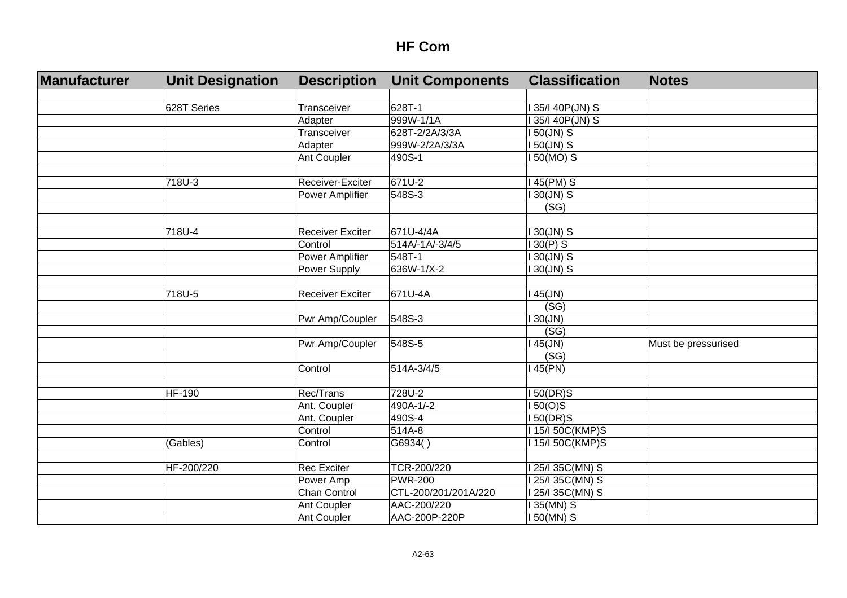| Manufacturer | <b>Unit Designation</b> | <b>Description</b>      | <b>Unit Components</b> | <b>Classification</b>         | <b>Notes</b>        |
|--------------|-------------------------|-------------------------|------------------------|-------------------------------|---------------------|
|              |                         |                         |                        |                               |                     |
|              | 628T Series             | Transceiver             | 628T-1                 | I 35/I 40P(JN) S              |                     |
|              |                         | Adapter                 | 999W-1/1A              | 35/I 40P(JN) S                |                     |
|              |                         | Transceiver             | 628T-2/2A/3/3A         | I 50(JN) S                    |                     |
|              |                         | Adapter                 | 999W-2/2A/3/3A         | I 50(JN) S                    |                     |
|              |                         | Ant Coupler             | 490S-1                 | I 50(MO) S                    |                     |
|              |                         |                         |                        |                               |                     |
|              | 718U-3                  | Receiver-Exciter        | 671U-2                 | 145(PM) S                     |                     |
|              |                         | Power Amplifier         | 548S-3                 | <b>30(JN) S</b>               |                     |
|              |                         |                         |                        | (SG)                          |                     |
|              |                         |                         |                        |                               |                     |
|              | 718U-4                  | <b>Receiver Exciter</b> | 671U-4/4A              | I 30(JN) S                    |                     |
|              |                         | Control                 | 514A/-1A/-3/4/5        | $130(P)$ S                    |                     |
|              |                         | <b>Power Amplifier</b>  | 548T-1                 | I 30(JN) S                    |                     |
|              |                         | Power Supply            | 636W-1/X-2             | I 30(JN) S                    |                     |
|              |                         |                         |                        |                               |                     |
|              | 718U-5                  | <b>Receiver Exciter</b> | 671U-4A                | $145$ (JN)                    |                     |
|              |                         |                         |                        | (SG)                          |                     |
|              |                         | Pwr Amp/Coupler         | 548S-3                 | 130(JN)                       |                     |
|              |                         |                         |                        | (SG)                          |                     |
|              |                         | Pwr Amp/Coupler         | 548S-5                 | $45$ (JN)                     | Must be pressurised |
|              |                         |                         |                        | (SG)                          |                     |
|              |                         | Control                 | 514A-3/4/5             | 45(PN)                        |                     |
|              |                         |                         |                        |                               |                     |
|              | <b>HF-190</b>           | Rec/Trans               | 728U-2                 | 150(DR)S                      |                     |
|              |                         | Ant. Coupler            | 490A-1/-2              | 150(O)S                       |                     |
|              |                         | Ant. Coupler            | 490S-4                 | 150(DR)S                      |                     |
|              |                         | Control                 | 514A-8                 | I 15/I 50C(KMP)S              |                     |
|              | (Gables)                | Control                 | G6934()                | I 15/I 50C(KMP)S              |                     |
|              |                         |                         |                        |                               |                     |
|              | HF-200/220              | <b>Rec Exciter</b>      | TCR-200/220            | I 25/I 35C(MN) S              |                     |
|              |                         | Power Amp               | <b>PWR-200</b>         | $\overline{125}$ /I 35C(MN) S |                     |
|              |                         | Chan Control            | CTL-200/201/201A/220   | I 25/I 35C(MN) S              |                     |
|              |                         | Ant Coupler             | AAC-200/220            | 135(MN) S                     |                     |
|              |                         | <b>Ant Coupler</b>      | AAC-200P-220P          | I 50(MN) S                    |                     |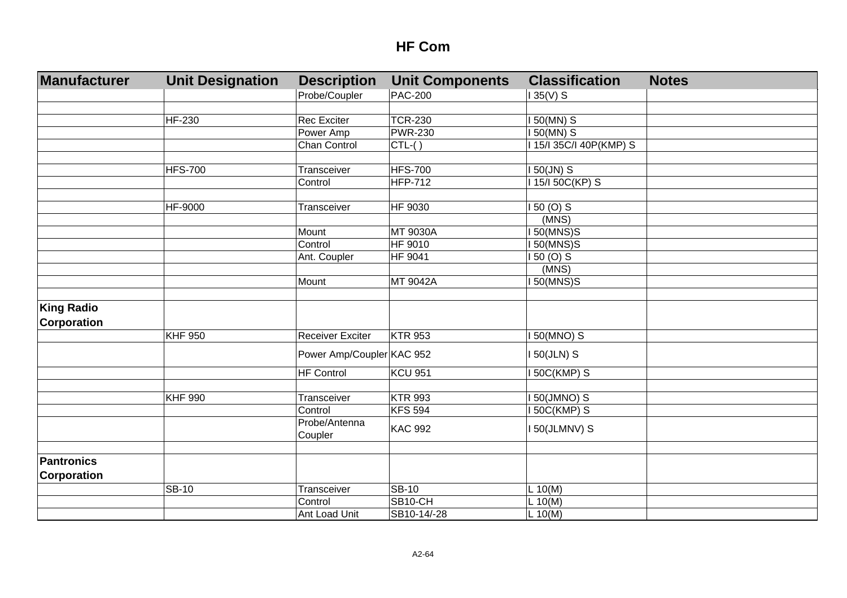| Manufacturer       | <b>Unit Designation</b> | <b>Description</b>        | <b>Unit Components</b> | <b>Classification</b>   | <b>Notes</b> |
|--------------------|-------------------------|---------------------------|------------------------|-------------------------|--------------|
|                    |                         | Probe/Coupler             | <b>PAC-200</b>         | $135(V)$ S              |              |
|                    |                         |                           |                        |                         |              |
|                    | HF-230                  | <b>Rec Exciter</b>        | <b>TCR-230</b>         | 150(MN) S               |              |
|                    |                         | Power Amp                 | <b>PWR-230</b>         | 150(MN) S               |              |
|                    |                         | Chan Control              | $CTL-()$               | I 15/I 35C/I 40P(KMP) S |              |
|                    |                         |                           |                        |                         |              |
|                    | <b>HFS-700</b>          | Transceiver               | <b>HFS-700</b>         | $150$ (JN) S            |              |
|                    |                         | Control                   | <b>HFP-712</b>         | I 15/I 50C(KP) S        |              |
|                    |                         |                           |                        |                         |              |
|                    | HF-9000                 | Transceiver               | HF 9030                | $150(0)$ S              |              |
|                    |                         |                           |                        | (MNS)                   |              |
|                    |                         | Mount                     | <b>MT 9030A</b>        | 50(MNS)S                |              |
|                    |                         | Control                   | HF 9010                | 150(MNS)S               |              |
|                    |                         | Ant. Coupler              | HF 9041                | 150 (O) S               |              |
|                    |                         |                           |                        | (MNS)                   |              |
|                    |                         | Mount                     | MT 9042A               | <b>150(MNS)S</b>        |              |
|                    |                         |                           |                        |                         |              |
| <b>King Radio</b>  |                         |                           |                        |                         |              |
| <b>Corporation</b> |                         |                           |                        |                         |              |
|                    | <b>KHF 950</b>          | <b>Receiver Exciter</b>   | <b>KTR 953</b>         | I 50(MNO) S             |              |
|                    |                         | Power Amp/Coupler KAC 952 |                        | I 50(JLN) S             |              |
|                    |                         | <b>HF Control</b>         | <b>KCU 951</b>         | <b>I 50C(KMP) S</b>     |              |
|                    |                         |                           |                        |                         |              |
|                    | <b>KHF 990</b>          | Transceiver               | <b>KTR 993</b>         | 150(JMNO) S             |              |
|                    |                         | Control                   | <b>KFS 594</b>         | 50C(KMP) S              |              |
|                    |                         | Probe/Antenna<br>Coupler  | <b>KAC 992</b>         | I 50(JLMNV) S           |              |
|                    |                         |                           |                        |                         |              |
| <b>Pantronics</b>  |                         |                           |                        |                         |              |
| <b>Corporation</b> |                         |                           |                        |                         |              |
|                    | <b>SB-10</b>            | Transceiver               | <b>SB-10</b>           | L 10(M)                 |              |
|                    |                         | Control                   | SB10-CH                | L 10(M)                 |              |
|                    |                         | Ant Load Unit             | SB10-14/-28            | $L$ 10(M)               |              |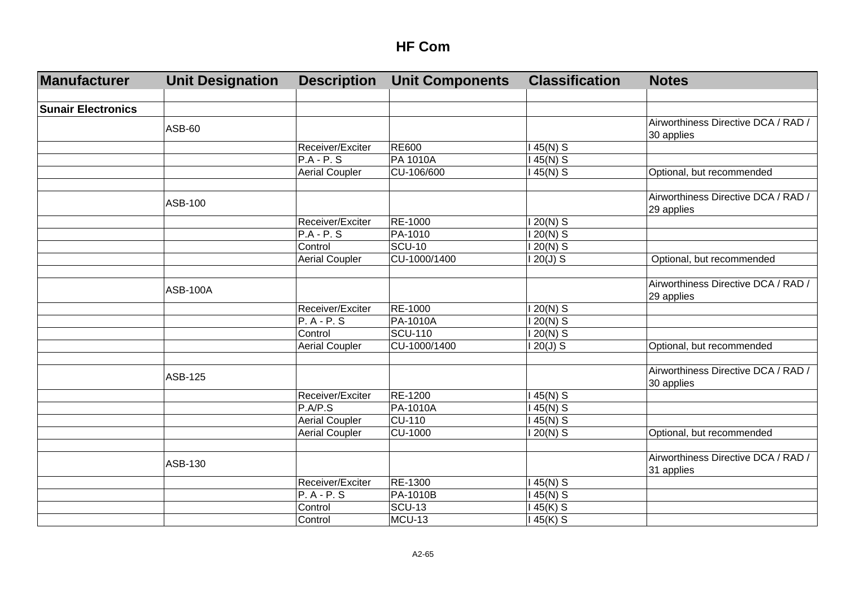| Manufacturer              | <b>Unit Designation</b> | <b>Description</b>    | <b>Unit Components</b> | <b>Classification</b> | <b>Notes</b>                        |
|---------------------------|-------------------------|-----------------------|------------------------|-----------------------|-------------------------------------|
|                           |                         |                       |                        |                       |                                     |
| <b>Sunair Electronics</b> |                         |                       |                        |                       |                                     |
|                           | <b>ASB-60</b>           |                       |                        |                       | Airworthiness Directive DCA / RAD / |
|                           |                         |                       |                        |                       | 30 applies                          |
|                           |                         | Receiver/Exciter      | <b>RE600</b>           | 45(N) S               |                                     |
|                           |                         | $P.A - P.S$           | PA 1010A               | $45(N)$ S             |                                     |
|                           |                         | <b>Aerial Coupler</b> | CU-106/600             | 45(N) S               | Optional, but recommended           |
|                           |                         |                       |                        |                       |                                     |
|                           | ASB-100                 |                       |                        |                       | Airworthiness Directive DCA / RAD / |
|                           |                         |                       |                        |                       | 29 applies                          |
|                           |                         | Receiver/Exciter      | RE-1000                | $120(N)$ S            |                                     |
|                           |                         | $P.A - P.S$           | PA-1010                | 20(N) S               |                                     |
|                           |                         | Control               | <b>SCU-10</b>          | $20(N)$ S             |                                     |
|                           |                         | <b>Aerial Coupler</b> | CU-1000/1400           | $20(J)$ S             | Optional, but recommended           |
|                           |                         |                       |                        |                       |                                     |
|                           |                         |                       |                        |                       | Airworthiness Directive DCA / RAD / |
|                           | <b>ASB-100A</b>         |                       |                        |                       | 29 applies                          |
|                           |                         | Receiver/Exciter      | RE-1000                | 20(N) S               |                                     |
|                           |                         | $P. A - P. S$         | PA-1010A               | 20(N) S               |                                     |
|                           |                         | Control               | <b>SCU-110</b>         | 20(N) S               |                                     |
|                           |                         | <b>Aerial Coupler</b> | CU-1000/1400           | $20(J)$ S             | Optional, but recommended           |
|                           |                         |                       |                        |                       |                                     |
|                           |                         |                       |                        |                       | Airworthiness Directive DCA / RAD / |
|                           | ASB-125                 |                       |                        |                       | 30 applies                          |
|                           |                         | Receiver/Exciter      | RE-1200                | 45(N) S               |                                     |
|                           |                         | P.A/P.S               | PA-1010A               | 45(N) S               |                                     |
|                           |                         | <b>Aerial Coupler</b> | <b>CU-110</b>          | 45(N) S               |                                     |
|                           |                         | <b>Aerial Coupler</b> | <b>CU-1000</b>         | $20(N)$ S             | Optional, but recommended           |
|                           |                         |                       |                        |                       |                                     |
|                           |                         |                       |                        |                       | Airworthiness Directive DCA / RAD / |
|                           | ASB-130                 |                       |                        |                       | 31 applies                          |
|                           |                         | Receiver/Exciter      | RE-1300                | 45(N) S               |                                     |
|                           |                         | $P. A - P. S$         | PA-1010B               | 45(N) S               |                                     |
|                           |                         | Control               | <b>SCU-13</b>          | 45(K) S               |                                     |
|                           |                         | Control               | MCU-13                 | 45(K) S               |                                     |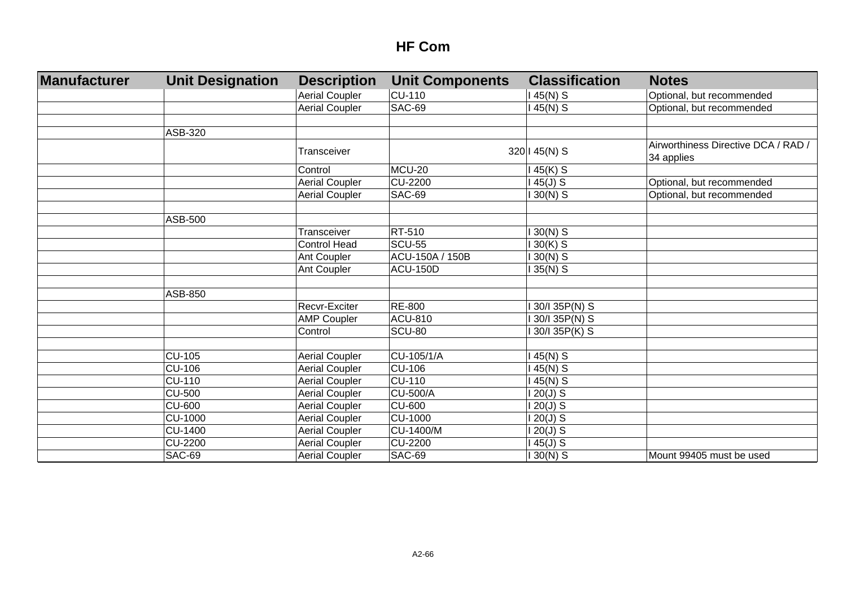| <b>Manufacturer</b> | <b>Unit Designation</b> | <b>Description</b>    | <b>Unit Components</b> | <b>Classification</b> | <b>Notes</b>                                      |
|---------------------|-------------------------|-----------------------|------------------------|-----------------------|---------------------------------------------------|
|                     |                         | <b>Aerial Coupler</b> | <b>CU-110</b>          | 145(N) S              | Optional, but recommended                         |
|                     |                         | <b>Aerial Coupler</b> | <b>SAC-69</b>          | 45(N) S               | Optional, but recommended                         |
|                     |                         |                       |                        |                       |                                                   |
|                     | ASB-320                 |                       |                        |                       |                                                   |
|                     |                         | Transceiver           |                        | 320   45(N) S         | Airworthiness Directive DCA / RAD /<br>34 applies |
|                     |                         | Control               | <b>MCU-20</b>          | 45(K) S               |                                                   |
|                     |                         | <b>Aerial Coupler</b> | <b>CU-2200</b>         | $45(J)$ S             | Optional, but recommended                         |
|                     |                         | <b>Aerial Coupler</b> | <b>SAC-69</b>          | $30(N)$ S             | Optional, but recommended                         |
|                     |                         |                       |                        |                       |                                                   |
|                     | ASB-500                 |                       |                        |                       |                                                   |
|                     |                         | Transceiver           | RT-510                 | $30(N)$ S             |                                                   |
|                     |                         | <b>Control Head</b>   | <b>SCU-55</b>          | $30(K)$ S             |                                                   |
|                     |                         | Ant Coupler           | ACU-150A / 150B        | $30(N)$ S             |                                                   |
|                     |                         | Ant Coupler           | <b>ACU-150D</b>        | $35(N)$ S             |                                                   |
|                     |                         |                       |                        |                       |                                                   |
|                     | ASB-850                 |                       |                        |                       |                                                   |
|                     |                         | Recvr-Exciter         | <b>RE-800</b>          | 30/I 35P(N) S         |                                                   |
|                     |                         | <b>AMP Coupler</b>    | <b>ACU-810</b>         | 30/I 35P(N) S         |                                                   |
|                     |                         | Control               | <b>SCU-80</b>          | 30/I 35P(K) S         |                                                   |
|                     |                         |                       |                        |                       |                                                   |
|                     | <b>CU-105</b>           | <b>Aerial Coupler</b> | CU-105/1/A             | 45(N) S               |                                                   |
|                     | <b>CU-106</b>           | <b>Aerial Coupler</b> | <b>CU-106</b>          | 45(N) S               |                                                   |
|                     | <b>CU-110</b>           | <b>Aerial Coupler</b> | <b>CU-110</b>          | 45(N) S               |                                                   |
|                     | <b>CU-500</b>           | <b>Aerial Coupler</b> | <b>CU-500/A</b>        | $120(J)$ S            |                                                   |
|                     | <b>CU-600</b>           | <b>Aerial Coupler</b> | <b>CU-600</b>          | $120(J)$ S            |                                                   |
|                     | <b>CU-1000</b>          | <b>Aerial Coupler</b> | <b>CU-1000</b>         | $120(J)$ S            |                                                   |
|                     | <b>CU-1400</b>          | <b>Aerial Coupler</b> | CU-1400/M              | $120(J)$ S            |                                                   |
|                     | <b>CU-2200</b>          | <b>Aerial Coupler</b> | <b>CU-2200</b>         | $45(J)$ S             |                                                   |
|                     | <b>SAC-69</b>           | <b>Aerial Coupler</b> | <b>SAC-69</b>          | $130(N)$ S            | Mount 99405 must be used                          |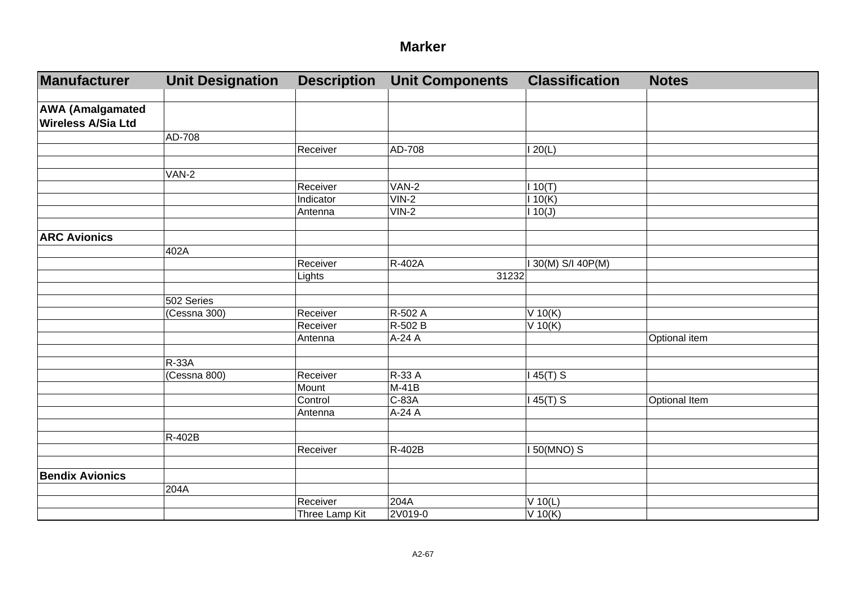| Manufacturer              | <b>Unit Designation</b> | <b>Description</b> | <b>Unit Components</b> | <b>Classification</b> | <b>Notes</b>  |
|---------------------------|-------------------------|--------------------|------------------------|-----------------------|---------------|
|                           |                         |                    |                        |                       |               |
| <b>AWA (Amalgamated</b>   |                         |                    |                        |                       |               |
| <b>Wireless A/Sia Ltd</b> |                         |                    |                        |                       |               |
|                           | AD-708                  |                    |                        |                       |               |
|                           |                         | Receiver           | AD-708                 | 120(L)                |               |
|                           |                         |                    |                        |                       |               |
|                           | $VAN-2$                 |                    |                        |                       |               |
|                           |                         | Receiver           | VAN-2                  | 110(T)                |               |
|                           |                         | <b>Indicator</b>   | $VIN-2$                | 110(K)                |               |
|                           |                         | Antenna            | $VIN-2$                | 110(J)                |               |
|                           |                         |                    |                        |                       |               |
| <b>ARC Avionics</b>       |                         |                    |                        |                       |               |
|                           | 402A                    |                    |                        |                       |               |
|                           |                         | Receiver           | R-402A                 | I 30(M) S/I 40P(M)    |               |
|                           |                         | Lights             | 31232                  |                       |               |
|                           |                         |                    |                        |                       |               |
|                           | 502 Series              |                    |                        |                       |               |
|                           | (Cessna 300)            | Receiver           | R-502 A                | $V$ 10(K)             |               |
|                           |                         | Receiver           | R-502 B                | $V$ 10(K)             |               |
|                           |                         | Antenna            | A-24 A                 |                       | Optional item |
|                           |                         |                    |                        |                       |               |
|                           | $R-33A$                 |                    |                        |                       |               |
|                           | (Cessna 800)            | Receiver           | R-33 A                 | $145(T)$ S            |               |
|                           |                         | Mount              | $M-41B$                |                       |               |
|                           |                         | Control            | C-83A                  | $145(T)$ S            | Optional Item |
|                           |                         | Antenna            | A-24 A                 |                       |               |
|                           |                         |                    |                        |                       |               |
|                           | R-402B                  |                    |                        |                       |               |
|                           |                         | Receiver           | R-402B                 | $150(MNO)$ S          |               |
|                           |                         |                    |                        |                       |               |
| <b>Bendix Avionics</b>    |                         |                    |                        |                       |               |
|                           | 204A                    |                    |                        |                       |               |
|                           |                         | Receiver           | 204A                   | $\overline{V}$ 10(L)  |               |
|                           |                         | Three Lamp Kit     | 2V019-0                | V 10(K)               |               |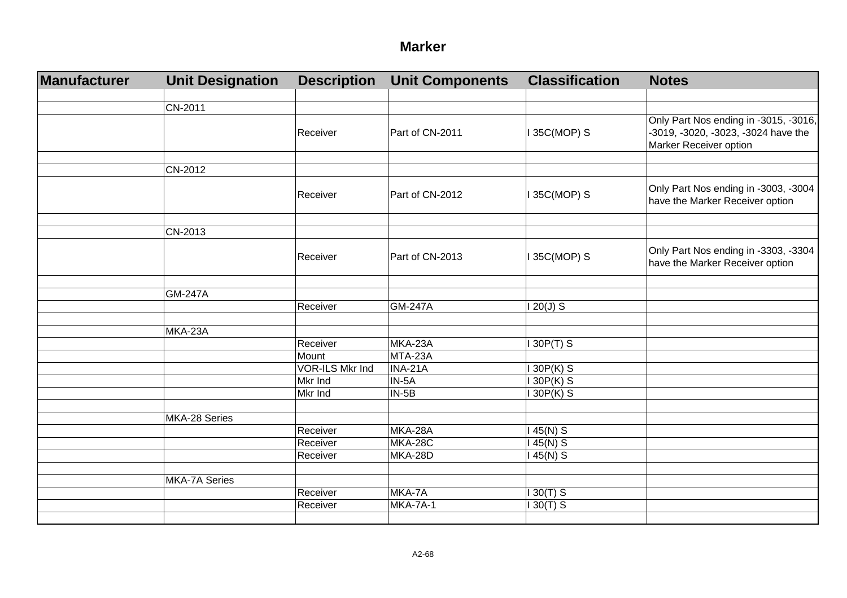| Manufacturer | <b>Unit Designation</b> | <b>Description</b> | <b>Unit Components</b> | <b>Classification</b> | <b>Notes</b>                                                                                           |
|--------------|-------------------------|--------------------|------------------------|-----------------------|--------------------------------------------------------------------------------------------------------|
|              |                         |                    |                        |                       |                                                                                                        |
|              | CN-2011                 |                    |                        |                       |                                                                                                        |
|              |                         | Receiver           | Part of CN-2011        | I 35C(MOP) S          | Only Part Nos ending in -3015, -3016,<br>-3019, -3020, -3023, -3024 have the<br>Marker Receiver option |
|              | CN-2012                 |                    |                        |                       |                                                                                                        |
|              |                         | Receiver           | Part of CN-2012        | I 35C(MOP) S          | Only Part Nos ending in -3003, -3004<br>have the Marker Receiver option                                |
|              | CN-2013                 |                    |                        |                       |                                                                                                        |
|              |                         | Receiver           | Part of CN-2013        | I 35C(MOP) S          | Only Part Nos ending in -3303, -3304<br>have the Marker Receiver option                                |
|              |                         |                    |                        |                       |                                                                                                        |
|              | <b>GM-247A</b>          |                    |                        |                       |                                                                                                        |
|              |                         | Receiver           | <b>GM-247A</b>         | $120(J)$ S            |                                                                                                        |
|              | MKA-23A                 |                    |                        |                       |                                                                                                        |
|              |                         | Receiver           | MKA-23A                | 130P(T) S             |                                                                                                        |
|              |                         | Mount              | MTA-23A                |                       |                                                                                                        |
|              |                         | VOR-ILS Mkr Ind    | INA-21A                | $130P(K)$ S           |                                                                                                        |
|              |                         | Mkr Ind            | $IN-5A$                | $130P(K)$ S           |                                                                                                        |
|              |                         | Mkr Ind            | $IN-5B$                | 130P(K) S             |                                                                                                        |
|              | MKA-28 Series           |                    |                        |                       |                                                                                                        |
|              |                         | Receiver           | MKA-28A                | $145(N)$ S            |                                                                                                        |
|              |                         | Receiver           | <b>MKA-28C</b>         | $145(N)$ S            |                                                                                                        |
|              |                         | Receiver           | MKA-28D                | $145(N)$ S            |                                                                                                        |
|              |                         |                    |                        |                       |                                                                                                        |
|              | MKA-7A Series           |                    |                        |                       |                                                                                                        |
|              |                         | Receiver           | MKA-7A                 | $130(T)$ S            |                                                                                                        |
|              |                         | Receiver           | <b>MKA-7A-1</b>        | $130(T)$ S            |                                                                                                        |
|              |                         |                    |                        |                       |                                                                                                        |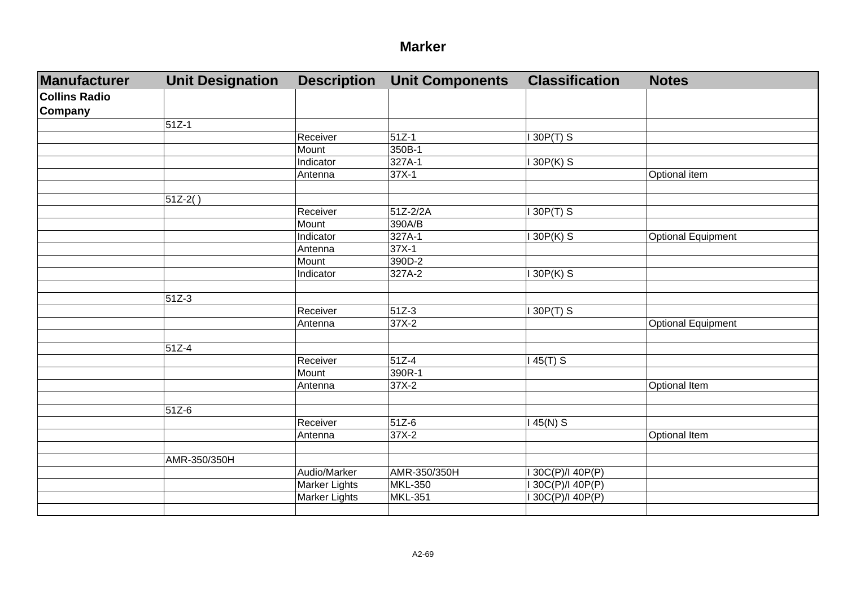| Manufacturer         | <b>Unit Designation</b> | <b>Description</b>   | <b>Unit Components</b> | <b>Classification</b> | <b>Notes</b>              |
|----------------------|-------------------------|----------------------|------------------------|-----------------------|---------------------------|
| <b>Collins Radio</b> |                         |                      |                        |                       |                           |
| <b>Company</b>       |                         |                      |                        |                       |                           |
|                      | $51Z-1$                 |                      |                        |                       |                           |
|                      |                         | Receiver             | 51Z-1                  | $I$ 30P(T) S          |                           |
|                      |                         | Mount                | 350B-1                 |                       |                           |
|                      |                         | Indicator            | 327A-1                 | 130P(K) S             |                           |
|                      |                         | Antenna              | $37X-1$                |                       | Optional item             |
|                      |                         |                      |                        |                       |                           |
|                      | $51Z-2()$               |                      |                        |                       |                           |
|                      |                         | Receiver             | 51Z-2/2A               | $130P(T)$ S           |                           |
|                      |                         | Mount                | 390A/B                 |                       |                           |
|                      |                         | Indicator            | 327A-1                 | $130P(K)$ S           | Optional Equipment        |
|                      |                         | Antenna              | $37X-1$                |                       |                           |
|                      |                         | Mount                | 390D-2                 |                       |                           |
|                      |                         | Indicator            | 327A-2                 | 130P(K) S             |                           |
|                      |                         |                      |                        |                       |                           |
|                      | $51Z-3$                 |                      |                        |                       |                           |
|                      |                         | Receiver             | 51Z-3                  | $I$ 30P(T) S          |                           |
|                      |                         | Antenna              | 37X-2                  |                       | <b>Optional Equipment</b> |
|                      |                         |                      |                        |                       |                           |
|                      | 51Z-4                   |                      |                        |                       |                           |
|                      |                         | Receiver             | $51Z-4$                | $145(T)$ S            |                           |
|                      |                         | Mount                | 390R-1                 |                       |                           |
|                      |                         | Antenna              | $37X-2$                |                       | <b>Optional Item</b>      |
|                      |                         |                      |                        |                       |                           |
|                      | 51Z-6                   |                      |                        |                       |                           |
|                      |                         | Receiver             | 51Z-6                  | $145(N)$ S            |                           |
|                      |                         | Antenna              | $37X-2$                |                       | <b>Optional Item</b>      |
|                      |                         |                      |                        |                       |                           |
|                      | AMR-350/350H            |                      |                        |                       |                           |
|                      |                         | Audio/Marker         | AMR-350/350H           | I 30C(P)/I 40P(P)     |                           |
|                      |                         | Marker Lights        | <b>MKL-350</b>         | I 30C(P)/I 40P(P)     |                           |
|                      |                         | <b>Marker Lights</b> | <b>MKL-351</b>         | I 30C(P)/I 40P(P)     |                           |
|                      |                         |                      |                        |                       |                           |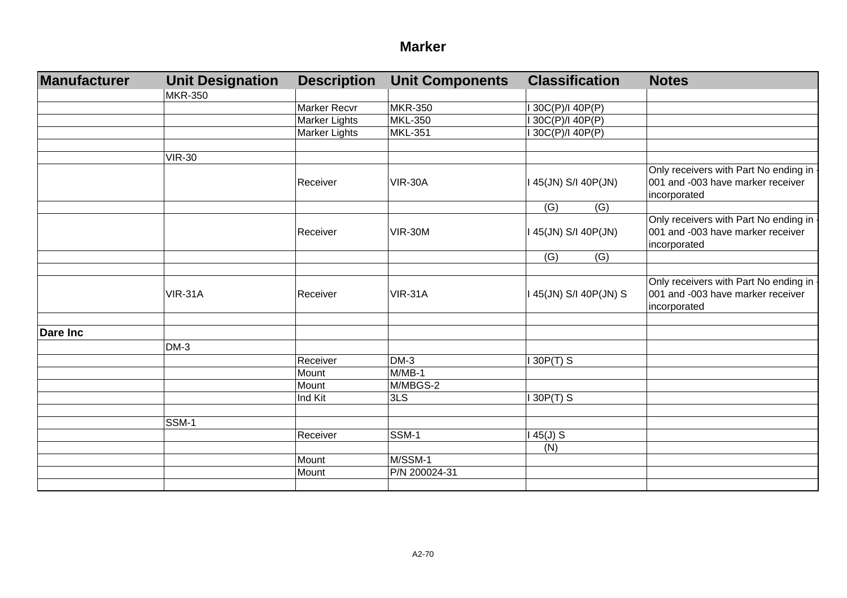| Manufacturer    | <b>Unit Designation</b> | <b>Description</b>  | <b>Unit Components</b> | <b>Classification</b> | <b>Notes</b>                            |
|-----------------|-------------------------|---------------------|------------------------|-----------------------|-----------------------------------------|
|                 | <b>MKR-350</b>          |                     |                        |                       |                                         |
|                 |                         | <b>Marker Recvr</b> | <b>MKR-350</b>         | 130C(P)/140P(P)       |                                         |
|                 |                         | Marker Lights       | <b>MKL-350</b>         | 130C(P)/140P(P)       |                                         |
|                 |                         | Marker Lights       | <b>MKL-351</b>         | 30C(P)/I 40P(P)       |                                         |
|                 |                         |                     |                        |                       |                                         |
|                 | <b>VIR-30</b>           |                     |                        |                       |                                         |
|                 |                         |                     |                        |                       | Only receivers with Part No ending in - |
|                 |                         | Receiver            | <b>VIR-30A</b>         | 45(JN) S/I 40P(JN)    | 001 and -003 have marker receiver       |
|                 |                         |                     |                        |                       | incorporated                            |
|                 |                         |                     |                        | (G)<br>(G)            |                                         |
|                 |                         |                     |                        |                       | Only receivers with Part No ending in - |
|                 |                         | Receiver            | <b>VIR-30M</b>         | 145(JN) S/I 40P(JN)   | 001 and -003 have marker receiver       |
|                 |                         |                     |                        |                       | incorporated                            |
|                 |                         |                     |                        | (G)<br>(G)            |                                         |
|                 |                         |                     |                        |                       |                                         |
|                 |                         |                     |                        |                       | Only receivers with Part No ending in - |
|                 | <b>VIR-31A</b>          | Receiver            | <b>VIR-31A</b>         | 145(JN) S/I 40P(JN) S | 001 and -003 have marker receiver       |
|                 |                         |                     |                        |                       | incorporated                            |
|                 |                         |                     |                        |                       |                                         |
| <b>Dare Inc</b> |                         |                     |                        |                       |                                         |
|                 | $DM-3$                  |                     |                        |                       |                                         |
|                 |                         | Receiver            | $DM-3$                 | $130P(T)$ S           |                                         |
|                 |                         | Mount               | $M/MB-1$               |                       |                                         |
|                 |                         | Mount               | M/MBGS-2               |                       |                                         |
|                 |                         | Ind Kit             | 3LS                    | 30P(T) S              |                                         |
|                 |                         |                     |                        |                       |                                         |
|                 | SSM-1                   |                     |                        |                       |                                         |
|                 |                         | Receiver            | SSM-1                  | $45(J)$ S             |                                         |
|                 |                         |                     |                        | (N)                   |                                         |
|                 |                         | Mount               | M/SSM-1                |                       |                                         |
|                 |                         | Mount               | P/N 200024-31          |                       |                                         |
|                 |                         |                     |                        |                       |                                         |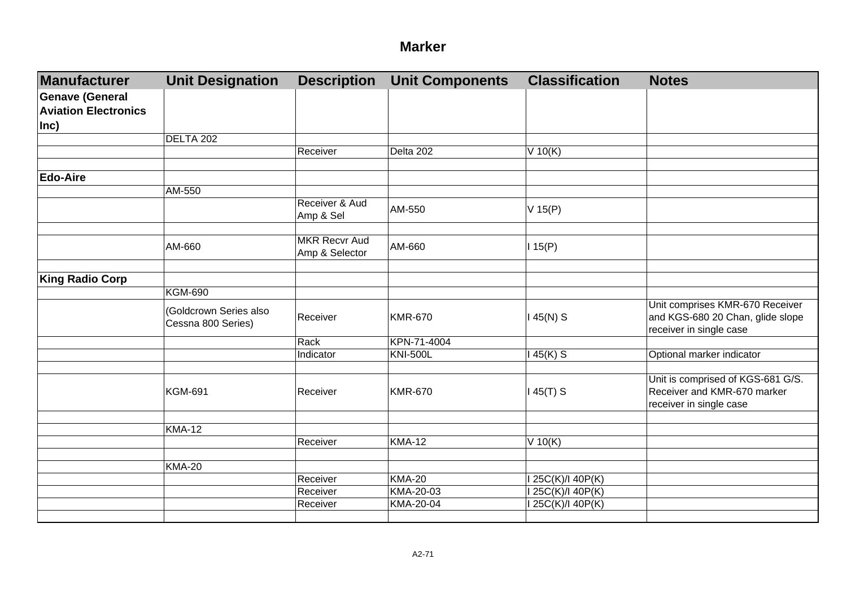| <b>Manufacturer</b>                                   | <b>Unit Designation</b>                      | <b>Description</b>                     | <b>Unit Components</b> | <b>Classification</b> | <b>Notes</b>                                                                                   |
|-------------------------------------------------------|----------------------------------------------|----------------------------------------|------------------------|-----------------------|------------------------------------------------------------------------------------------------|
| <b>Genave (General</b><br><b>Aviation Electronics</b> |                                              |                                        |                        |                       |                                                                                                |
| $ Inc\rangle$                                         |                                              |                                        |                        |                       |                                                                                                |
|                                                       | DELTA 202                                    |                                        |                        |                       |                                                                                                |
|                                                       |                                              | Receiver                               | Delta 202              | $V$ 10(K)             |                                                                                                |
| <b>Edo-Aire</b>                                       |                                              |                                        |                        |                       |                                                                                                |
|                                                       | AM-550                                       |                                        |                        |                       |                                                                                                |
|                                                       |                                              | Receiver & Aud<br>Amp & Sel            | AM-550                 | $V$ 15(P)             |                                                                                                |
|                                                       |                                              |                                        |                        |                       |                                                                                                |
|                                                       | AM-660                                       | <b>MKR Recvr Aud</b><br>Amp & Selector | AM-660                 | 115(P)                |                                                                                                |
|                                                       |                                              |                                        |                        |                       |                                                                                                |
| <b>King Radio Corp</b>                                |                                              |                                        |                        |                       |                                                                                                |
|                                                       | <b>KGM-690</b>                               |                                        |                        |                       |                                                                                                |
|                                                       | (Goldcrown Series also<br>Cessna 800 Series) | Receiver                               | <b>KMR-670</b>         | $145(N)$ S            | Unit comprises KMR-670 Receiver<br>and KGS-680 20 Chan, glide slope<br>receiver in single case |
|                                                       |                                              | Rack                                   | KPN-71-4004            |                       |                                                                                                |
|                                                       |                                              | Indicator                              | <b>KNI-500L</b>        | $145(K)$ S            | Optional marker indicator                                                                      |
|                                                       |                                              |                                        |                        |                       |                                                                                                |
|                                                       | <b>KGM-691</b>                               | Receiver                               | <b>KMR-670</b>         | $145(T)$ S            | Unit is comprised of KGS-681 G/S.<br>Receiver and KMR-670 marker<br>receiver in single case    |
|                                                       |                                              |                                        |                        |                       |                                                                                                |
|                                                       | <b>KMA-12</b>                                | Receiver                               | <b>KMA-12</b>          |                       |                                                                                                |
|                                                       |                                              |                                        |                        | $V$ 10(K)             |                                                                                                |
|                                                       | <b>KMA-20</b>                                |                                        |                        |                       |                                                                                                |
|                                                       |                                              | Receiver                               | <b>KMA-20</b>          | I 25C(K)/I 40P(K)     |                                                                                                |
|                                                       |                                              | Receiver                               | KMA-20-03              | I 25C(K)/I 40P(K)     |                                                                                                |
|                                                       |                                              | Receiver                               | KMA-20-04              | I 25C(K)/I 40P(K)     |                                                                                                |
|                                                       |                                              |                                        |                        |                       |                                                                                                |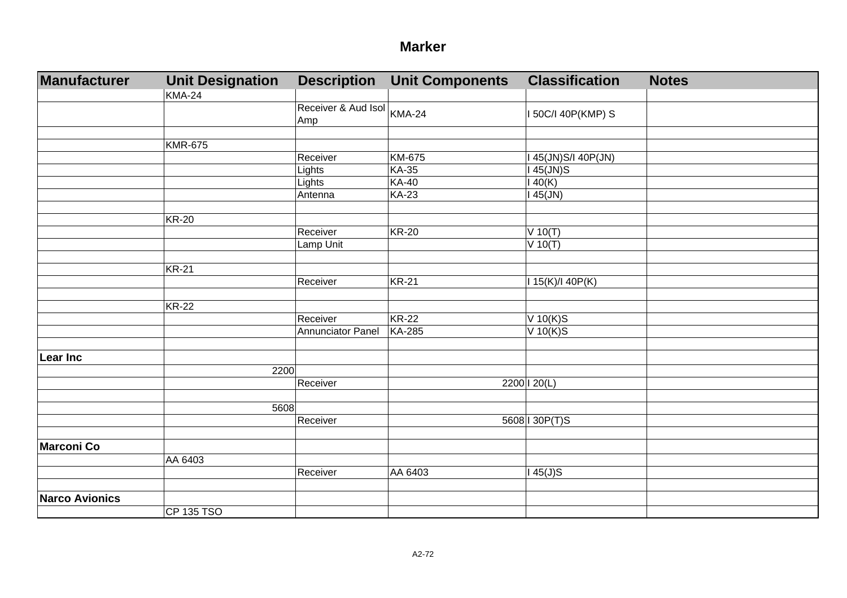| <b>Manufacturer</b>   | <b>Unit Designation</b> | <b>Description</b>                | <b>Unit Components</b> | <b>Classification</b> | <b>Notes</b> |
|-----------------------|-------------------------|-----------------------------------|------------------------|-----------------------|--------------|
|                       | <b>KMA-24</b>           |                                   |                        |                       |              |
|                       |                         | Receiver & Aud Isol KMA-24<br>Amp |                        | I 50C/I 40P(KMP) S    |              |
|                       |                         |                                   |                        |                       |              |
|                       | <b>KMR-675</b>          |                                   |                        |                       |              |
|                       |                         | Receiver                          | KM-675                 | I 45(JN)S/I 40P(JN)   |              |
|                       |                         | Lights                            | <b>KA-35</b>           | 145(JN)S              |              |
|                       |                         | Lights                            | <b>KA-40</b>           | 140(K)                |              |
|                       |                         | Antenna                           | <b>KA-23</b>           | $145$ (JN)            |              |
|                       | <b>KR-20</b>            |                                   |                        |                       |              |
|                       |                         | Receiver                          | <b>KR-20</b>           | $V$ 10(T)             |              |
|                       |                         | Lamp Unit                         |                        | $V$ 10(T)             |              |
|                       |                         |                                   |                        |                       |              |
|                       | <b>KR-21</b>            | Receiver                          | <b>KR-21</b>           | 115(K)/140P(K)        |              |
|                       |                         |                                   |                        |                       |              |
|                       | <b>KR-22</b>            |                                   |                        |                       |              |
|                       |                         | Receiver                          | <b>KR-22</b>           | $V$ 10(K)S            |              |
|                       |                         | <b>Annunciator Panel</b>          | <b>KA-285</b>          | $V$ 10(K)S            |              |
| <b>Lear Inc</b>       |                         |                                   |                        |                       |              |
|                       | 2200                    |                                   |                        |                       |              |
|                       |                         | Receiver                          |                        | 2200   20(L)          |              |
|                       |                         |                                   |                        |                       |              |
|                       | 5608                    |                                   |                        |                       |              |
|                       |                         | Receiver                          |                        | 5608 130P(T)S         |              |
|                       |                         |                                   |                        |                       |              |
| <b>Marconi Co</b>     |                         |                                   |                        |                       |              |
|                       | AA 6403                 |                                   |                        |                       |              |
|                       |                         | Receiver                          | AA 6403                | $145(J)$ S            |              |
| <b>Narco Avionics</b> |                         |                                   |                        |                       |              |
|                       | CP 135 TSO              |                                   |                        |                       |              |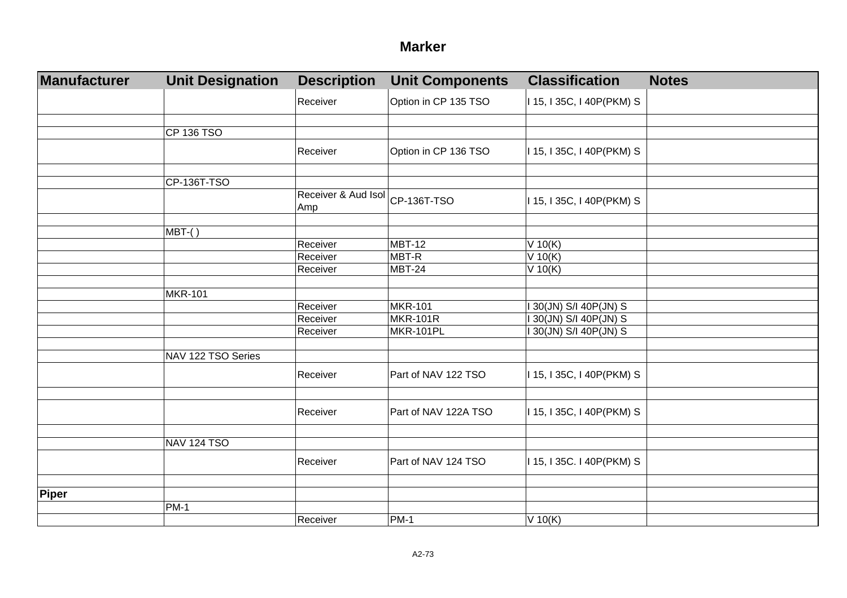#### **Marker**

| <b>Manufacturer</b> | <b>Unit Designation</b> | <b>Description</b>         | <b>Unit Components</b> | <b>Classification</b>     | <b>Notes</b> |
|---------------------|-------------------------|----------------------------|------------------------|---------------------------|--------------|
|                     |                         | Receiver                   | Option in CP 135 TSO   | I 15, I 35C, I 40P(PKM) S |              |
|                     |                         |                            |                        |                           |              |
|                     | <b>CP 136 TSO</b>       |                            |                        |                           |              |
|                     |                         | Receiver                   | Option in CP 136 TSO   | I 15, I 35C, I 40P(PKM) S |              |
|                     | CP-136T-TSO             |                            |                        |                           |              |
|                     |                         | Receiver & Aud Isol<br>Amp | CP-136T-TSO            | I 15, I 35C, I 40P(PKM) S |              |
|                     |                         |                            |                        |                           |              |
|                     | MBT-()                  |                            |                        |                           |              |
|                     |                         | Receiver                   | MBT-12                 | $V$ 10(K)                 |              |
|                     |                         | Receiver                   | MBT-R                  | $V$ 10(K)                 |              |
|                     |                         | Receiver                   | <b>MBT-24</b>          | $V$ 10(K)                 |              |
|                     |                         |                            |                        |                           |              |
|                     | <b>MKR-101</b>          |                            |                        |                           |              |
|                     |                         | Receiver                   | <b>MKR-101</b>         | 30(JN) S/I 40P(JN) S      |              |
|                     |                         | Receiver                   | <b>MKR-101R</b>        | 30(JN) S/I 40P(JN) S      |              |
|                     |                         | Receiver                   | <b>MKR-101PL</b>       | 30(JN) S/I 40P(JN) S      |              |
|                     | NAV 122 TSO Series      |                            |                        |                           |              |
|                     |                         | Receiver                   | Part of NAV 122 TSO    | I 15, I 35C, I 40P(PKM) S |              |
|                     |                         |                            |                        |                           |              |
|                     |                         | Receiver                   | Part of NAV 122A TSO   | I 15, I 35C, I 40P(PKM) S |              |
|                     |                         |                            |                        |                           |              |
|                     | <b>NAV 124 TSO</b>      |                            |                        |                           |              |
|                     |                         | Receiver                   | Part of NAV 124 TSO    | I 15, I 35C. I 40P(PKM) S |              |
|                     |                         |                            |                        |                           |              |
| Piper               |                         |                            |                        |                           |              |
|                     | $PM-1$                  |                            |                        |                           |              |
|                     |                         | Receiver                   | <b>PM-1</b>            | $V$ 10(K)                 |              |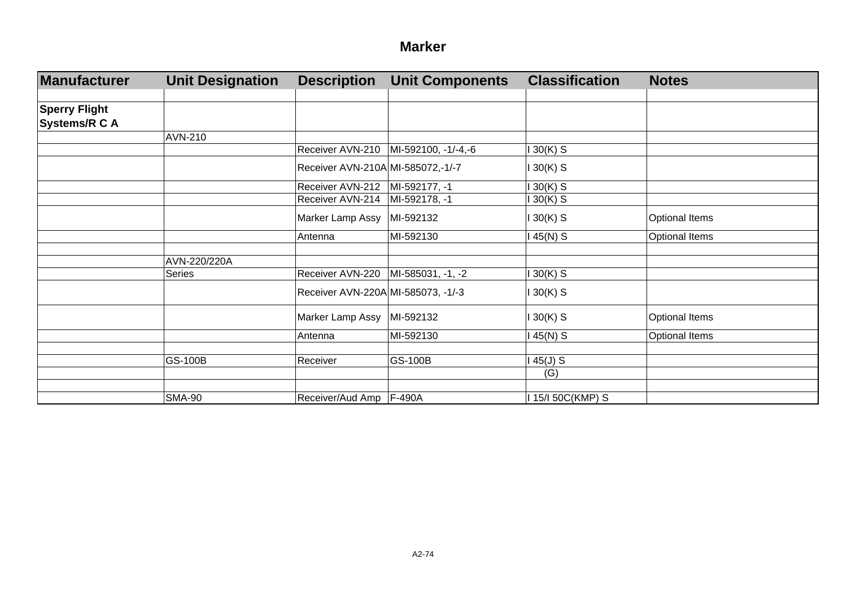#### **Marker**

| <b>Manufacturer</b>  | <b>Unit Designation</b> | <b>Description</b>                   | <b>Unit Components</b>                 | <b>Classification</b> | <b>Notes</b>          |
|----------------------|-------------------------|--------------------------------------|----------------------------------------|-----------------------|-----------------------|
|                      |                         |                                      |                                        |                       |                       |
| <b>Sperry Flight</b> |                         |                                      |                                        |                       |                       |
| <b>Systems/R C A</b> |                         |                                      |                                        |                       |                       |
|                      | AVN-210                 |                                      |                                        |                       |                       |
|                      |                         |                                      | Receiver AVN-210   MI-592100, -1/-4,-6 | $130(K)$ S            |                       |
|                      |                         | Receiver AVN-210A MI-585072,-1/-7    |                                        | $130(K)$ S            |                       |
|                      |                         | Receiver AVN-212                     | MI-592177, -1                          | $130(K)$ S            |                       |
|                      |                         | Receiver AVN-214                     | MI-592178, -1                          | 1 30(K) S             |                       |
|                      |                         | Marker Lamp Assy                     | MI-592132                              | $130(K)$ S            | <b>Optional Items</b> |
|                      |                         | Antenna                              | MI-592130                              | $145(N)$ S            | Optional Items        |
|                      |                         |                                      |                                        |                       |                       |
|                      | AVN-220/220A            |                                      |                                        |                       |                       |
|                      | <b>Series</b>           | Receiver AVN-220   MI-585031, -1, -2 |                                        | $130(K)$ S            |                       |
|                      |                         | Receiver AVN-220A MI-585073, -1/-3   |                                        | $130(K)$ S            |                       |
|                      |                         | Marker Lamp Assy MI-592132           |                                        | $130(K)$ S            | <b>Optional Items</b> |
|                      |                         | Antenna                              | MI-592130                              | $145(N)$ S            | Optional Items        |
|                      |                         |                                      |                                        |                       |                       |
|                      | <b>GS-100B</b>          | Receiver                             | <b>GS-100B</b>                         | 145(J) S              |                       |
|                      |                         |                                      |                                        | (G)                   |                       |
|                      |                         |                                      |                                        |                       |                       |
|                      | <b>SMA-90</b>           | Receiver/Aud Amp   F-490A            |                                        | 1 15/I 50C(KMP) S     |                       |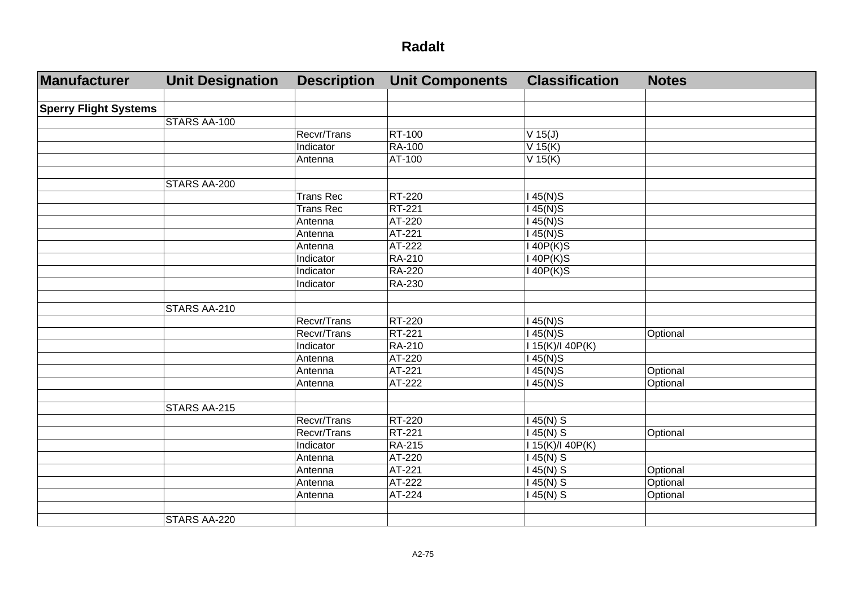| Manufacturer                 | <b>Unit Designation</b> | <b>Description</b> | <b>Unit Components</b> | <b>Classification</b> | <b>Notes</b> |
|------------------------------|-------------------------|--------------------|------------------------|-----------------------|--------------|
|                              |                         |                    |                        |                       |              |
| <b>Sperry Flight Systems</b> |                         |                    |                        |                       |              |
|                              | STARS AA-100            |                    |                        |                       |              |
|                              |                         | Recvr/Trans        | RT-100                 | $V$ 15(J)             |              |
|                              |                         | Indicator          | <b>RA-100</b>          | $V$ 15(K)             |              |
|                              |                         | Antenna            | AT-100                 | $V$ 15(K)             |              |
|                              |                         |                    |                        |                       |              |
|                              | STARS AA-200            |                    |                        |                       |              |
|                              |                         | <b>Trans Rec</b>   | <b>RT-220</b>          | $45(N)$ S             |              |
|                              |                         | <b>Trans Rec</b>   | RT-221                 | $45(N)$ S             |              |
|                              |                         | Antenna            | AT-220                 | $145(N)$ S            |              |
|                              |                         | Antenna            | AT-221                 | $145(N)$ S            |              |
|                              |                         | Antenna            | AT-222                 | 140P(K)S              |              |
|                              |                         | Indicator          | <b>RA-210</b>          | 140P(K)S              |              |
|                              |                         | Indicator          | <b>RA-220</b>          | 140P(K)S              |              |
|                              |                         | Indicator          | RA-230                 |                       |              |
|                              |                         |                    |                        |                       |              |
|                              | STARS AA-210            |                    |                        |                       |              |
|                              |                         | Recvr/Trans        | RT-220                 | 145(N)S               |              |
|                              |                         | Recvr/Trans        | RT-221                 | $145(N)$ S            | Optional     |
|                              |                         | Indicator          | RA-210                 | I 15(K)/I 40P(K)      |              |
|                              |                         | Antenna            | AT-220                 | $145(N)$ S            |              |
|                              |                         | Antenna            | AT-221                 | 45(N)S                | Optional     |
|                              |                         | Antenna            | AT-222                 | 145(N)S               | Optional     |
|                              |                         |                    |                        |                       |              |
|                              | STARS AA-215            |                    |                        |                       |              |
|                              |                         | <b>Recvr/Trans</b> | RT-220                 | $145(N)$ S            |              |
|                              |                         | Recvr/Trans        | RT-221                 | $145(N)$ S            | Optional     |
|                              |                         | Indicator          | <b>RA-215</b>          | I 15(K)/I 40P(K)      |              |
|                              |                         | Antenna            | AT-220                 | $145(N)$ S            |              |
|                              |                         | Antenna            | AT-221                 | 145(N) S              | Optional     |
|                              |                         | Antenna            | AT-222                 | $145(N)$ S            | Optional     |
|                              |                         | Antenna            | AT-224                 | $145(N)$ S            | Optional     |
|                              |                         |                    |                        |                       |              |
|                              | STARS AA-220            |                    |                        |                       |              |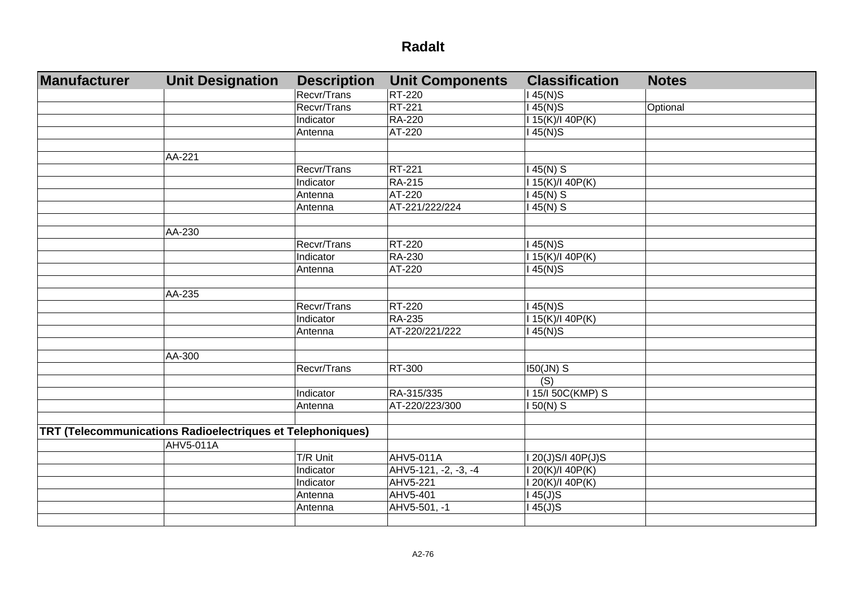| Manufacturer | <b>Unit Designation</b>                                    | <b>Description</b> | <b>Unit Components</b> | <b>Classification</b> | <b>Notes</b> |
|--------------|------------------------------------------------------------|--------------------|------------------------|-----------------------|--------------|
|              |                                                            | Recvr/Trans        | RT-220                 | 145(N)S               |              |
|              |                                                            | Recvr/Trans        | RT-221                 | $145(N)$ S            | Optional     |
|              |                                                            | Indicator          | <b>RA-220</b>          | I 15(K)/I 40P(K)      |              |
|              |                                                            | Antenna            | AT-220                 | $145(N)$ S            |              |
|              |                                                            |                    |                        |                       |              |
|              | AA-221                                                     |                    |                        |                       |              |
|              |                                                            | Recvr/Trans        | <b>RT-221</b>          | $145(N)$ S            |              |
|              |                                                            | Indicator          | <b>RA-215</b>          | 115(K)/140P(K)        |              |
|              |                                                            | Antenna            | AT-220                 | $145(N)$ S            |              |
|              |                                                            | Antenna            | AT-221/222/224         | $145(N)$ S            |              |
|              |                                                            |                    |                        |                       |              |
|              | AA-230                                                     |                    |                        |                       |              |
|              |                                                            | <b>Recvr/Trans</b> | <b>RT-220</b>          | $145(N)$ S            |              |
|              |                                                            | Indicator          | <b>RA-230</b>          | 115(K)/140P(K)        |              |
|              |                                                            | Antenna            | AT-220                 | $145(N)$ S            |              |
|              |                                                            |                    |                        |                       |              |
|              | AA-235                                                     |                    |                        |                       |              |
|              |                                                            | Recvr/Trans        | <b>RT-220</b>          | $145(N)$ S            |              |
|              |                                                            | Indicator          | <b>RA-235</b>          | I 15(K)/I 40P(K)      |              |
|              |                                                            | Antenna            | AT-220/221/222         | $145(N)$ S            |              |
|              |                                                            |                    |                        |                       |              |
|              | AA-300                                                     |                    |                        |                       |              |
|              |                                                            | Recvr/Trans        | RT-300                 | 150(JN) S             |              |
|              |                                                            |                    |                        | $\overline{(S)}$      |              |
|              |                                                            | Indicator          | RA-315/335             | 115/150C(KMP) S       |              |
|              |                                                            | Antenna            | AT-220/223/300         | 150(N) S              |              |
|              |                                                            |                    |                        |                       |              |
|              | TRT (Telecommunications Radioelectriques et Telephoniques) |                    |                        |                       |              |
|              | <b>AHV5-011A</b>                                           |                    |                        |                       |              |
|              |                                                            | T/R Unit           | AHV5-011A              | I 20(J)S/I 40P(J)S    |              |
|              |                                                            | Indicator          | AHV5-121, -2, -3, -4   | I 20(K)/I 40P(K)      |              |
|              |                                                            | Indicator          | AHV5-221               | 120(K)/140P(K)        |              |
|              |                                                            | Antenna            | AHV5-401               | $145(J)$ S            |              |
|              |                                                            | Antenna            | AHV5-501, -1           | $\overline{145(J)}S$  |              |
|              |                                                            |                    |                        |                       |              |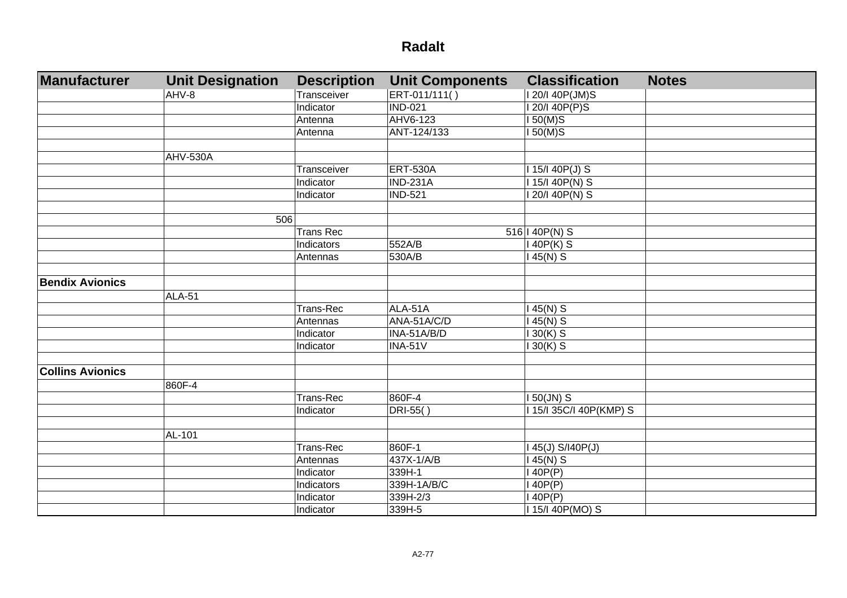| Manufacturer            | <b>Unit Designation</b> | <b>Description</b> | <b>Unit Components</b> | <b>Classification</b> | <b>Notes</b> |
|-------------------------|-------------------------|--------------------|------------------------|-----------------------|--------------|
|                         | AHV-8                   | Transceiver        | ERT-011/111()          | I 20/I 40P(JM)S       |              |
|                         |                         | Indicator          | <b>IND-021</b>         | I 20/I 40P(P)S        |              |
|                         |                         | Antenna            | AHV6-123               | 150(M)S               |              |
|                         |                         | Antenna            | ANT-124/133            | $150(M)$ S            |              |
|                         |                         |                    |                        |                       |              |
|                         | AHV-530A                |                    |                        |                       |              |
|                         |                         | Transceiver        | <b>ERT-530A</b>        | I 15/I 40P(J) S       |              |
|                         |                         | Indicator          | <b>IND-231A</b>        | I 15/I 40P(N) S       |              |
|                         |                         | Indicator          | <b>IND-521</b>         | I 20/I 40P(N) S       |              |
|                         |                         |                    |                        |                       |              |
|                         | 506                     |                    |                        |                       |              |
|                         |                         | <b>Trans Rec</b>   |                        | $516$   40P(N) S      |              |
|                         |                         | Indicators         | 552A/B                 | $140P(K)$ S           |              |
|                         |                         | Antennas           | 530A/B                 | $145(N)$ S            |              |
| <b>Bendix Avionics</b>  |                         |                    |                        |                       |              |
|                         | <b>ALA-51</b>           |                    |                        |                       |              |
|                         |                         | Trans-Rec          | ALA-51A                | $145(N)$ S            |              |
|                         |                         | Antennas           | ANA-51A/C/D            | $145(N)$ S            |              |
|                         |                         | Indicator          | INA-51A/B/D            | $130(K)$ S            |              |
|                         |                         | Indicator          | <b>INA-51V</b>         | $130(K)$ S            |              |
|                         |                         |                    |                        |                       |              |
| <b>Collins Avionics</b> |                         |                    |                        |                       |              |
|                         | 860F-4                  |                    |                        |                       |              |
|                         |                         | Trans-Rec          | 860F-4                 | $150$ (JN) S          |              |
|                         |                         | <b>Indicator</b>   | DRI-55()               | 115/135C/140P(KMP) S  |              |
|                         |                         |                    |                        |                       |              |
|                         | AL-101                  |                    |                        |                       |              |
|                         |                         | Trans-Rec          | 860F-1                 | 145(J) S/140P(J)      |              |
|                         |                         | Antennas           | 437X-1/A/B             | $145(N)$ S            |              |
|                         |                         | Indicator          | 339H-1                 | 140P(P)               |              |
|                         |                         | Indicators         | 339H-1A/B/C            | 140P(P)               |              |
|                         |                         | Indicator          | 339H-2/3               | 140P(P)               |              |
|                         |                         | Indicator          | 339H-5                 | 115/140P(MO) S        |              |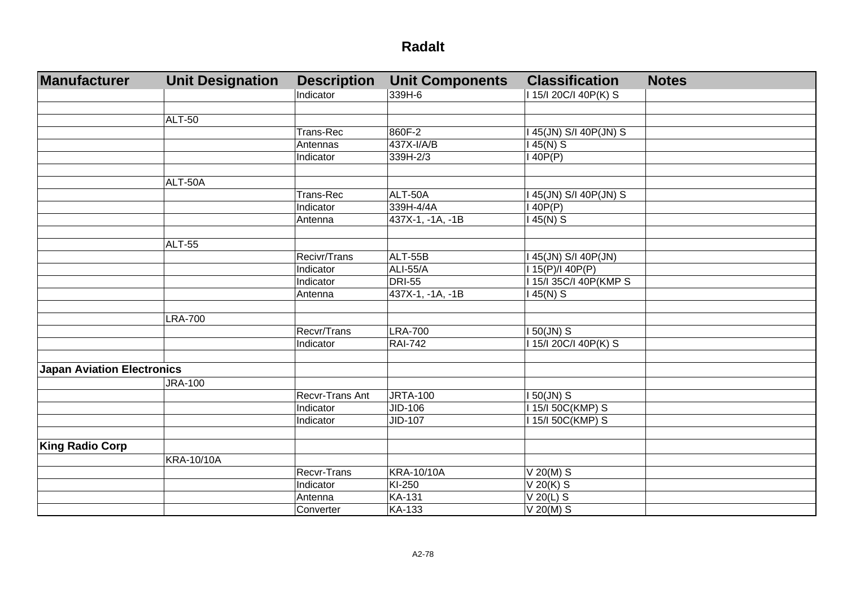| Manufacturer                      | <b>Unit Designation</b> | <b>Description</b>     | <b>Unit Components</b> | <b>Classification</b>  | <b>Notes</b> |
|-----------------------------------|-------------------------|------------------------|------------------------|------------------------|--------------|
|                                   |                         | Indicator              | 339H-6                 | I 15/I 20C/I 40P(K) S  |              |
|                                   |                         |                        |                        |                        |              |
|                                   | <b>ALT-50</b>           |                        |                        |                        |              |
|                                   |                         | Trans-Rec              | 860F-2                 | I 45(JN) S/I 40P(JN) S |              |
|                                   |                         | Antennas               | 437X-I/A/B             | $145(N)$ S             |              |
|                                   |                         | Indicator              | 339H-2/3               | 140P(P)                |              |
|                                   |                         |                        |                        |                        |              |
|                                   | ALT-50A                 |                        |                        |                        |              |
|                                   |                         | Trans-Rec              | ALT-50A                | I 45(JN) S/I 40P(JN) S |              |
|                                   |                         | Indicator              | 339H-4/4A              | 140P(P)                |              |
|                                   |                         | Antenna                | 437X-1, -1A, -1B       | $145(N)$ S             |              |
|                                   |                         |                        |                        |                        |              |
|                                   | ALT-55                  |                        |                        |                        |              |
|                                   |                         | Recivr/Trans           | ALT-55B                | I 45(JN) S/I 40P(JN)   |              |
|                                   |                         | Indicator              | <b>ALI-55/A</b>        | I 15(P)/I 40P(P)       |              |
|                                   |                         | Indicator              | <b>DRI-55</b>          | I 15/I 35C/I 40P(KMP S |              |
|                                   |                         | Antenna                | 437X-1, -1A, -1B       | $145(N)$ S             |              |
|                                   |                         |                        |                        |                        |              |
|                                   | <b>LRA-700</b>          |                        |                        |                        |              |
|                                   |                         | Recvr/Trans            | <b>LRA-700</b>         | $150$ (JN) S           |              |
|                                   |                         | Indicator              | <b>RAI-742</b>         | 115/120C/I 40P(K) S    |              |
|                                   |                         |                        |                        |                        |              |
| <b>Japan Aviation Electronics</b> |                         |                        |                        |                        |              |
|                                   | <b>JRA-100</b>          |                        |                        |                        |              |
|                                   |                         | <b>Recvr-Trans Ant</b> | <b>JRTA-100</b>        | I 50(JN) S             |              |
|                                   |                         | Indicator              | JID-106                | I 15/I 50C(KMP) S      |              |
|                                   |                         | Indicator              | JID-107                | 115/150C(KMP) S        |              |
|                                   |                         |                        |                        |                        |              |
| <b>King Radio Corp</b>            |                         |                        |                        |                        |              |
|                                   | <b>KRA-10/10A</b>       |                        |                        |                        |              |
|                                   |                         | <b>Recvr-Trans</b>     | <b>KRA-10/10A</b>      | $V 20(M)$ S            |              |
|                                   |                         | Indicator              | KI-250                 | $V$ 20(K) S            |              |
|                                   |                         | Antenna                | <b>KA-131</b>          | $V$ 20(L) S            |              |
|                                   |                         | Converter              | <b>KA-133</b>          | $V$ 20(M) S            |              |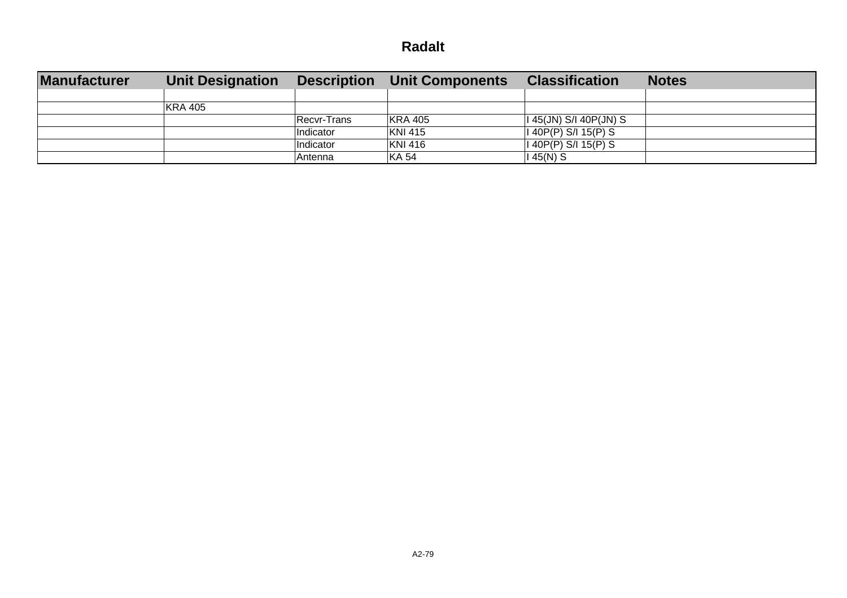| <b>Manufacturer</b> | <b>Unit Designation</b> | <b>Description</b> | Unit Components | <b>Classification</b>          | <b>Notes</b> |
|---------------------|-------------------------|--------------------|-----------------|--------------------------------|--------------|
|                     |                         |                    |                 |                                |              |
|                     | KRA 405                 |                    |                 |                                |              |
|                     |                         | Recvr-Trans        | KRA 405         | $\vert$ I 45(JN) S/I 40P(JN) S |              |
|                     |                         | Indicator          | KNI 415         | $ I\ 40P(P)\ S/I\ 15(P)\ S$    |              |
|                     |                         | Indicator          | KNI 416         | $ I\ 40P(P)\ S/I\ 15(P)\ S$    |              |
|                     |                         | lAntenna           | <b>KA 54</b>    | 145(N) S                       |              |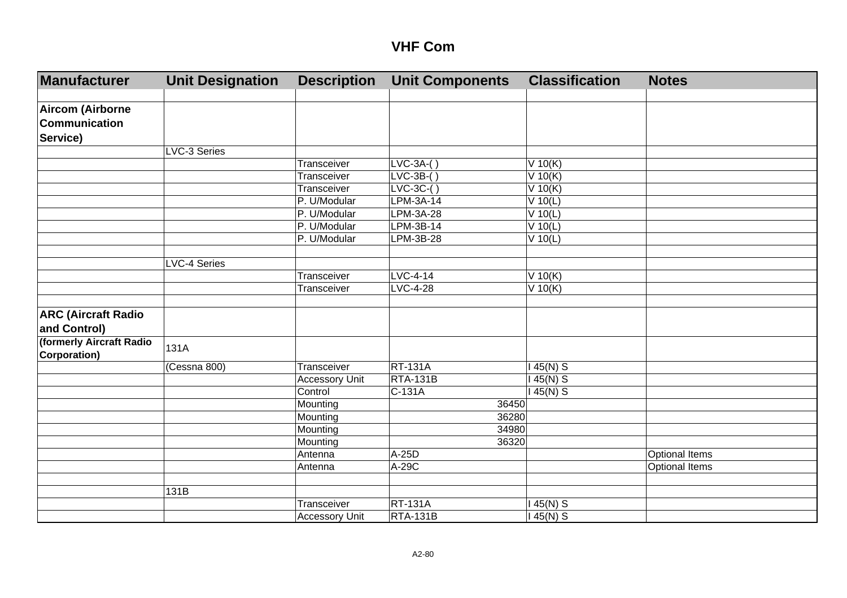| Manufacturer                             | <b>Unit Designation</b> | <b>Description</b>    | <b>Unit Components</b> | <b>Classification</b> | <b>Notes</b>          |
|------------------------------------------|-------------------------|-----------------------|------------------------|-----------------------|-----------------------|
|                                          |                         |                       |                        |                       |                       |
| <b>Aircom (Airborne</b>                  |                         |                       |                        |                       |                       |
| Communication                            |                         |                       |                        |                       |                       |
| Service)                                 |                         |                       |                        |                       |                       |
|                                          | LVC-3 Series            |                       |                        |                       |                       |
|                                          |                         | Transceiver           | $LVC-3A-()$            | $V$ 10(K)             |                       |
|                                          |                         | Transceiver           | $LVC-3B-()$            | V 10(K)               |                       |
|                                          |                         | Transceiver           | $LVC-3C-()$            | V 10(K)               |                       |
|                                          |                         | P. U/Modular          | LPM-3A-14              | $V$ 10(L)             |                       |
|                                          |                         | P. U/Modular          | <b>LPM-3A-28</b>       | $V$ 10(L)             |                       |
|                                          |                         | P. U/Modular          | $LPM-3B-14$            | $V$ 10(L)             |                       |
|                                          |                         | P. U/Modular          | LPM-3B-28              | $V$ 10(L)             |                       |
|                                          |                         |                       |                        |                       |                       |
|                                          | <b>LVC-4 Series</b>     |                       |                        |                       |                       |
|                                          |                         | Transceiver           | LVC-4-14               | $V$ 10(K)             |                       |
|                                          |                         | Transceiver           | $LVC-4-28$             | $V$ 10(K)             |                       |
|                                          |                         |                       |                        |                       |                       |
| <b>ARC (Aircraft Radio</b>               |                         |                       |                        |                       |                       |
| and Control)                             |                         |                       |                        |                       |                       |
| (formerly Aircraft Radio<br>Corporation) | 131A                    |                       |                        |                       |                       |
|                                          | (Cessna 800)            | Transceiver           | <b>RT-131A</b>         | $45(N)$ S             |                       |
|                                          |                         | <b>Accessory Unit</b> | <b>RTA-131B</b>        | $45(N)$ S             |                       |
|                                          |                         | Control               | $C-131A$               | 145(N) S              |                       |
|                                          |                         | Mounting              | 36450                  |                       |                       |
|                                          |                         | Mounting              | 36280                  |                       |                       |
|                                          |                         | Mounting              | 34980                  |                       |                       |
|                                          |                         | Mounting              | 36320                  |                       |                       |
|                                          |                         | Antenna               | A-25D                  |                       | Optional Items        |
|                                          |                         | Antenna               | A-29C                  |                       | <b>Optional Items</b> |
|                                          |                         |                       |                        |                       |                       |
|                                          | 131B                    |                       |                        |                       |                       |
|                                          |                         | Transceiver           | <b>RT-131A</b>         | 45(N) S               |                       |
|                                          |                         | <b>Accessory Unit</b> | <b>RTA-131B</b>        | 145(N) S              |                       |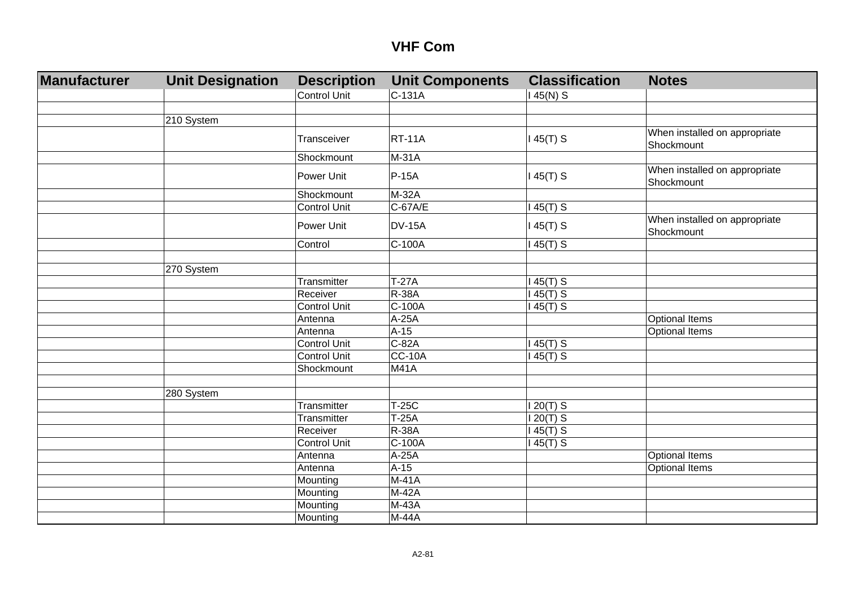| Manufacturer | <b>Unit Designation</b> | <b>Description</b>  | <b>Unit Components</b> | <b>Classification</b> | <b>Notes</b>                                |
|--------------|-------------------------|---------------------|------------------------|-----------------------|---------------------------------------------|
|              |                         | <b>Control Unit</b> | C-131A                 | $145(N)$ S            |                                             |
|              |                         |                     |                        |                       |                                             |
|              | 210 System              |                     |                        |                       |                                             |
|              |                         | Transceiver         | <b>RT-11A</b>          | $145(T)$ S            | When installed on appropriate<br>Shockmount |
|              |                         | Shockmount          | $M-31A$                |                       |                                             |
|              |                         | Power Unit          | P-15A                  | $145(T)$ S            | When installed on appropriate<br>Shockmount |
|              |                         | Shockmount          | M-32A                  |                       |                                             |
|              |                         | <b>Control Unit</b> | $C-67A/E$              | $145(T)$ S            |                                             |
|              |                         | Power Unit          | <b>DV-15A</b>          | $145(T)$ S            | When installed on appropriate<br>Shockmount |
|              |                         | Control             | C-100A                 | $145(T)$ S            |                                             |
|              |                         |                     |                        |                       |                                             |
|              | 270 System              |                     |                        |                       |                                             |
|              |                         | Transmitter         | $T-27A$                | $45(T)$ S             |                                             |
|              |                         | Receiver            | <b>R-38A</b>           | $45(T)$ S             |                                             |
|              |                         | <b>Control Unit</b> | $C-100A$               | $45(T)$ S             |                                             |
|              |                         | Antenna             | $A-25A$                |                       | <b>Optional Items</b>                       |
|              |                         | Antenna             | $A-15$                 |                       | <b>Optional Items</b>                       |
|              |                         | <b>Control Unit</b> | $C-82A$                | $145(T)$ S            |                                             |
|              |                         | Control Unit        | $\overline{CC}$ -10A   | $145(T)$ S            |                                             |
|              |                         | Shockmount          | <b>M41A</b>            |                       |                                             |
|              |                         |                     |                        |                       |                                             |
|              | 280 System              |                     |                        |                       |                                             |
|              |                         | Transmitter         | $T-25C$                | $120(T)$ S            |                                             |
|              |                         | Transmitter         | $T-25A$                | $120(T)$ S            |                                             |
|              |                         | Receiver            | <b>R-38A</b>           | 145(T) S              |                                             |
|              |                         | <b>Control Unit</b> | C-100A                 | 145(T) S              |                                             |
|              |                         | Antenna             | $A-25A$                |                       | <b>Optional Items</b>                       |
|              |                         | Antenna             | $A-15$                 |                       | <b>Optional Items</b>                       |
|              |                         | Mounting            | M-41A                  |                       |                                             |
|              |                         | Mounting            | M-42A                  |                       |                                             |
|              |                         | Mounting            | M-43A                  |                       |                                             |
|              |                         | Mounting            | M-44A                  |                       |                                             |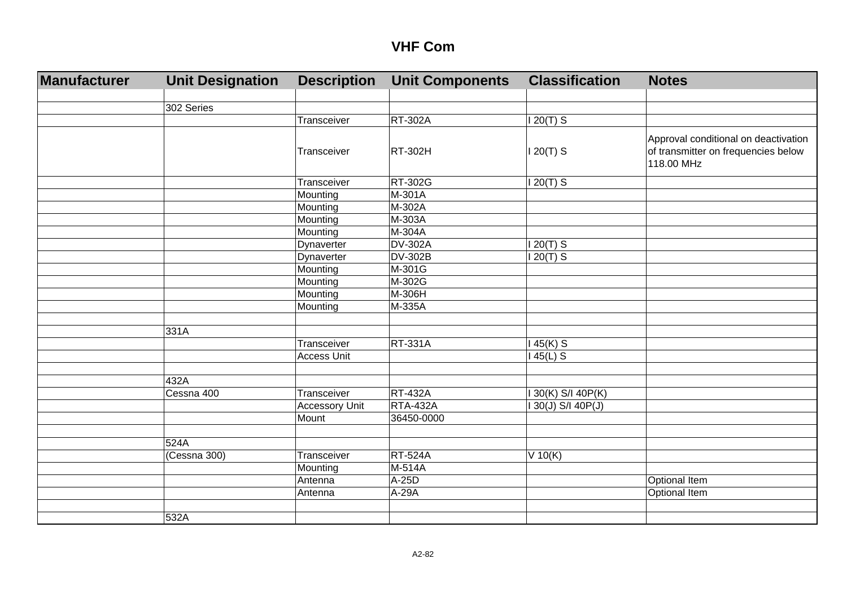| Manufacturer | <b>Unit Designation</b> | <b>Description</b>    | <b>Unit Components</b> | <b>Classification</b> | <b>Notes</b>                                                                              |
|--------------|-------------------------|-----------------------|------------------------|-----------------------|-------------------------------------------------------------------------------------------|
|              |                         |                       |                        |                       |                                                                                           |
|              | 302 Series              |                       |                        |                       |                                                                                           |
|              |                         | Transceiver           | <b>RT-302A</b>         | $120(T)$ S            |                                                                                           |
|              |                         | Transceiver           | <b>RT-302H</b>         | $120(T)$ S            | Approval conditional on deactivation<br>of transmitter on frequencies below<br>118.00 MHz |
|              |                         | Transceiver           | RT-302G                | $120(T)$ S            |                                                                                           |
|              |                         | Mounting              | M-301A                 |                       |                                                                                           |
|              |                         | Mounting              | M-302A                 |                       |                                                                                           |
|              |                         | Mounting              | M-303A                 |                       |                                                                                           |
|              |                         | Mounting              | M-304A                 |                       |                                                                                           |
|              |                         | Dynaverter            | <b>DV-302A</b>         | $120(T)$ S            |                                                                                           |
|              |                         | Dynaverter            | <b>DV-302B</b>         | $120(T)$ S            |                                                                                           |
|              |                         | Mounting              | M-301G                 |                       |                                                                                           |
|              |                         | Mounting              | M-302G                 |                       |                                                                                           |
|              |                         | Mounting              | M-306H                 |                       |                                                                                           |
|              |                         | Mounting              | M-335A                 |                       |                                                                                           |
|              |                         |                       |                        |                       |                                                                                           |
|              | 331A                    |                       |                        |                       |                                                                                           |
|              |                         | Transceiver           | <b>RT-331A</b>         | $145(K)$ S            |                                                                                           |
|              |                         | <b>Access Unit</b>    |                        | $145(L)$ S            |                                                                                           |
|              |                         |                       |                        |                       |                                                                                           |
|              | 432A                    |                       |                        |                       |                                                                                           |
|              | Cessna 400              | Transceiver           | <b>RT-432A</b>         | I 30(K) S/I 40P(K)    |                                                                                           |
|              |                         | <b>Accessory Unit</b> | <b>RTA-432A</b>        | I 30(J) S/I 40P(J)    |                                                                                           |
|              |                         | Mount                 | 36450-0000             |                       |                                                                                           |
|              |                         |                       |                        |                       |                                                                                           |
|              | 524A                    |                       |                        |                       |                                                                                           |
|              | (Cessna 300)            | Transceiver           | <b>RT-524A</b>         | $V$ 10(K)             |                                                                                           |
|              |                         | Mounting              | M-514A                 |                       |                                                                                           |
|              |                         | Antenna               | A-25D                  |                       | <b>Optional Item</b>                                                                      |
|              |                         | Antenna               | A-29A                  |                       | Optional Item                                                                             |
|              |                         |                       |                        |                       |                                                                                           |
|              | 532A                    |                       |                        |                       |                                                                                           |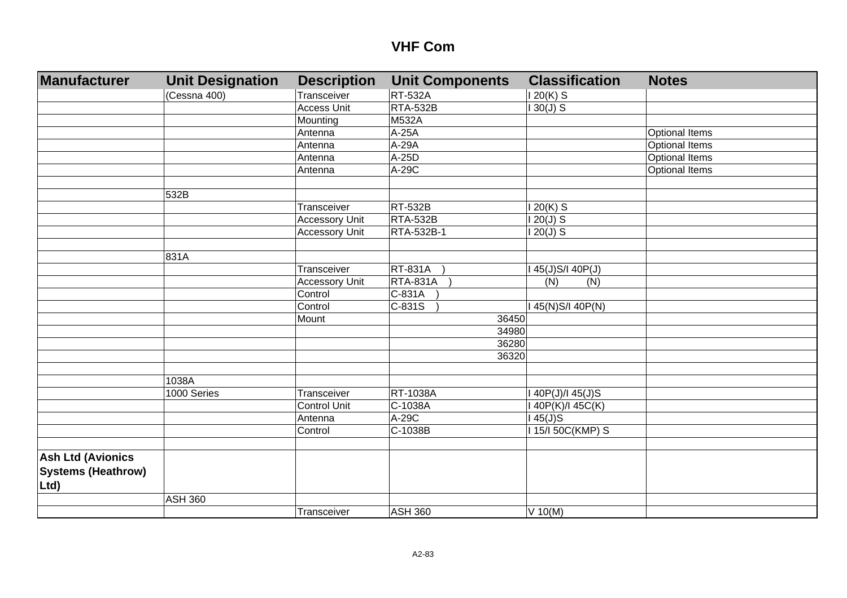| Manufacturer              | <b>Unit Designation</b> | <b>Description</b>    | <b>Unit Components</b> | <b>Classification</b> | <b>Notes</b>          |
|---------------------------|-------------------------|-----------------------|------------------------|-----------------------|-----------------------|
|                           | (Cessna 400)            | Transceiver           | <b>RT-532A</b>         | $120(K)$ S            |                       |
|                           |                         | <b>Access Unit</b>    | <b>RTA-532B</b>        | $130(J)$ S            |                       |
|                           |                         | Mounting              | <b>M532A</b>           |                       |                       |
|                           |                         | Antenna               | A-25A                  |                       | <b>Optional Items</b> |
|                           |                         | Antenna               | A-29A                  |                       | <b>Optional Items</b> |
|                           |                         | Antenna               | $A-25D$                |                       | <b>Optional Items</b> |
|                           |                         | Antenna               | A-29C                  |                       | <b>Optional Items</b> |
|                           |                         |                       |                        |                       |                       |
|                           | 532B                    |                       |                        |                       |                       |
|                           |                         | Transceiver           | <b>RT-532B</b>         | $120(K)$ S            |                       |
|                           |                         | <b>Accessory Unit</b> | <b>RTA-532B</b>        | $120(J)$ S            |                       |
|                           |                         | <b>Accessory Unit</b> | <b>RTA-532B-1</b>      | $120(J)$ S            |                       |
|                           |                         |                       |                        |                       |                       |
|                           | 831A                    |                       |                        |                       |                       |
|                           |                         | Transceiver           | <b>RT-831A</b>         | I 45(J)S/I 40P(J)     |                       |
|                           |                         | <b>Accessory Unit</b> | <b>RTA-831A</b>        | (N)<br>(N)            |                       |
|                           |                         | Control               | $C-831A$               |                       |                       |
|                           |                         | Control               | $C-831S$               | I 45(N)S/I 40P(N)     |                       |
|                           |                         | Mount                 | 36450                  |                       |                       |
|                           |                         |                       | 34980                  |                       |                       |
|                           |                         |                       | 36280                  |                       |                       |
|                           |                         |                       | 36320                  |                       |                       |
|                           |                         |                       |                        |                       |                       |
|                           | 1038A                   |                       |                        |                       |                       |
|                           | 1000 Series             | Transceiver           | <b>RT-1038A</b>        | I 40P(J)/I 45(J)S     |                       |
|                           |                         | <b>Control Unit</b>   | C-1038A                | I 40P(K)/I 45C(K)     |                       |
|                           |                         | Antenna               | A-29C                  | $45(J)$ S             |                       |
|                           |                         | Control               | C-1038B                | 115/150C(KMP) S       |                       |
|                           |                         |                       |                        |                       |                       |
| <b>Ash Ltd (Avionics</b>  |                         |                       |                        |                       |                       |
| <b>Systems (Heathrow)</b> |                         |                       |                        |                       |                       |
| Ltd)                      |                         |                       |                        |                       |                       |
|                           | <b>ASH 360</b>          |                       |                        |                       |                       |
|                           |                         | Transceiver           | <b>ASH 360</b>         | $V$ 10(M)             |                       |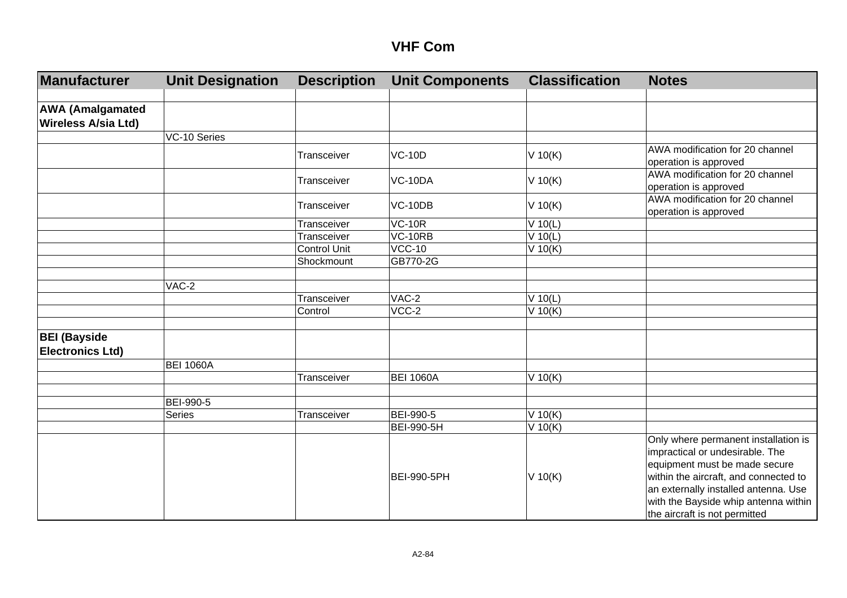| Manufacturer                                   | <b>Unit Designation</b> | <b>Description</b>  | <b>Unit Components</b> | <b>Classification</b> | <b>Notes</b>                                                                                                                                                                                                                                                       |
|------------------------------------------------|-------------------------|---------------------|------------------------|-----------------------|--------------------------------------------------------------------------------------------------------------------------------------------------------------------------------------------------------------------------------------------------------------------|
|                                                |                         |                     |                        |                       |                                                                                                                                                                                                                                                                    |
| <b>AWA (Amalgamated</b>                        |                         |                     |                        |                       |                                                                                                                                                                                                                                                                    |
| <b>Wireless A/sia Ltd)</b>                     |                         |                     |                        |                       |                                                                                                                                                                                                                                                                    |
|                                                | VC-10 Series            |                     |                        |                       |                                                                                                                                                                                                                                                                    |
|                                                |                         | Transceiver         | <b>VC-10D</b>          | $V$ 10(K)             | AWA modification for 20 channel<br>operation is approved                                                                                                                                                                                                           |
|                                                |                         | Transceiver         | VC-10DA                | $V$ 10(K)             | AWA modification for 20 channel<br>operation is approved                                                                                                                                                                                                           |
|                                                |                         | Transceiver         | VC-10DB                | $V$ 10(K)             | AWA modification for 20 channel<br>operation is approved                                                                                                                                                                                                           |
|                                                |                         | Transceiver         | <b>VC-10R</b>          | $V$ 10(L)             |                                                                                                                                                                                                                                                                    |
|                                                |                         | Transceiver         | $\overline{VC}$ -10RB  | $V$ 10(L)             |                                                                                                                                                                                                                                                                    |
|                                                |                         | <b>Control Unit</b> | <b>VCC-10</b>          | $V$ 10(K)             |                                                                                                                                                                                                                                                                    |
|                                                |                         | Shockmount          | GB770-2G               |                       |                                                                                                                                                                                                                                                                    |
|                                                |                         |                     |                        |                       |                                                                                                                                                                                                                                                                    |
|                                                | $VAC-2$                 |                     |                        |                       |                                                                                                                                                                                                                                                                    |
|                                                |                         | Transceiver         | $VAC-2$                | $V$ 10(L)             |                                                                                                                                                                                                                                                                    |
|                                                |                         | Control             | $\overline{VCC-2}$     | $V$ 10(K)             |                                                                                                                                                                                                                                                                    |
|                                                |                         |                     |                        |                       |                                                                                                                                                                                                                                                                    |
| <b>BEI (Bayside</b><br><b>Electronics Ltd)</b> |                         |                     |                        |                       |                                                                                                                                                                                                                                                                    |
|                                                | <b>BEI 1060A</b>        |                     |                        |                       |                                                                                                                                                                                                                                                                    |
|                                                |                         | Transceiver         | <b>BEI 1060A</b>       | $V$ 10(K)             |                                                                                                                                                                                                                                                                    |
|                                                |                         |                     |                        |                       |                                                                                                                                                                                                                                                                    |
|                                                | BEI-990-5               |                     |                        |                       |                                                                                                                                                                                                                                                                    |
|                                                | Series                  | Transceiver         | BEI-990-5              | V 10(K)               |                                                                                                                                                                                                                                                                    |
|                                                |                         |                     | BEI-990-5H             | $V$ 10(K)             |                                                                                                                                                                                                                                                                    |
|                                                |                         |                     | <b>BEI-990-5PH</b>     | $V$ 10(K)             | Only where permanent installation is<br>impractical or undesirable. The<br>equipment must be made secure<br>within the aircraft, and connected to<br>an externally installed antenna. Use<br>with the Bayside whip antenna within<br>the aircraft is not permitted |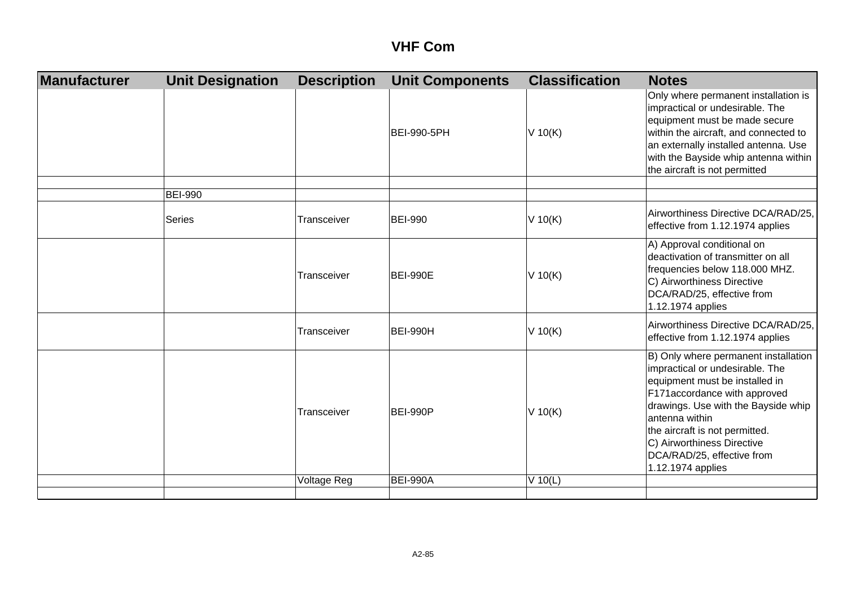| Manufacturer | <b>Unit Designation</b> | <b>Description</b> | <b>Unit Components</b> | <b>Classification</b> | <b>Notes</b>                                                                                                                                                                                                                                                                                                          |
|--------------|-------------------------|--------------------|------------------------|-----------------------|-----------------------------------------------------------------------------------------------------------------------------------------------------------------------------------------------------------------------------------------------------------------------------------------------------------------------|
|              |                         |                    | <b>BEI-990-5PH</b>     | $V$ 10(K)             | Only where permanent installation is<br>impractical or undesirable. The<br>equipment must be made secure<br>within the aircraft, and connected to<br>an externally installed antenna. Use<br>with the Bayside whip antenna within<br>the aircraft is not permitted                                                    |
|              | <b>BEI-990</b>          |                    |                        |                       |                                                                                                                                                                                                                                                                                                                       |
|              | <b>Series</b>           | Transceiver        | <b>BEI-990</b>         | $V$ 10(K)             | Airworthiness Directive DCA/RAD/25,<br>effective from 1.12.1974 applies                                                                                                                                                                                                                                               |
|              |                         | Transceiver        | <b>BEI-990E</b>        | $V$ 10(K)             | A) Approval conditional on<br>deactivation of transmitter on all<br>frequencies below 118.000 MHZ.<br>C) Airworthiness Directive<br>DCA/RAD/25, effective from<br>1.12.1974 applies                                                                                                                                   |
|              |                         | Transceiver        | <b>BEI-990H</b>        | $V$ 10(K)             | Airworthiness Directive DCA/RAD/25,<br>effective from 1.12.1974 applies                                                                                                                                                                                                                                               |
|              |                         | Transceiver        | <b>BEI-990P</b>        | $V$ 10(K)             | B) Only where permanent installation<br>impractical or undesirable. The<br>equipment must be installed in<br>F171accordance with approved<br>drawings. Use with the Bayside whip<br>antenna within<br>the aircraft is not permitted.<br>C) Airworthiness Directive<br>DCA/RAD/25, effective from<br>1.12.1974 applies |
|              |                         | Voltage Reg        | <b>BEI-990A</b>        | $V$ 10(L)             |                                                                                                                                                                                                                                                                                                                       |
|              |                         |                    |                        |                       |                                                                                                                                                                                                                                                                                                                       |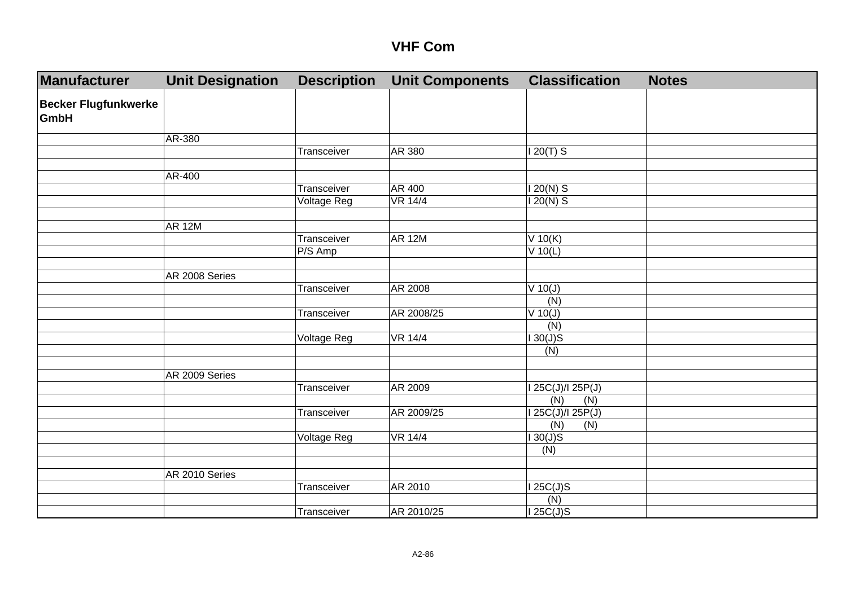| Manufacturer                               | <b>Unit Designation</b> | <b>Description</b> | <b>Unit Components</b> | <b>Classification</b> | <b>Notes</b> |
|--------------------------------------------|-------------------------|--------------------|------------------------|-----------------------|--------------|
| <b>Becker Flugfunkwerke</b><br><b>GmbH</b> |                         |                    |                        |                       |              |
|                                            | AR-380                  |                    |                        |                       |              |
|                                            |                         | Transceiver        | AR 380                 | $120(T)$ S            |              |
|                                            |                         |                    |                        |                       |              |
|                                            | AR-400                  |                    |                        |                       |              |
|                                            |                         | Transceiver        | <b>AR 400</b>          | $120(N)$ S            |              |
|                                            |                         | <b>Voltage Reg</b> | <b>VR 14/4</b>         | $120(N)$ S            |              |
|                                            |                         |                    |                        |                       |              |
|                                            | <b>AR 12M</b>           |                    |                        |                       |              |
|                                            |                         | Transceiver        | <b>AR 12M</b>          | $V$ 10(K)             |              |
|                                            |                         | P/S Amp            |                        | $V$ 10(L)             |              |
|                                            |                         |                    |                        |                       |              |
|                                            | AR 2008 Series          |                    |                        |                       |              |
|                                            |                         | Transceiver        | AR 2008                | $V$ 10(J)             |              |
|                                            |                         |                    |                        | (N)                   |              |
|                                            |                         | Transceiver        | AR 2008/25             | $V$ 10(J)             |              |
|                                            |                         |                    |                        | (N)                   |              |
|                                            |                         | Voltage Reg        | <b>VR 14/4</b>         | 130(J)S               |              |
|                                            |                         |                    |                        | (N)                   |              |
|                                            |                         |                    |                        |                       |              |
|                                            | AR 2009 Series          |                    |                        |                       |              |
|                                            |                         | Transceiver        | AR 2009                | 125C(J)/125P(J)       |              |
|                                            |                         |                    |                        | (N)<br>(N)            |              |
|                                            |                         | Transceiver        | AR 2009/25             | 125C(J)/125P(J)       |              |
|                                            |                         |                    |                        | (N)<br>(N)            |              |
|                                            |                         | Voltage Reg        | <b>VR 14/4</b>         | 130(J)S               |              |
|                                            |                         |                    |                        | (N)                   |              |
|                                            |                         |                    |                        |                       |              |
|                                            | AR 2010 Series          |                    |                        |                       |              |
|                                            |                         | Transceiver        | AR 2010                | 125C(J)S              |              |
|                                            |                         |                    |                        | (N)                   |              |
|                                            |                         | Transceiver        | AR 2010/25             | I 25C(J)S             |              |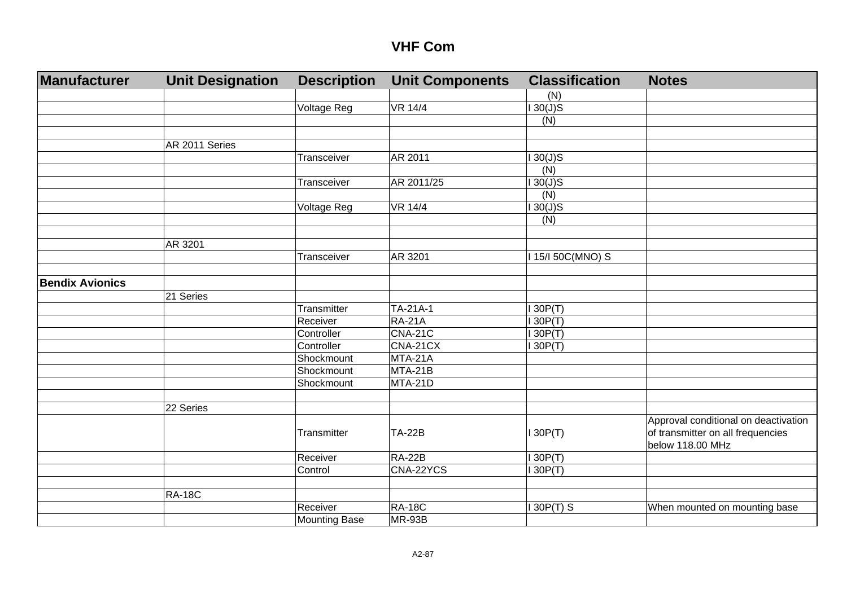| Manufacturer           | <b>Unit Designation</b> | <b>Description</b>   | <b>Unit Components</b> | <b>Classification</b> | <b>Notes</b>                         |
|------------------------|-------------------------|----------------------|------------------------|-----------------------|--------------------------------------|
|                        |                         |                      |                        | (N)                   |                                      |
|                        |                         | <b>Voltage Reg</b>   | <b>VR 14/4</b>         | $\overline{130(J)}S$  |                                      |
|                        |                         |                      |                        | (N)                   |                                      |
|                        |                         |                      |                        |                       |                                      |
|                        | AR 2011 Series          |                      |                        |                       |                                      |
|                        |                         | Transceiver          | AR 2011                | $130(J)$ S            |                                      |
|                        |                         |                      |                        | (N)                   |                                      |
|                        |                         | Transceiver          | AR 2011/25             | $130(J)$ S            |                                      |
|                        |                         |                      |                        | (N)                   |                                      |
|                        |                         | Voltage Reg          | <b>VR 14/4</b>         | 130(J)S               |                                      |
|                        |                         |                      |                        | (N)                   |                                      |
|                        |                         |                      |                        |                       |                                      |
|                        | AR 3201                 |                      |                        |                       |                                      |
|                        |                         | Transceiver          | AR 3201                | 115/150C(MNO) S       |                                      |
|                        |                         |                      |                        |                       |                                      |
| <b>Bendix Avionics</b> |                         |                      |                        |                       |                                      |
|                        | 21 Series               |                      |                        |                       |                                      |
|                        |                         | Transmitter          | TA-21A-1               | 130P(T)               |                                      |
|                        |                         | Receiver             | <b>RA-21A</b>          | 130P(T)               |                                      |
|                        |                         | Controller           | <b>CNA-21C</b>         | 130P(T)               |                                      |
|                        |                         | Controller           | CNA-21CX               | 130P(T)               |                                      |
|                        |                         | Shockmount           | MTA-21A                |                       |                                      |
|                        |                         | Shockmount           | MTA-21B                |                       |                                      |
|                        |                         | Shockmount           | MTA-21D                |                       |                                      |
|                        |                         |                      |                        |                       |                                      |
|                        | 22 Series               |                      |                        |                       |                                      |
|                        |                         |                      |                        |                       | Approval conditional on deactivation |
|                        |                         | Transmitter          | <b>TA-22B</b>          | 130P(T)               | of transmitter on all frequencies    |
|                        |                         |                      |                        |                       | below 118.00 MHz                     |
|                        |                         | Receiver             | $RA-22B$               | 130P(T)               |                                      |
|                        |                         | Control              | CNA-22YCS              | 130P(T)               |                                      |
|                        |                         |                      |                        |                       |                                      |
|                        | <b>RA-18C</b>           |                      |                        |                       |                                      |
|                        |                         | Receiver             | <b>RA-18C</b>          | $130P(T)$ S           | When mounted on mounting base        |
|                        |                         | <b>Mounting Base</b> | MR-93B                 |                       |                                      |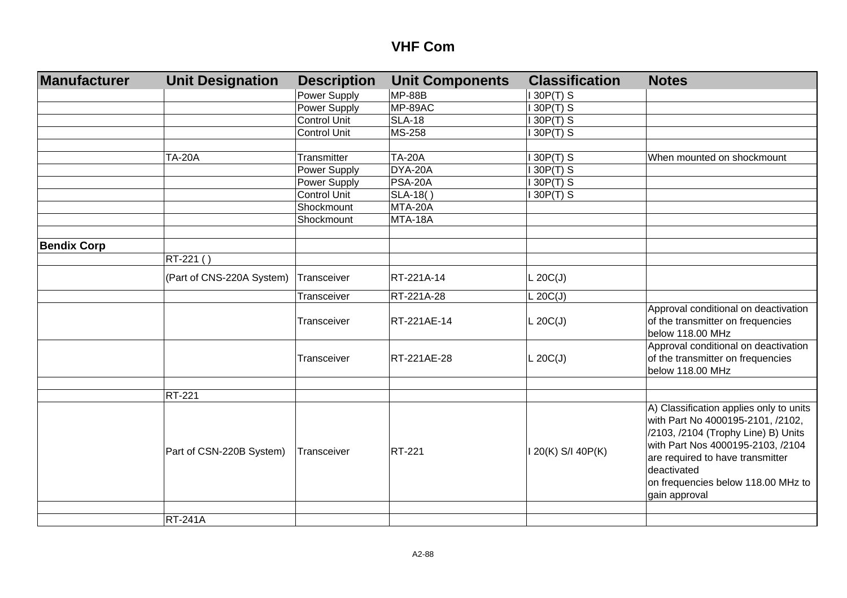| <b>Manufacturer</b> | <b>Unit Designation</b>   | <b>Description</b>  | <b>Unit Components</b> | <b>Classification</b> | <b>Notes</b>                                                                                                                                                                                                                                                       |
|---------------------|---------------------------|---------------------|------------------------|-----------------------|--------------------------------------------------------------------------------------------------------------------------------------------------------------------------------------------------------------------------------------------------------------------|
|                     |                           | Power Supply        | <b>MP-88B</b>          | 130P(T) S             |                                                                                                                                                                                                                                                                    |
|                     |                           | Power Supply        | MP-89AC                | 30P(T) S              |                                                                                                                                                                                                                                                                    |
|                     |                           | <b>Control Unit</b> | <b>SLA-18</b>          | 30P(T) S              |                                                                                                                                                                                                                                                                    |
|                     |                           | <b>Control Unit</b> | MS-258                 | 30P(T) S              |                                                                                                                                                                                                                                                                    |
|                     |                           |                     |                        |                       |                                                                                                                                                                                                                                                                    |
|                     | <b>TA-20A</b>             | Transmitter         | <b>TA-20A</b>          | 30P(T) S              | When mounted on shockmount                                                                                                                                                                                                                                         |
|                     |                           | Power Supply        | DYA-20A                | 130P(T) S             |                                                                                                                                                                                                                                                                    |
|                     |                           | Power Supply        | <b>PSA-20A</b>         | 130P(T) S             |                                                                                                                                                                                                                                                                    |
|                     |                           | Control Unit        | SLA-18()               | 130P(T) S             |                                                                                                                                                                                                                                                                    |
|                     |                           | Shockmount          | MTA-20A                |                       |                                                                                                                                                                                                                                                                    |
|                     |                           | Shockmount          | MTA-18A                |                       |                                                                                                                                                                                                                                                                    |
|                     |                           |                     |                        |                       |                                                                                                                                                                                                                                                                    |
| <b>Bendix Corp</b>  |                           |                     |                        |                       |                                                                                                                                                                                                                                                                    |
|                     | RT-221 ()                 |                     |                        |                       |                                                                                                                                                                                                                                                                    |
|                     | (Part of CNS-220A System) | Transceiver         | RT-221A-14             | L 20C(J)              |                                                                                                                                                                                                                                                                    |
|                     |                           | Transceiver         | RT-221A-28             | L 20C(J)              |                                                                                                                                                                                                                                                                    |
|                     |                           | Transceiver         | RT-221AE-14            | L 20C(J)              | Approval conditional on deactivation<br>of the transmitter on frequencies<br>below 118.00 MHz                                                                                                                                                                      |
|                     |                           | Transceiver         | RT-221AE-28            | L 20C(J)              | Approval conditional on deactivation<br>of the transmitter on frequencies<br>below 118.00 MHz                                                                                                                                                                      |
|                     |                           |                     |                        |                       |                                                                                                                                                                                                                                                                    |
|                     | RT-221                    |                     |                        |                       |                                                                                                                                                                                                                                                                    |
|                     | Part of CSN-220B System)  | Transceiver         | <b>RT-221</b>          | I 20(K) S/I 40P(K)    | A) Classification applies only to units<br>with Part No 4000195-2101, /2102,<br>/2103, /2104 (Trophy Line) B) Units<br>with Part Nos 4000195-2103, /2104<br>are required to have transmitter<br>deactivated<br>on frequencies below 118.00 MHz to<br>gain approval |
|                     |                           |                     |                        |                       |                                                                                                                                                                                                                                                                    |
|                     | <b>RT-241A</b>            |                     |                        |                       |                                                                                                                                                                                                                                                                    |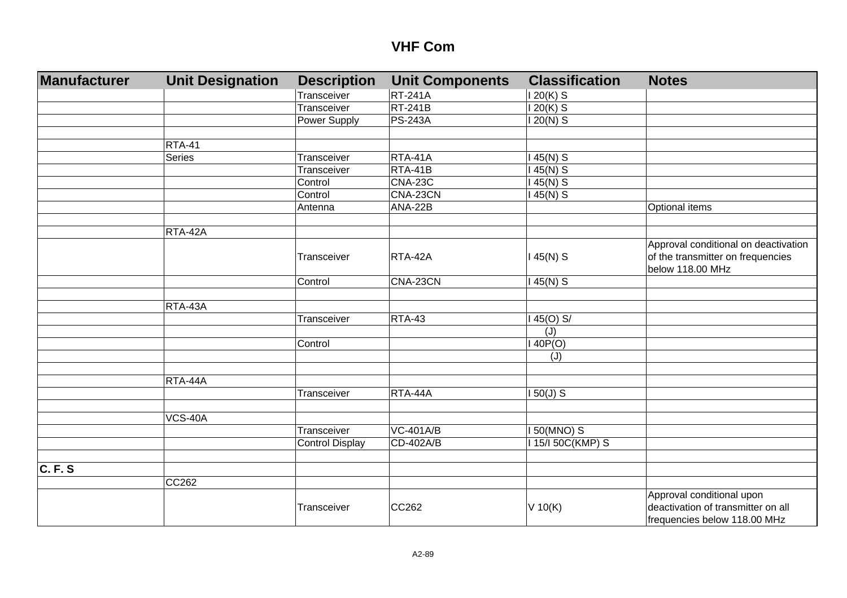| <b>Manufacturer</b> | <b>Unit Designation</b> | <b>Description</b>     | <b>Unit Components</b> | <b>Classification</b> | <b>Notes</b>                                                                                  |
|---------------------|-------------------------|------------------------|------------------------|-----------------------|-----------------------------------------------------------------------------------------------|
|                     |                         | Transceiver            | <b>RT-241A</b>         | $120(K)$ S            |                                                                                               |
|                     |                         | Transceiver            | <b>RT-241B</b>         | $120(K)$ S            |                                                                                               |
|                     |                         | Power Supply           | <b>PS-243A</b>         | 120(N) S              |                                                                                               |
|                     |                         |                        |                        |                       |                                                                                               |
|                     | <b>RTA-41</b>           |                        |                        |                       |                                                                                               |
|                     | Series                  | Transceiver            | RTA-41A                | 45(N) S               |                                                                                               |
|                     |                         | Transceiver            | RTA-41B                | $145(N)$ S            |                                                                                               |
|                     |                         | Control                | <b>CNA-23C</b>         | $145(N)$ S            |                                                                                               |
|                     |                         | Control                | CNA-23CN               | $145(N)$ S            |                                                                                               |
|                     |                         | Antenna                | ANA-22B                |                       | Optional items                                                                                |
|                     |                         |                        |                        |                       |                                                                                               |
|                     | RTA-42A                 |                        |                        |                       |                                                                                               |
|                     |                         | Transceiver            | RTA-42A                | $145(N)$ S            | Approval conditional on deactivation<br>of the transmitter on frequencies<br>below 118.00 MHz |
|                     |                         | Control                | CNA-23CN               | $145(N)$ S            |                                                                                               |
|                     |                         |                        |                        |                       |                                                                                               |
|                     | RTA-43A                 |                        |                        |                       |                                                                                               |
|                     |                         | Transceiver            | <b>RTA-43</b>          | $45(0)$ S/            |                                                                                               |
|                     |                         |                        |                        | (J)                   |                                                                                               |
|                     |                         | Control                |                        | 140P(O)               |                                                                                               |
|                     |                         |                        |                        | (J)                   |                                                                                               |
|                     |                         |                        |                        |                       |                                                                                               |
|                     | RTA-44A                 |                        |                        |                       |                                                                                               |
|                     |                         | Transceiver            | RTA-44A                | $150(J)$ S            |                                                                                               |
|                     |                         |                        |                        |                       |                                                                                               |
|                     | <b>VCS-40A</b>          |                        |                        |                       |                                                                                               |
|                     |                         | Transceiver            | <b>VC-401A/B</b>       | 50(MNO) S             |                                                                                               |
|                     |                         | <b>Control Display</b> | CD-402A/B              | 15/150C(KMP) S        |                                                                                               |
|                     |                         |                        |                        |                       |                                                                                               |
| C. F. S             |                         |                        |                        |                       |                                                                                               |
|                     | CC262                   |                        |                        |                       |                                                                                               |
|                     |                         |                        |                        |                       | Approval conditional upon                                                                     |
|                     |                         | Transceiver            | CC262                  | $V$ 10(K)             | deactivation of transmitter on all                                                            |
|                     |                         |                        |                        |                       | frequencies below 118.00 MHz                                                                  |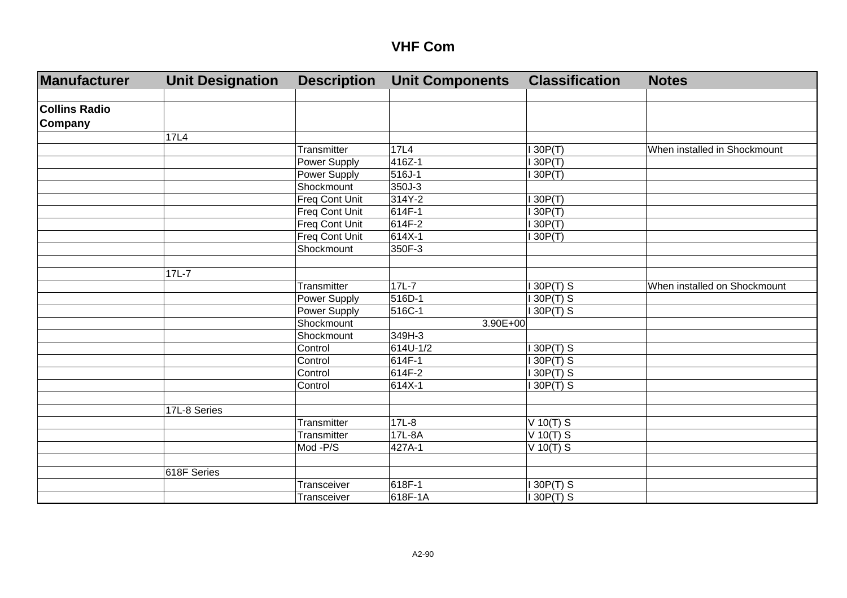| Manufacturer         | <b>Unit Designation</b> | <b>Description</b>  | <b>Unit Components</b> | <b>Classification</b> | <b>Notes</b>                 |
|----------------------|-------------------------|---------------------|------------------------|-----------------------|------------------------------|
|                      |                         |                     |                        |                       |                              |
| <b>Collins Radio</b> |                         |                     |                        |                       |                              |
| Company              |                         |                     |                        |                       |                              |
|                      | 17L4                    |                     |                        |                       |                              |
|                      |                         | Transmitter         | 17L4                   | 130P(T)               | When installed in Shockmount |
|                      |                         | <b>Power Supply</b> | 416Z-1                 | 130P(T)               |                              |
|                      |                         | Power Supply        | 516J-1                 | 130P(T)               |                              |
|                      |                         | Shockmount          | 350J-3                 |                       |                              |
|                      |                         | Freq Cont Unit      | 314Y-2                 | 130P(T)               |                              |
|                      |                         | Freq Cont Unit      | 614F-1                 | 130P(T)               |                              |
|                      |                         | Freq Cont Unit      | 614F-2                 | 130P(T)               |                              |
|                      |                         | Freq Cont Unit      | 614X-1                 | 130P(T)               |                              |
|                      |                         | Shockmount          | 350F-3                 |                       |                              |
|                      |                         |                     |                        |                       |                              |
|                      | $17L-7$                 |                     |                        |                       |                              |
|                      |                         | Transmitter         | $17L - 7$              | $130P(T)$ S           | When installed on Shockmount |
|                      |                         | Power Supply        | 516D-1                 | $130P(T)$ S           |                              |
|                      |                         | Power Supply        | 516C-1                 | $130P(T)$ S           |                              |
|                      |                         | Shockmount          | $3.90E + 00$           |                       |                              |
|                      |                         | Shockmount          | 349H-3                 |                       |                              |
|                      |                         | Control             | 614U-1/2               | $130P(T)$ S           |                              |
|                      |                         | Control             | 614F-1                 | 130P(T) S             |                              |
|                      |                         | Control             | 614F-2                 | $130P(T)$ S           |                              |
|                      |                         | Control             | 614X-1                 | $130P(T)$ S           |                              |
|                      |                         |                     |                        |                       |                              |
|                      | 17L-8 Series            |                     |                        |                       |                              |
|                      |                         | Transmitter         | $17L-8$                | $V$ 10(T) S           |                              |
|                      |                         | Transmitter         | 17L-8A                 | $V$ 10(T) S           |                              |
|                      |                         | Mod -P/S            | 427A-1                 | $V$ 10(T) S           |                              |
|                      |                         |                     |                        |                       |                              |
|                      | 618F Series             |                     |                        |                       |                              |
|                      |                         | Transceiver         | 618F-1                 | $130P(T)$ S           |                              |
|                      |                         | Transceiver         | 618F-1A                | $130P(T)$ S           |                              |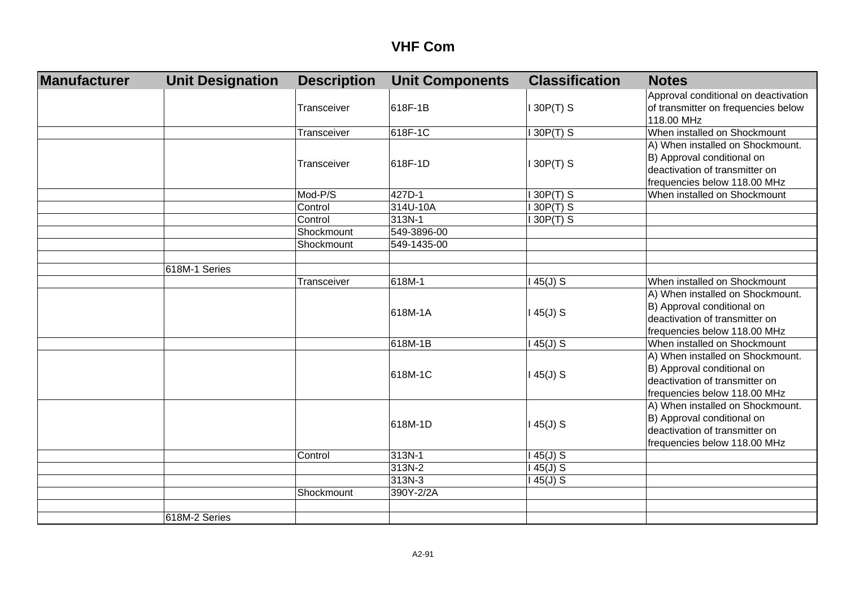| Manufacturer | <b>Unit Designation</b> | <b>Description</b> | <b>Unit Components</b> | <b>Classification</b> | <b>Notes</b>                         |
|--------------|-------------------------|--------------------|------------------------|-----------------------|--------------------------------------|
|              |                         |                    |                        |                       | Approval conditional on deactivation |
|              |                         | Transceiver        | 618F-1B                | 30P(T) S              | of transmitter on frequencies below  |
|              |                         |                    |                        |                       | 118.00 MHz                           |
|              |                         | Transceiver        | 618F-1C                | 30P(T) S              | When installed on Shockmount         |
|              |                         |                    |                        |                       | A) When installed on Shockmount.     |
|              |                         | Transceiver        | 618F-1D                |                       | B) Approval conditional on           |
|              |                         |                    |                        | 130P(T) S             | deactivation of transmitter on       |
|              |                         |                    |                        |                       | frequencies below 118.00 MHz         |
|              |                         | Mod-P/S            | 427D-1                 | 130P(T) S             | When installed on Shockmount         |
|              |                         | Control            | 314U-10A               | $130P(T)$ S           |                                      |
|              |                         | Control            | 313N-1                 | 130P(T) S             |                                      |
|              |                         | Shockmount         | 549-3896-00            |                       |                                      |
|              |                         | Shockmount         | 549-1435-00            |                       |                                      |
|              |                         |                    |                        |                       |                                      |
|              | 618M-1 Series           |                    |                        |                       |                                      |
|              |                         | Transceiver        | 618M-1                 | $145(J)$ S            | When installed on Shockmount         |
|              |                         |                    |                        |                       | A) When installed on Shockmount.     |
|              |                         |                    | 618M-1A                | $145(J)$ S            | B) Approval conditional on           |
|              |                         |                    |                        |                       | deactivation of transmitter on       |
|              |                         |                    |                        |                       | frequencies below 118.00 MHz         |
|              |                         |                    | 618M-1B                | $145(J)$ S            | When installed on Shockmount         |
|              |                         |                    |                        |                       | A) When installed on Shockmount.     |
|              |                         |                    | 618M-1C                | $145(J)$ S            | B) Approval conditional on           |
|              |                         |                    |                        |                       | deactivation of transmitter on       |
|              |                         |                    |                        |                       | frequencies below 118.00 MHz         |
|              |                         |                    |                        |                       | A) When installed on Shockmount.     |
|              |                         |                    | 618M-1D                | $145(J)$ S            | B) Approval conditional on           |
|              |                         |                    |                        |                       | deactivation of transmitter on       |
|              |                         |                    |                        |                       | frequencies below 118.00 MHz         |
|              |                         | Control            | 313N-1                 | $145(J)$ S            |                                      |
|              |                         |                    | 313N-2                 | $145(J)$ S            |                                      |
|              |                         |                    | 313N-3                 | $145(J)$ S            |                                      |
|              |                         | Shockmount         | 390Y-2/2A              |                       |                                      |
|              |                         |                    |                        |                       |                                      |
|              | 618M-2 Series           |                    |                        |                       |                                      |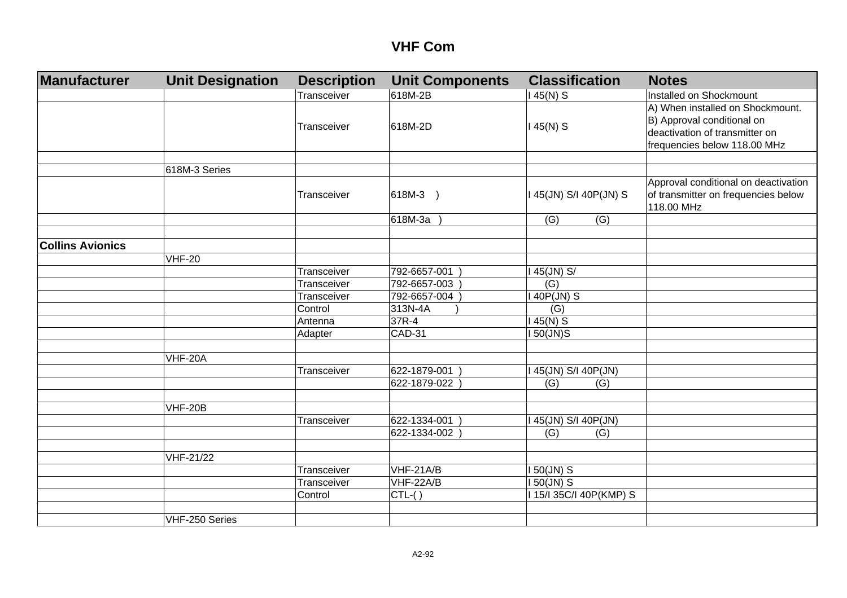| <b>Manufacturer</b>     | <b>Unit Designation</b> | <b>Description</b> | <b>Unit Components</b> | <b>Classification</b>   | <b>Notes</b>                         |
|-------------------------|-------------------------|--------------------|------------------------|-------------------------|--------------------------------------|
|                         |                         | Transceiver        | 618M-2B                | $145(N)$ S              | Installed on Shockmount              |
|                         |                         |                    |                        |                         | A) When installed on Shockmount.     |
|                         |                         |                    |                        |                         | B) Approval conditional on           |
|                         |                         | Transceiver        | 618M-2D                | $145(N)$ S              | deactivation of transmitter on       |
|                         |                         |                    |                        |                         | frequencies below 118.00 MHz         |
|                         |                         |                    |                        |                         |                                      |
|                         | 618M-3 Series           |                    |                        |                         |                                      |
|                         |                         |                    |                        |                         | Approval conditional on deactivation |
|                         |                         | Transceiver        | 618M-3 )               | I 45(JN) S/I 40P(JN) S  | of transmitter on frequencies below  |
|                         |                         |                    |                        |                         | 118.00 MHz                           |
|                         |                         |                    | 618M-3a                | (G)<br>(G)              |                                      |
|                         |                         |                    |                        |                         |                                      |
| <b>Collins Avionics</b> |                         |                    |                        |                         |                                      |
|                         | <b>VHF-20</b>           |                    |                        |                         |                                      |
|                         |                         | Transceiver        | 792-6657-001           | I 45(JN) S/             |                                      |
|                         |                         | Transceiver        | 792-6657-003           | (G)                     |                                      |
|                         |                         | Transceiver        | 792-6657-004           | I 40P(JN) S             |                                      |
|                         |                         | Control            | 313N-4A                | (G)                     |                                      |
|                         |                         | Antenna            | 37R-4                  | $145(N)$ S              |                                      |
|                         |                         | Adapter            | <b>CAD-31</b>          | I 50(JN)S               |                                      |
|                         |                         |                    |                        |                         |                                      |
|                         | <b>VHF-20A</b>          |                    |                        |                         |                                      |
|                         |                         | Transceiver        | 622-1879-001)          | I 45(JN) S/I 40P(JN)    |                                      |
|                         |                         |                    | 622-1879-022           | (G)<br>(G)              |                                      |
|                         |                         |                    |                        |                         |                                      |
|                         | <b>VHF-20B</b>          |                    |                        |                         |                                      |
|                         |                         | Transceiver        | 622-1334-001           | I 45(JN) S/I 40P(JN)    |                                      |
|                         |                         |                    | 622-1334-002           | (G)<br>(G)              |                                      |
|                         |                         |                    |                        |                         |                                      |
|                         | VHF-21/22               |                    |                        |                         |                                      |
|                         |                         | Transceiver        | VHF-21A/B              | <b>150(JN) S</b>        |                                      |
|                         |                         | Transceiver        | VHF-22A/B              | I 50(JN) S              |                                      |
|                         |                         | Control            | $CTL-( )$              | I 15/I 35C/I 40P(KMP) S |                                      |
|                         |                         |                    |                        |                         |                                      |
|                         | VHF-250 Series          |                    |                        |                         |                                      |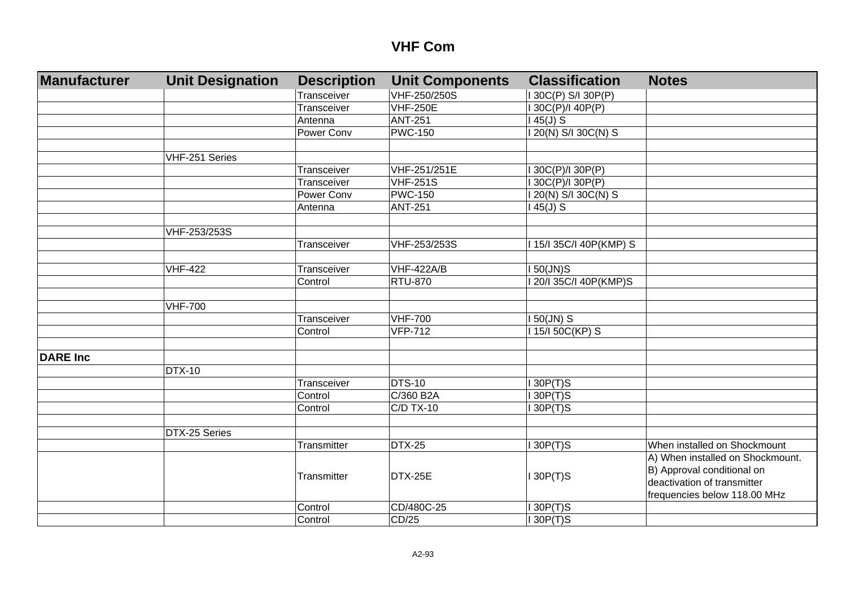| Manufacturer    | <b>Unit Designation</b> | <b>Description</b> | <b>Unit Components</b> | <b>Classification</b>   | <b>Notes</b>                     |
|-----------------|-------------------------|--------------------|------------------------|-------------------------|----------------------------------|
|                 |                         | Transceiver        | VHF-250/250S           | I 30C(P) S/I 30P(P)     |                                  |
|                 |                         | Transceiver        | <b>VHF-250E</b>        | 130C(P)/140P(P)         |                                  |
|                 |                         | Antenna            | <b>ANT-251</b>         | $145(J)$ S              |                                  |
|                 |                         | Power Conv         | <b>PWC-150</b>         | 1 20(N) S/I 30C(N) S    |                                  |
|                 |                         |                    |                        |                         |                                  |
|                 | VHF-251 Series          |                    |                        |                         |                                  |
|                 |                         | Transceiver        | VHF-251/251E           | I 30C(P)/I 30P(P)       |                                  |
|                 |                         | Transceiver        | <b>VHF-251S</b>        | 30C(P)/I 30P(P)         |                                  |
|                 |                         | Power Conv         | <b>PWC-150</b>         | 1 20(N) S/I 30C(N) S    |                                  |
|                 |                         | Antenna            | <b>ANT-251</b>         | $145(J)$ S              |                                  |
|                 |                         |                    |                        |                         |                                  |
|                 | VHF-253/253S            |                    |                        |                         |                                  |
|                 |                         | Transceiver        | VHF-253/253S           | I 15/I 35C/I 40P(KMP) S |                                  |
|                 |                         |                    |                        |                         |                                  |
|                 | <b>VHF-422</b>          | Transceiver        | <b>VHF-422A/B</b>      | $150$ (JN)S             |                                  |
|                 |                         | Control            | <b>RTU-870</b>         | I 20/I 35C/I 40P(KMP)S  |                                  |
|                 |                         |                    |                        |                         |                                  |
|                 | <b>VHF-700</b>          |                    |                        |                         |                                  |
|                 |                         | Transceiver        | <b>VHF-700</b>         | I 50(JN) S              |                                  |
|                 |                         | Control            | <b>VFP-712</b>         | I 15/I 50C(KP) S        |                                  |
|                 |                         |                    |                        |                         |                                  |
| <b>DARE Inc</b> |                         |                    |                        |                         |                                  |
|                 | <b>DTX-10</b>           |                    |                        |                         |                                  |
|                 |                         | Transceiver        | <b>DTS-10</b>          | 130P(T)S                |                                  |
|                 |                         | Control            | C/360 B2A              | 130P(T)S                |                                  |
|                 |                         | Control            | <b>C/D TX-10</b>       | 130P(T)S                |                                  |
|                 |                         |                    |                        |                         |                                  |
|                 | DTX-25 Series           |                    |                        |                         |                                  |
|                 |                         | Transmitter        | <b>DTX-25</b>          | $I$ 30 $P(T)$ S         | When installed on Shockmount     |
|                 |                         |                    |                        |                         | A) When installed on Shockmount. |
|                 |                         | Transmitter        | DTX-25E                | $I$ 30 $P(T)$ S         | B) Approval conditional on       |
|                 |                         |                    |                        |                         | deactivation of transmitter      |
|                 |                         |                    |                        |                         | frequencies below 118.00 MHz     |
|                 |                         | Control            | CD/480C-25             | $I$ 30 $P(T)$ S         |                                  |
|                 |                         | Control            | CD/25                  | $I$ 30P(T)S             |                                  |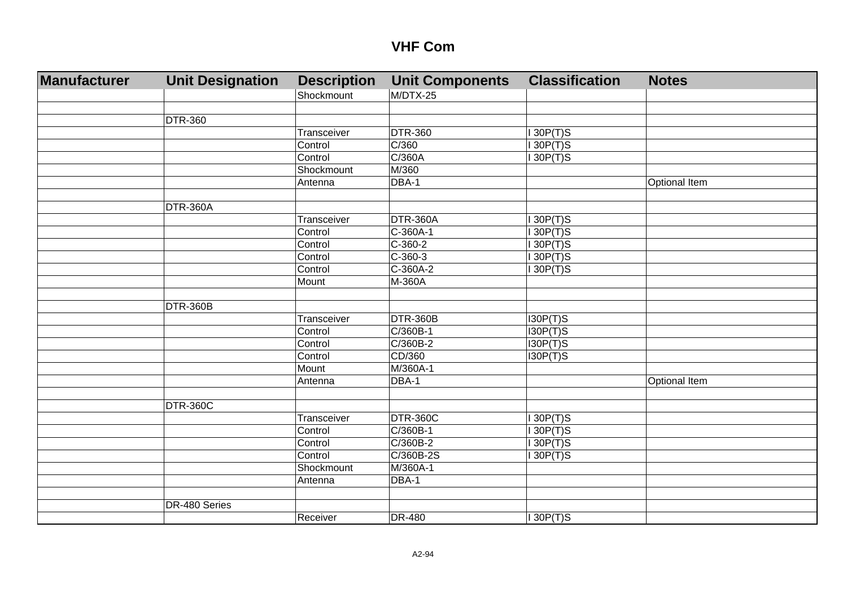| Manufacturer | <b>Unit Designation</b> | <b>Description</b> | <b>Unit Components</b> | <b>Classification</b> | <b>Notes</b>  |
|--------------|-------------------------|--------------------|------------------------|-----------------------|---------------|
|              |                         | Shockmount         | M/DTX-25               |                       |               |
|              |                         |                    |                        |                       |               |
|              | <b>DTR-360</b>          |                    |                        |                       |               |
|              |                         | Transceiver        | <b>DTR-360</b>         | 130P(T)S              |               |
|              |                         | Control            | C/360                  | 130P(T)S              |               |
|              |                         | Control            | C/360A                 | 130P(T)S              |               |
|              |                         | Shockmount         | M/360                  |                       |               |
|              |                         | Antenna            | DBA-1                  |                       | Optional Item |
|              |                         |                    |                        |                       |               |
|              | <b>DTR-360A</b>         |                    |                        |                       |               |
|              |                         | Transceiver        | <b>DTR-360A</b>        | 130P(T)S              |               |
|              |                         | Control            | $C-360A-1$             | $I$ 30P(T)S           |               |
|              |                         | Control            | $C-360-2$              | 130P(T)S              |               |
|              |                         | Control            | $C - 360 - 3$          | $I$ 30P(T)S           |               |
|              |                         | Control            | $C-360A-2$             | 130P(T)S              |               |
|              |                         | Mount              | M-360A                 |                       |               |
|              |                         |                    |                        |                       |               |
|              | DTR-360B                |                    |                        |                       |               |
|              |                         | Transceiver        | DTR-360B               | I30P(T)S              |               |
|              |                         | Control            | $C/360B-1$             | I30P(T)S              |               |
|              |                         | Control            | $C/360B-2$             | I30P(T)S              |               |
|              |                         | Control            | CD/360                 | I30P(T)S              |               |
|              |                         | Mount              | M/360A-1               |                       |               |
|              |                         | Antenna            | DBA-1                  |                       | Optional Item |
|              |                         |                    |                        |                       |               |
|              | <b>DTR-360C</b>         |                    |                        |                       |               |
|              |                         | Transceiver        | DTR-360C               | 130P(T)S              |               |
|              |                         | Control            | C/360B-1               | 130P(T)S              |               |
|              |                         | Control            | $C/360B-2$             | 130P(T)S              |               |
|              |                         | Control            | C/360B-2S              | 130P(T)S              |               |
|              |                         | Shockmount         | M/360A-1               |                       |               |
|              |                         | Antenna            | DBA-1                  |                       |               |
|              |                         |                    |                        |                       |               |
|              | DR-480 Series           |                    |                        |                       |               |
|              |                         | Receiver           | <b>DR-480</b>          | $I$ 30P(T)S           |               |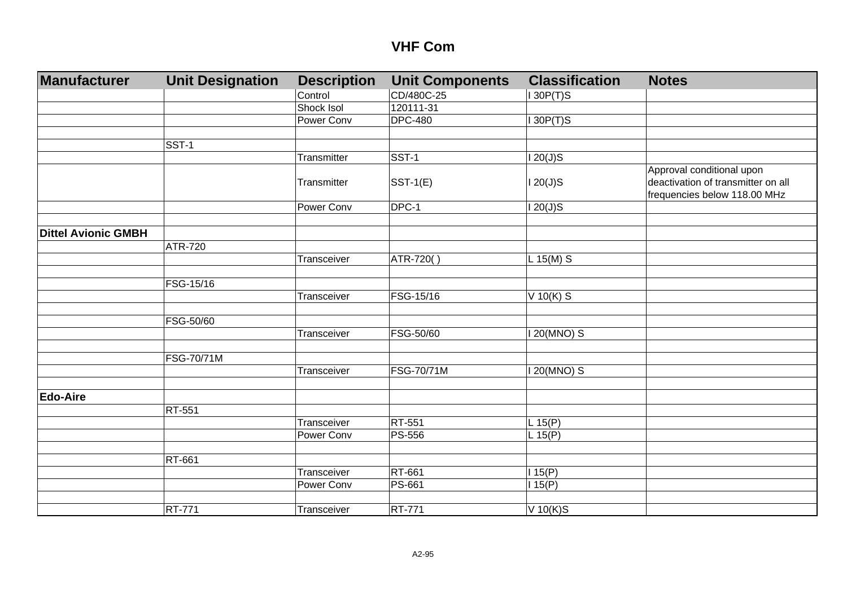| Manufacturer               | <b>Unit Designation</b> | <b>Description</b> | <b>Unit Components</b> | <b>Classification</b> | <b>Notes</b>                                                                                    |
|----------------------------|-------------------------|--------------------|------------------------|-----------------------|-------------------------------------------------------------------------------------------------|
|                            |                         | Control            | CD/480C-25             | 130P(T)S              |                                                                                                 |
|                            |                         | Shock Isol         | 120111-31              |                       |                                                                                                 |
|                            |                         | Power Conv         | <b>DPC-480</b>         | 130P(T)S              |                                                                                                 |
|                            |                         |                    |                        |                       |                                                                                                 |
|                            | SST-1                   |                    |                        |                       |                                                                                                 |
|                            |                         | Transmitter        | $SST-1$                | $120(J)$ S            |                                                                                                 |
|                            |                         | Transmitter        | $SST-1(E)$             | $120(J)$ S            | Approval conditional upon<br>deactivation of transmitter on all<br>frequencies below 118.00 MHz |
|                            |                         | Power Conv         | DPC-1                  | $120(J)$ S            |                                                                                                 |
|                            |                         |                    |                        |                       |                                                                                                 |
| <b>Dittel Avionic GMBH</b> |                         |                    |                        |                       |                                                                                                 |
|                            | ATR-720                 |                    |                        |                       |                                                                                                 |
|                            |                         | Transceiver        | ATR-720()              | $L$ 15(M) S           |                                                                                                 |
|                            |                         |                    |                        |                       |                                                                                                 |
|                            | FSG-15/16               |                    |                        |                       |                                                                                                 |
|                            |                         | Transceiver        | FSG-15/16              | $V$ 10(K) S           |                                                                                                 |
|                            |                         |                    |                        |                       |                                                                                                 |
|                            | FSG-50/60               |                    |                        |                       |                                                                                                 |
|                            |                         | Transceiver        | FSG-50/60              | I 20(MNO) S           |                                                                                                 |
|                            |                         |                    |                        |                       |                                                                                                 |
|                            | FSG-70/71M              |                    |                        |                       |                                                                                                 |
|                            |                         | Transceiver        | FSG-70/71M             | I 20(MNO) S           |                                                                                                 |
|                            |                         |                    |                        |                       |                                                                                                 |
| <b>Edo-Aire</b>            |                         |                    |                        |                       |                                                                                                 |
|                            | RT-551                  |                    |                        |                       |                                                                                                 |
|                            |                         | Transceiver        | RT-551                 | L 15(P)               |                                                                                                 |
|                            |                         | Power Conv         | <b>PS-556</b>          | L 15(P)               |                                                                                                 |
|                            |                         |                    |                        |                       |                                                                                                 |
|                            | RT-661                  |                    |                        |                       |                                                                                                 |
|                            |                         | Transceiver        | RT-661                 | 115(P)                |                                                                                                 |
|                            |                         | Power Conv         | PS-661                 | 115(P)                |                                                                                                 |
|                            |                         |                    |                        |                       |                                                                                                 |
|                            | <b>RT-771</b>           | Transceiver        | <b>RT-771</b>          | $V$ 10(K)S            |                                                                                                 |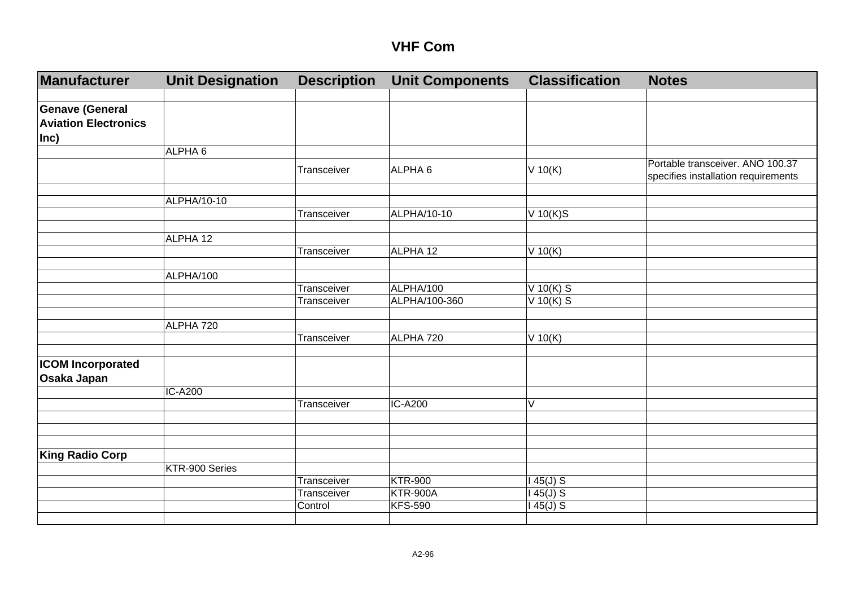| Manufacturer                                                  | <b>Unit Designation</b> | <b>Description</b> | <b>Unit Components</b> | <b>Classification</b> | <b>Notes</b>                                                            |
|---------------------------------------------------------------|-------------------------|--------------------|------------------------|-----------------------|-------------------------------------------------------------------------|
|                                                               |                         |                    |                        |                       |                                                                         |
| <b>Genave (General</b><br><b>Aviation Electronics</b><br>Inc) |                         |                    |                        |                       |                                                                         |
|                                                               | ALPHA 6                 |                    |                        |                       |                                                                         |
|                                                               |                         | Transceiver        | ALPHA <sub>6</sub>     | $V$ 10(K)             | Portable transceiver. ANO 100.37<br>specifies installation requirements |
|                                                               | ALPHA/10-10             |                    |                        |                       |                                                                         |
|                                                               |                         | Transceiver        | ALPHA/10-10            | $V$ 10(K)S            |                                                                         |
|                                                               | ALPHA 12                |                    |                        |                       |                                                                         |
|                                                               |                         | Transceiver        | ALPHA 12               | $V$ 10(K)             |                                                                         |
|                                                               | ALPHA/100               |                    |                        |                       |                                                                         |
|                                                               |                         | Transceiver        | ALPHA/100              | $V$ 10(K) S           |                                                                         |
|                                                               |                         | Transceiver        | ALPHA/100-360          | $V$ 10(K) S           |                                                                         |
|                                                               | ALPHA 720               |                    |                        |                       |                                                                         |
|                                                               |                         | Transceiver        | ALPHA 720              | $V$ 10(K)             |                                                                         |
| <b>ICOM Incorporated</b>                                      |                         |                    |                        |                       |                                                                         |
| Osaka Japan                                                   |                         |                    |                        |                       |                                                                         |
|                                                               | <b>IC-A200</b>          |                    |                        |                       |                                                                         |
|                                                               |                         | Transceiver        | IC-A200                | V                     |                                                                         |
|                                                               |                         |                    |                        |                       |                                                                         |
|                                                               |                         |                    |                        |                       |                                                                         |
| <b>King Radio Corp</b>                                        |                         |                    |                        |                       |                                                                         |
|                                                               | KTR-900 Series          | Transceiver        | <b>KTR-900</b>         |                       |                                                                         |
|                                                               |                         | Transceiver        | <b>KTR-900A</b>        | $145(J)$ S<br>45(J) S |                                                                         |
|                                                               |                         | Control            | <b>KFS-590</b>         | 45(J) S               |                                                                         |
|                                                               |                         |                    |                        |                       |                                                                         |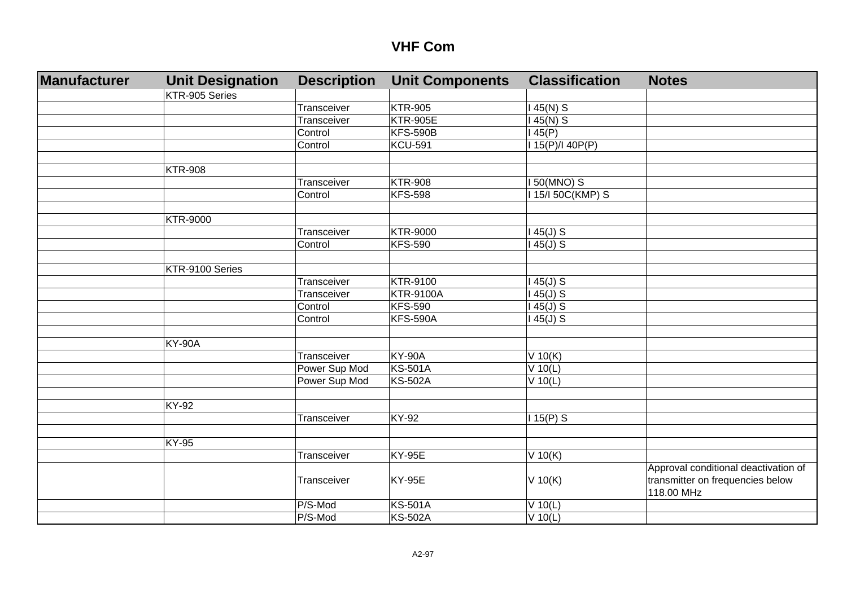| <b>Manufacturer</b> | <b>Unit Designation</b> | <b>Description</b> | <b>Unit Components</b> | <b>Classification</b> | <b>Notes</b>                         |
|---------------------|-------------------------|--------------------|------------------------|-----------------------|--------------------------------------|
|                     | KTR-905 Series          |                    |                        |                       |                                      |
|                     |                         | Transceiver        | <b>KTR-905</b>         | $145(N)$ S            |                                      |
|                     |                         | Transceiver        | <b>KTR-905E</b>        | $45(N)$ S             |                                      |
|                     |                         | Control            | <b>KFS-590B</b>        | 45(P)                 |                                      |
|                     |                         | Control            | <b>KCU-591</b>         | 115(P)/140P(P)        |                                      |
|                     |                         |                    |                        |                       |                                      |
|                     | <b>KTR-908</b>          |                    |                        |                       |                                      |
|                     |                         | Transceiver        | <b>KTR-908</b>         | I 50(MNO) S           |                                      |
|                     |                         | Control            | <b>KFS-598</b>         | I 15/I 50C(KMP) S     |                                      |
|                     |                         |                    |                        |                       |                                      |
|                     | <b>KTR-9000</b>         |                    |                        |                       |                                      |
|                     |                         | Transceiver        | <b>KTR-9000</b>        | $145(J)$ S            |                                      |
|                     |                         | Control            | <b>KFS-590</b>         | $145(J)$ S            |                                      |
|                     |                         |                    |                        |                       |                                      |
|                     | KTR-9100 Series         |                    |                        |                       |                                      |
|                     |                         | Transceiver        | KTR-9100               | $145(J)$ S            |                                      |
|                     |                         | Transceiver        | <b>KTR-9100A</b>       | $145(J)$ S            |                                      |
|                     |                         | Control            | <b>KFS-590</b>         | $145(J)$ S            |                                      |
|                     |                         | Control            | <b>KFS-590A</b>        | $145(J)$ S            |                                      |
|                     |                         |                    |                        |                       |                                      |
|                     | <b>KY-90A</b>           |                    |                        |                       |                                      |
|                     |                         | Transceiver        | <b>KY-90A</b>          | $V$ 10(K)             |                                      |
|                     |                         | Power Sup Mod      | <b>KS-501A</b>         | $V$ 10(L)             |                                      |
|                     |                         | Power Sup Mod      | <b>KS-502A</b>         | $V$ 10(L)             |                                      |
|                     |                         |                    |                        |                       |                                      |
|                     | KY-92                   |                    |                        |                       |                                      |
|                     |                         | Transceiver        | <b>KY-92</b>           | $115(P)$ S            |                                      |
|                     |                         |                    |                        |                       |                                      |
|                     | <b>KY-95</b>            |                    |                        |                       |                                      |
|                     |                         | Transceiver        | <b>KY-95E</b>          | $V$ 10(K)             |                                      |
|                     |                         |                    |                        |                       | Approval conditional deactivation of |
|                     |                         | Transceiver        | <b>KY-95E</b>          | $V$ 10(K)             | transmitter on frequencies below     |
|                     |                         |                    |                        |                       | 118.00 MHz                           |
|                     |                         | P/S-Mod            | <b>KS-501A</b>         | $V$ 10(L)             |                                      |
|                     |                         | P/S-Mod            | <b>KS-502A</b>         | $V$ 10(L)             |                                      |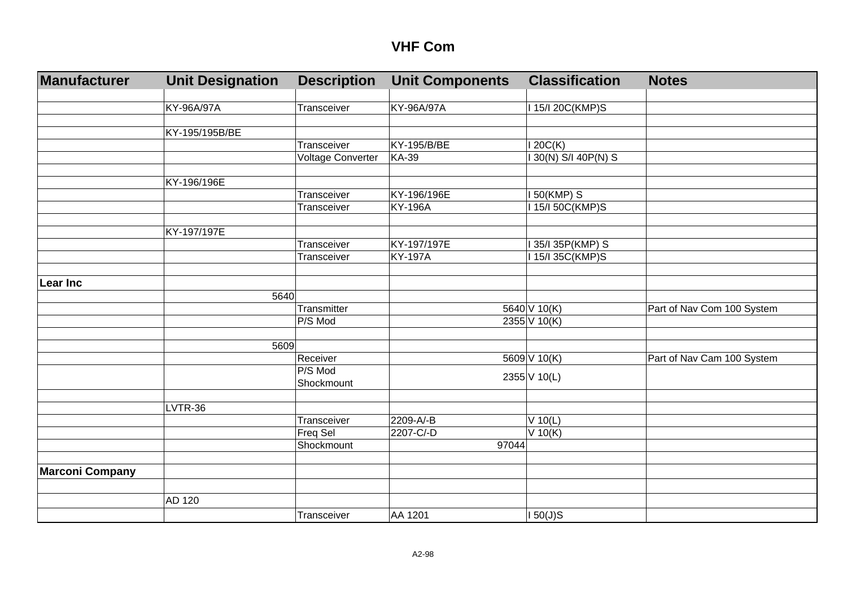| <b>Manufacturer</b>    | <b>Unit Designation</b> | <b>Description</b>            | <b>Unit Components</b> | <b>Classification</b> | <b>Notes</b>               |
|------------------------|-------------------------|-------------------------------|------------------------|-----------------------|----------------------------|
|                        |                         |                               |                        |                       |                            |
|                        | KY-96A/97A              | Transceiver                   | KY-96A/97A             | I 15/I 20C(KMP)S      |                            |
|                        |                         |                               |                        |                       |                            |
|                        | KY-195/195B/BE          |                               |                        |                       |                            |
|                        |                         | Transceiver                   | KY-195/B/BE            | 120C(K)               |                            |
|                        |                         | <b>Voltage Converter</b>      | <b>KA-39</b>           | 130(N) S/I 40P(N) S   |                            |
|                        |                         |                               |                        |                       |                            |
|                        | KY-196/196E             |                               |                        |                       |                            |
|                        |                         | Transceiver                   | KY-196/196E            | I 50(KMP) S           |                            |
|                        |                         | Transceiver                   | <b>KY-196A</b>         | I 15/I 50C(KMP)S      |                            |
|                        |                         |                               |                        |                       |                            |
|                        | KY-197/197E             |                               |                        |                       |                            |
|                        |                         | Transceiver                   | KY-197/197E            | 35/I 35P(KMP) S       |                            |
|                        |                         | Transceiver                   | <b>KY-197A</b>         | 15/135C(KMP)S         |                            |
|                        |                         |                               |                        |                       |                            |
| <b>Lear Inc</b>        |                         |                               |                        |                       |                            |
|                        | 5640                    |                               |                        |                       |                            |
|                        |                         | Transmitter                   |                        | 5640 V 10(K)          | Part of Nav Com 100 System |
|                        |                         | P/S Mod                       |                        | 2355 V 10(K)          |                            |
|                        |                         |                               |                        |                       |                            |
|                        | 5609                    |                               |                        |                       |                            |
|                        |                         | Receiver                      |                        | $5609$ V 10(K)        | Part of Nav Cam 100 System |
|                        |                         | P/S Mod                       |                        | 2355 V 10(L)          |                            |
|                        |                         | Shockmount                    |                        |                       |                            |
|                        | LVTR-36                 |                               |                        |                       |                            |
|                        |                         | Transceiver                   | 2209-A/-B              |                       |                            |
|                        |                         |                               | 2207-C/-D              | $V$ 10(L)             |                            |
|                        |                         | <b>Freq Sel</b><br>Shockmount | 97044                  | $V$ 10(K)             |                            |
|                        |                         |                               |                        |                       |                            |
|                        |                         |                               |                        |                       |                            |
| <b>Marconi Company</b> |                         |                               |                        |                       |                            |
|                        |                         |                               |                        |                       |                            |
|                        | AD 120                  |                               |                        |                       |                            |
|                        |                         | Transceiver                   | AA 1201                | 150(J)S               |                            |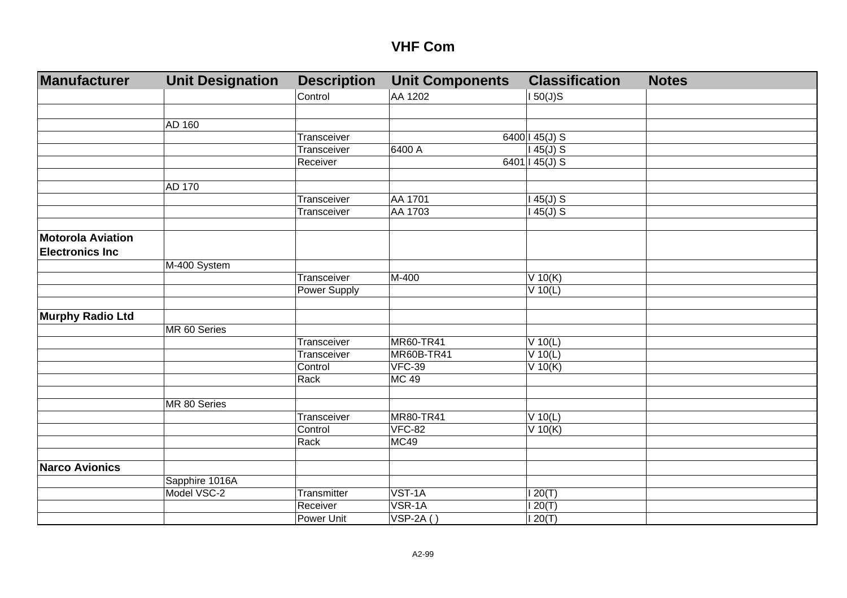| Manufacturer             | <b>Unit Designation</b> | <b>Description</b> | <b>Unit Components</b> | <b>Classification</b>  | <b>Notes</b> |
|--------------------------|-------------------------|--------------------|------------------------|------------------------|--------------|
|                          |                         | Control            | AA 1202                | $150(J)$ S             |              |
|                          |                         |                    |                        |                        |              |
|                          | AD 160                  |                    |                        |                        |              |
|                          |                         | Transceiver        |                        | 6400   $45(J)$ S       |              |
|                          |                         | Transceiver        | 6400 A                 | $145(J)$ S             |              |
|                          |                         | Receiver           |                        | 6401   45(J) S         |              |
|                          |                         |                    |                        |                        |              |
|                          | AD 170                  |                    |                        |                        |              |
|                          |                         | Transceiver        | AA 1701                | $145(J)$ S             |              |
|                          |                         | Transceiver        | AA 1703                | $145(J)$ S             |              |
|                          |                         |                    |                        |                        |              |
| <b>Motorola Aviation</b> |                         |                    |                        |                        |              |
| <b>Electronics Inc</b>   |                         |                    |                        |                        |              |
|                          | M-400 System            |                    |                        |                        |              |
|                          |                         | Transceiver        | M-400                  | $V$ 10(K)              |              |
|                          |                         | Power Supply       |                        | $V$ 10(L)              |              |
|                          |                         |                    |                        |                        |              |
| <b>Murphy Radio Ltd</b>  |                         |                    |                        |                        |              |
|                          | MR 60 Series            |                    |                        |                        |              |
|                          |                         | Transceiver        | MR60-TR41              | $V$ 10(L)              |              |
|                          |                         | Transceiver        | MR60B-TR41             | $V$ 10(L)              |              |
|                          |                         | Control            | <b>VFC-39</b>          | $V$ 10(K)              |              |
|                          |                         | Rack               | <b>MC 49</b>           |                        |              |
|                          |                         |                    |                        |                        |              |
|                          | MR 80 Series            | Transceiver        | <b>MR80-TR41</b>       |                        |              |
|                          |                         | Control            | <b>VFC-82</b>          | $V$ 10(L)<br>$V$ 10(K) |              |
|                          |                         | Rack               | MC49                   |                        |              |
|                          |                         |                    |                        |                        |              |
| <b>Narco Avionics</b>    |                         |                    |                        |                        |              |
|                          | Sapphire 1016A          |                    |                        |                        |              |
|                          | Model VSC-2             | Transmitter        | VST-1A                 | 120(T)                 |              |
|                          |                         | Receiver           | VSR-1A                 | 120(T)                 |              |
|                          |                         | Power Unit         | $VSP-2A()$             | 120(T)                 |              |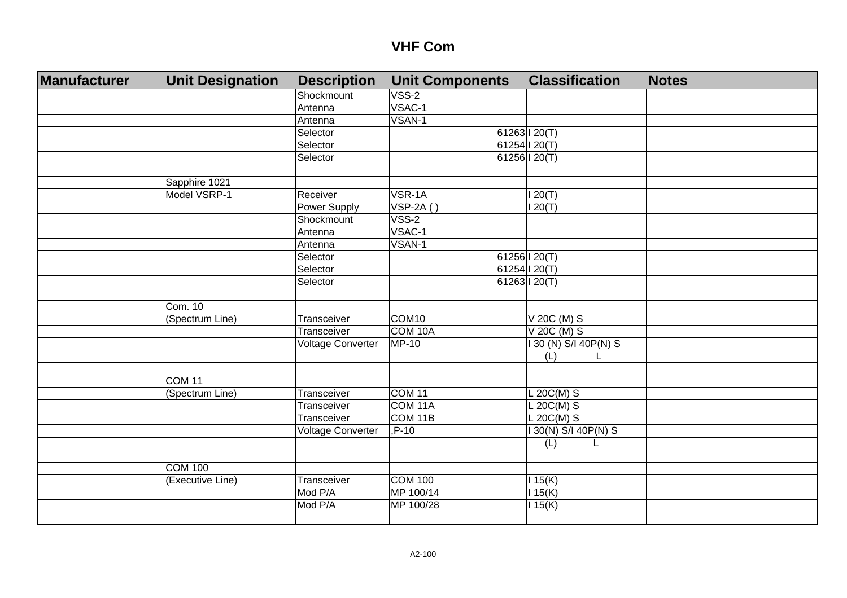| Manufacturer | <b>Unit Designation</b> | <b>Description</b>       | <b>Unit Components</b> | <b>Classification</b> | <b>Notes</b> |
|--------------|-------------------------|--------------------------|------------------------|-----------------------|--------------|
|              |                         | Shockmount               | VSS-2                  |                       |              |
|              |                         | Antenna                  | VSAC-1                 |                       |              |
|              |                         | Antenna                  | VSAN-1                 |                       |              |
|              |                         | Selector                 |                        | 61263 120(T)          |              |
|              |                         | Selector                 |                        | 61254 120(T)          |              |
|              |                         | Selector                 |                        | 61256 $120(T)$        |              |
|              |                         |                          |                        |                       |              |
|              | Sapphire 1021           |                          |                        |                       |              |
|              | Model VSRP-1            | Receiver                 | VSR-1A                 | 120(T)                |              |
|              |                         | <b>Power Supply</b>      | $VSP-2A()$             | 120(T)                |              |
|              |                         | Shockmount               | $VSS-2$                |                       |              |
|              |                         | Antenna                  | VSAC-1                 |                       |              |
|              |                         | Antenna                  | VSAN-1                 |                       |              |
|              |                         | Selector                 |                        | 61256   20(T)         |              |
|              |                         | Selector                 |                        | 61254   20(T)         |              |
|              |                         | Selector                 |                        | 61263   20(T)         |              |
|              |                         |                          |                        |                       |              |
|              | Com. 10                 |                          |                        |                       |              |
|              | (Spectrum Line)         | Transceiver              | COM <sub>10</sub>      | V 20C (M) S           |              |
|              |                         | Transceiver              | COM <sub>10</sub> A    | $V$ 20C (M) S         |              |
|              |                         | <b>Voltage Converter</b> | <b>MP-10</b>           | 130 (N) S/I 40P(N) S  |              |
|              |                         |                          |                        | (L)                   |              |
|              |                         |                          |                        |                       |              |
|              | COM <sub>11</sub>       |                          |                        |                       |              |
|              | (Spectrum Line)         | Transceiver              | COM <sub>11</sub>      | $L 20C(M)$ S          |              |
|              |                         | Transceiver              | COM 11A                | $L 20C(M)$ S          |              |
|              |                         | Transceiver              | COM 11B                | $L 20C(M)$ S          |              |
|              |                         | Voltage Converter        | P-10                   | I 30(N) S/I 40P(N) S  |              |
|              |                         |                          |                        | (L)                   |              |
|              |                         |                          |                        |                       |              |
|              | <b>COM 100</b>          |                          |                        |                       |              |
|              | (Executive Line)        | Transceiver              | <b>COM 100</b>         | 115(K)                |              |
|              |                         | Mod P/A                  | MP 100/14              | 115(K)                |              |
|              |                         | Mod P/A                  | MP 100/28              | 115(K)                |              |
|              |                         |                          |                        |                       |              |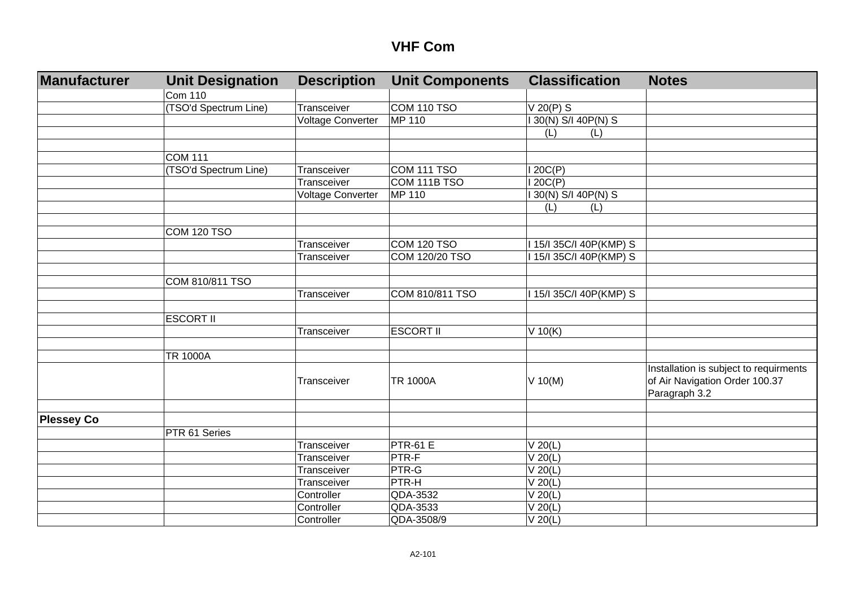| <b>Manufacturer</b> | <b>Unit Designation</b> | <b>Description</b>       | <b>Unit Components</b> | <b>Classification</b>   | <b>Notes</b>                           |
|---------------------|-------------------------|--------------------------|------------------------|-------------------------|----------------------------------------|
|                     | <b>Com 110</b>          |                          |                        |                         |                                        |
|                     | (TSO'd Spectrum Line)   | Transceiver              | <b>COM 110 TSO</b>     | V 20(P) S               |                                        |
|                     |                         | <b>Voltage Converter</b> | MP 110                 | 130(N) S/I 40P(N) S     |                                        |
|                     |                         |                          |                        | (L)<br>(L)              |                                        |
|                     |                         |                          |                        |                         |                                        |
|                     | <b>COM 111</b>          |                          |                        |                         |                                        |
|                     | (TSO'd Spectrum Line)   | Transceiver              | <b>COM 111 TSO</b>     | 120C(P)                 |                                        |
|                     |                         | Transceiver              | COM 111B TSO           | 120C(P)                 |                                        |
|                     |                         | <b>Voltage Converter</b> | MP 110                 | 130(N) S/I 40P(N) S     |                                        |
|                     |                         |                          |                        | (L)<br>(L)              |                                        |
|                     |                         |                          |                        |                         |                                        |
|                     | <b>COM 120 TSO</b>      |                          |                        |                         |                                        |
|                     |                         | Transceiver              | COM 120 TSO            | I 15/I 35C/I 40P(KMP) S |                                        |
|                     |                         | Transceiver              | COM 120/20 TSO         | 115/135C/I 40P(KMP) S   |                                        |
|                     |                         |                          |                        |                         |                                        |
|                     | COM 810/811 TSO         |                          |                        |                         |                                        |
|                     |                         | Transceiver              | COM 810/811 TSO        | I 15/I 35C/I 40P(KMP) S |                                        |
|                     |                         |                          |                        |                         |                                        |
|                     | <b>ESCORT II</b>        |                          |                        |                         |                                        |
|                     |                         | Transceiver              | <b>ESCORT II</b>       | $V$ 10(K)               |                                        |
|                     |                         |                          |                        |                         |                                        |
|                     | <b>TR 1000A</b>         |                          |                        |                         |                                        |
|                     |                         |                          |                        |                         | Installation is subject to requirments |
|                     |                         | Transceiver              | <b>TR 1000A</b>        | $V$ 10(M)               | of Air Navigation Order 100.37         |
|                     |                         |                          |                        |                         | Paragraph 3.2                          |
|                     |                         |                          |                        |                         |                                        |
| <b>Plessey Co</b>   |                         |                          |                        |                         |                                        |
|                     | PTR 61 Series           |                          |                        |                         |                                        |
|                     |                         | Transceiver              | <b>PTR-61 E</b>        | $V$ 20(L)               |                                        |
|                     |                         | Transceiver              | PTR-F                  | $V$ 20(L)               |                                        |
|                     |                         | Transceiver              | PTR-G                  | $V$ 20(L)               |                                        |
|                     |                         | Transceiver              | PTR-H                  | $V$ 20(L)               |                                        |
|                     |                         | Controller               | QDA-3532               | $V$ 20(L)               |                                        |
|                     |                         | Controller               | QDA-3533               | $V$ 20(L)               |                                        |
|                     |                         | Controller               | QDA-3508/9             | $\overline{V}$ 20(L)    |                                        |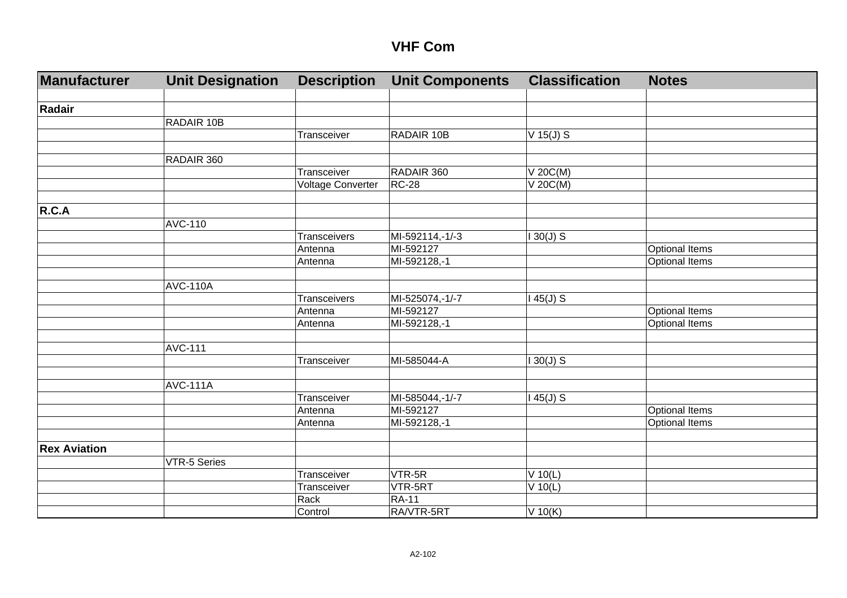| <b>Manufacturer</b> | <b>Unit Designation</b> | <b>Description</b>  | <b>Unit Components</b> | <b>Classification</b> | <b>Notes</b>          |
|---------------------|-------------------------|---------------------|------------------------|-----------------------|-----------------------|
|                     |                         |                     |                        |                       |                       |
| Radair              |                         |                     |                        |                       |                       |
|                     | RADAIR 10B              |                     |                        |                       |                       |
|                     |                         | Transceiver         | RADAIR 10B             | $V$ 15(J) S           |                       |
|                     |                         |                     |                        |                       |                       |
|                     | RADAIR 360              |                     |                        |                       |                       |
|                     |                         | Transceiver         | RADAIR 360             | $V$ 20 $C(M)$         |                       |
|                     |                         | Voltage Converter   | $RC-28$                | $V$ 20C(M)            |                       |
|                     |                         |                     |                        |                       |                       |
| R.C.A               |                         |                     |                        |                       |                       |
|                     | <b>AVC-110</b>          |                     |                        |                       |                       |
|                     |                         | Transceivers        | MI-592114,-1/-3        | $130(J)$ S            |                       |
|                     |                         | Antenna             | MI-592127              |                       | Optional Items        |
|                     |                         | Antenna             | MI-592128,-1           |                       | Optional Items        |
|                     |                         |                     |                        |                       |                       |
|                     | <b>AVC-110A</b>         |                     |                        |                       |                       |
|                     |                         | <b>Transceivers</b> | MI-525074,-1/-7        | 45(J) S               |                       |
|                     |                         | Antenna             | MI-592127              |                       | <b>Optional Items</b> |
|                     |                         | Antenna             | MI-592128,-1           |                       | Optional Items        |
|                     |                         |                     |                        |                       |                       |
|                     | <b>AVC-111</b>          |                     |                        |                       |                       |
|                     |                         | Transceiver         | MI-585044-A            | $130(J)$ S            |                       |
|                     |                         |                     |                        |                       |                       |
|                     | <b>AVC-111A</b>         |                     |                        |                       |                       |
|                     |                         | Transceiver         | MI-585044,-1/-7        | $145(J)$ S            |                       |
|                     |                         | Antenna             | MI-592127              |                       | <b>Optional Items</b> |
|                     |                         | Antenna             | MI-592128,-1           |                       | Optional Items        |
|                     |                         |                     |                        |                       |                       |
| <b>Rex Aviation</b> |                         |                     |                        |                       |                       |
|                     | <b>VTR-5 Series</b>     |                     |                        |                       |                       |
|                     |                         | Transceiver         | VTR-5R                 | $V$ 10(L)             |                       |
|                     |                         | Transceiver         | VTR-5RT                | $V$ 10(L)             |                       |
|                     |                         | Rack                | <b>RA-11</b>           |                       |                       |
|                     |                         | Control             | RA/VTR-5RT             | $V$ 10(K)             |                       |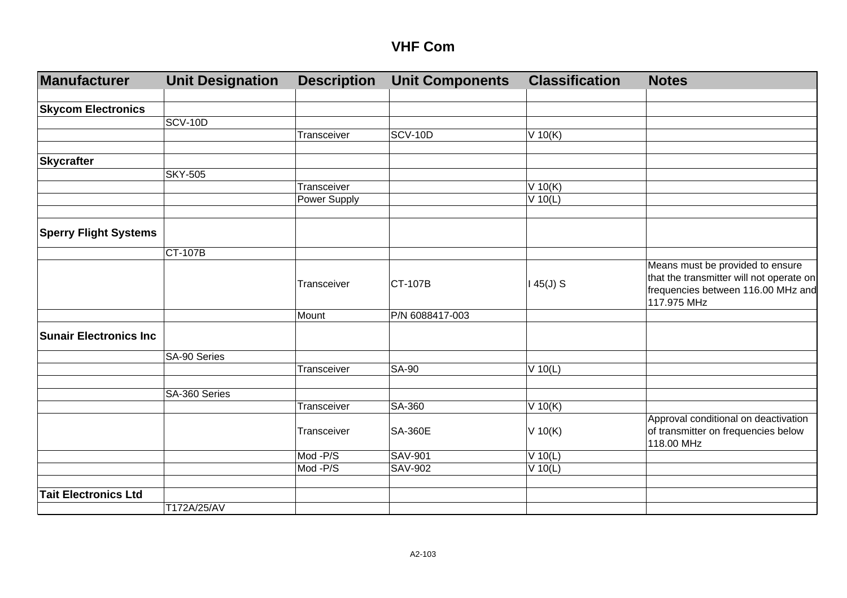| <b>Manufacturer</b>           | <b>Unit Designation</b> | <b>Description</b> | <b>Unit Components</b> | <b>Classification</b> | <b>Notes</b>                                                                                                                      |
|-------------------------------|-------------------------|--------------------|------------------------|-----------------------|-----------------------------------------------------------------------------------------------------------------------------------|
| <b>Skycom Electronics</b>     |                         |                    |                        |                       |                                                                                                                                   |
|                               | <b>SCV-10D</b>          |                    |                        |                       |                                                                                                                                   |
|                               |                         | Transceiver        | <b>SCV-10D</b>         | $V$ 10(K)             |                                                                                                                                   |
| <b>Skycrafter</b>             |                         |                    |                        |                       |                                                                                                                                   |
|                               | <b>SKY-505</b>          |                    |                        |                       |                                                                                                                                   |
|                               |                         | Transceiver        |                        | $V$ 10(K)             |                                                                                                                                   |
|                               |                         | Power Supply       |                        | $V$ 10(L)             |                                                                                                                                   |
| <b>Sperry Flight Systems</b>  |                         |                    |                        |                       |                                                                                                                                   |
|                               | <b>CT-107B</b>          |                    |                        |                       |                                                                                                                                   |
|                               |                         | Transceiver        | <b>CT-107B</b>         | $145(J)$ S            | Means must be provided to ensure<br>that the transmitter will not operate on<br>frequencies between 116.00 MHz and<br>117.975 MHz |
|                               |                         | Mount              | P/N 6088417-003        |                       |                                                                                                                                   |
| <b>Sunair Electronics Inc</b> |                         |                    |                        |                       |                                                                                                                                   |
|                               | SA-90 Series            |                    |                        |                       |                                                                                                                                   |
|                               |                         | Transceiver        | <b>SA-90</b>           | $V$ 10(L)             |                                                                                                                                   |
|                               | SA-360 Series           |                    |                        |                       |                                                                                                                                   |
|                               |                         | Transceiver        | SA-360                 | $\overline{V}$ 10(K)  |                                                                                                                                   |
|                               |                         | Transceiver        | <b>SA-360E</b>         | V 10(K)               | Approval conditional on deactivation<br>of transmitter on frequencies below<br>118.00 MHz                                         |
|                               |                         | Mod -P/S           | <b>SAV-901</b>         | $V$ 10(L)             |                                                                                                                                   |
|                               |                         | Mod-P/S            | <b>SAV-902</b>         | $V$ 10(L)             |                                                                                                                                   |
| <b>Tait Electronics Ltd</b>   |                         |                    |                        |                       |                                                                                                                                   |
|                               | T172A/25/AV             |                    |                        |                       |                                                                                                                                   |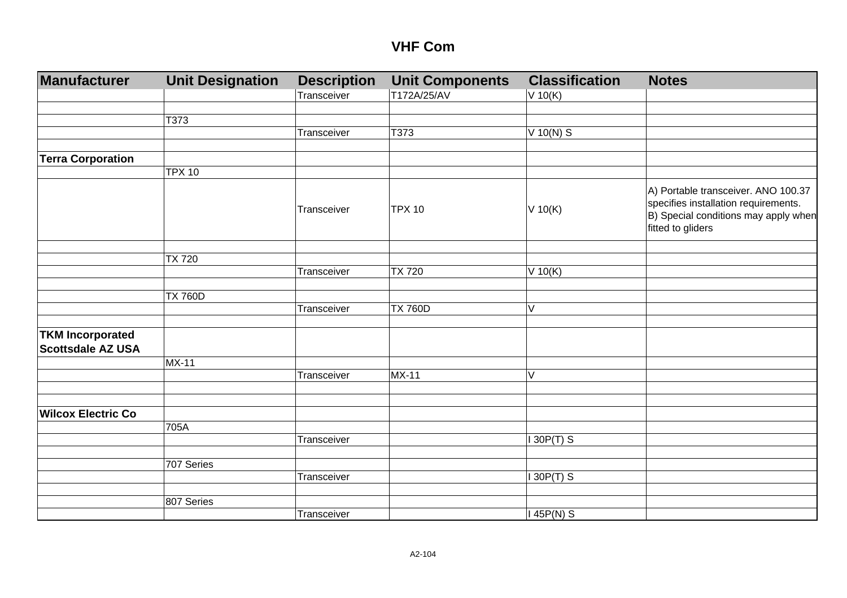| Manufacturer              | <b>Unit Designation</b> | <b>Description</b><br>Transceiver | <b>Unit Components</b><br>T172A/25/AV | <b>Classification</b><br>V 10(K) | <b>Notes</b>                                                                                                                             |
|---------------------------|-------------------------|-----------------------------------|---------------------------------------|----------------------------------|------------------------------------------------------------------------------------------------------------------------------------------|
|                           |                         |                                   |                                       |                                  |                                                                                                                                          |
|                           | T373                    |                                   |                                       |                                  |                                                                                                                                          |
|                           |                         | Transceiver                       | T373                                  | V 10(N) S                        |                                                                                                                                          |
|                           |                         |                                   |                                       |                                  |                                                                                                                                          |
| <b>Terra Corporation</b>  |                         |                                   |                                       |                                  |                                                                                                                                          |
|                           | <b>TPX 10</b>           |                                   |                                       |                                  |                                                                                                                                          |
|                           |                         | Transceiver                       | <b>TPX 10</b>                         | V 10(K)                          | A) Portable transceiver. ANO 100.37<br>specifies installation requirements.<br>B) Special conditions may apply when<br>fitted to gliders |
|                           |                         |                                   |                                       |                                  |                                                                                                                                          |
|                           | <b>TX 720</b>           | Transceiver                       | <b>TX 720</b>                         |                                  |                                                                                                                                          |
|                           |                         |                                   |                                       | V 10(K)                          |                                                                                                                                          |
|                           | <b>TX 760D</b>          |                                   |                                       |                                  |                                                                                                                                          |
|                           |                         | Transceiver                       | <b>TX 760D</b>                        | V                                |                                                                                                                                          |
| <b>TKM Incorporated</b>   |                         |                                   |                                       |                                  |                                                                                                                                          |
| Scottsdale AZ USA         |                         |                                   |                                       |                                  |                                                                                                                                          |
|                           | <b>MX-11</b>            |                                   |                                       |                                  |                                                                                                                                          |
|                           |                         | Transceiver                       | $MX-11$                               | $\vee$                           |                                                                                                                                          |
|                           |                         |                                   |                                       |                                  |                                                                                                                                          |
| <b>Wilcox Electric Co</b> |                         |                                   |                                       |                                  |                                                                                                                                          |
|                           | 705A                    |                                   |                                       |                                  |                                                                                                                                          |
|                           |                         | Transceiver                       |                                       | 30P(T) S                         |                                                                                                                                          |
|                           | 707 Series              |                                   |                                       |                                  |                                                                                                                                          |
|                           |                         | Transceiver                       |                                       | 30P(T) S                         |                                                                                                                                          |
|                           | 807 Series              |                                   |                                       |                                  |                                                                                                                                          |
|                           |                         | Transceiver                       |                                       | 145P(N) S                        |                                                                                                                                          |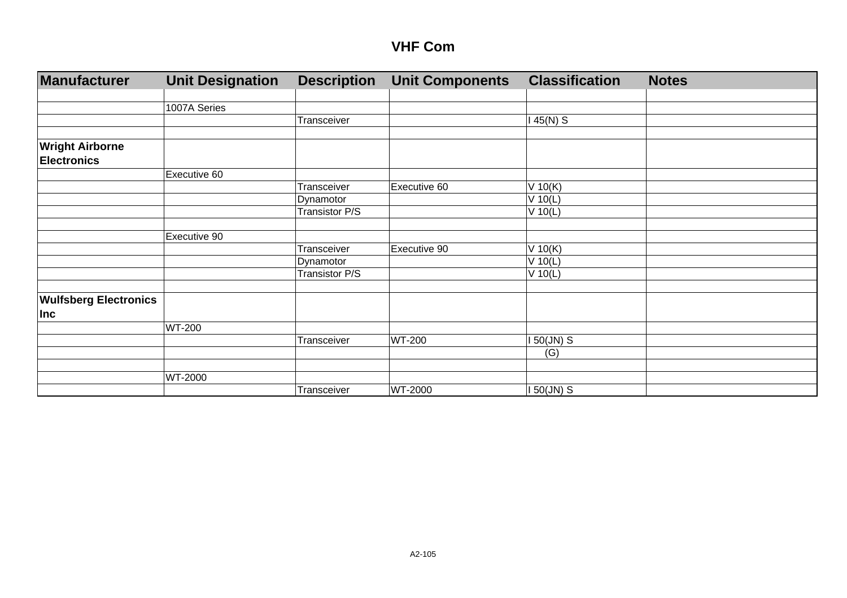| Manufacturer                 | <b>Unit Designation</b> | <b>Description</b> | <b>Unit Components</b> | <b>Classification</b> | <b>Notes</b> |
|------------------------------|-------------------------|--------------------|------------------------|-----------------------|--------------|
|                              |                         |                    |                        |                       |              |
|                              | 1007A Series            |                    |                        |                       |              |
|                              |                         | Transceiver        |                        | 45(N) S               |              |
|                              |                         |                    |                        |                       |              |
| <b>Wright Airborne</b>       |                         |                    |                        |                       |              |
| <b>Electronics</b>           |                         |                    |                        |                       |              |
|                              | Executive 60            |                    |                        |                       |              |
|                              |                         | Transceiver        | Executive 60           | V 10(K)               |              |
|                              |                         | Dynamotor          |                        | V 10(L)               |              |
|                              |                         | Transistor P/S     |                        | $V$ 10(L)             |              |
|                              |                         |                    |                        |                       |              |
|                              | Executive 90            |                    |                        |                       |              |
|                              |                         | Transceiver        | Executive 90           | V 10(K)               |              |
|                              |                         | Dynamotor          |                        | V 10(L)               |              |
|                              |                         | Transistor P/S     |                        | V 10(L)               |              |
|                              |                         |                    |                        |                       |              |
| <b>Wulfsberg Electronics</b> |                         |                    |                        |                       |              |
| <b>Inc</b>                   |                         |                    |                        |                       |              |
|                              | <b>WT-200</b>           |                    |                        |                       |              |
|                              |                         | Transceiver        | <b>WT-200</b>          | $50$ (JN) S           |              |
|                              |                         |                    |                        | (G)                   |              |
|                              |                         |                    |                        |                       |              |
|                              | WT-2000                 |                    |                        |                       |              |
|                              |                         | Transceiver        | WT-2000                | 150(JN) S             |              |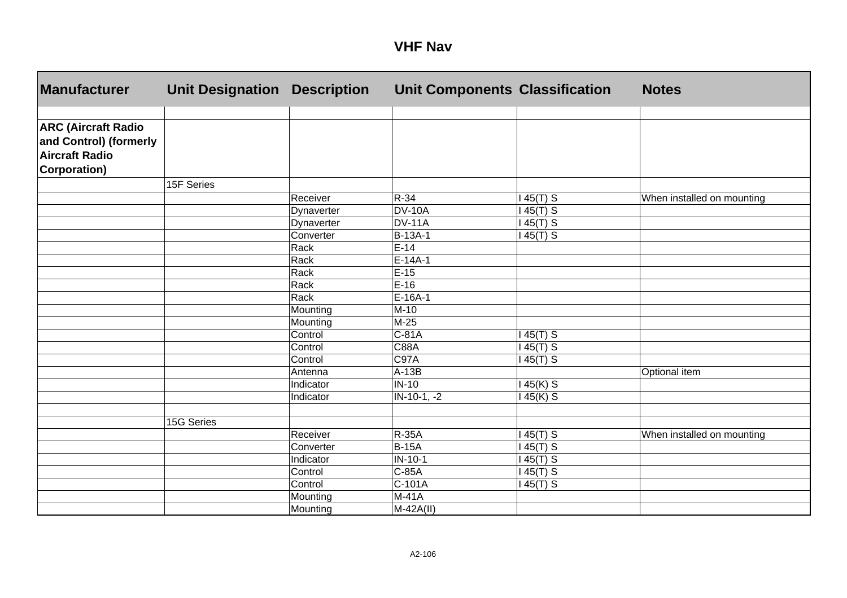| <b>VHF</b> | <b>Nav</b> |
|------------|------------|
|------------|------------|

| <b>Manufacturer</b>                                                           | <b>Unit Designation</b> | <b>Description</b> | <b>Unit Components Classification</b> |           | <b>Notes</b>               |
|-------------------------------------------------------------------------------|-------------------------|--------------------|---------------------------------------|-----------|----------------------------|
|                                                                               |                         |                    |                                       |           |                            |
| <b>ARC (Aircraft Radio</b><br>and Control) (formerly<br><b>Aircraft Radio</b> |                         |                    |                                       |           |                            |
| Corporation)                                                                  |                         |                    |                                       |           |                            |
|                                                                               | 15F Series              |                    |                                       |           |                            |
|                                                                               |                         | Receiver           | R-34                                  | $45(T)$ S | When installed on mounting |
|                                                                               |                         | Dynaverter         | <b>DV-10A</b>                         | $45(T)$ S |                            |
|                                                                               |                         | Dynaverter         | <b>DV-11A</b>                         | $45(T)$ S |                            |
|                                                                               |                         | Converter          | B-13A-1                               | $45(T)$ S |                            |
|                                                                               |                         | Rack               | $E-14$                                |           |                            |
|                                                                               |                         | Rack               | $E-14A-1$                             |           |                            |
|                                                                               |                         | Rack               | $E-15$                                |           |                            |
|                                                                               |                         | Rack               | $E-16$                                |           |                            |
|                                                                               |                         | Rack               | $E-16A-1$                             |           |                            |
|                                                                               |                         | Mounting           | $M-10$                                |           |                            |
|                                                                               |                         | Mounting           | $M-25$                                |           |                            |
|                                                                               |                         | Control            | $C-81A$                               | $45(T)$ S |                            |
|                                                                               |                         | Control            | <b>C88A</b>                           | $45(T)$ S |                            |
|                                                                               |                         | Control            | C97A                                  | $45(T)$ S |                            |
|                                                                               |                         | Antenna            | $A-13B$                               |           | Optional item              |
|                                                                               |                         | Indicator          | $IN-10$                               | $45(K)$ S |                            |
|                                                                               |                         | Indicator          | $IN-10-1, -2$                         | 45(K) S   |                            |
|                                                                               |                         |                    |                                       |           |                            |
|                                                                               | 15G Series              |                    |                                       |           |                            |
|                                                                               |                         | Receiver           | <b>R-35A</b>                          | $45(T)$ S | When installed on mounting |
|                                                                               |                         | Converter          | <b>B-15A</b>                          | $45(T)$ S |                            |
|                                                                               |                         | Indicator          | $IN-10-1$                             | $45(T)$ S |                            |
|                                                                               |                         | Control            | C-85A                                 | $45(T)$ S |                            |
|                                                                               |                         | Control            | C-101A                                | 45(T) S   |                            |
|                                                                               |                         | Mounting           | $M-41A$                               |           |                            |
|                                                                               |                         | Mounting           | $M-42A(II)$                           |           |                            |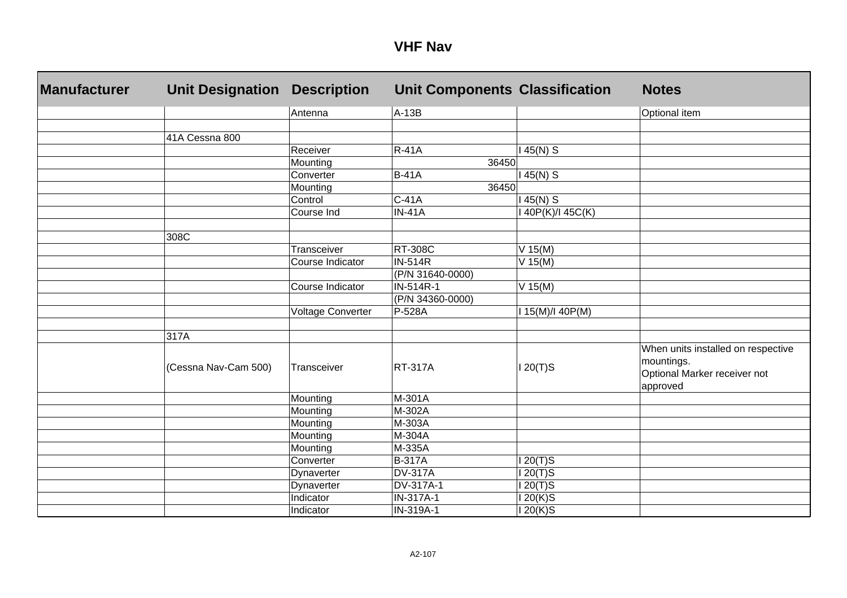| <b>Manufacturer</b> | <b>Unit Designation</b> | <b>Description</b>       | <b>Unit Components Classification</b> |                  | <b>Notes</b>                                                                                 |
|---------------------|-------------------------|--------------------------|---------------------------------------|------------------|----------------------------------------------------------------------------------------------|
|                     |                         | Antenna                  | $A-13B$                               |                  | Optional item                                                                                |
|                     |                         |                          |                                       |                  |                                                                                              |
|                     | 41A Cessna 800          |                          |                                       |                  |                                                                                              |
|                     |                         | Receiver                 | <b>R-41A</b>                          | $145(N)$ S       |                                                                                              |
|                     |                         | Mounting                 | 36450                                 |                  |                                                                                              |
|                     |                         | Converter                | <b>B-41A</b>                          | $145(N)$ S       |                                                                                              |
|                     |                         | Mounting                 | 36450                                 |                  |                                                                                              |
|                     |                         | Control                  | $C-41A$                               | $145(N)$ S       |                                                                                              |
|                     |                         | Course Ind               | <b>IN-41A</b>                         | 40P(K)/I 45C(K)  |                                                                                              |
|                     | 308C                    |                          |                                       |                  |                                                                                              |
|                     |                         | Transceiver              | <b>RT-308C</b>                        | $V$ 15(M)        |                                                                                              |
|                     |                         | Course Indicator         | $IN-514R$                             | $V$ 15(M)        |                                                                                              |
|                     |                         |                          | (P/N 31640-0000)                      |                  |                                                                                              |
|                     |                         | Course Indicator         | IN-514R-1                             | $V$ 15(M)        |                                                                                              |
|                     |                         |                          | (P/N 34360-0000)                      |                  |                                                                                              |
|                     |                         | <b>Voltage Converter</b> | P-528A                                | I 15(M)/I 40P(M) |                                                                                              |
|                     |                         |                          |                                       |                  |                                                                                              |
|                     | 317A                    |                          |                                       |                  |                                                                                              |
|                     | (Cessna Nav-Cam 500)    | Transceiver              | <b>RT-317A</b>                        | $120(T)$ S       | When units installed on respective<br>mountings.<br>Optional Marker receiver not<br>approved |
|                     |                         | Mounting                 | M-301A                                |                  |                                                                                              |
|                     |                         | Mounting                 | M-302A                                |                  |                                                                                              |
|                     |                         | Mounting                 | M-303A                                |                  |                                                                                              |
|                     |                         | Mounting                 | M-304A                                |                  |                                                                                              |
|                     |                         | Mounting                 | M-335A                                |                  |                                                                                              |
|                     |                         | Converter                | <b>B-317A</b>                         | $120(T)$ S       |                                                                                              |
|                     |                         | Dynaverter               | <b>DV-317A</b>                        | $120(T)$ S       |                                                                                              |
|                     |                         | Dynaverter               | DV-317A-1                             | $120(T)$ S       |                                                                                              |
|                     |                         | Indicator                | IN-317A-1                             | 120(K)S          |                                                                                              |
|                     |                         | Indicator                | IN-319A-1                             | $120(K)$ S       |                                                                                              |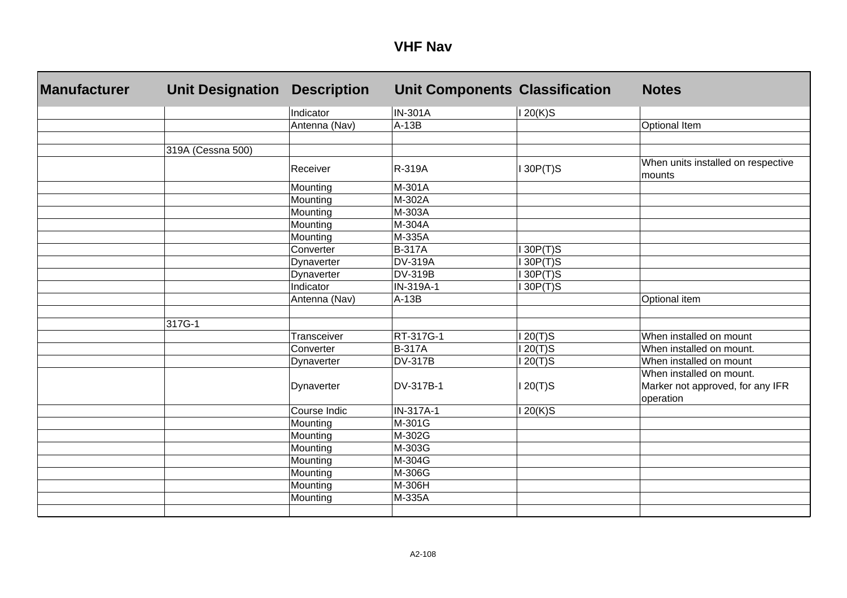#### **VHF Nav**

| <b>Manufacturer</b> | <b>Unit Designation</b> | <b>Description</b> | <b>Unit Components Classification</b> |                      | <b>Notes</b>                                 |
|---------------------|-------------------------|--------------------|---------------------------------------|----------------------|----------------------------------------------|
|                     |                         | Indicator          | <b>IN-301A</b>                        | $120(K)$ S           |                                              |
|                     |                         | Antenna (Nav)      | $A-13B$                               |                      | <b>Optional Item</b>                         |
|                     |                         |                    |                                       |                      |                                              |
|                     | 319A (Cessna 500)       |                    |                                       |                      |                                              |
|                     |                         | Receiver           | R-319A                                | 130P(T)S             | When units installed on respective<br>mounts |
|                     |                         | Mounting           | M-301A                                |                      |                                              |
|                     |                         | Mounting           | M-302A                                |                      |                                              |
|                     |                         | Mounting           | M-303A                                |                      |                                              |
|                     |                         | Mounting           | M-304A                                |                      |                                              |
|                     |                         | Mounting           | M-335A                                |                      |                                              |
|                     |                         | Converter          | <b>B-317A</b>                         | 130P(T)S             |                                              |
|                     |                         | Dynaverter         | <b>DV-319A</b>                        | 130P(T)S             |                                              |
|                     |                         | Dynaverter         | <b>DV-319B</b>                        | 130P(T)S             |                                              |
|                     |                         | Indicator          | IN-319A-1                             | 130P(T)S             |                                              |
|                     |                         | Antenna (Nav)      | $A-13B$                               |                      | Optional item                                |
|                     |                         |                    |                                       |                      |                                              |
|                     | 317G-1                  |                    |                                       |                      |                                              |
|                     |                         | Transceiver        | RT-317G-1                             | $\overline{1}20(T)S$ | When installed on mount                      |
|                     |                         | Converter          | <b>B-317A</b>                         | $120(T)$ S           | When installed on mount.                     |
|                     |                         | Dynaverter         | <b>DV-317B</b>                        | $120(T)$ S           | When installed on mount                      |
|                     |                         |                    |                                       |                      | When installed on mount.                     |
|                     |                         | Dynaverter         | DV-317B-1                             | $120(T)$ S           | Marker not approved, for any IFR             |
|                     |                         |                    |                                       |                      | operation                                    |
|                     |                         | Course Indic       | IN-317A-1                             | 20(K)S               |                                              |
|                     |                         | Mounting           | M-301G                                |                      |                                              |
|                     |                         | Mounting           | M-302G                                |                      |                                              |
|                     |                         | Mounting           | M-303G                                |                      |                                              |
|                     |                         | Mounting           | M-304G                                |                      |                                              |
|                     |                         | Mounting           | M-306G                                |                      |                                              |
|                     |                         | Mounting           | M-306H                                |                      |                                              |
|                     |                         | Mounting           | M-335A                                |                      |                                              |
|                     |                         |                    |                                       |                      |                                              |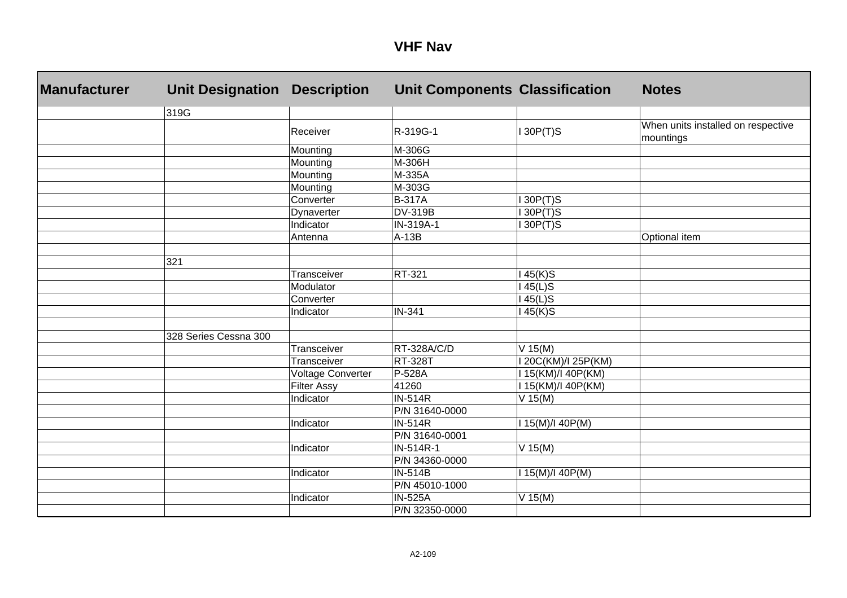| <b>Manufacturer</b> | <b>Unit Designation</b> | <b>Description</b>       | <b>Unit Components Classification</b> |                     | <b>Notes</b>                                    |
|---------------------|-------------------------|--------------------------|---------------------------------------|---------------------|-------------------------------------------------|
|                     | 319G                    |                          |                                       |                     |                                                 |
|                     |                         | Receiver                 | R-319G-1                              | $I$ 30P(T)S         | When units installed on respective<br>mountings |
|                     |                         | Mounting                 | M-306G                                |                     |                                                 |
|                     |                         | Mounting                 | M-306H                                |                     |                                                 |
|                     |                         | Mounting                 | M-335A                                |                     |                                                 |
|                     |                         | Mounting                 | M-303G                                |                     |                                                 |
|                     |                         | Converter                | <b>B-317A</b>                         | 130P(T)S            |                                                 |
|                     |                         | Dynaverter               | <b>DV-319B</b>                        | 130P(T)S            |                                                 |
|                     |                         | Indicator                | IN-319A-1                             | 130P(T)S            |                                                 |
|                     |                         | Antenna                  | $A-13B$                               |                     | Optional item                                   |
|                     |                         |                          |                                       |                     |                                                 |
|                     | 321                     |                          |                                       |                     |                                                 |
|                     |                         | Transceiver              | RT-321                                | $145(K)$ S          |                                                 |
|                     |                         | Modulator                |                                       | 145(L)S             |                                                 |
|                     |                         | Converter                |                                       | $145(L)$ S          |                                                 |
|                     |                         | Indicator                | IN-341                                | 145(K)S             |                                                 |
|                     |                         |                          |                                       |                     |                                                 |
|                     | 328 Series Cessna 300   |                          |                                       |                     |                                                 |
|                     |                         | Transceiver              | RT-328A/C/D                           | $V$ 15(M)           |                                                 |
|                     |                         | Transceiver              | <b>RT-328T</b>                        | I 20C(KM)/I 25P(KM) |                                                 |
|                     |                         | <b>Voltage Converter</b> | P-528A                                | I 15(KM)/I 40P(KM)  |                                                 |
|                     |                         | <b>Filter Assy</b>       | 41260                                 | I 15(KM)/I 40P(KM)  |                                                 |
|                     |                         | Indicator                | $IN-514R$                             | $V$ 15(M)           |                                                 |
|                     |                         |                          | P/N 31640-0000                        |                     |                                                 |
|                     |                         | Indicator                | <b>IN-514R</b>                        | I 15(M)/I 40P(M)    |                                                 |
|                     |                         |                          | P/N 31640-0001                        |                     |                                                 |
|                     |                         | Indicator                | IN-514R-1                             | $V$ 15(M)           |                                                 |
|                     |                         |                          | P/N 34360-0000                        |                     |                                                 |
|                     |                         | Indicator                | <b>IN-514B</b>                        | I 15(M)/I 40P(M)    |                                                 |
|                     |                         |                          | P/N 45010-1000                        |                     |                                                 |
|                     |                         | Indicator                | <b>IN-525A</b>                        | $V$ 15(M)           |                                                 |
|                     |                         |                          | P/N 32350-0000                        |                     |                                                 |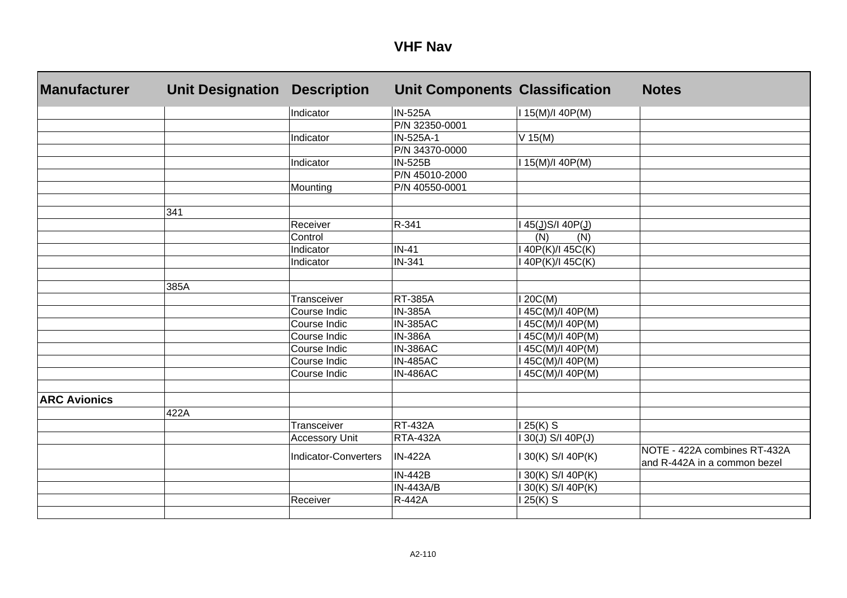| <b>Manufacturer</b> | <b>Unit Designation</b> | <b>Description</b>          | <b>Unit Components Classification</b> |                   | <b>Notes</b>                                                 |
|---------------------|-------------------------|-----------------------------|---------------------------------------|-------------------|--------------------------------------------------------------|
|                     |                         | Indicator                   | <b>IN-525A</b>                        | I 15(M)/I 40P(M)  |                                                              |
|                     |                         |                             | P/N 32350-0001                        |                   |                                                              |
|                     |                         | Indicator                   | IN-525A-1                             | $V$ 15(M)         |                                                              |
|                     |                         |                             | P/N 34370-0000                        |                   |                                                              |
|                     |                         | Indicator                   | <b>IN-525B</b>                        | I 15(M)/I 40P(M)  |                                                              |
|                     |                         |                             | P/N 45010-2000                        |                   |                                                              |
|                     |                         | Mounting                    | P/N 40550-0001                        |                   |                                                              |
|                     | 341                     |                             |                                       |                   |                                                              |
|                     |                         | Receiver                    | R-341                                 | 145(J)S/140P(J)   |                                                              |
|                     |                         | Control                     |                                       | (N)<br>(N)        |                                                              |
|                     |                         | Indicator                   | $IN-41$                               | 40P(K)/I 45C(K)   |                                                              |
|                     |                         | Indicator                   | <b>IN-341</b>                         | 140P(K)/145C(K)   |                                                              |
|                     | 385A                    |                             |                                       |                   |                                                              |
|                     |                         | Transceiver                 | <b>RT-385A</b>                        | 20C(M)            |                                                              |
|                     |                         | Course Indic                | <b>IN-385A</b>                        | 45C(M)/I 40P(M)   |                                                              |
|                     |                         | Course Indic                | <b>IN-385AC</b>                       | 145C(M)/140P(M)   |                                                              |
|                     |                         | Course Indic                | <b>IN-386A</b>                        | 45C(M)/I 40P(M)   |                                                              |
|                     |                         | Course Indic                | <b>IN-386AC</b>                       | 45C(M)/I 40P(M)   |                                                              |
|                     |                         | Course Indic                | <b>IN-485AC</b>                       | 45C(M)/I 40P(M)   |                                                              |
|                     |                         | Course Indic                | <b>IN-486AC</b>                       | 45C(M)/I 40P(M)   |                                                              |
| <b>ARC Avionics</b> |                         |                             |                                       |                   |                                                              |
|                     | 422A                    |                             |                                       |                   |                                                              |
|                     |                         | <b>Transceiver</b>          | <b>RT-432A</b>                        | 25(K) S           |                                                              |
|                     |                         | <b>Accessory Unit</b>       | <b>RTA-432A</b>                       | 130(J) S/I 40P(J) |                                                              |
|                     |                         | <b>Indicator-Converters</b> | <b>IN-422A</b>                        | 130(K) S/I 40P(K) | NOTE - 422A combines RT-432A<br>and R-442A in a common bezel |
|                     |                         |                             | <b>IN-442B</b>                        | 30(K) S/I 40P(K)  |                                                              |
|                     |                         |                             | <b>IN-443A/B</b>                      | 130(K) S/I 40P(K) |                                                              |
|                     |                         | Receiver                    | <b>R-442A</b>                         | 25(K) S           |                                                              |
|                     |                         |                             |                                       |                   |                                                              |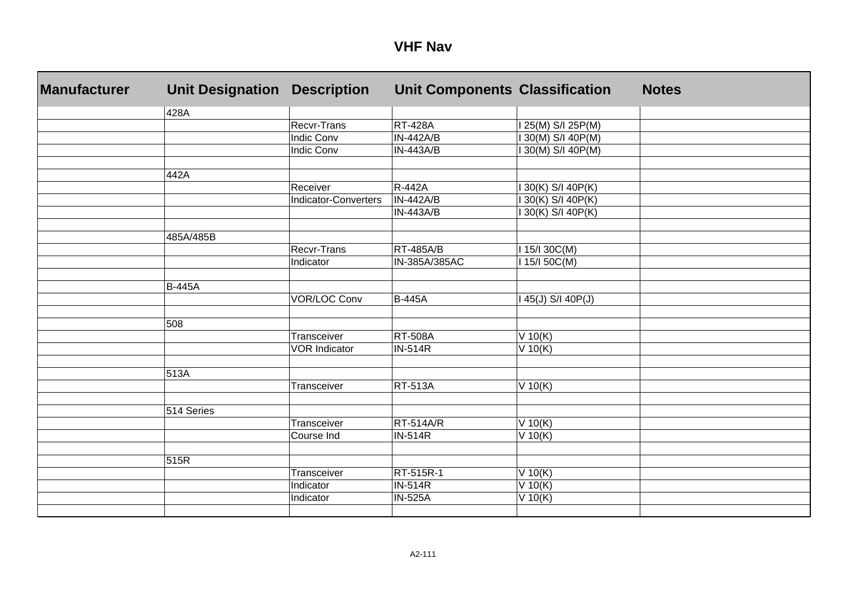| <b>Manufacturer</b> | <b>Unit Designation</b> | <b>Description</b>          | <b>Unit Components Classification</b> |                  | <b>Notes</b> |
|---------------------|-------------------------|-----------------------------|---------------------------------------|------------------|--------------|
|                     | 428A                    |                             |                                       |                  |              |
|                     |                         | Recvr-Trans                 | <b>RT-428A</b>                        | 25(M) S/I 25P(M) |              |
|                     |                         | Indic Conv                  | <b>IN-442A/B</b>                      | 30(M) S/I 40P(M) |              |
|                     |                         | <b>Indic Conv</b>           | <b>IN-443A/B</b>                      | 30(M) S/I 40P(M) |              |
|                     |                         |                             |                                       |                  |              |
|                     | 442A                    |                             |                                       |                  |              |
|                     |                         | Receiver                    | <b>R-442A</b>                         | 30(K) S/I 40P(K) |              |
|                     |                         | <b>Indicator-Converters</b> | <b>IN-442A/B</b>                      | 30(K) S/I 40P(K) |              |
|                     |                         |                             | <b>IN-443A/B</b>                      | 30(K) S/I 40P(K) |              |
|                     | 485A/485B               |                             |                                       |                  |              |
|                     |                         | Recvr-Trans                 | <b>RT-485A/B</b>                      | I 15/I 30C(M)    |              |
|                     |                         | Indicator                   | IN-385A/385AC                         | I 15/I 50C(M)    |              |
|                     |                         |                             |                                       |                  |              |
|                     | <b>B-445A</b>           |                             |                                       |                  |              |
|                     |                         | <b>VOR/LOC Conv</b>         | <b>B-445A</b>                         | 45(J) S/I 40P(J) |              |
|                     |                         |                             |                                       |                  |              |
|                     | 508                     |                             |                                       |                  |              |
|                     |                         | Transceiver                 | <b>RT-508A</b>                        | $V$ 10(K)        |              |
|                     |                         | <b>VOR Indicator</b>        | <b>IN-514R</b>                        | $V$ 10(K)        |              |
|                     |                         |                             |                                       |                  |              |
|                     | 513A                    |                             |                                       |                  |              |
|                     |                         | Transceiver                 | <b>RT-513A</b>                        | $V$ 10(K)        |              |
|                     | 514 Series              |                             |                                       |                  |              |
|                     |                         | Transceiver                 | RT-514A/R                             | $V$ 10(K)        |              |
|                     |                         | Course Ind                  | <b>IN-514R</b>                        | V 10(K)          |              |
|                     |                         |                             |                                       |                  |              |
|                     | 515R                    |                             |                                       |                  |              |
|                     |                         | Transceiver                 | RT-515R-1                             | V 10(K)          |              |
|                     |                         | Indicator                   | <b>IN-514R</b>                        | $V$ 10(K)        |              |
|                     |                         | Indicator                   | <b>IN-525A</b>                        | V 10(K)          |              |
|                     |                         |                             |                                       |                  |              |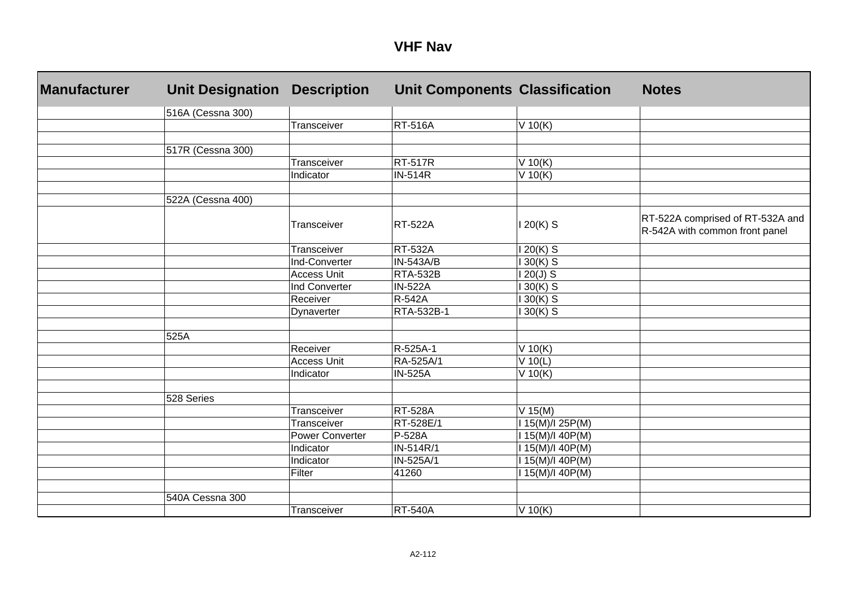| <b>Manufacturer</b> | <b>Unit Designation</b> | <b>Description</b>     | <b>Unit Components Classification</b> |                  | <b>Notes</b>                                                       |
|---------------------|-------------------------|------------------------|---------------------------------------|------------------|--------------------------------------------------------------------|
|                     | 516A (Cessna 300)       |                        |                                       |                  |                                                                    |
|                     |                         | Transceiver            | <b>RT-516A</b>                        | $V$ 10(K)        |                                                                    |
|                     |                         |                        |                                       |                  |                                                                    |
|                     | 517R (Cessna 300)       |                        |                                       |                  |                                                                    |
|                     |                         | Transceiver            | <b>RT-517R</b>                        | $V$ 10(K)        |                                                                    |
|                     |                         | Indicator              | <b>IN-514R</b>                        | $V$ 10(K)        |                                                                    |
|                     |                         |                        |                                       |                  |                                                                    |
|                     | 522A (Cessna 400)       |                        |                                       |                  |                                                                    |
|                     |                         | Transceiver            | <b>RT-522A</b>                        | $120(K)$ S       | RT-522A comprised of RT-532A and<br>R-542A with common front panel |
|                     |                         | Transceiver            | <b>RT-532A</b>                        | $120(K)$ S       |                                                                    |
|                     |                         | Ind-Converter          | $IN-543A/B$                           | $30(K)$ S        |                                                                    |
|                     |                         | <b>Access Unit</b>     | <b>RTA-532B</b>                       | $120(J)$ S       |                                                                    |
|                     |                         | Ind Converter          | <b>IN-522A</b>                        | 30(K) S          |                                                                    |
|                     |                         | Receiver               | R-542A                                | $30(K)$ S        |                                                                    |
|                     |                         | Dynaverter             | RTA-532B-1                            | $30(K)$ S        |                                                                    |
|                     |                         |                        |                                       |                  |                                                                    |
|                     | 525A                    |                        |                                       |                  |                                                                    |
|                     |                         | Receiver               | R-525A-1                              | $V$ 10(K)        |                                                                    |
|                     |                         | <b>Access Unit</b>     | RA-525A/1                             | $V$ 10(L)        |                                                                    |
|                     |                         | Indicator              | <b>IN-525A</b>                        | $V$ 10(K)        |                                                                    |
|                     |                         |                        |                                       |                  |                                                                    |
|                     | 528 Series              |                        |                                       |                  |                                                                    |
|                     |                         | Transceiver            | <b>RT-528A</b>                        | $V$ 15(M)        |                                                                    |
|                     |                         | <b>Transceiver</b>     | RT-528E/1                             | I 15(M)/I 25P(M) |                                                                    |
|                     |                         | <b>Power Converter</b> | P-528A                                | I 15(M)/I 40P(M) |                                                                    |
|                     |                         | Indicator              | IN-514R/1                             | 15(M)/I 40P(M)   |                                                                    |
|                     |                         | Indicator              | IN-525A/1                             | I 15(M)/I 40P(M) |                                                                    |
|                     |                         | Filter                 | 41260                                 | 15(M)/140P(M)    |                                                                    |
|                     |                         |                        |                                       |                  |                                                                    |
|                     | 540A Cessna 300         |                        |                                       |                  |                                                                    |
|                     |                         | Transceiver            | <b>RT-540A</b>                        | $V$ 10(K)        |                                                                    |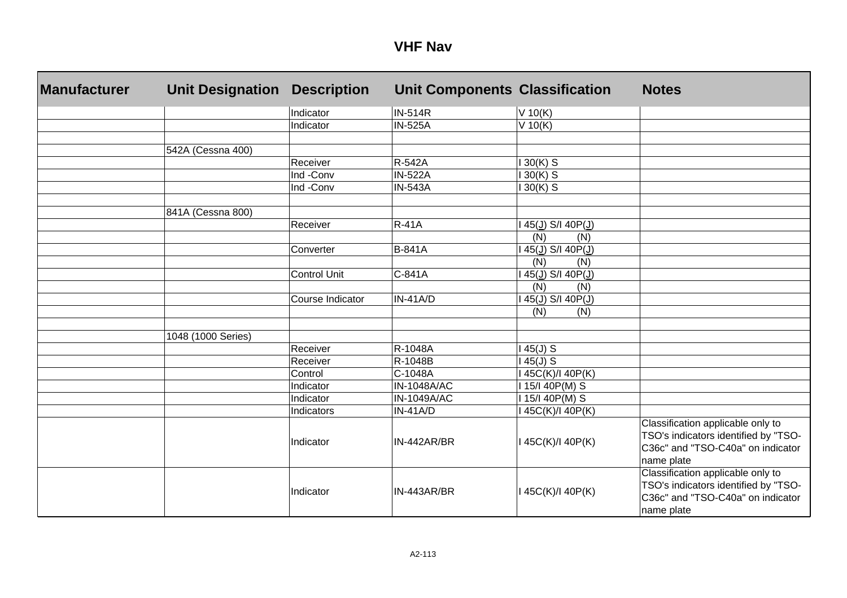| <b>Manufacturer</b> | <b>Unit Designation</b> | <b>Description</b>  | <b>Unit Components Classification</b> |                                                | <b>Notes</b>                                                                                                                 |
|---------------------|-------------------------|---------------------|---------------------------------------|------------------------------------------------|------------------------------------------------------------------------------------------------------------------------------|
|                     |                         | Indicator           | <b>IN-514R</b>                        | $V$ 10(K)                                      |                                                                                                                              |
|                     |                         | Indicator           | <b>IN-525A</b>                        | $V$ 10(K)                                      |                                                                                                                              |
|                     |                         |                     |                                       |                                                |                                                                                                                              |
|                     | 542A (Cessna 400)       |                     |                                       |                                                |                                                                                                                              |
|                     |                         | Receiver            | R-542A                                | $30(K)$ S                                      |                                                                                                                              |
|                     |                         | Ind -Conv           | <b>IN-522A</b>                        | $30(K)$ S                                      |                                                                                                                              |
|                     |                         | Ind -Conv           | <b>IN-543A</b>                        | $30(K)$ S                                      |                                                                                                                              |
|                     | 841A (Cessna 800)       |                     |                                       |                                                |                                                                                                                              |
|                     |                         | Receiver            | $R-41A$                               | 45(J) S/I 40P(J)                               |                                                                                                                              |
|                     |                         |                     |                                       | (N)<br>(N)                                     |                                                                                                                              |
|                     |                         | Converter           | <b>B-841A</b>                         | 45(J) S/I 40P(J)                               |                                                                                                                              |
|                     |                         |                     |                                       | (N)<br>(N)                                     |                                                                                                                              |
|                     |                         | <b>Control Unit</b> | C-841A                                | $45(\underline{J})$ S/I 40P( $\underline{J}$ ) |                                                                                                                              |
|                     |                         |                     |                                       | (N)<br>(N)                                     |                                                                                                                              |
|                     |                         | Course Indicator    | $IN-41A/D$                            | 45(J) S/I 40P(J)                               |                                                                                                                              |
|                     |                         |                     |                                       | (N)<br>(N)                                     |                                                                                                                              |
|                     |                         |                     |                                       |                                                |                                                                                                                              |
|                     | 1048 (1000 Series)      |                     |                                       |                                                |                                                                                                                              |
|                     |                         | Receiver            | R-1048A                               | $45(J)$ S                                      |                                                                                                                              |
|                     |                         | Receiver            | R-1048B                               | $45(J)$ S                                      |                                                                                                                              |
|                     |                         | Control             | C-1048A                               | 45C(K)/I 40P(K)                                |                                                                                                                              |
|                     |                         | Indicator           | <b>IN-1048A/AC</b>                    | 1 15/1 40P(M) S                                |                                                                                                                              |
|                     |                         | Indicator           | IN-1049A/AC                           | 15/140P(M) S                                   |                                                                                                                              |
|                     |                         | Indicators          | $IN-41A/D$                            | 145C(K)/140P(K)                                |                                                                                                                              |
|                     |                         | Indicator           | IN-442AR/BR                           | 145C(K)/140P(K)                                | Classification applicable only to<br>TSO's indicators identified by "TSO-<br>C36c" and "TSO-C40a" on indicator<br>name plate |
|                     |                         | Indicator           | IN-443AR/BR                           | I 45C(K)/I 40P(K)                              | Classification applicable only to<br>TSO's indicators identified by "TSO-<br>C36c" and "TSO-C40a" on indicator<br>name plate |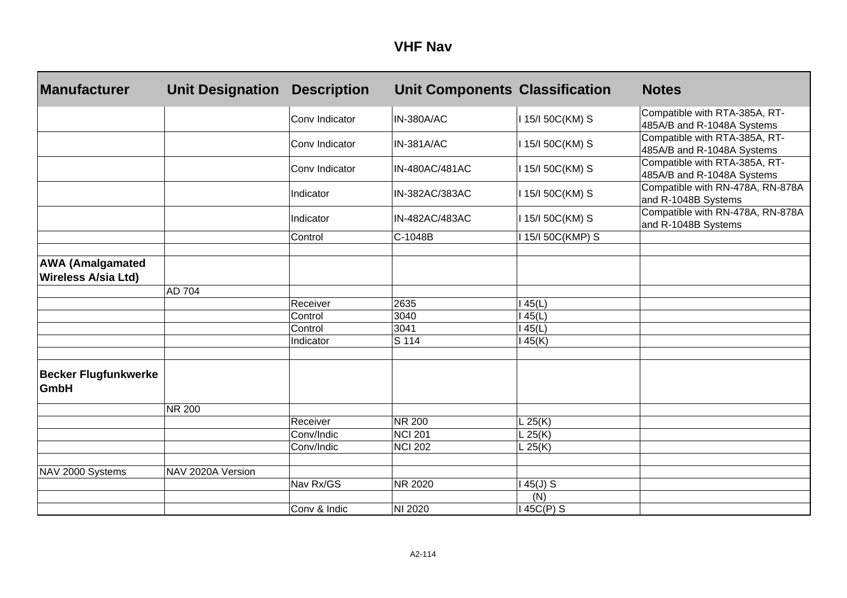| <b>Manufacturer</b>                                   | <b>Unit Designation</b> | <b>Description</b> | <b>Unit Components Classification</b> |                  | <b>Notes</b>                                                |
|-------------------------------------------------------|-------------------------|--------------------|---------------------------------------|------------------|-------------------------------------------------------------|
|                                                       |                         | Conv Indicator     | IN-380A/AC                            | I 15/I 50C(KM) S | Compatible with RTA-385A, RT-<br>485A/B and R-1048A Systems |
|                                                       |                         | Conv Indicator     | <b>IN-381A/AC</b>                     | 115/150C(KM) S   | Compatible with RTA-385A, RT-<br>485A/B and R-1048A Systems |
|                                                       |                         | Conv Indicator     | IN-480AC/481AC                        | 115/150C(KM) S   | Compatible with RTA-385A, RT-<br>485A/B and R-1048A Systems |
|                                                       |                         | Indicator          | IN-382AC/383AC                        | 115/150C(KM) S   | Compatible with RN-478A, RN-878A<br>and R-1048B Systems     |
|                                                       |                         | Indicator          | IN-482AC/483AC                        | 115/150C(KM) S   | Compatible with RN-478A, RN-878A<br>and R-1048B Systems     |
|                                                       |                         | Control            | C-1048B                               | 115/150C(KMP) S  |                                                             |
| <b>AWA (Amalgamated</b><br><b>Wireless A/sia Ltd)</b> |                         |                    |                                       |                  |                                                             |
|                                                       | AD 704                  |                    |                                       |                  |                                                             |
|                                                       |                         | Receiver           | 2635                                  | 45(L)            |                                                             |
|                                                       |                         | Control            | 3040                                  | 45(L)            |                                                             |
|                                                       |                         | Control            | 3041                                  | 45(L)            |                                                             |
|                                                       |                         | Indicator          | S 114                                 | 45(K)            |                                                             |
| <b>Becker Flugfunkwerke</b><br><b>GmbH</b>            |                         |                    |                                       |                  |                                                             |
|                                                       | <b>NR 200</b>           |                    |                                       |                  |                                                             |
|                                                       |                         | Receiver           | <b>NR 200</b>                         | L25(K)           |                                                             |
|                                                       |                         | Conv/Indic         | <b>NCI 201</b>                        | L25(K)           |                                                             |
|                                                       |                         | Conv/Indic         | <b>NCI 202</b>                        | L 25(K)          |                                                             |
| NAV 2000 Systems                                      | NAV 2020A Version       |                    |                                       |                  |                                                             |
|                                                       |                         | Nav Rx/GS          | NR 2020                               | $45(J)$ S        |                                                             |
|                                                       |                         |                    |                                       | (N)              |                                                             |
|                                                       |                         | Conv & Indic       | NI 2020                               | 145C(P) S        |                                                             |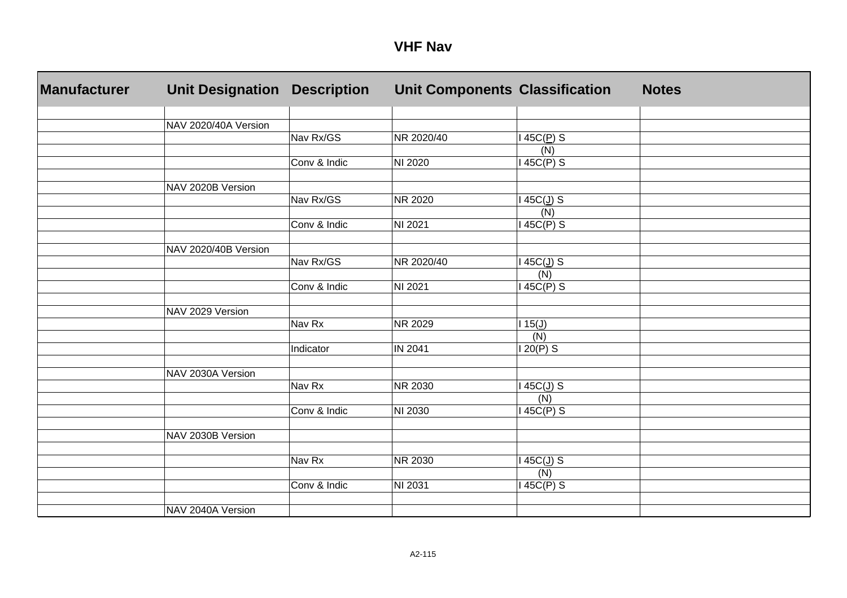| <b>Manufacturer</b> | <b>Unit Designation</b> | <b>Description</b> | Unit Components Classification |                         | <b>Notes</b> |
|---------------------|-------------------------|--------------------|--------------------------------|-------------------------|--------------|
|                     |                         |                    |                                |                         |              |
|                     | NAV 2020/40A Version    |                    |                                |                         |              |
|                     |                         | Nav Rx/GS          | NR 2020/40                     | $145C(\underline{P})$ S |              |
|                     |                         |                    |                                | (N)                     |              |
|                     |                         | Conv & Indic       | NI 2020                        | 145C(P) S               |              |
|                     | NAV 2020B Version       |                    |                                |                         |              |
|                     |                         | Nav Rx/GS          | NR 2020                        | 145C(J) S               |              |
|                     |                         |                    |                                | (N)                     |              |
|                     |                         | Conv & Indic       | NI 2021                        | $145C(P)$ S             |              |
|                     |                         |                    |                                |                         |              |
|                     | NAV 2020/40B Version    |                    |                                |                         |              |
|                     |                         | Nav Rx/GS          | NR 2020/40                     | $145C(\underline{J})$ S |              |
|                     |                         |                    |                                | (N)                     |              |
|                     |                         | Conv & Indic       | NI 2021                        | $145C(P)$ S             |              |
|                     | NAV 2029 Version        |                    |                                |                         |              |
|                     |                         | Nav Rx             | NR 2029                        | $115(\underline{J})$    |              |
|                     |                         |                    |                                | (N)                     |              |
|                     |                         | Indicator          | IN 2041                        | $120(P)$ S              |              |
|                     |                         |                    |                                |                         |              |
|                     | NAV 2030A Version       |                    |                                |                         |              |
|                     |                         | Nav Rx             | <b>NR 2030</b>                 | $145C(\underline{J})$ S |              |
|                     |                         |                    |                                | (N)                     |              |
|                     |                         | Conv & Indic       | NI 2030                        | $145C(P)$ S             |              |
|                     |                         |                    |                                |                         |              |
|                     | NAV 2030B Version       |                    |                                |                         |              |
|                     |                         |                    |                                |                         |              |
|                     |                         | Nav Rx             | NR 2030                        | 145C(J) S               |              |
|                     |                         |                    |                                | (N)                     |              |
|                     |                         | Conv & Indic       | NI 2031                        | $145C(P)$ S             |              |
|                     | NAV 2040A Version       |                    |                                |                         |              |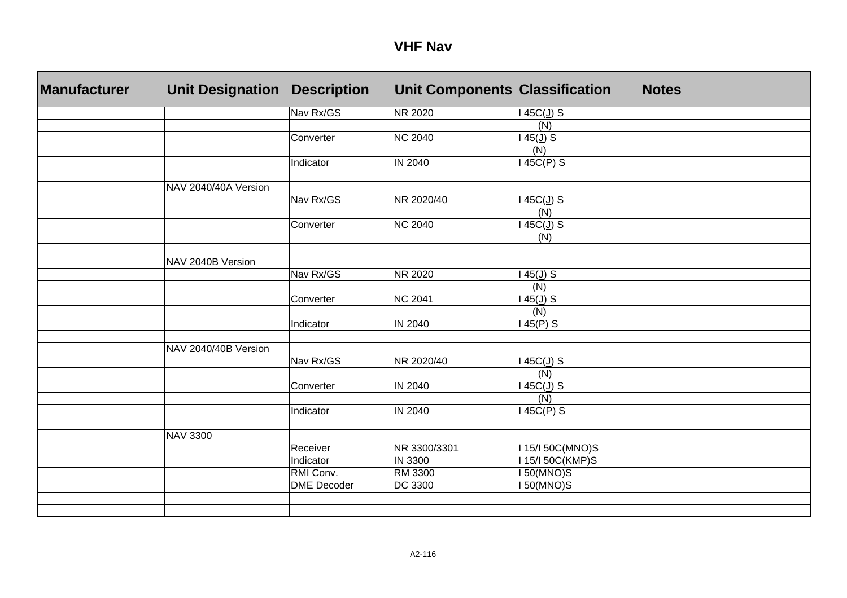| Manufacturer | <b>Unit Designation</b> | <b>Description</b> | <b>Unit Components Classification</b> |                        | <b>Notes</b> |
|--------------|-------------------------|--------------------|---------------------------------------|------------------------|--------------|
|              |                         | Nav Rx/GS          | NR 2020                               | 145C(J) S              |              |
|              |                         |                    |                                       | (N)                    |              |
|              |                         | Converter          | <b>NC 2040</b>                        | $45(\underline{J})$ S  |              |
|              |                         |                    |                                       | (N)                    |              |
|              |                         | Indicator          | IN 2040                               | 45C(P) S               |              |
|              |                         |                    |                                       |                        |              |
|              | NAV 2040/40A Version    |                    |                                       |                        |              |
|              |                         | Nav Rx/GS          | NR 2020/40                            | 45C(J) S               |              |
|              |                         |                    |                                       | (N)                    |              |
|              |                         | Converter          | <b>NC 2040</b>                        | $45C(\underline{J})$ S |              |
|              |                         |                    |                                       | (N)                    |              |
|              |                         |                    |                                       |                        |              |
|              | NAV 2040B Version       |                    |                                       |                        |              |
|              |                         | Nav Rx/GS          | <b>NR 2020</b>                        | $45(\underline{J})$ S  |              |
|              |                         |                    |                                       | (N)                    |              |
|              |                         | Converter          | <b>NC 2041</b>                        | $45(\underline{J})$ S  |              |
|              |                         |                    |                                       | (N)                    |              |
|              |                         | Indicator          | IN 2040                               | 45(P) S                |              |
|              |                         |                    |                                       |                        |              |
|              | NAV 2040/40B Version    |                    |                                       |                        |              |
|              |                         | Nav Rx/GS          | NR 2020/40                            | $45C(\underline{J})$ S |              |
|              |                         |                    |                                       | (N)                    |              |
|              |                         | Converter          | IN 2040                               | $45C(\underline{J})$ S |              |
|              |                         |                    |                                       | (N)                    |              |
|              |                         | Indicator          | IN 2040                               | $45C(P)$ S             |              |
|              |                         |                    |                                       |                        |              |
|              | <b>NAV 3300</b>         |                    |                                       |                        |              |
|              |                         | Receiver           | NR 3300/3301                          | 15/I 50C(MNO)S         |              |
|              |                         | Indicator          | IN 3300                               | 15/150C(KMP)S          |              |
|              |                         | RMI Conv.          | RM 3300                               | 150(MNO)S              |              |
|              |                         | <b>DME</b> Decoder | DC 3300                               | <b>50(MNO)S</b>        |              |
|              |                         |                    |                                       |                        |              |
|              |                         |                    |                                       |                        |              |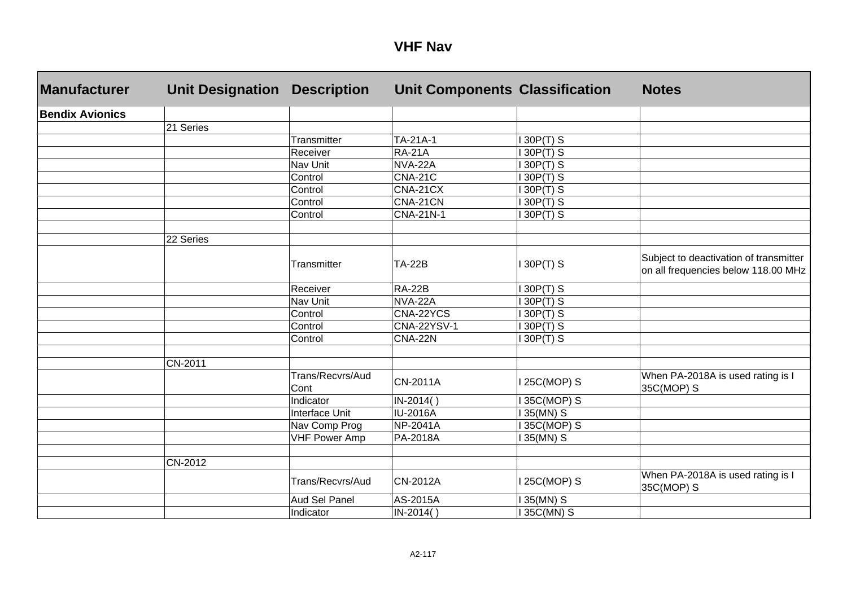| Manufacturer           | <b>Unit Designation</b> | <b>Description</b>       | <b>Unit Components Classification</b> |                         | <b>Notes</b>                                                                  |
|------------------------|-------------------------|--------------------------|---------------------------------------|-------------------------|-------------------------------------------------------------------------------|
| <b>Bendix Avionics</b> |                         |                          |                                       |                         |                                                                               |
|                        | 21 Series               |                          |                                       |                         |                                                                               |
|                        |                         | <b>Transmitter</b>       | TA-21A-1                              | $30P(T)$ S              |                                                                               |
|                        |                         | Receiver                 | <b>RA-21A</b>                         | $30P(T)$ S              |                                                                               |
|                        |                         | Nav Unit                 | <b>NVA-22A</b>                        | 30P(T) S                |                                                                               |
|                        |                         | Control                  | <b>CNA-21C</b>                        | $30P(T)$ S              |                                                                               |
|                        |                         | Control                  | CNA-21CX                              | $\overline{3}$ 30P(T) S |                                                                               |
|                        |                         | Control                  | CNA-21CN                              | 30P(T) S                |                                                                               |
|                        |                         | Control                  | <b>CNA-21N-1</b>                      | 30P(T) S                |                                                                               |
|                        | 22 Series               |                          |                                       |                         |                                                                               |
|                        |                         | Transmitter              | <b>TA-22B</b>                         | 30P(T) S                | Subject to deactivation of transmitter<br>on all frequencies below 118.00 MHz |
|                        |                         | Receiver                 | <b>RA-22B</b>                         | 30P(T) S                |                                                                               |
|                        |                         | Nav Unit                 | <b>NVA-22A</b>                        | 30P(T) S                |                                                                               |
|                        |                         | Control                  | CNA-22YCS                             | $30P(T)$ S              |                                                                               |
|                        |                         | Control                  | <b>CNA-22YSV-1</b>                    | $30P(T)$ S              |                                                                               |
|                        |                         | Control                  | <b>CNA-22N</b>                        | $30P(T)$ S              |                                                                               |
|                        | CN-2011                 |                          |                                       |                         |                                                                               |
|                        |                         | Trans/Recvrs/Aud<br>Cont | <b>CN-2011A</b>                       | 25C(MOP) S              | When PA-2018A is used rating is I<br>35C(MOP) S                               |
|                        |                         | Indicator                | IN-2014()                             | 35C(MOP) S              |                                                                               |
|                        |                         | Interface Unit           | <b>IU-2016A</b>                       | $35(MN)$ S              |                                                                               |
|                        |                         | Nav Comp Prog            | <b>NP-2041A</b>                       | 35C(MOP) S              |                                                                               |
|                        |                         | <b>VHF Power Amp</b>     | PA-2018A                              | 35(MN) S                |                                                                               |
|                        | CN-2012                 |                          |                                       |                         |                                                                               |
|                        |                         | Trans/Recvrs/Aud         | <b>CN-2012A</b>                       | 25C(MOP) S              | When PA-2018A is used rating is I<br>35C(MOP) S                               |
|                        |                         | Aud Sel Panel            | AS-2015A                              | 35(MN) S                |                                                                               |
|                        |                         | Indicator                | IN-2014()                             | 35C(MN) S               |                                                                               |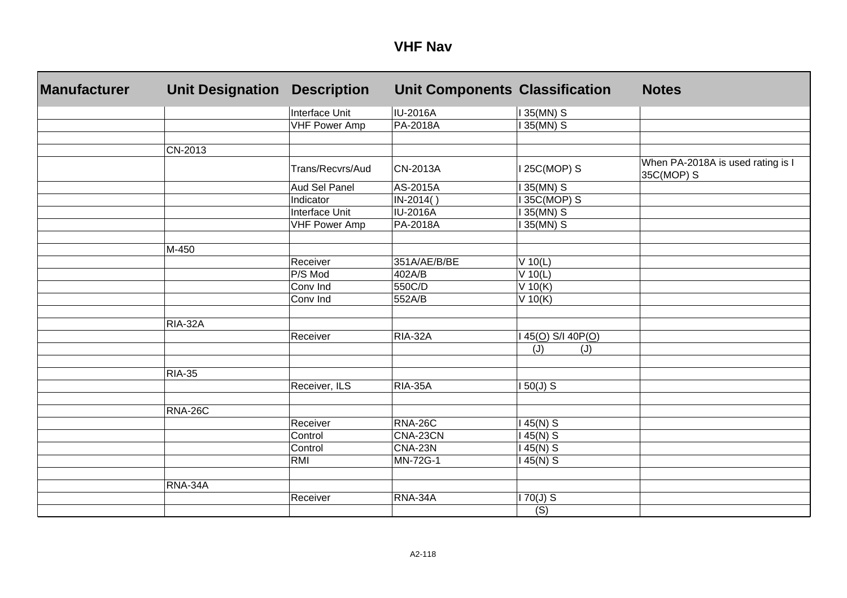| <b>Manufacturer</b> | <b>Unit Designation</b> | <b>Description</b>   | <b>Unit Components Classification</b> |                    | <b>Notes</b>                                    |
|---------------------|-------------------------|----------------------|---------------------------------------|--------------------|-------------------------------------------------|
|                     |                         | Interface Unit       | IU-2016A                              | 135(MN) S          |                                                 |
|                     |                         | <b>VHF Power Amp</b> | PA-2018A                              | 35(MN) S           |                                                 |
|                     |                         |                      |                                       |                    |                                                 |
|                     | CN-2013                 |                      |                                       |                    |                                                 |
|                     |                         | Trans/Recvrs/Aud     | <b>CN-2013A</b>                       | 25C(MOP) S         | When PA-2018A is used rating is I<br>35C(MOP) S |
|                     |                         | Aud Sel Panel        | AS-2015A                              | 35(MN) S           |                                                 |
|                     |                         | Indicator            | IN-2014()                             | 35C(MOP) S         |                                                 |
|                     |                         | Interface Unit       | <b>IU-2016A</b>                       | 35(MN) S           |                                                 |
|                     |                         | <b>VHF Power Amp</b> | PA-2018A                              | 35(MN) S           |                                                 |
|                     |                         |                      |                                       |                    |                                                 |
|                     | M-450                   |                      |                                       |                    |                                                 |
|                     |                         | Receiver             | 351A/AE/B/BE                          | V 10(L)            |                                                 |
|                     |                         | P/S Mod              | 402A/B                                | V 10(L)            |                                                 |
|                     |                         | Conv Ind             | 550C/D                                | $V$ 10(K)          |                                                 |
|                     |                         | Conv Ind             | 552A/B                                | V 10(K)            |                                                 |
|                     |                         |                      |                                       |                    |                                                 |
|                     | <b>RIA-32A</b>          |                      |                                       |                    |                                                 |
|                     |                         | Receiver             | <b>RIA-32A</b>                        | $45(0)$ S/I 40P(O) |                                                 |
|                     |                         |                      |                                       | (J)<br>(J)         |                                                 |
|                     |                         |                      |                                       |                    |                                                 |
|                     | <b>RIA-35</b>           |                      |                                       |                    |                                                 |
|                     |                         | Receiver, ILS        | <b>RIA-35A</b>                        | $150(J)$ S         |                                                 |
|                     |                         |                      |                                       |                    |                                                 |
|                     | RNA-26C                 |                      |                                       |                    |                                                 |
|                     |                         | Receiver             | <b>RNA-26C</b>                        | 45(N) S            |                                                 |
|                     |                         | Control              | CNA-23CN                              | 45(N) S            |                                                 |
|                     |                         | Control              | <b>CNA-23N</b>                        | 45(N) S            |                                                 |
|                     |                         | <b>RMI</b>           | MN-72G-1                              | 45(N) S            |                                                 |
|                     |                         |                      |                                       |                    |                                                 |
|                     | RNA-34A                 |                      |                                       |                    |                                                 |
|                     |                         | Receiver             | RNA-34A                               | 70(J) S            |                                                 |
|                     |                         |                      |                                       | $\overline{(S)}$   |                                                 |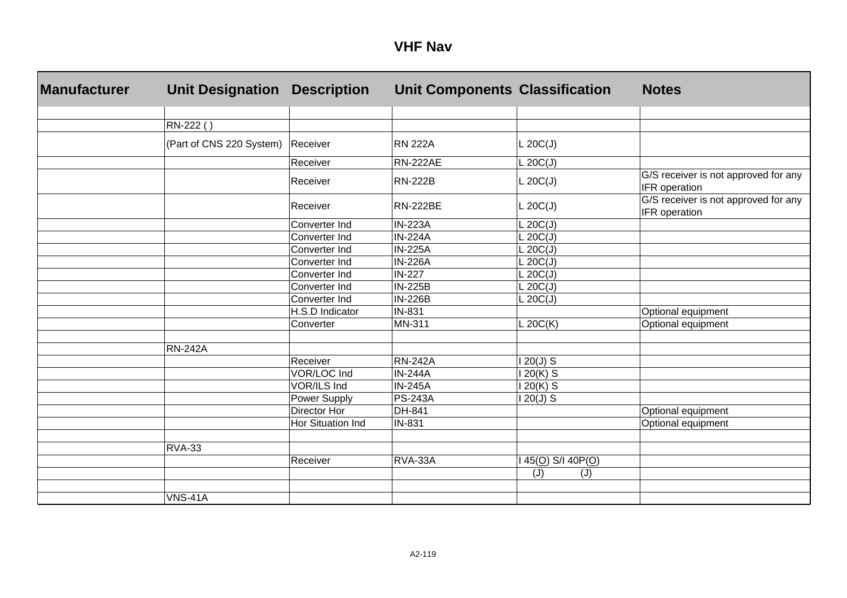| <b>Manufacturer</b> | <b>Unit Designation</b>  | <b>Description</b>  | <b>Unit Components Classification</b> |                     | <b>Notes</b>                                          |
|---------------------|--------------------------|---------------------|---------------------------------------|---------------------|-------------------------------------------------------|
|                     |                          |                     |                                       |                     |                                                       |
|                     | RN-222()                 |                     |                                       |                     |                                                       |
|                     | (Part of CNS 220 System) | Receiver            | <b>RN 222A</b>                        | L 20C(J)            |                                                       |
|                     |                          | Receiver            | <b>RN-222AE</b>                       | L 20C(J)            |                                                       |
|                     |                          | Receiver            | <b>RN-222B</b>                        | L 20C(J)            | G/S receiver is not approved for any<br>IFR operation |
|                     |                          | Receiver            | <b>RN-222BE</b>                       | L 20C(J)            | G/S receiver is not approved for any<br>IFR operation |
|                     |                          | Converter Ind       | <b>IN-223A</b>                        | L 20C(J)            |                                                       |
|                     |                          | Converter Ind       | <b>IN-224A</b>                        | L 20C(J)            |                                                       |
|                     |                          | Converter Ind       | <b>IN-225A</b>                        | $\mathsf{L}$ 20C(J) |                                                       |
|                     |                          | Converter Ind       | <b>IN-226A</b>                        | L 20C(J)            |                                                       |
|                     |                          | Converter Ind       | <b>IN-227</b>                         | L 20C(J)            |                                                       |
|                     |                          | Converter Ind       | <b>IN-225B</b>                        | L 20C(J)            |                                                       |
|                     |                          | Converter Ind       | <b>IN-226B</b>                        | $\mathsf{L}$ 20C(J) |                                                       |
|                     |                          | H.S.D Indicator     | IN-831                                |                     | Optional equipment                                    |
|                     |                          | Converter           | MN-311                                | L 20 $C(K)$         | Optional equipment                                    |
|                     | <b>RN-242A</b>           |                     |                                       |                     |                                                       |
|                     |                          | Receiver            | <b>RN-242A</b>                        | $20(J)$ S           |                                                       |
|                     |                          | VOR/LOC Ind         | <b>IN-244A</b>                        | 20(K) S             |                                                       |
|                     |                          | VOR/ILS Ind         | <b>IN-245A</b>                        | $20(K)$ S           |                                                       |
|                     |                          | Power Supply        | <b>PS-243A</b>                        | $20(J)$ S           |                                                       |
|                     |                          | <b>Director Hor</b> | DH-841                                |                     | Optional equipment                                    |
|                     |                          | Hor Situation Ind   | IN-831                                |                     | Optional equipment                                    |
|                     | <b>RVA-33</b>            |                     |                                       |                     |                                                       |
|                     |                          | Receiver            | RVA-33A                               | 45(O) S/I 40P(O)    |                                                       |
|                     |                          |                     |                                       | (J)<br>(J)          |                                                       |
|                     |                          |                     |                                       |                     |                                                       |
|                     | <b>VNS-41A</b>           |                     |                                       |                     |                                                       |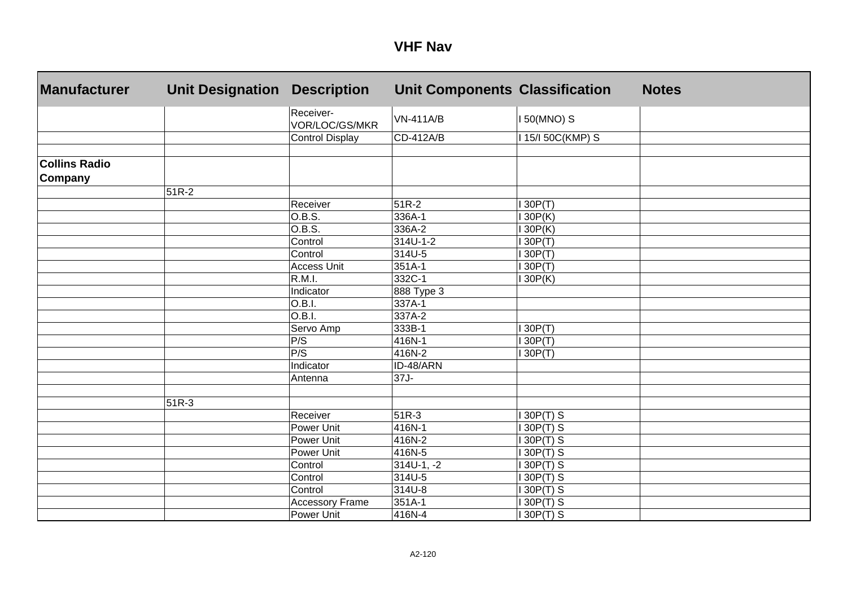| <b>Manufacturer</b>             | <b>Unit Designation</b> | <b>Description</b>          | <b>Unit Components Classification</b> |                 | <b>Notes</b> |
|---------------------------------|-------------------------|-----------------------------|---------------------------------------|-----------------|--------------|
|                                 |                         | Receiver-<br>VOR/LOC/GS/MKR | <b>VN-411A/B</b>                      | 150(MNO) S      |              |
|                                 |                         | <b>Control Display</b>      | CD-412A/B                             | 115/150C(KMP) S |              |
|                                 |                         |                             |                                       |                 |              |
| <b>Collins Radio</b><br>Company |                         |                             |                                       |                 |              |
|                                 | $51R-2$                 |                             |                                       |                 |              |
|                                 |                         | Receiver                    | $51R-2$                               | 30P(T)          |              |
|                                 |                         | O.B.S.                      | 336A-1                                | 30P(K)          |              |
|                                 |                         | O.B.S.                      | 336A-2                                | 30P(K)          |              |
|                                 |                         | Control                     | $314U-1-2$                            | 30P(T)          |              |
|                                 |                         | Control                     | 314U-5                                | 30P(T)          |              |
|                                 |                         | Access Unit                 | 351A-1                                | 30P(T)          |              |
|                                 |                         | R.M.I.                      | 332C-1                                | 30P(K)          |              |
|                                 |                         | Indicator                   | 888 Type 3                            |                 |              |
|                                 |                         | O.B.I.                      | 337A-1                                |                 |              |
|                                 |                         | O.B.I.                      | 337A-2                                |                 |              |
|                                 |                         | Servo Amp                   | 333B-1                                | 30P(T)          |              |
|                                 |                         | P/S                         | 416N-1                                | 130P(T)         |              |
|                                 |                         | P/S                         | 416N-2                                | 30P(T)          |              |
|                                 |                         | Indicator                   | ID-48/ARN                             |                 |              |
|                                 |                         | Antenna                     | 37J-                                  |                 |              |
|                                 |                         |                             |                                       |                 |              |
|                                 | 51R-3                   |                             |                                       |                 |              |
|                                 |                         | Receiver                    | 51R-3                                 | 30P(T) S        |              |
|                                 |                         | Power Unit                  | 416N-1                                | 30P(T) S        |              |
|                                 |                         | Power Unit                  | 416N-2                                | 30P(T) S        |              |
|                                 |                         | Power Unit                  | 416N-5                                | 30P(T) S        |              |
|                                 |                         | Control                     | $314U-1, -2$                          | 30P(T) S        |              |
|                                 |                         | Control                     | 314U-5                                | 30P(T) S        |              |
|                                 |                         | Control                     | 314U-8                                | 30P(T) S        |              |
|                                 |                         | <b>Accessory Frame</b>      | 351A-1                                | 30P(T) S        |              |
|                                 |                         | Power Unit                  | 416N-4                                | 30P(T) S        |              |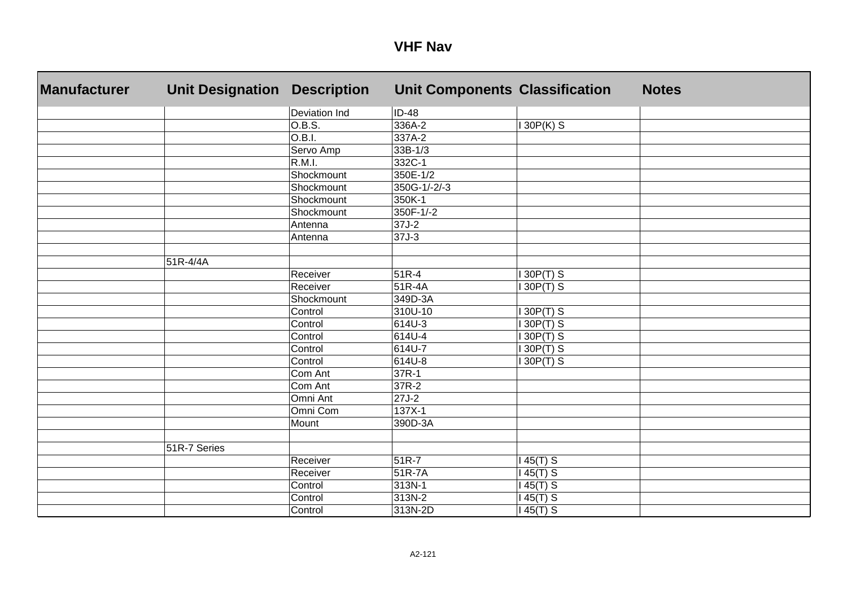| <b>Manufacturer</b> | <b>Unit Designation</b> | <b>Description</b> | <b>Unit Components Classification</b> |             | <b>Notes</b> |
|---------------------|-------------------------|--------------------|---------------------------------------|-------------|--------------|
|                     |                         | Deviation Ind      | $ID-48$                               |             |              |
|                     |                         | 0.B.S.             | 336A-2                                | $130P(K)$ S |              |
|                     |                         | O.B.I.             | 337A-2                                |             |              |
|                     |                         | Servo Amp          | $33B-1/3$                             |             |              |
|                     |                         | R.M.I.             | 332C-1                                |             |              |
|                     |                         | Shockmount         | 350E-1/2                              |             |              |
|                     |                         | Shockmount         | 350G-1/-2/-3                          |             |              |
|                     |                         | Shockmount         | 350K-1                                |             |              |
|                     |                         | Shockmount         | 350F-1/-2                             |             |              |
|                     |                         | Antenna            | $37J-2$                               |             |              |
|                     |                         | Antenna            | 37J-3                                 |             |              |
|                     |                         |                    |                                       |             |              |
|                     | 51R-4/4A                |                    |                                       |             |              |
|                     |                         | Receiver           | 51R-4                                 | 30P(T) S    |              |
|                     |                         | Receiver           | 51R-4A                                | 30P(T) S    |              |
|                     |                         | Shockmount         | 349D-3A                               |             |              |
|                     |                         | Control            | 310U-10                               | 130P(T) S   |              |
|                     |                         | Control            | 614U-3                                | 130P(T) S   |              |
|                     |                         | Control            | 614U-4                                | 130P(T) S   |              |
|                     |                         | Control            | 614U-7                                | 130P(T) S   |              |
|                     |                         | Control            | 614U-8                                | 130P(T) S   |              |
|                     |                         | Com Ant            | 37R-1                                 |             |              |
|                     |                         | Com Ant            | 37R-2                                 |             |              |
|                     |                         | Omni Ant           | $27J-2$                               |             |              |
|                     |                         | Omni Com           | $137X-1$                              |             |              |
|                     |                         | Mount              | 390D-3A                               |             |              |
|                     |                         |                    |                                       |             |              |
|                     | 51R-7 Series            |                    |                                       |             |              |
|                     |                         | Receiver           | 51R-7                                 | $145(T)$ S  |              |
|                     |                         | Receiver           | 51R-7A                                | $145(T)$ S  |              |
|                     |                         | Control            | 313N-1                                | $145(T)$ S  |              |
|                     |                         | Control            | 313N-2                                | 145(T) S    |              |
|                     |                         | Control            | 313N-2D                               | $145(T)$ S  |              |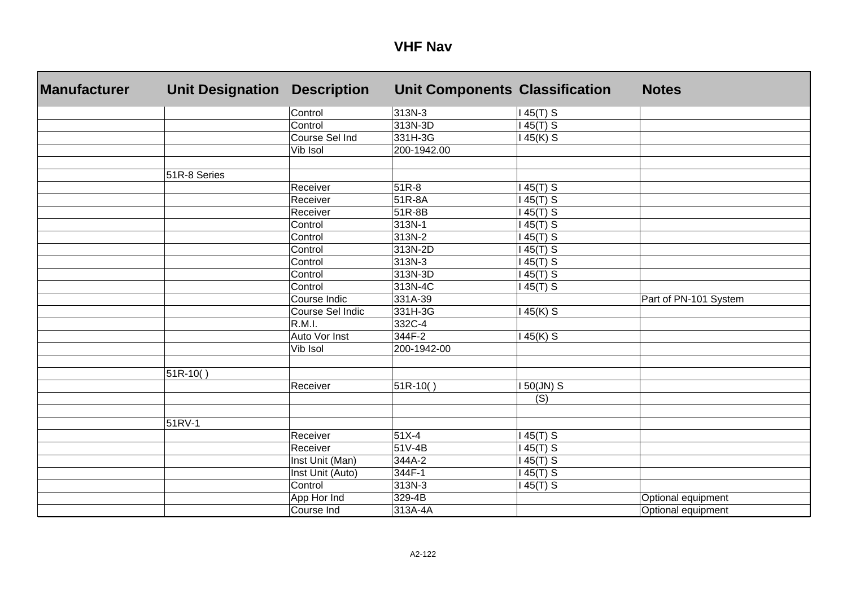| <b>Manufacturer</b> | <b>Unit Designation</b> | <b>Description</b> | <b>Unit Components Classification</b> |                           | <b>Notes</b>          |
|---------------------|-------------------------|--------------------|---------------------------------------|---------------------------|-----------------------|
|                     |                         | Control            | 313N-3                                | $145(T)$ S                |                       |
|                     |                         | Control            | 313N-3D                               | $45(T)$ S                 |                       |
|                     |                         | Course Sel Ind     | 331H-3G                               | $145(K)$ S                |                       |
|                     |                         | Vib Isol           | 200-1942.00                           |                           |                       |
|                     |                         |                    |                                       |                           |                       |
|                     | 51R-8 Series            |                    |                                       |                           |                       |
|                     |                         | Receiver           | $51R-8$                               | $45(T)$ S                 |                       |
|                     |                         | Receiver           | 51R-8A                                | $45(T)$ S                 |                       |
|                     |                         | Receiver           | 51R-8B                                | $45(T)$ S                 |                       |
|                     |                         | Control            | 313N-1                                | $45(T)$ S                 |                       |
|                     |                         | Control            | 313N-2                                | $45(T)$ S                 |                       |
|                     |                         | Control            | 313N-2D                               | $45(T)$ S                 |                       |
|                     |                         | Control            | 313N-3                                | $145(T)$ S                |                       |
|                     |                         | Control            | 313N-3D                               | $45(T)$ S                 |                       |
|                     |                         | Control            | 313N-4C                               | 45(T) S                   |                       |
|                     |                         | Course Indic       | 331A-39                               |                           | Part of PN-101 System |
|                     |                         | Course Sel Indic   | 331H-3G                               | 45(K) S                   |                       |
|                     |                         | R.M.I.             | 332C-4                                |                           |                       |
|                     |                         | Auto Vor Inst      | 344F-2                                | 45(K) S                   |                       |
|                     |                         | Vib Isol           | 200-1942-00                           |                           |                       |
|                     |                         |                    |                                       |                           |                       |
|                     | 51R-10()                |                    |                                       |                           |                       |
|                     |                         | Receiver           | 51R-10()                              | 150(JN) S                 |                       |
|                     |                         |                    |                                       | $\overline{(\mathsf{S})}$ |                       |
|                     |                         |                    |                                       |                           |                       |
|                     | 51RV-1                  |                    |                                       |                           |                       |
|                     |                         | Receiver           | 51X-4                                 | $45(T)$ S                 |                       |
|                     |                         | Receiver           | 51V-4B                                | $45(T)$ S                 |                       |
|                     |                         | Inst Unit (Man)    | 344A-2                                | $45(T)$ S                 |                       |
|                     |                         | Inst Unit (Auto)   | 344F-1                                | $45(T)$ S                 |                       |
|                     |                         | Control            | 313N-3                                | $145(T)$ S                |                       |
|                     |                         | App Hor Ind        | 329-4B                                |                           | Optional equipment    |
|                     |                         | Course Ind         | 313A-4A                               |                           | Optional equipment    |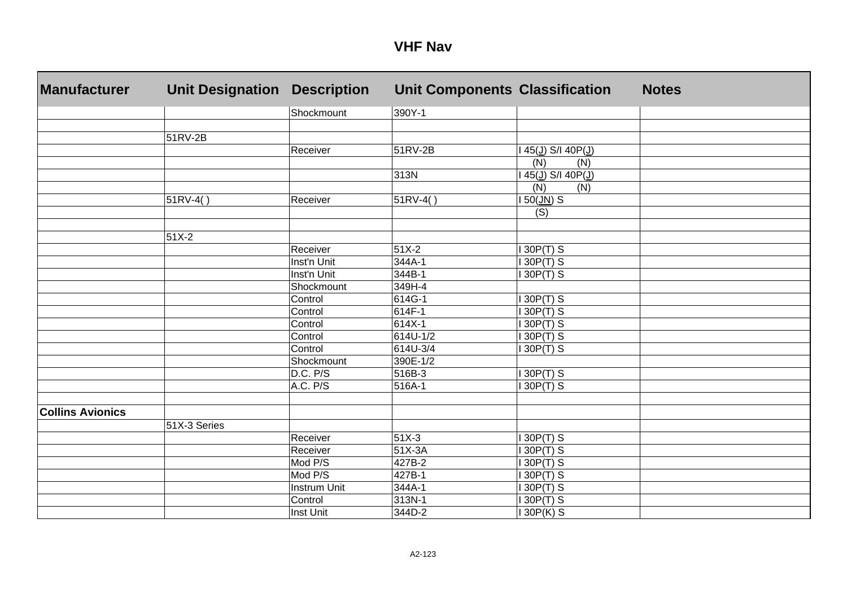| <b>Manufacturer</b>     | <b>Unit Designation</b> | <b>Description</b>  | <b>Unit Components Classification</b> |                                   | <b>Notes</b> |
|-------------------------|-------------------------|---------------------|---------------------------------------|-----------------------------------|--------------|
|                         |                         | Shockmount          | 390Y-1                                |                                   |              |
|                         |                         |                     |                                       |                                   |              |
|                         | 51RV-2B                 |                     |                                       |                                   |              |
|                         |                         | Receiver            | 51RV-2B                               | 145(J) S/I 40P(J)                 |              |
|                         |                         |                     |                                       | (N)<br>(N)                        |              |
|                         |                         |                     | 313N                                  | 145(J) S/I 40P(J)                 |              |
|                         |                         |                     |                                       | (N)<br>(N)                        |              |
|                         | $51RV-4()$              | Receiver            | $51RV-4()$                            | $150(\underline{JN})\overline{S}$ |              |
|                         |                         |                     |                                       | (S)                               |              |
|                         |                         |                     |                                       |                                   |              |
|                         | 51X-2                   |                     |                                       |                                   |              |
|                         |                         | Receiver            | $51X-2$                               | 130P(T) S                         |              |
|                         |                         | Inst'n Unit         | 344A-1                                | $\overline{130P(T)}$ S            |              |
|                         |                         | Inst'n Unit         | 344B-1                                | 130P(T) S                         |              |
|                         |                         | Shockmount          | 349H-4                                |                                   |              |
|                         |                         | Control             | 614G-1                                | 130P(T) S                         |              |
|                         |                         | Control             | $614F-1$                              | $\overline{\text{I 30P(T)}}$ S    |              |
|                         |                         | Control             | $614X-1$                              | 130P(T) S                         |              |
|                         |                         | Control             | 614U-1/2                              | 130P(T) S                         |              |
|                         |                         | Control             | 614U-3/4                              | 130P(T) S                         |              |
|                         |                         | Shockmount          | 390E-1/2                              |                                   |              |
|                         |                         | D.C. P/S            | 516B-3                                | $130P(T)$ S                       |              |
|                         |                         | A.C. P/S            | 516A-1                                | 130P(T) S                         |              |
|                         |                         |                     |                                       |                                   |              |
| <b>Collins Avionics</b> |                         |                     |                                       |                                   |              |
|                         | 51X-3 Series            |                     |                                       |                                   |              |
|                         |                         | Receiver            | $51X-3$                               | 130P(T) S                         |              |
|                         |                         | Receiver            | 51X-3A                                | 130P(T) S                         |              |
|                         |                         | Mod P/S             | 427B-2                                | 130P(T) S                         |              |
|                         |                         | Mod P/S             | 427B-1                                | 130P(T) S                         |              |
|                         |                         | <b>Instrum Unit</b> | 344A-1                                | 130P(T) S                         |              |
|                         |                         | Control             | 313N-1                                | 130P(T) S                         |              |
|                         |                         | Inst Unit           | 344D-2                                | 130P(K) S                         |              |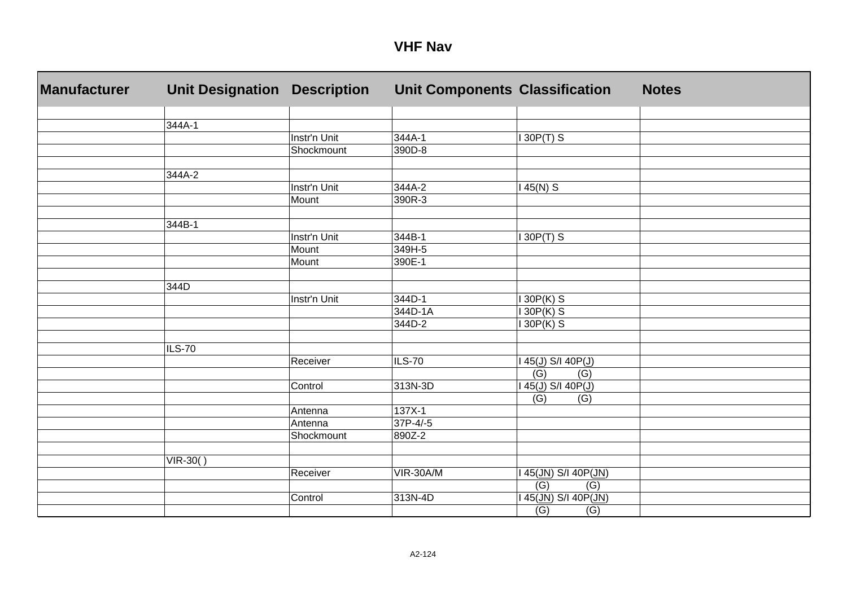| Manufacturer | <b>Unit Designation</b> | <b>Description</b> | <b>Unit Components Classification</b> |                         | <b>Notes</b> |
|--------------|-------------------------|--------------------|---------------------------------------|-------------------------|--------------|
|              |                         |                    |                                       |                         |              |
|              | 344A-1                  |                    |                                       |                         |              |
|              |                         | Instr'n Unit       | 344A-1                                | $30P(T)$ S              |              |
|              |                         | Shockmount         | 390D-8                                |                         |              |
|              | 344A-2                  |                    |                                       |                         |              |
|              |                         | Instr'n Unit       | 344A-2                                | 45(N) S                 |              |
|              |                         | Mount              | 390R-3                                |                         |              |
|              |                         |                    |                                       |                         |              |
|              | 344B-1                  |                    |                                       |                         |              |
|              |                         | Instr'n Unit       | 344B-1                                | $130P(T)$ S             |              |
|              |                         | Mount              | 349H-5                                |                         |              |
|              |                         | Mount              | 390E-1                                |                         |              |
|              |                         |                    |                                       |                         |              |
|              | 344D                    |                    |                                       |                         |              |
|              |                         | Instr'n Unit       | 344D-1                                | $30P(K)$ S              |              |
|              |                         |                    | 344D-1A                               | 30P(K) S                |              |
|              |                         |                    | 344D-2                                | 30P(K) S                |              |
|              |                         |                    |                                       |                         |              |
|              | ILS-70                  |                    |                                       |                         |              |
|              |                         | Receiver           | <b>ILS-70</b>                         | 45(J) S/I 40P(J)        |              |
|              |                         |                    |                                       | (G)<br>(G)              |              |
|              |                         | Control            | 313N-3D                               | 45(J) S/I 40P(J)        |              |
|              |                         |                    |                                       | (G)<br>(G)              |              |
|              |                         | Antenna            | 137X-1                                |                         |              |
|              |                         | Antenna            | $37P-4/-5$                            |                         |              |
|              |                         | Shockmount         | 890Z-2                                |                         |              |
|              |                         |                    |                                       |                         |              |
|              | $VIR-30()$              |                    |                                       |                         |              |
|              |                         | Receiver           | VIR-30A/M                             | 45(JN) S/I 40P(JN)      |              |
|              |                         |                    |                                       | $\overline{(G)}$<br>(G) |              |
|              |                         | Control            | 313N-4D                               | 45(JN) S/I 40P(JN)      |              |
|              |                         |                    |                                       | (G)<br>(G)              |              |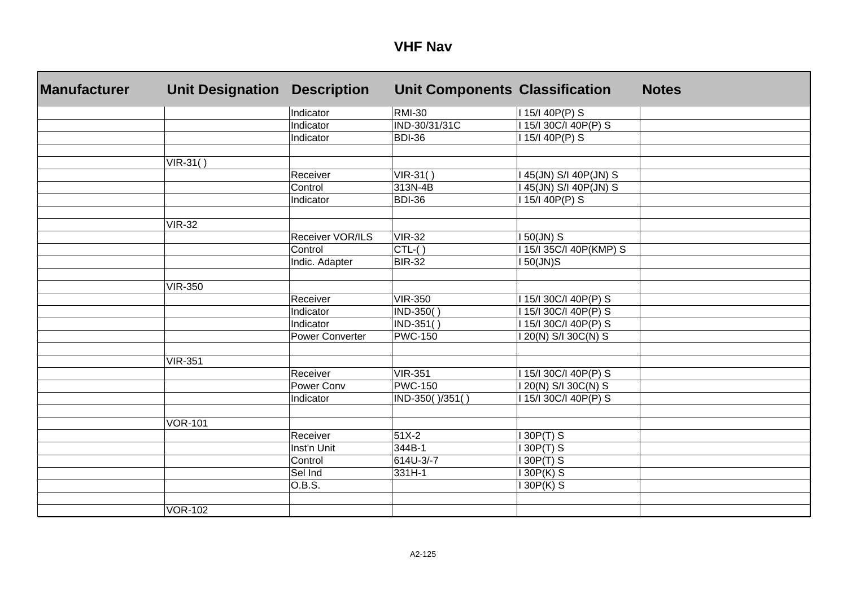| <b>Manufacturer</b> | <b>Unit Designation</b> | <b>Description</b>     | <b>Unit Components Classification</b> |                         | <b>Notes</b> |
|---------------------|-------------------------|------------------------|---------------------------------------|-------------------------|--------------|
|                     |                         | Indicator              | <b>RMI-30</b>                         | I 15/I 40P(P) S         |              |
|                     |                         | Indicator              | IND-30/31/31C                         | 115/130C/140P(P) S      |              |
|                     |                         | Indicator              | BDI-36                                | 15/140P(P) S            |              |
|                     |                         |                        |                                       |                         |              |
|                     | $VIR-31()$              |                        |                                       |                         |              |
|                     |                         | Receiver               | $VIR-31()$                            | 45(JN) S/I 40P(JN) S    |              |
|                     |                         | Control                | 313N-4B                               | 45(JN) S/I 40P(JN) S    |              |
|                     |                         | Indicator              | BDI-36                                | 15/140P(P) S            |              |
|                     |                         |                        |                                       |                         |              |
|                     | <b>VIR-32</b>           |                        |                                       |                         |              |
|                     |                         | Receiver VOR/ILS       | <b>VIR-32</b>                         | 150(JN) S               |              |
|                     |                         | Control                | $CTL-( )$                             | 1 15/1 35C/I 40P(KMP) S |              |
|                     |                         | Indic. Adapter         | <b>BIR-32</b>                         | $50$ (JN) $S$           |              |
|                     |                         |                        |                                       |                         |              |
|                     | <b>VIR-350</b>          |                        |                                       |                         |              |
|                     |                         | Receiver               | <b>VIR-350</b>                        | 15/130C/140P(P) S       |              |
|                     |                         | Indicator              | IND-350()                             | 15/130C/140P(P) S       |              |
|                     |                         | Indicator              | IND-351()                             | 15/130C/140P(P) S       |              |
|                     |                         | <b>Power Converter</b> | <b>PWC-150</b>                        | 20(N) S/I 30C(N) S      |              |
|                     |                         |                        |                                       |                         |              |
|                     | <b>VIR-351</b>          |                        |                                       |                         |              |
|                     |                         | Receiver               | <b>VIR-351</b>                        | 115/130C/140P(P) S      |              |
|                     |                         | Power Conv             | <b>PWC-150</b>                        | 20(N) S/I 30C(N) S      |              |
|                     |                         | Indicator              | IND-350()/351()                       | 15/130C/140P(P) S       |              |
|                     |                         |                        |                                       |                         |              |
|                     | <b>VOR-101</b>          |                        |                                       |                         |              |
|                     |                         | Receiver               | 51X-2                                 | 30P(T) S                |              |
|                     |                         | Inst'n Unit            | 344B-1                                | 30P(T) S                |              |
|                     |                         | Control                | 614U-3/-7                             | 30P(T) S                |              |
|                     |                         | Sel Ind                | 331H-1                                | 30P(K) S                |              |
|                     |                         | O.B.S.                 |                                       | 30P(K) S                |              |
|                     |                         |                        |                                       |                         |              |
|                     | <b>VOR-102</b>          |                        |                                       |                         |              |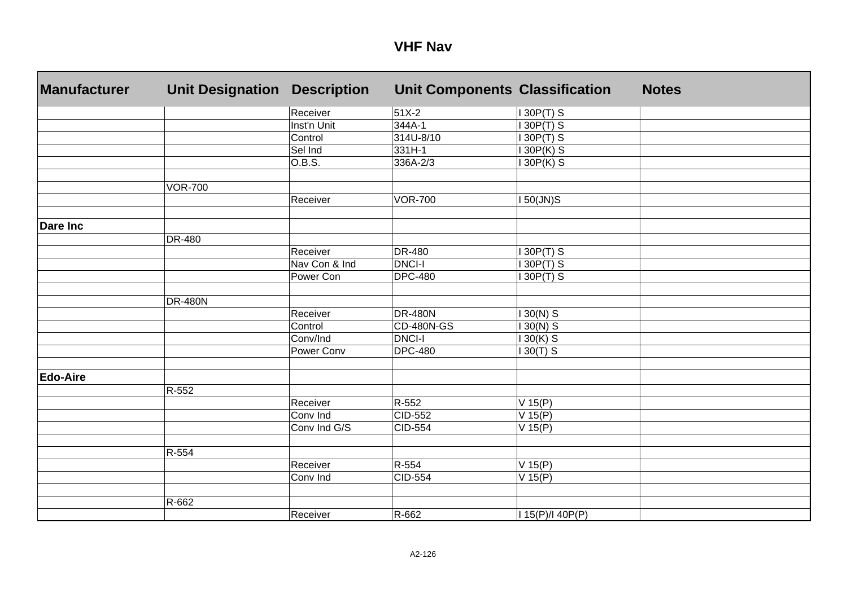| <b>Manufacturer</b> | <b>Unit Designation</b> | <b>Description</b> | <b>Unit Components Classification</b> |                  | <b>Notes</b> |
|---------------------|-------------------------|--------------------|---------------------------------------|------------------|--------------|
|                     |                         | Receiver           | $51X-2$                               | 130P(T) S        |              |
|                     |                         | Inst'n Unit        | 344A-1                                | 30P(T) S         |              |
|                     |                         | Control            | 314U-8/10                             | $30P(T)$ S       |              |
|                     |                         | Sel Ind            | $331H-1$                              | $30P(K)$ S       |              |
|                     |                         | O.B.S.             | 336A-2/3                              | 30P(K) S         |              |
|                     |                         |                    |                                       |                  |              |
|                     | <b>VOR-700</b>          |                    |                                       |                  |              |
|                     |                         | Receiver           | <b>VOR-700</b>                        | $50$ (JN)S       |              |
|                     |                         |                    |                                       |                  |              |
| <b>Dare Inc</b>     |                         |                    |                                       |                  |              |
|                     | DR-480                  |                    |                                       |                  |              |
|                     |                         | Receiver           | DR-480                                | 30P(T) S         |              |
|                     |                         | Nav Con & Ind      | <b>DNCI-I</b>                         | 30P(T) S         |              |
|                     |                         | Power Con          | <b>DPC-480</b>                        | $30P(T)$ S       |              |
|                     |                         |                    |                                       |                  |              |
|                     | <b>DR-480N</b>          |                    |                                       |                  |              |
|                     |                         | Receiver           | <b>DR-480N</b>                        | $30(N)$ S        |              |
|                     |                         | Control            | <b>CD-480N-GS</b>                     | $130(N)$ S       |              |
|                     |                         | Conv/Ind           | <b>DNCI-I</b>                         | $130(K)$ S       |              |
|                     |                         | Power Conv         | <b>DPC-480</b>                        | $30(T)$ S        |              |
|                     |                         |                    |                                       |                  |              |
| <b>Edo-Aire</b>     |                         |                    |                                       |                  |              |
|                     | R-552                   |                    |                                       |                  |              |
|                     |                         | Receiver           | R-552                                 | $V$ 15(P)        |              |
|                     |                         | Conv Ind           | CID-552                               | V 15(P)          |              |
|                     |                         | Conv Ind G/S       | CID-554                               | V 15(P)          |              |
|                     |                         |                    |                                       |                  |              |
|                     | R-554                   |                    |                                       |                  |              |
|                     |                         | Receiver           | R-554                                 | V 15(P)          |              |
|                     |                         | Conv Ind           | <b>CID-554</b>                        | $V$ 15(P)        |              |
|                     | R-662                   |                    |                                       |                  |              |
|                     |                         | Receiver           | R-662                                 | I 15(P)/I 40P(P) |              |
|                     |                         |                    |                                       |                  |              |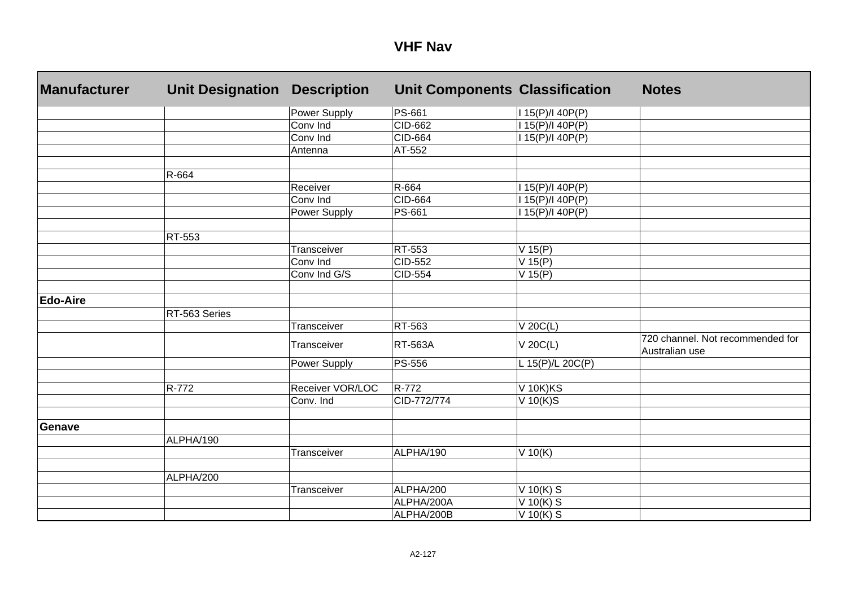| <b>Manufacturer</b> | <b>Unit Designation</b> | <b>Description</b> | <b>Unit Components Classification</b> |                  | <b>Notes</b>                                       |
|---------------------|-------------------------|--------------------|---------------------------------------|------------------|----------------------------------------------------|
|                     |                         | Power Supply       | PS-661                                | I 15(P)/I 40P(P) |                                                    |
|                     |                         | Conv Ind           | CID-662                               | I 15(P)/I 40P(P) |                                                    |
|                     |                         | Conv Ind           | CID-664                               | I 15(P)/I 40P(P) |                                                    |
|                     |                         | Antenna            | AT-552                                |                  |                                                    |
|                     | R-664                   |                    |                                       |                  |                                                    |
|                     |                         | Receiver           | R-664                                 | 15(P)/140P(P)    |                                                    |
|                     |                         | Conv Ind           | CID-664                               | 15(P)/140P(P)    |                                                    |
|                     |                         | Power Supply       | PS-661                                | 15(P)/140P(P)    |                                                    |
|                     | RT-553                  |                    |                                       |                  |                                                    |
|                     |                         | Transceiver        | RT-553                                | $V$ 15(P)        |                                                    |
|                     |                         | Conv Ind           | <b>CID-552</b>                        | V 15(P)          |                                                    |
|                     |                         | Conv Ind G/S       | <b>CID-554</b>                        | $V$ 15(P)        |                                                    |
| <b>Edo-Aire</b>     |                         |                    |                                       |                  |                                                    |
|                     | RT-563 Series           |                    |                                       |                  |                                                    |
|                     |                         | Transceiver        | RT-563                                | $V$ 20 $C(L)$    |                                                    |
|                     |                         | Transceiver        | <b>RT-563A</b>                        | V 20C(L)         | 720 channel. Not recommended for<br>Australian use |
|                     |                         | Power Supply       | PS-556                                | L 15(P)/L 20C(P) |                                                    |
|                     |                         |                    |                                       |                  |                                                    |
|                     | R-772                   | Receiver VOR/LOC   | R-772                                 | <b>V 10K)KS</b>  |                                                    |
|                     |                         | Conv. Ind          | CID-772/774                           | $V$ 10(K)S       |                                                    |
|                     |                         |                    |                                       |                  |                                                    |
| <b>Genave</b>       |                         |                    |                                       |                  |                                                    |
|                     | ALPHA/190               |                    |                                       |                  |                                                    |
|                     |                         | Transceiver        | ALPHA/190                             | V 10(K)          |                                                    |
|                     | ALPHA/200               |                    |                                       |                  |                                                    |
|                     |                         | Transceiver        | ALPHA/200                             | $V$ 10(K) S      |                                                    |
|                     |                         |                    | ALPHA/200A                            | $V$ 10(K) S      |                                                    |
|                     |                         |                    | ALPHA/200B                            | V 10(K) $S$      |                                                    |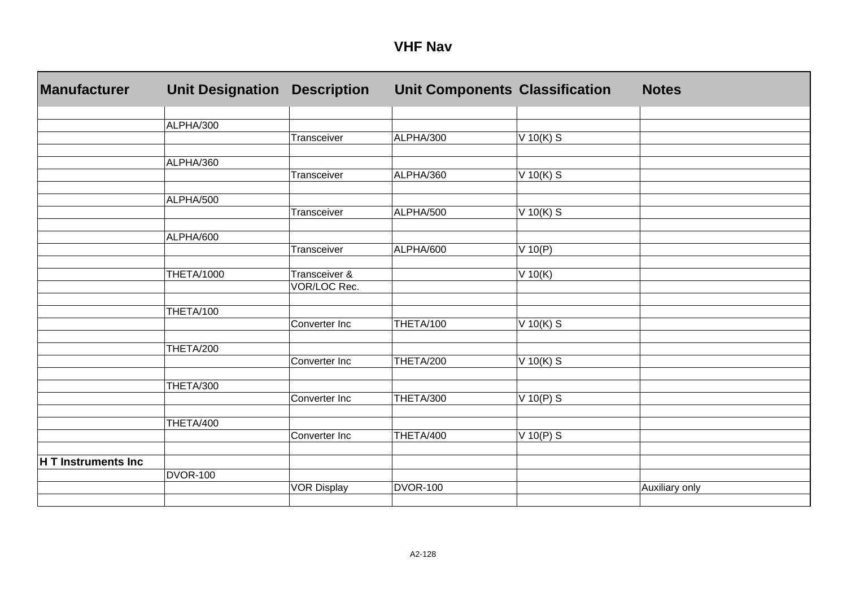| <b>Manufacturer</b> | <b>Unit Designation</b> | <b>Description</b> | <b>Unit Components Classification</b> |             | <b>Notes</b>   |
|---------------------|-------------------------|--------------------|---------------------------------------|-------------|----------------|
|                     |                         |                    |                                       |             |                |
|                     | ALPHA/300               |                    |                                       |             |                |
|                     |                         | Transceiver        | ALPHA/300                             | V 10(K) S   |                |
|                     |                         |                    |                                       |             |                |
|                     | ALPHA/360               | Transceiver        |                                       |             |                |
|                     |                         |                    | ALPHA/360                             | V 10(K) S   |                |
|                     | ALPHA/500               |                    |                                       |             |                |
|                     |                         | Transceiver        | ALPHA/500                             | $V$ 10(K) S |                |
|                     |                         |                    |                                       |             |                |
|                     | ALPHA/600               |                    |                                       |             |                |
|                     |                         | Transceiver        | ALPHA/600                             | $V$ 10(P)   |                |
|                     |                         |                    |                                       |             |                |
|                     | <b>THETA/1000</b>       | Transceiver &      |                                       | $V$ 10(K)   |                |
|                     |                         | VOR/LOC Rec.       |                                       |             |                |
|                     |                         |                    |                                       |             |                |
|                     | THETA/100               |                    |                                       |             |                |
|                     |                         | Converter Inc      | THETA/100                             | $V$ 10(K) S |                |
|                     |                         |                    |                                       |             |                |
|                     | THETA/200               | Converter Inc      | THETA/200                             | $V$ 10(K) S |                |
|                     |                         |                    |                                       |             |                |
|                     | THETA/300               |                    |                                       |             |                |
|                     |                         | Converter Inc      | THETA/300                             | $V$ 10(P) S |                |
|                     |                         |                    |                                       |             |                |
|                     | THETA/400               |                    |                                       |             |                |
|                     |                         | Converter Inc      | THETA/400                             | $V$ 10(P) S |                |
|                     |                         |                    |                                       |             |                |
| H T Instruments Inc |                         |                    |                                       |             |                |
|                     | <b>DVOR-100</b>         |                    |                                       |             |                |
|                     |                         | <b>VOR Display</b> | <b>DVOR-100</b>                       |             | Auxiliary only |
|                     |                         |                    |                                       |             |                |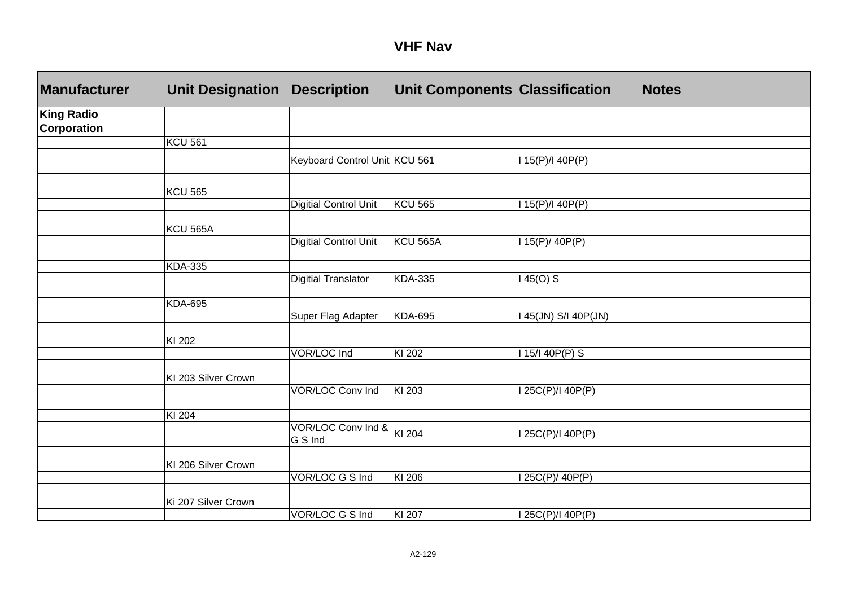| <b>VHF Nav</b> |  |
|----------------|--|
|----------------|--|

| Manufacturer                            | <b>Unit Designation</b> | <b>Description</b>            | <b>Unit Components Classification</b> |                     | <b>Notes</b> |
|-----------------------------------------|-------------------------|-------------------------------|---------------------------------------|---------------------|--------------|
| <b>King Radio</b><br><b>Corporation</b> |                         |                               |                                       |                     |              |
|                                         | <b>KCU 561</b>          |                               |                                       |                     |              |
|                                         |                         | Keyboard Control Unit KCU 561 |                                       | I 15(P)/I 40P(P)    |              |
|                                         | <b>KCU 565</b>          |                               |                                       |                     |              |
|                                         |                         | <b>Digitial Control Unit</b>  | <b>KCU 565</b>                        | I 15(P)/I 40P(P)    |              |
|                                         | <b>KCU 565A</b>         |                               |                                       |                     |              |
|                                         |                         | <b>Digitial Control Unit</b>  | <b>KCU 565A</b>                       | 115(P)/40P(P)       |              |
|                                         | <b>KDA-335</b>          |                               |                                       |                     |              |
|                                         |                         | <b>Digitial Translator</b>    | <b>KDA-335</b>                        | 145(O) S            |              |
|                                         |                         |                               |                                       |                     |              |
|                                         | <b>KDA-695</b>          | Super Flag Adapter            | <b>KDA-695</b>                        | 145(JN) S/I 40P(JN) |              |
|                                         |                         |                               |                                       |                     |              |
|                                         | KI 202                  |                               |                                       |                     |              |
|                                         |                         | VOR/LOC Ind                   | KI 202                                | I 15/I 40P(P) S     |              |
|                                         | KI 203 Silver Crown     |                               |                                       |                     |              |
|                                         |                         | <b>VOR/LOC Conv Ind</b>       | KI 203                                | I 25C(P)/I 40P(P)   |              |
|                                         |                         |                               |                                       |                     |              |
|                                         | KI 204                  | VOR/LOC Conv Ind &            |                                       |                     |              |
|                                         |                         | G S Ind                       | KI 204                                | I 25C(P)/I 40P(P)   |              |
|                                         | KI 206 Silver Crown     |                               |                                       |                     |              |
|                                         |                         | VOR/LOC G S Ind               | $\overline{K}$ l 206                  | I 25C(P)/ 40P(P)    |              |
|                                         |                         |                               |                                       |                     |              |
|                                         | Ki 207 Silver Crown     |                               |                                       |                     |              |
|                                         |                         | VOR/LOC G S Ind               | KI 207                                | I 25C(P)/I 40P(P)   |              |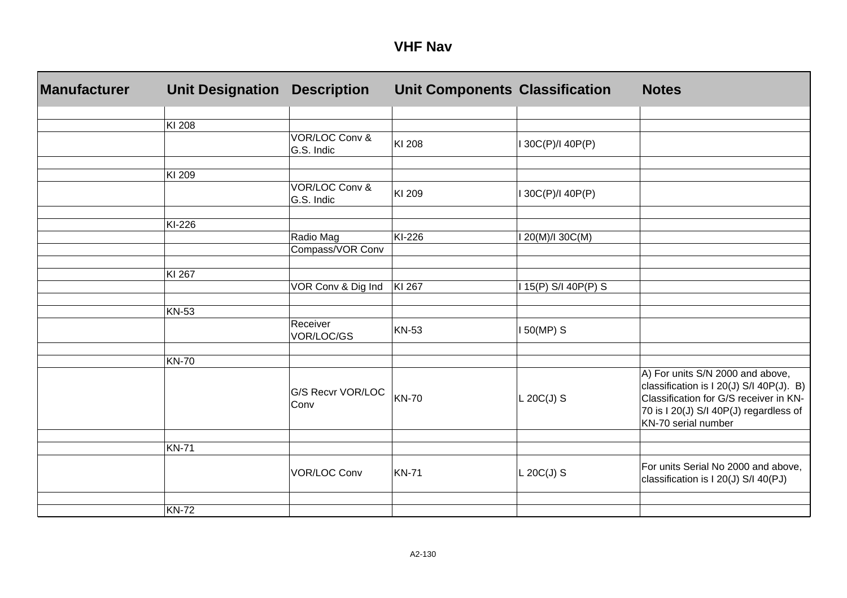| <b>Manufacturer</b> | <b>Unit Designation</b> | <b>Description</b>           | <b>Unit Components Classification</b> |                    | <b>Notes</b>                                                                                                                                                                            |
|---------------------|-------------------------|------------------------------|---------------------------------------|--------------------|-----------------------------------------------------------------------------------------------------------------------------------------------------------------------------------------|
|                     |                         |                              |                                       |                    |                                                                                                                                                                                         |
|                     | KI 208                  |                              |                                       |                    |                                                                                                                                                                                         |
|                     |                         | VOR/LOC Conv &<br>G.S. Indic | KI 208                                | 30C(P)/I 40P(P)    |                                                                                                                                                                                         |
|                     |                         |                              |                                       |                    |                                                                                                                                                                                         |
|                     | KI 209                  | VOR/LOC Conv &<br>G.S. Indic | KI 209                                | 30C(P)/I 40P(P)    |                                                                                                                                                                                         |
|                     |                         |                              |                                       |                    |                                                                                                                                                                                         |
|                     | KI-226                  |                              |                                       |                    |                                                                                                                                                                                         |
|                     |                         | Radio Mag                    | KI-226                                | 20(M)/I 30C(M)     |                                                                                                                                                                                         |
|                     |                         | Compass/VOR Conv             |                                       |                    |                                                                                                                                                                                         |
|                     | KI 267                  |                              |                                       |                    |                                                                                                                                                                                         |
|                     |                         | VOR Conv & Dig Ind           | KI 267                                | 15(P) S/I 40P(P) S |                                                                                                                                                                                         |
|                     | <b>KN-53</b>            |                              |                                       |                    |                                                                                                                                                                                         |
|                     |                         | Receiver<br>VOR/LOC/GS       | <b>KN-53</b>                          | 150(MP) S          |                                                                                                                                                                                         |
|                     |                         |                              |                                       |                    |                                                                                                                                                                                         |
|                     | <b>KN-70</b>            |                              |                                       |                    |                                                                                                                                                                                         |
|                     |                         | G/S Recvr VOR/LOC<br>Conv    | <b>KN-70</b>                          | $L 20C(J)$ S       | A) For units S/N 2000 and above,<br>classification is I 20(J) S/I 40P(J). B)<br>Classification for G/S receiver in KN-<br>70 is I 20(J) S/I 40P(J) regardless of<br>KN-70 serial number |
|                     |                         |                              |                                       |                    |                                                                                                                                                                                         |
|                     | <b>KN-71</b>            |                              |                                       |                    |                                                                                                                                                                                         |
|                     |                         | <b>VOR/LOC Conv</b>          | <b>KN-71</b>                          | $L 20C(J)$ S       | For units Serial No 2000 and above,<br>classification is I 20(J) S/I 40(PJ)                                                                                                             |
|                     |                         |                              |                                       |                    |                                                                                                                                                                                         |
|                     | <b>KN-72</b>            |                              |                                       |                    |                                                                                                                                                                                         |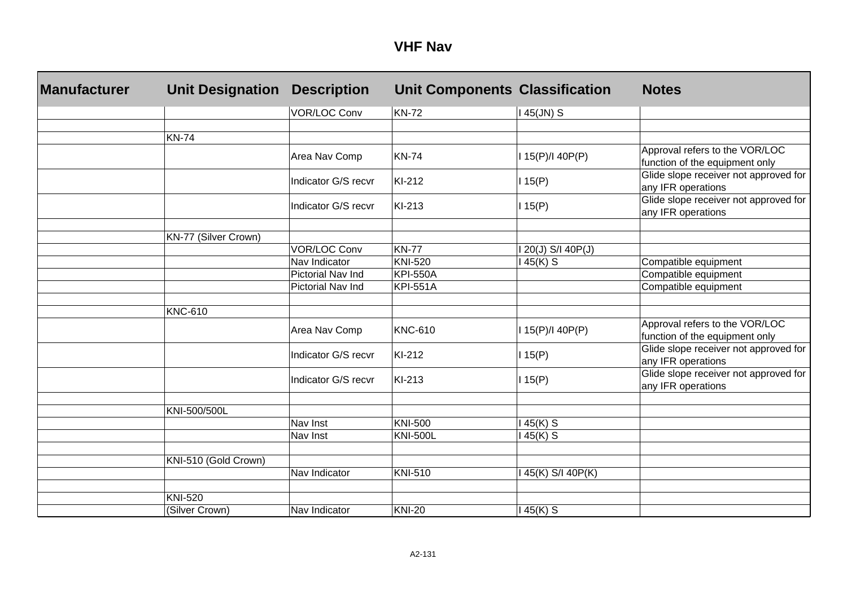| <b>Manufacturer</b> | <b>Unit Designation</b> | <b>Description</b>  | <b>Unit Components Classification</b> |                    | <b>Notes</b>                                                     |
|---------------------|-------------------------|---------------------|---------------------------------------|--------------------|------------------------------------------------------------------|
|                     |                         | <b>VOR/LOC Conv</b> | <b>KN-72</b>                          | $145$ (JN) S       |                                                                  |
|                     |                         |                     |                                       |                    |                                                                  |
|                     | <b>KN-74</b>            |                     |                                       |                    |                                                                  |
|                     |                         | Area Nav Comp       | <b>KN-74</b>                          | 115(P)/140P(P)     | Approval refers to the VOR/LOC<br>function of the equipment only |
|                     |                         | Indicator G/S recvr | KI-212                                | 115(P)             | Glide slope receiver not approved for<br>any IFR operations      |
|                     |                         | Indicator G/S recvr | KI-213                                | 115(P)             | Glide slope receiver not approved for<br>any IFR operations      |
|                     | KN-77 (Silver Crown)    |                     |                                       |                    |                                                                  |
|                     |                         | <b>VOR/LOC Conv</b> | <b>KN-77</b>                          | 1 20(J) S/I 40P(J) |                                                                  |
|                     |                         | Nav Indicator       | <b>KNI-520</b>                        | 145(K) S           | Compatible equipment                                             |
|                     |                         | Pictorial Nav Ind   | <b>KPI-550A</b>                       |                    | Compatible equipment                                             |
|                     |                         | Pictorial Nav Ind   | <b>KPI-551A</b>                       |                    | Compatible equipment                                             |
|                     |                         |                     |                                       |                    |                                                                  |
|                     | <b>KNC-610</b>          |                     |                                       |                    |                                                                  |
|                     |                         | Area Nav Comp       | <b>KNC-610</b>                        | 115(P)/140P(P)     | Approval refers to the VOR/LOC<br>function of the equipment only |
|                     |                         | Indicator G/S recvr | KI-212                                | 115(P)             | Glide slope receiver not approved for<br>any IFR operations      |
|                     |                         | Indicator G/S recvr | KI-213                                | 115(P)             | Glide slope receiver not approved for<br>any IFR operations      |
|                     |                         |                     |                                       |                    |                                                                  |
|                     | KNI-500/500L            |                     |                                       |                    |                                                                  |
|                     |                         | Nav Inst            | <b>KNI-500</b>                        | 145(K) S           |                                                                  |
|                     |                         | Nav Inst            | <b>KNI-500L</b>                       | 145(K) S           |                                                                  |
|                     | KNI-510 (Gold Crown)    |                     |                                       |                    |                                                                  |
|                     |                         | Nav Indicator       | <b>KNI-510</b>                        | 145(K) S/I 40P(K)  |                                                                  |
|                     | <b>KNI-520</b>          |                     |                                       |                    |                                                                  |
|                     |                         |                     |                                       |                    |                                                                  |
|                     | (Silver Crown)          | Nav Indicator       | <b>KNI-20</b>                         | 145(K) S           |                                                                  |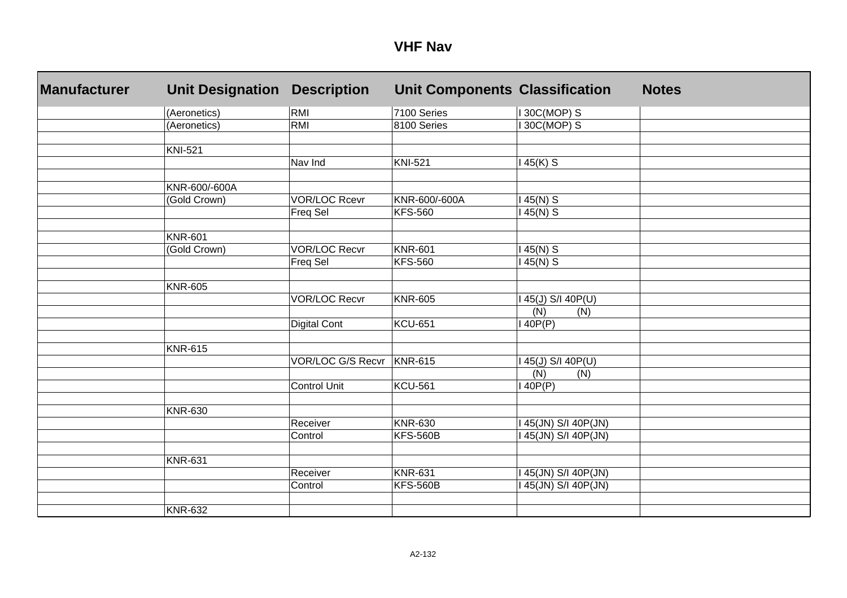| <b>Manufacturer</b> | <b>Unit Designation</b> | <b>Description</b>       | <b>Unit Components Classification</b> |                                  | <b>Notes</b> |
|---------------------|-------------------------|--------------------------|---------------------------------------|----------------------------------|--------------|
|                     | (Aeronetics)            | RMI                      | 7100 Series                           | I 30C(MOP) S                     |              |
|                     | (Aeronetics)            | <b>RMI</b>               | 8100 Series                           | 30C(MOP) S                       |              |
|                     |                         |                          |                                       |                                  |              |
|                     | <b>KNI-521</b>          |                          |                                       |                                  |              |
|                     |                         | Nav Ind                  | <b>KNI-521</b>                        | $45(K)$ S                        |              |
|                     |                         |                          |                                       |                                  |              |
|                     | KNR-600/-600A           |                          |                                       |                                  |              |
|                     | (Gold Crown)            | <b>VOR/LOC Rcevr</b>     | KNR-600/-600A                         | $45(N)$ S                        |              |
|                     |                         | Freq Sel                 | <b>KFS-560</b>                        | $45(N)$ S                        |              |
|                     |                         |                          |                                       |                                  |              |
|                     | <b>KNR-601</b>          |                          |                                       |                                  |              |
|                     | (Gold Crown)            | <b>VOR/LOC Recvr</b>     | <b>KNR-601</b>                        | $145(N)$ S                       |              |
|                     |                         | Freq Sel                 | <b>KFS-560</b>                        | $145(N)$ S                       |              |
|                     |                         |                          |                                       |                                  |              |
|                     | <b>KNR-605</b>          |                          |                                       |                                  |              |
|                     |                         | <b>VOR/LOC Recvr</b>     | <b>KNR-605</b>                        | $45(\underline{J})$ S/I $40P(U)$ |              |
|                     |                         |                          |                                       | (N)<br>(N)                       |              |
|                     |                         | <b>Digital Cont</b>      | <b>KCU-651</b>                        | 40P(P)                           |              |
|                     | <b>KNR-615</b>          |                          |                                       |                                  |              |
|                     |                         | <b>VOR/LOC G/S Recvr</b> | <b>KNR-615</b>                        | 45(J) S/I 40P(U)                 |              |
|                     |                         |                          |                                       | (N)<br>(N)                       |              |
|                     |                         | <b>Control Unit</b>      | <b>KCU-561</b>                        | 40P(P)                           |              |
|                     |                         |                          |                                       |                                  |              |
|                     | <b>KNR-630</b>          |                          |                                       |                                  |              |
|                     |                         | Receiver                 | <b>KNR-630</b>                        | 45(JN) S/I 40P(JN)               |              |
|                     |                         | Control                  | <b>KFS-560B</b>                       | 45(JN) S/I 40P(JN)               |              |
|                     |                         |                          |                                       |                                  |              |
|                     | <b>KNR-631</b>          |                          |                                       |                                  |              |
|                     |                         | Receiver                 | <b>KNR-631</b>                        | 45(JN) S/I 40P(JN)               |              |
|                     |                         | Control                  | <b>KFS-560B</b>                       | 45(JN) S/I 40P(JN)               |              |
|                     |                         |                          |                                       |                                  |              |
|                     | <b>KNR-632</b>          |                          |                                       |                                  |              |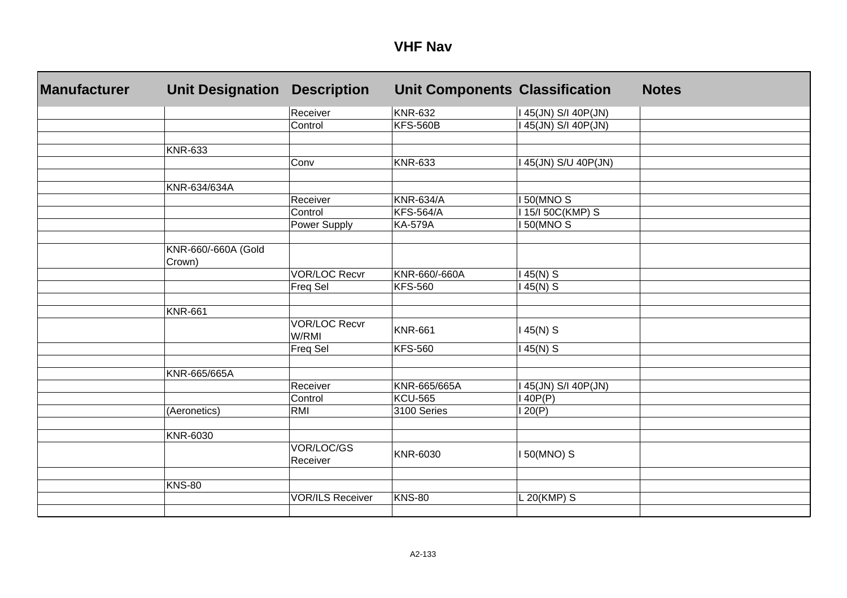| <b>Manufacturer</b> | <b>Unit Designation</b>       | <b>Description</b>            | <b>Unit Components Classification</b> |                      | <b>Notes</b> |
|---------------------|-------------------------------|-------------------------------|---------------------------------------|----------------------|--------------|
|                     |                               | Receiver                      | <b>KNR-632</b>                        | I 45(JN) S/I 40P(JN) |              |
|                     |                               | Control                       | <b>KFS-560B</b>                       | 45(JN) S/I 40P(JN)   |              |
|                     |                               |                               |                                       |                      |              |
|                     | <b>KNR-633</b>                |                               |                                       |                      |              |
|                     |                               | Conv                          | <b>KNR-633</b>                        | 45(JN) S/U 40P(JN)   |              |
|                     |                               |                               |                                       |                      |              |
|                     | KNR-634/634A                  |                               |                                       |                      |              |
|                     |                               | Receiver                      | <b>KNR-634/A</b>                      | <b>150(MNOS)</b>     |              |
|                     |                               | Control                       | <b>KFS-564/A</b>                      | 115/150C(KMP) S      |              |
|                     |                               | Power Supply                  | <b>KA-579A</b>                        | <b>150(MNOS)</b>     |              |
|                     |                               |                               |                                       |                      |              |
|                     | KNR-660/-660A (Gold<br>Crown) |                               |                                       |                      |              |
|                     |                               | <b>VOR/LOC Recvr</b>          | KNR-660/-660A                         | $145(N)$ S           |              |
|                     |                               | Freq Sel                      | <b>KFS-560</b>                        | $145(N)$ S           |              |
|                     |                               |                               |                                       |                      |              |
|                     | <b>KNR-661</b>                |                               |                                       |                      |              |
|                     |                               | <b>VOR/LOC Recvr</b><br>W/RMI | <b>KNR-661</b>                        | $45(N)$ S            |              |
|                     |                               | Freq Sel                      | <b>KFS-560</b>                        | $145(N)$ S           |              |
|                     |                               |                               |                                       |                      |              |
|                     | KNR-665/665A                  |                               |                                       |                      |              |
|                     |                               | Receiver                      | KNR-665/665A                          | 145(JN) S/I 40P(JN)  |              |
|                     |                               | Control                       | <b>KCU-565</b>                        | 140P(P)              |              |
|                     | (Aeronetics)                  | <b>RMI</b>                    | 3100 Series                           | 20(P)                |              |
|                     |                               |                               |                                       |                      |              |
|                     | KNR-6030                      |                               |                                       |                      |              |
|                     |                               | VOR/LOC/GS<br>Receiver        | KNR-6030                              | I 50(MNO) S          |              |
|                     |                               |                               |                                       |                      |              |
|                     | <b>KNS-80</b>                 |                               |                                       |                      |              |
|                     |                               | <b>VOR/ILS Receiver</b>       | <b>KNS-80</b>                         | L 20(KMP) S          |              |
|                     |                               |                               |                                       |                      |              |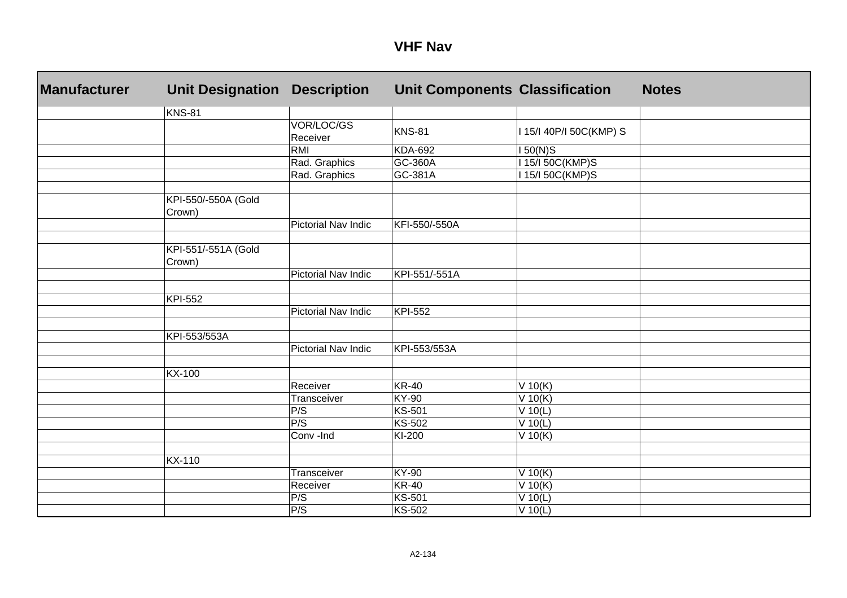| <b>Manufacturer</b> | <b>Unit Designation</b>       | <b>Description</b>         | <b>Unit Components Classification</b> |                         | <b>Notes</b> |
|---------------------|-------------------------------|----------------------------|---------------------------------------|-------------------------|--------------|
|                     | KNS-81                        |                            |                                       |                         |              |
|                     |                               | VOR/LOC/GS<br>Receiver     | <b>KNS-81</b>                         | I 15/I 40P/I 50C(KMP) S |              |
|                     |                               | RMI                        | <b>KDA-692</b>                        | $150(N)$ S              |              |
|                     |                               | Rad. Graphics              | GC-360A                               | 15/150C(KMP)S           |              |
|                     |                               | Rad. Graphics              | GC-381A                               | 15/150C(KMP)S           |              |
|                     | KPI-550/-550A (Gold<br>Crown) |                            |                                       |                         |              |
|                     |                               | Pictorial Nav Indic        | KFI-550/-550A                         |                         |              |
|                     | KPI-551/-551A (Gold<br>Crown) |                            |                                       |                         |              |
|                     |                               | <b>Pictorial Nav Indic</b> | KPI-551/-551A                         |                         |              |
|                     |                               |                            |                                       |                         |              |
|                     | KPI-552                       |                            |                                       |                         |              |
|                     |                               | Pictorial Nav Indic        | <b>KPI-552</b>                        |                         |              |
|                     |                               |                            |                                       |                         |              |
|                     | KPI-553/553A                  |                            |                                       |                         |              |
|                     |                               | <b>Pictorial Nav Indic</b> | KPI-553/553A                          |                         |              |
|                     |                               |                            |                                       |                         |              |
|                     | <b>KX-100</b>                 |                            |                                       |                         |              |
|                     |                               | Receiver                   | <b>KR-40</b>                          | $V$ 10(K)               |              |
|                     |                               | Transceiver                | KY-90                                 | $V$ 10(K)               |              |
|                     |                               | P/S                        | <b>KS-501</b>                         | $V$ 10(L)               |              |
|                     |                               | P/S                        | KS-502                                | $V$ 10(L)               |              |
|                     |                               | Conv -Ind                  | KI-200                                | $V$ 10(K)               |              |
|                     |                               |                            |                                       |                         |              |
|                     | <b>KX-110</b>                 |                            |                                       |                         |              |
|                     |                               | Transceiver                | KY-90                                 | $V$ 10(K)               |              |
|                     |                               | Receiver                   | <b>KR-40</b>                          | $V$ 10(K)               |              |
|                     |                               | P/S                        | <b>KS-501</b>                         | $V$ 10(L)               |              |
|                     |                               | P/S                        | <b>KS-502</b>                         | $V$ 10(L)               |              |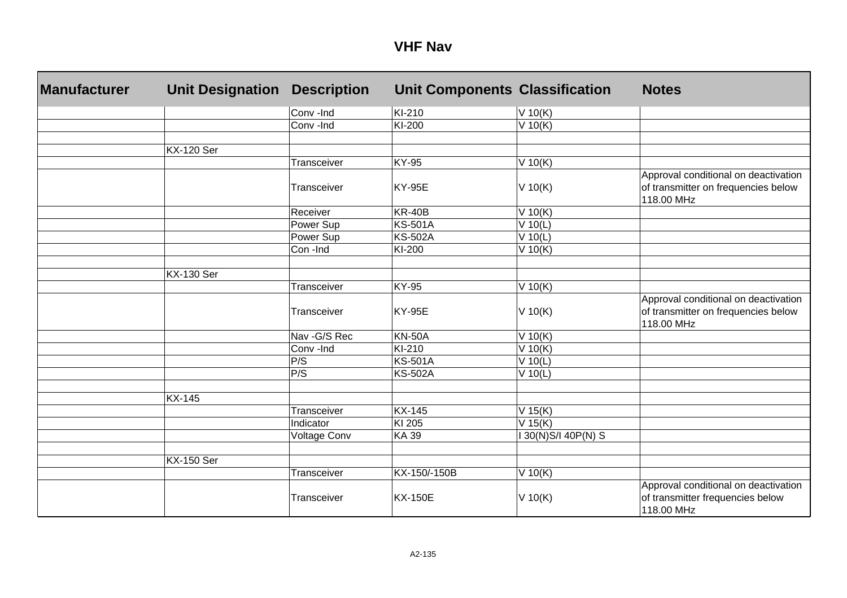| <b>Manufacturer</b> | <b>Unit Designation</b> | <b>Description</b> | <b>Unit Components Classification</b> |                   | <b>Notes</b>                                                                              |
|---------------------|-------------------------|--------------------|---------------------------------------|-------------------|-------------------------------------------------------------------------------------------|
|                     |                         | Conv-Ind           | KI-210                                | $V$ 10(K)         |                                                                                           |
|                     |                         | Conv-Ind           | KI-200                                | V 10(K)           |                                                                                           |
|                     |                         |                    |                                       |                   |                                                                                           |
|                     | <b>KX-120 Ser</b>       |                    |                                       |                   |                                                                                           |
|                     |                         | Transceiver        | <b>KY-95</b>                          | $V$ 10(K)         |                                                                                           |
|                     |                         | Transceiver        | <b>KY-95E</b>                         | $V$ 10(K)         | Approval conditional on deactivation<br>of transmitter on frequencies below<br>118.00 MHz |
|                     |                         | Receiver           | <b>KR-40B</b>                         | $V$ 10(K)         |                                                                                           |
|                     |                         | Power Sup          | <b>KS-501A</b>                        | $V$ 10(L)         |                                                                                           |
|                     |                         | Power Sup          | <b>KS-502A</b>                        | $V$ 10(L)         |                                                                                           |
|                     |                         | Con-Ind            | KI-200                                | $V$ 10(K)         |                                                                                           |
|                     |                         |                    |                                       |                   |                                                                                           |
|                     | <b>KX-130 Ser</b>       |                    |                                       |                   |                                                                                           |
|                     |                         | <b>Transceiver</b> | <b>KY-95</b>                          | $V$ 10(K)         |                                                                                           |
|                     |                         | Transceiver        | <b>KY-95E</b>                         | $V$ 10(K)         | Approval conditional on deactivation<br>of transmitter on frequencies below<br>118.00 MHz |
|                     |                         | Nav - G/S Rec      | <b>KN-50A</b>                         | $V$ 10(K)         |                                                                                           |
|                     |                         | Conv-Ind           | KI-210                                | $V$ 10(K)         |                                                                                           |
|                     |                         | P/S                | <b>KS-501A</b>                        | $V$ 10(L)         |                                                                                           |
|                     |                         | P/S                | <b>KS-502A</b>                        | $V$ 10(L)         |                                                                                           |
|                     |                         |                    |                                       |                   |                                                                                           |
|                     | <b>KX-145</b>           |                    |                                       |                   |                                                                                           |
|                     |                         | Transceiver        | <b>KX-145</b>                         | $V$ 15(K)         |                                                                                           |
|                     |                         | Indicator          | KI 205                                | $V$ 15(K)         |                                                                                           |
|                     |                         | Voltage Conv       | <b>KA39</b>                           | 130(N)S/140P(N) S |                                                                                           |
|                     |                         |                    |                                       |                   |                                                                                           |
|                     | <b>KX-150 Ser</b>       |                    |                                       |                   |                                                                                           |
|                     |                         | Transceiver        | KX-150/-150B                          | V 10(K)           |                                                                                           |
|                     |                         | Transceiver        | <b>KX-150E</b>                        | $V$ 10(K)         | Approval conditional on deactivation<br>of transmitter frequencies below<br>118.00 MHz    |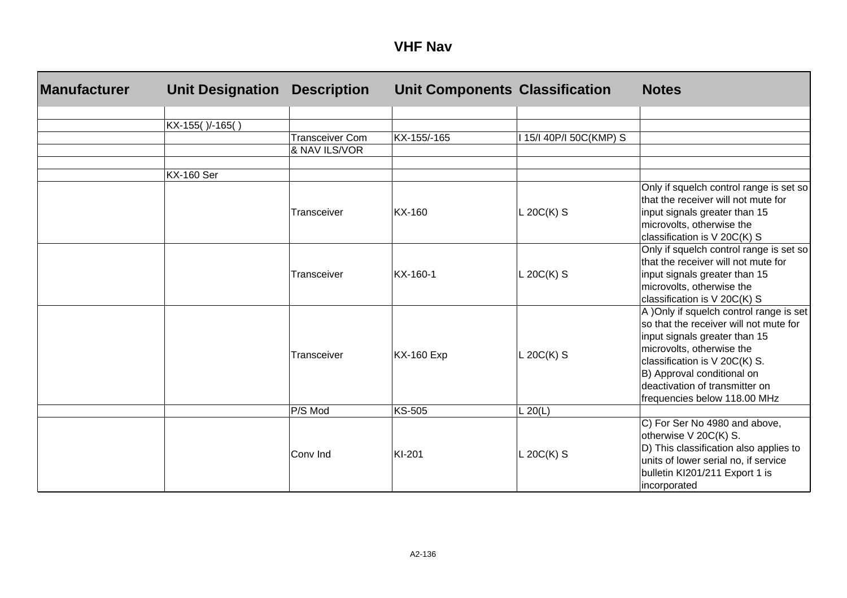| <b>Manufacturer</b> | <b>Unit Designation</b> | <b>Description</b>     | <b>Unit Components Classification</b> |                         | <b>Notes</b>                                                                                                                                                                                                                                                                     |
|---------------------|-------------------------|------------------------|---------------------------------------|-------------------------|----------------------------------------------------------------------------------------------------------------------------------------------------------------------------------------------------------------------------------------------------------------------------------|
|                     |                         |                        |                                       |                         |                                                                                                                                                                                                                                                                                  |
|                     | KX-155()/-165()         | <b>Transceiver Com</b> | KX-155/-165                           |                         |                                                                                                                                                                                                                                                                                  |
|                     |                         | & NAV ILS/VOR          |                                       | I 15/I 40P/I 50C(KMP) S |                                                                                                                                                                                                                                                                                  |
|                     |                         |                        |                                       |                         |                                                                                                                                                                                                                                                                                  |
|                     | <b>KX-160 Ser</b>       |                        |                                       |                         |                                                                                                                                                                                                                                                                                  |
|                     |                         | Transceiver            | KX-160                                | $L 20C(K)$ S            | Only if squelch control range is set so<br>that the receiver will not mute for<br>input signals greater than 15<br>microvolts, otherwise the<br>classification is V 20C(K) S                                                                                                     |
|                     |                         | Transceiver            | KX-160-1                              | $L$ 20C(K) S            | Only if squelch control range is set so<br>that the receiver will not mute for<br>input signals greater than 15<br>microvolts, otherwise the<br>classification is V 20C(K) S                                                                                                     |
|                     |                         | Transceiver            | <b>KX-160 Exp</b>                     | $L 20C(K)$ S            | A )Only if squelch control range is set<br>so that the receiver will not mute for<br>input signals greater than 15<br>microvolts, otherwise the<br>classification is V 20C(K) S.<br>B) Approval conditional on<br>deactivation of transmitter on<br>frequencies below 118.00 MHz |
|                     |                         | P/S Mod                | <b>KS-505</b>                         | $L$ 20(L)               |                                                                                                                                                                                                                                                                                  |
|                     |                         | Conv Ind               | KI-201                                | $L 20C(K)$ S            | C) For Ser No 4980 and above,<br>otherwise V 20C(K) S.<br>D) This classification also applies to<br>units of lower serial no, if service<br>bulletin KI201/211 Export 1 is<br>incorporated                                                                                       |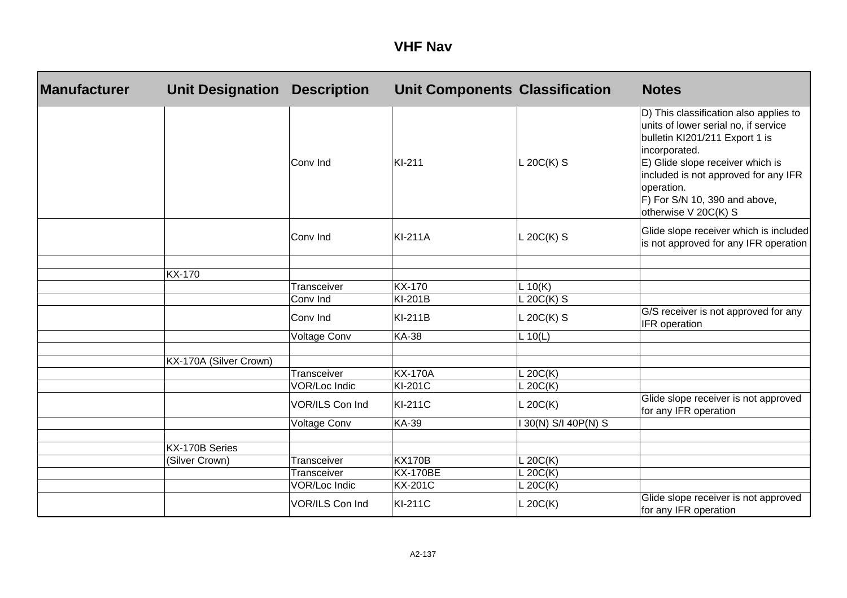| <b>Manufacturer</b> | <b>Unit Designation</b> | <b>Description</b>           | <b>Unit Components Classification</b> |                      | <b>Notes</b>                                                                                                                                                                                                                                                                         |
|---------------------|-------------------------|------------------------------|---------------------------------------|----------------------|--------------------------------------------------------------------------------------------------------------------------------------------------------------------------------------------------------------------------------------------------------------------------------------|
|                     |                         | Conv Ind                     | KI-211                                | $L 20C(K)$ S         | D) This classification also applies to<br>units of lower serial no, if service<br>bulletin KI201/211 Export 1 is<br>incorporated.<br>E) Glide slope receiver which is<br>included is not approved for any IFR<br>operation.<br>F) For S/N 10, 390 and above,<br>otherwise V 20C(K) S |
|                     |                         | Conv Ind                     | <b>KI-211A</b>                        | $L 20C(K)$ S         | Glide slope receiver which is included<br>is not approved for any IFR operation                                                                                                                                                                                                      |
|                     | <b>KX-170</b>           |                              |                                       |                      |                                                                                                                                                                                                                                                                                      |
|                     |                         | Transceiver                  | <b>KX-170</b>                         | L 10(K)              |                                                                                                                                                                                                                                                                                      |
|                     |                         | Conv Ind                     | KI-201B                               | $L 20C(K)$ S         |                                                                                                                                                                                                                                                                                      |
|                     |                         | Conv Ind                     | <b>KI-211B</b>                        | $L 20C(K)$ S         | G/S receiver is not approved for any<br>IFR operation                                                                                                                                                                                                                                |
|                     |                         | <b>Voltage Conv</b>          | <b>KA-38</b>                          | L 10(L)              |                                                                                                                                                                                                                                                                                      |
|                     | KX-170A (Silver Crown)  |                              |                                       |                      |                                                                                                                                                                                                                                                                                      |
|                     |                         | Transceiver                  | <b>KX-170A</b>                        | L 20C(K)             |                                                                                                                                                                                                                                                                                      |
|                     |                         | <b>VOR/Loc Indic</b>         | <b>KI-201C</b>                        | L 20C(K)             |                                                                                                                                                                                                                                                                                      |
|                     |                         | VOR/ILS Con Ind              | <b>KI-211C</b>                        | L 20C(K)             | Glide slope receiver is not approved<br>for any IFR operation                                                                                                                                                                                                                        |
|                     |                         | <b>Voltage Conv</b>          | <b>KA-39</b>                          | 30(N) S/I 40P(N) S   |                                                                                                                                                                                                                                                                                      |
|                     |                         |                              |                                       |                      |                                                                                                                                                                                                                                                                                      |
|                     | KX-170B Series          |                              |                                       |                      |                                                                                                                                                                                                                                                                                      |
|                     | (Silver Crown)          | Transceiver                  | <b>KX170B</b>                         | L 20C(K)             |                                                                                                                                                                                                                                                                                      |
|                     |                         | Transceiver<br>VOR/Loc Indic | <b>KX-170BE</b><br><b>KX-201C</b>     | L 20C(K)<br>L 20C(K) |                                                                                                                                                                                                                                                                                      |
|                     |                         | VOR/ILS Con Ind              | <b>KI-211C</b>                        | L 20C(K)             | Glide slope receiver is not approved<br>for any IFR operation                                                                                                                                                                                                                        |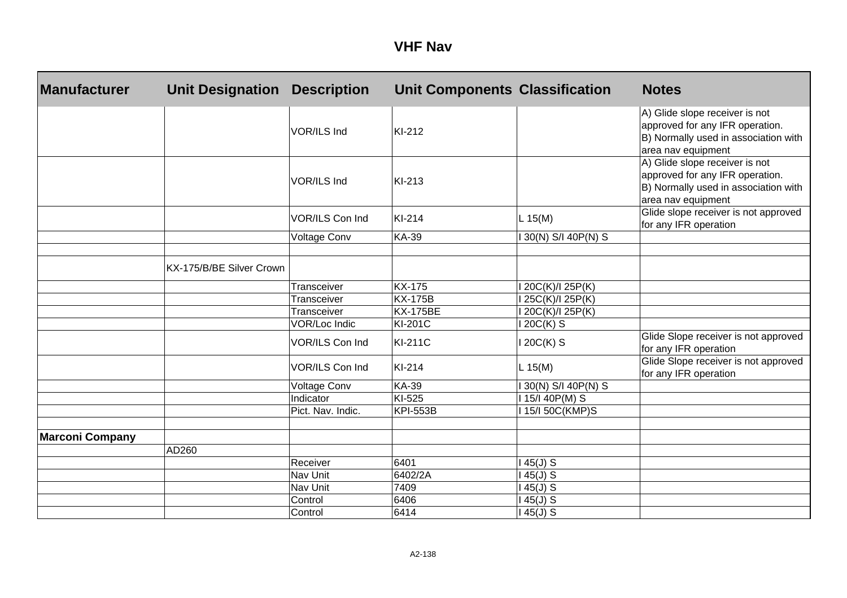| <b>Manufacturer</b>    | <b>Unit Designation</b>  | <b>Description</b>  | <b>Unit Components Classification</b> |                        | <b>Notes</b>                                                                                                                    |
|------------------------|--------------------------|---------------------|---------------------------------------|------------------------|---------------------------------------------------------------------------------------------------------------------------------|
|                        |                          | VOR/ILS Ind         | KI-212                                |                        | A) Glide slope receiver is not<br>approved for any IFR operation.<br>B) Normally used in association with<br>area nav equipment |
|                        |                          | VOR/ILS Ind         | KI-213                                |                        | A) Glide slope receiver is not<br>approved for any IFR operation.<br>B) Normally used in association with<br>area nav equipment |
|                        |                          | VOR/ILS Con Ind     | KI-214                                | L 15(M)                | Glide slope receiver is not approved<br>for any IFR operation                                                                   |
|                        |                          | <b>Voltage Conv</b> | <b>KA-39</b>                          | 30(N) S/I 40P(N) S     |                                                                                                                                 |
|                        |                          |                     |                                       |                        |                                                                                                                                 |
|                        | KX-175/B/BE Silver Crown |                     |                                       |                        |                                                                                                                                 |
|                        |                          | Transceiver         | <b>KX-175</b>                         | 20C(K)/I 25P(K)        |                                                                                                                                 |
|                        |                          | Transceiver         | <b>KX-175B</b>                        | 25C(K)/I 25P(K)        |                                                                                                                                 |
|                        |                          | Transceiver         | <b>KX-175BE</b>                       | $\sqrt{20C(K)}$ 25P(K) |                                                                                                                                 |
|                        |                          | VOR/Loc Indic       | KI-201C                               | 20C(K) S               |                                                                                                                                 |
|                        |                          | VOR/ILS Con Ind     | <b>KI-211C</b>                        | 120C(K) S              | Glide Slope receiver is not approved<br>for any IFR operation                                                                   |
|                        |                          | VOR/ILS Con Ind     | KI-214                                | L 15(M)                | Glide Slope receiver is not approved<br>for any IFR operation                                                                   |
|                        |                          | Voltage Conv        | <b>KA-39</b>                          | 30(N) S/I 40P(N) S     |                                                                                                                                 |
|                        |                          | Indicator           | KI-525                                | 15/140P(M) S           |                                                                                                                                 |
|                        |                          | Pict. Nav. Indic.   | <b>KPI-553B</b>                       | 15/150C(KMP)S          |                                                                                                                                 |
|                        |                          |                     |                                       |                        |                                                                                                                                 |
| <b>Marconi Company</b> |                          |                     |                                       |                        |                                                                                                                                 |
|                        | AD260                    |                     |                                       |                        |                                                                                                                                 |
|                        |                          | Receiver            | 6401                                  | $45(J)$ S              |                                                                                                                                 |
|                        |                          | Nav Unit            | 6402/2A                               | $45(J)$ S              |                                                                                                                                 |
|                        |                          | Nav Unit            | 7409                                  | $45(J)$ S              |                                                                                                                                 |
|                        |                          | Control             | 6406                                  | $145(J)$ S             |                                                                                                                                 |
|                        |                          | Control             | 6414                                  | $145(J)$ S             |                                                                                                                                 |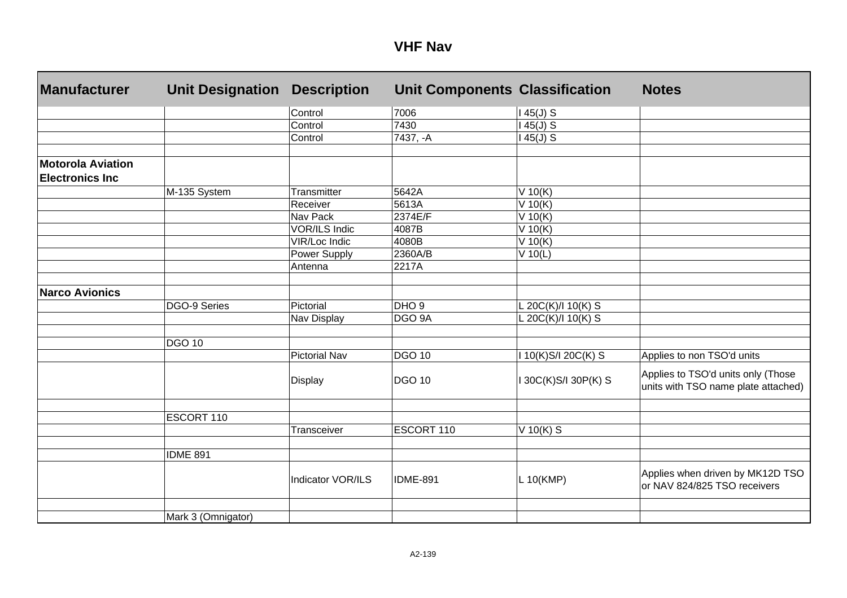| <b>Manufacturer</b>                                | <b>Unit Designation</b> | <b>Description</b>       | <b>Unit Components Classification</b> |                    | <b>Notes</b>                                                              |
|----------------------------------------------------|-------------------------|--------------------------|---------------------------------------|--------------------|---------------------------------------------------------------------------|
|                                                    |                         | Control                  | 7006                                  | $145(J)$ S         |                                                                           |
|                                                    |                         | Control                  | 7430                                  | $45(J)$ S          |                                                                           |
|                                                    |                         | Control                  | 7437, -A                              | $45(J)$ S          |                                                                           |
|                                                    |                         |                          |                                       |                    |                                                                           |
| <b>Motorola Aviation</b><br><b>Electronics Inc</b> |                         |                          |                                       |                    |                                                                           |
|                                                    | M-135 System            | Transmitter              | 5642A                                 | V 10(K)            |                                                                           |
|                                                    |                         | Receiver                 | 5613A                                 | V 10(K)            |                                                                           |
|                                                    |                         | Nav Pack                 | 2374E/F                               | V 10(K)            |                                                                           |
|                                                    |                         | <b>VOR/ILS Indic</b>     | 4087B                                 | V 10(K)            |                                                                           |
|                                                    |                         | VIR/Loc Indic            | 4080B                                 | V 10(K)            |                                                                           |
|                                                    |                         | Power Supply             | 2360A/B                               | $V$ 10(L)          |                                                                           |
|                                                    |                         | Antenna                  | 2217A                                 |                    |                                                                           |
|                                                    |                         |                          |                                       |                    |                                                                           |
| <b>Narco Avionics</b>                              |                         |                          | DHO <sub>9</sub>                      |                    |                                                                           |
|                                                    | DGO-9 Series            | Pictorial                |                                       | L 20C(K)/I 10(K) S |                                                                           |
|                                                    |                         | Nav Display              | DGO 9A                                | L 20C(K)/I 10(K) S |                                                                           |
|                                                    | <b>DGO 10</b>           |                          |                                       |                    |                                                                           |
|                                                    |                         | <b>Pictorial Nav</b>     | <b>DGO 10</b>                         | 10(K)S/I 20C(K) S  | Applies to non TSO'd units                                                |
|                                                    |                         | Display                  | <b>DGO 10</b>                         | 30C(K)S/I 30P(K) S | Applies to TSO'd units only (Those<br>units with TSO name plate attached) |
|                                                    | ESCORT 110              |                          |                                       |                    |                                                                           |
|                                                    |                         | Transceiver              | ESCORT 110                            | V $10(K)$ S        |                                                                           |
|                                                    |                         |                          |                                       |                    |                                                                           |
|                                                    | <b>IDME 891</b>         |                          |                                       |                    |                                                                           |
|                                                    |                         | <b>Indicator VOR/ILS</b> | <b>IDME-891</b>                       | L 10(KMP)          | Applies when driven by MK12D TSO<br>or NAV 824/825 TSO receivers          |
|                                                    |                         |                          |                                       |                    |                                                                           |
|                                                    | Mark 3 (Omnigator)      |                          |                                       |                    |                                                                           |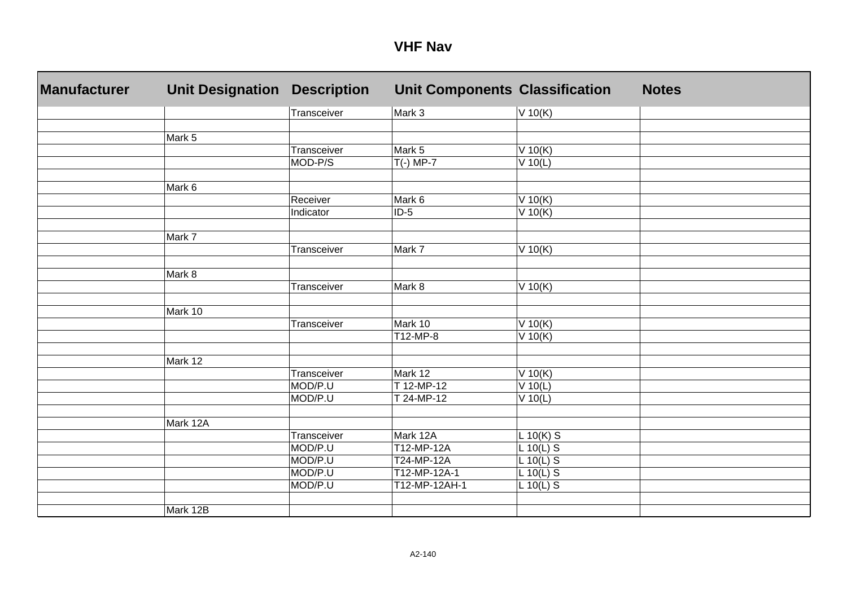| <b>Manufacturer</b> | <b>Unit Designation</b> | <b>Description</b>     | <b>Unit Components Classification</b> |                        | <b>Notes</b> |
|---------------------|-------------------------|------------------------|---------------------------------------|------------------------|--------------|
|                     |                         | Transceiver            | Mark 3                                | $V$ 10(K)              |              |
|                     |                         |                        |                                       |                        |              |
|                     | Mark 5                  |                        |                                       |                        |              |
|                     |                         | Transceiver            | Mark 5                                | $V$ 10(K)              |              |
|                     |                         | MOD-P/S                | $T(-)$ MP-7                           | $V$ 10(L)              |              |
|                     |                         |                        |                                       |                        |              |
|                     | Mark 6                  |                        |                                       |                        |              |
|                     |                         | Receiver               | Mark 6                                | $V$ 10(K)              |              |
|                     |                         | Indicator              | $ID-5$                                | $V$ 10(K)              |              |
|                     |                         |                        |                                       |                        |              |
|                     | Mark 7                  |                        |                                       |                        |              |
|                     |                         | Transceiver            | Mark 7                                | $V$ 10(K)              |              |
|                     |                         |                        |                                       |                        |              |
|                     | Mark 8                  |                        |                                       |                        |              |
|                     |                         | Transceiver            | Mark 8                                | $V$ 10(K)              |              |
|                     |                         |                        |                                       |                        |              |
|                     | Mark 10                 |                        |                                       |                        |              |
|                     |                         | Transceiver            | Mark 10                               | $V$ 10(K)              |              |
|                     |                         |                        | $\overline{T}$ 12-MP-8                | $V$ 10(K)              |              |
|                     | Mark 12                 |                        |                                       |                        |              |
|                     |                         |                        | Mark 12                               |                        |              |
|                     |                         | Transceiver<br>MOD/P.U | T 12-MP-12                            | $V$ 10(K)<br>$V$ 10(L) |              |
|                     |                         | MOD/P.U                | T 24-MP-12                            | $V$ 10(L)              |              |
|                     |                         |                        |                                       |                        |              |
|                     | Mark 12A                |                        |                                       |                        |              |
|                     |                         | Transceiver            | Mark 12A                              | $L 10(K)$ S            |              |
|                     |                         | MOD/P.U                | T12-MP-12A                            | $L 10(L)$ S            |              |
|                     |                         | MOD/P.U                | T24-MP-12A                            | $L 10(L)$ S            |              |
|                     |                         | MOD/P.U                | T12-MP-12A-1                          | $L 10(L)$ S            |              |
|                     |                         | MOD/P.U                | T12-MP-12AH-1                         | $L 10(L)$ S            |              |
|                     |                         |                        |                                       |                        |              |
|                     | Mark 12B                |                        |                                       |                        |              |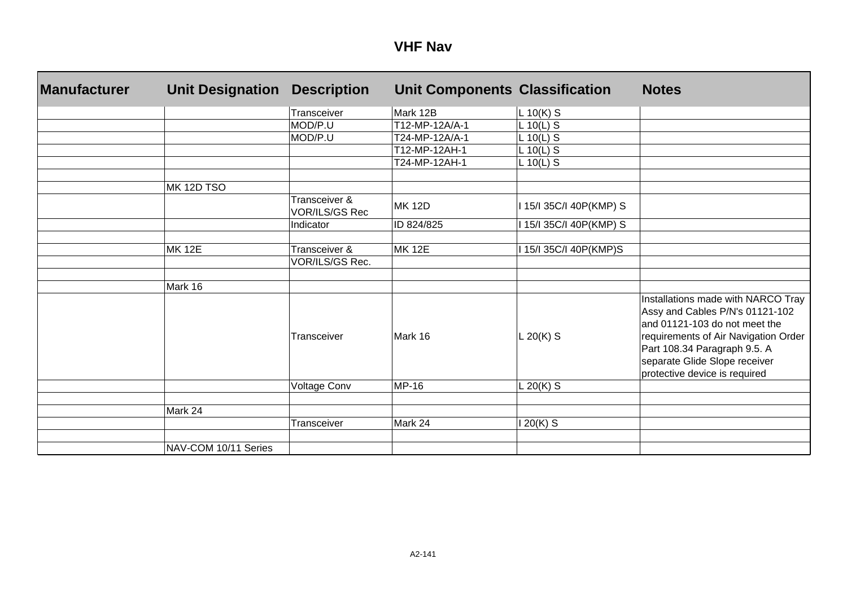| <b>Manufacturer</b> | <b>Unit Designation</b> | <b>Description</b>                     | <b>Unit Components Classification</b> |                         | <b>Notes</b>                                                                                                                                                                                                                                     |
|---------------------|-------------------------|----------------------------------------|---------------------------------------|-------------------------|--------------------------------------------------------------------------------------------------------------------------------------------------------------------------------------------------------------------------------------------------|
|                     |                         | Transceiver                            | Mark 12B                              | $L 10(K)$ S             |                                                                                                                                                                                                                                                  |
|                     |                         | MOD/P.U                                | T12-MP-12A/A-1                        | $L 10(L)$ S             |                                                                                                                                                                                                                                                  |
|                     |                         | MOD/P.U                                | T24-MP-12A/A-1                        | $L 10(L)$ S             |                                                                                                                                                                                                                                                  |
|                     |                         |                                        | T12-MP-12AH-1                         | L 10(L) S               |                                                                                                                                                                                                                                                  |
|                     |                         |                                        | T24-MP-12AH-1                         | $L 10(L)$ S             |                                                                                                                                                                                                                                                  |
|                     | MK 12D TSO              |                                        |                                       |                         |                                                                                                                                                                                                                                                  |
|                     |                         | Transceiver &<br><b>VOR/ILS/GS Rec</b> | <b>MK 12D</b>                         | I 15/I 35C/I 40P(KMP) S |                                                                                                                                                                                                                                                  |
|                     |                         | Indicator                              | ID 824/825                            | 15/135C/140P(KMP) S     |                                                                                                                                                                                                                                                  |
|                     | <b>MK 12E</b>           | Transceiver &                          | <b>MK 12E</b>                         | 15/135C/140P(KMP)S      |                                                                                                                                                                                                                                                  |
|                     |                         | VOR/ILS/GS Rec.                        |                                       |                         |                                                                                                                                                                                                                                                  |
|                     |                         |                                        |                                       |                         |                                                                                                                                                                                                                                                  |
|                     | Mark 16                 | Transceiver                            | Mark 16                               | $L 20(K)$ S             | Installations made with NARCO Tray<br>Assy and Cables P/N's 01121-102<br>and 01121-103 do not meet the<br>requirements of Air Navigation Order<br>Part 108.34 Paragraph 9.5. A<br>separate Glide Slope receiver<br>protective device is required |
|                     |                         | Voltage Conv                           | <b>MP-16</b>                          | L 20(K) $S$             |                                                                                                                                                                                                                                                  |
|                     |                         |                                        |                                       |                         |                                                                                                                                                                                                                                                  |
|                     | Mark 24                 |                                        |                                       |                         |                                                                                                                                                                                                                                                  |
|                     |                         | Transceiver                            | Mark 24                               | $20(K)$ S               |                                                                                                                                                                                                                                                  |
|                     | NAV-COM 10/11 Series    |                                        |                                       |                         |                                                                                                                                                                                                                                                  |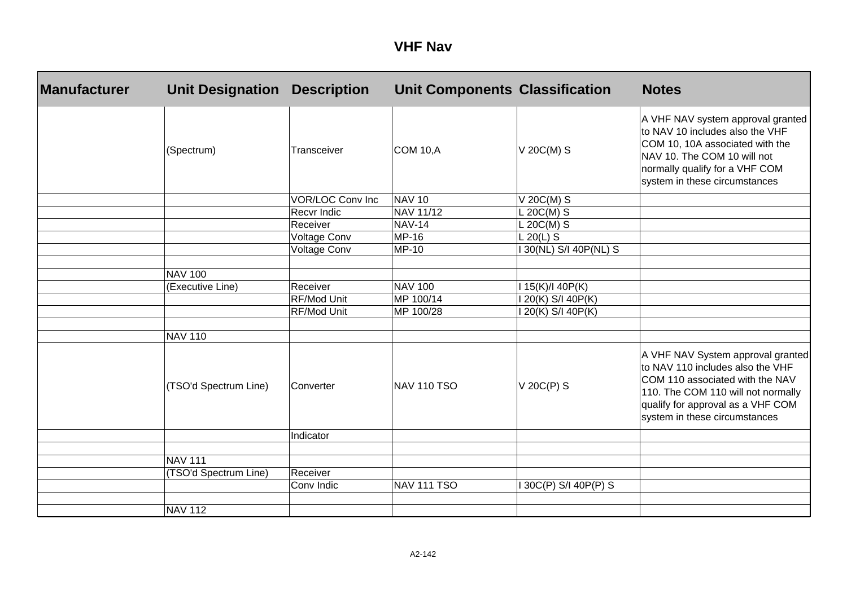| <b>Manufacturer</b> | <b>Unit Designation</b> | <b>Description</b>      | <b>Unit Components Classification</b> |                      | <b>Notes</b>                                                                                                                                                                                                         |
|---------------------|-------------------------|-------------------------|---------------------------------------|----------------------|----------------------------------------------------------------------------------------------------------------------------------------------------------------------------------------------------------------------|
|                     | (Spectrum)              | Transceiver             | <b>COM 10, A</b>                      | $V 20C(M)$ S         | A VHF NAV system approval granted<br>to NAV 10 includes also the VHF<br>COM 10, 10A associated with the<br>NAV 10. The COM 10 will not<br>normally qualify for a VHF COM<br>system in these circumstances            |
|                     |                         | <b>VOR/LOC Conv Inc</b> | <b>NAV 10</b>                         | V 20C(M) S           |                                                                                                                                                                                                                      |
|                     |                         | Recvr Indic             | NAV 11/12                             | $L 20C(M)$ S         |                                                                                                                                                                                                                      |
|                     |                         | Receiver                | <b>NAV-14</b>                         | $L 20C(M)$ S         |                                                                                                                                                                                                                      |
|                     |                         | Voltage Conv            | <b>MP-16</b>                          | $L$ 20(L) S          |                                                                                                                                                                                                                      |
|                     |                         | Voltage Conv            | MP-10                                 | 30(NL) S/I 40P(NL) S |                                                                                                                                                                                                                      |
|                     | <b>NAV 100</b>          |                         |                                       |                      |                                                                                                                                                                                                                      |
|                     | (Executive Line)        | Receiver                | <b>NAV 100</b>                        | I 15(K)/I 40P(K)     |                                                                                                                                                                                                                      |
|                     |                         | RF/Mod Unit             | MP 100/14                             | 120(K) S/I 40P(K)    |                                                                                                                                                                                                                      |
|                     |                         | RF/Mod Unit             | MP 100/28                             | 20(K) S/I 40P(K)     |                                                                                                                                                                                                                      |
|                     |                         |                         |                                       |                      |                                                                                                                                                                                                                      |
|                     | <b>NAV 110</b>          |                         |                                       |                      |                                                                                                                                                                                                                      |
|                     | (TSO'd Spectrum Line)   | Converter               | <b>NAV 110 TSO</b>                    | $V$ 20C(P) S         | A VHF NAV System approval granted<br>to NAV 110 includes also the VHF<br>COM 110 associated with the NAV<br>110. The COM 110 will not normally<br>qualify for approval as a VHF COM<br>system in these circumstances |
|                     |                         | Indicator               |                                       |                      |                                                                                                                                                                                                                      |
|                     |                         |                         |                                       |                      |                                                                                                                                                                                                                      |
|                     | <b>NAV 111</b>          |                         |                                       |                      |                                                                                                                                                                                                                      |
|                     | (TSO'd Spectrum Line)   | Receiver                |                                       |                      |                                                                                                                                                                                                                      |
|                     |                         | Conv Indic              | <b>NAV 111 TSO</b>                    | 30C(P) S/I 40P(P) S  |                                                                                                                                                                                                                      |
|                     |                         |                         |                                       |                      |                                                                                                                                                                                                                      |
|                     | <b>NAV 112</b>          |                         |                                       |                      |                                                                                                                                                                                                                      |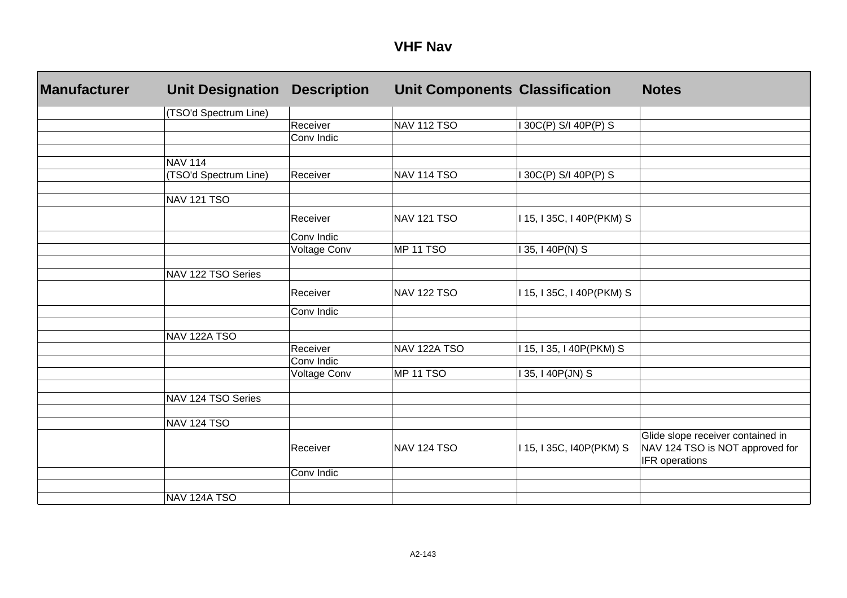| <b>Manufacturer</b> | <b>Unit Designation</b> | <b>Description</b> | <b>Unit Components Classification</b> |                           | <b>Notes</b>                      |
|---------------------|-------------------------|--------------------|---------------------------------------|---------------------------|-----------------------------------|
|                     | (TSO'd Spectrum Line)   |                    |                                       |                           |                                   |
|                     |                         | Receiver           | <b>NAV 112 TSO</b>                    | 130C(P) S/140P(P) S       |                                   |
|                     |                         | Conv Indic         |                                       |                           |                                   |
|                     |                         |                    |                                       |                           |                                   |
|                     | <b>NAV 114</b>          |                    |                                       |                           |                                   |
|                     | (TSO'd Spectrum Line)   | Receiver           | <b>NAV 114 TSO</b>                    | I 30C(P) S/I 40P(P) S     |                                   |
|                     | NAV 121 TSO             |                    |                                       |                           |                                   |
|                     |                         |                    |                                       |                           |                                   |
|                     |                         | Receiver           | <b>NAV 121 TSO</b>                    | I 15, I 35C, I 40P(PKM) S |                                   |
|                     |                         | Conv Indic         |                                       |                           |                                   |
|                     |                         | Voltage Conv       | MP 11 TSO                             | 135, 140P(N) S            |                                   |
|                     |                         |                    |                                       |                           |                                   |
|                     | NAV 122 TSO Series      |                    |                                       |                           |                                   |
|                     |                         | Receiver           | <b>NAV 122 TSO</b>                    | I 15, I 35C, I 40P(PKM) S |                                   |
|                     |                         | Conv Indic         |                                       |                           |                                   |
|                     |                         |                    |                                       |                           |                                   |
|                     | NAV 122A TSO            |                    |                                       |                           |                                   |
|                     |                         | Receiver           | NAV 122A TSO                          | 115, 135, 140P(PKM) S     |                                   |
|                     |                         | Conv Indic         |                                       |                           |                                   |
|                     |                         | Voltage Conv       | MP 11 TSO                             | 135, 140P(JN) S           |                                   |
|                     |                         |                    |                                       |                           |                                   |
|                     | NAV 124 TSO Series      |                    |                                       |                           |                                   |
|                     | NAV 124 TSO             |                    |                                       |                           |                                   |
|                     |                         |                    |                                       |                           | Glide slope receiver contained in |
|                     |                         | Receiver           | <b>NAV 124 TSO</b>                    | I 15, I 35C, I40P(PKM) S  | NAV 124 TSO is NOT approved for   |
|                     |                         |                    |                                       |                           | IFR operations                    |
|                     |                         | Conv Indic         |                                       |                           |                                   |
|                     |                         |                    |                                       |                           |                                   |
|                     | NAV 124A TSO            |                    |                                       |                           |                                   |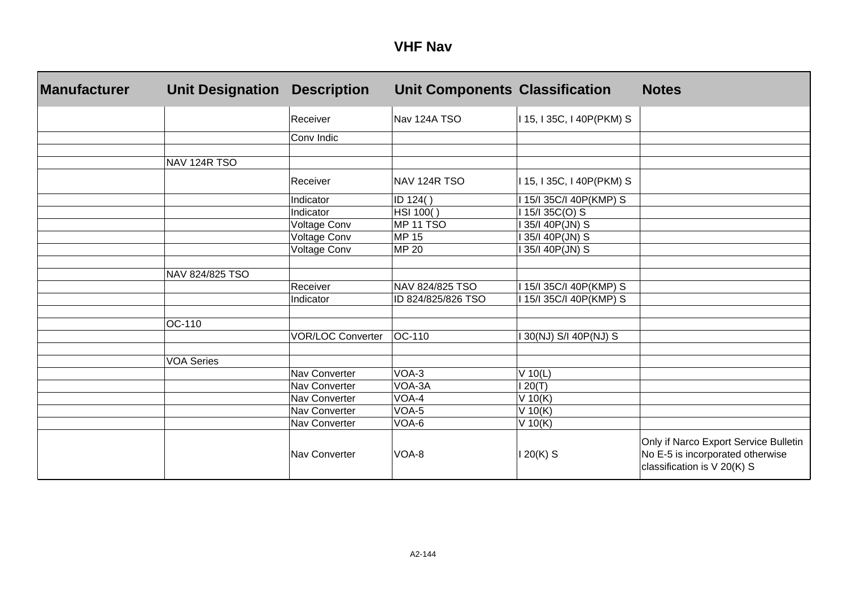| <b>Manufacturer</b> | <b>Unit Designation</b> | <b>Description</b>       | <b>Unit Components Classification</b> |                           | <b>Notes</b>                                                                                             |
|---------------------|-------------------------|--------------------------|---------------------------------------|---------------------------|----------------------------------------------------------------------------------------------------------|
|                     |                         | Receiver                 | Nav 124A TSO                          | I 15, I 35C, I 40P(PKM) S |                                                                                                          |
|                     |                         | Conv Indic               |                                       |                           |                                                                                                          |
|                     |                         |                          |                                       |                           |                                                                                                          |
|                     | NAV 124R TSO            |                          |                                       |                           |                                                                                                          |
|                     |                         | Receiver                 | NAV 124R TSO                          | I 15, I 35C, I 40P(PKM) S |                                                                                                          |
|                     |                         | Indicator                | ID 124()                              | 15/135C/140P(KMP) S       |                                                                                                          |
|                     |                         | Indicator                | HSI 100()                             | 15/135C(O) S              |                                                                                                          |
|                     |                         | Voltage Conv             | <b>MP 11 TSO</b>                      | 35/I 40P(JN) S            |                                                                                                          |
|                     |                         | Voltage Conv             | <b>MP 15</b>                          | 35/I 40P(JN) S            |                                                                                                          |
|                     |                         | Voltage Conv             | <b>MP 20</b>                          | 35/I 40P(JN) S            |                                                                                                          |
|                     |                         |                          |                                       |                           |                                                                                                          |
|                     | NAV 824/825 TSO         |                          |                                       |                           |                                                                                                          |
|                     |                         | Receiver                 | NAV 824/825 TSO                       | 15/135C/140P(KMP) S       |                                                                                                          |
|                     |                         | Indicator                | ID 824/825/826 TSO                    | 115/135C/I 40P(KMP) S     |                                                                                                          |
|                     |                         |                          |                                       |                           |                                                                                                          |
|                     | OC-110                  |                          |                                       |                           |                                                                                                          |
|                     |                         | <b>VOR/LOC Converter</b> | OC-110                                | 30(NJ) S/I 40P(NJ) S      |                                                                                                          |
|                     |                         |                          |                                       |                           |                                                                                                          |
|                     | <b>VOA Series</b>       |                          |                                       |                           |                                                                                                          |
|                     |                         | Nav Converter            | VOA-3                                 | $V$ 10(L)                 |                                                                                                          |
|                     |                         | Nav Converter            | VOA-3A                                | 20(T)                     |                                                                                                          |
|                     |                         | Nav Converter            | VOA-4                                 | V 10(K)                   |                                                                                                          |
|                     |                         | Nav Converter            | VOA-5                                 | $V$ 10(K)                 |                                                                                                          |
|                     |                         | Nav Converter            | VOA-6                                 | V 10(K)                   |                                                                                                          |
|                     |                         | Nav Converter            | VOA-8                                 | $20(K)$ S                 | Only if Narco Export Service Bulletin<br>No E-5 is incorporated otherwise<br>classification is V 20(K) S |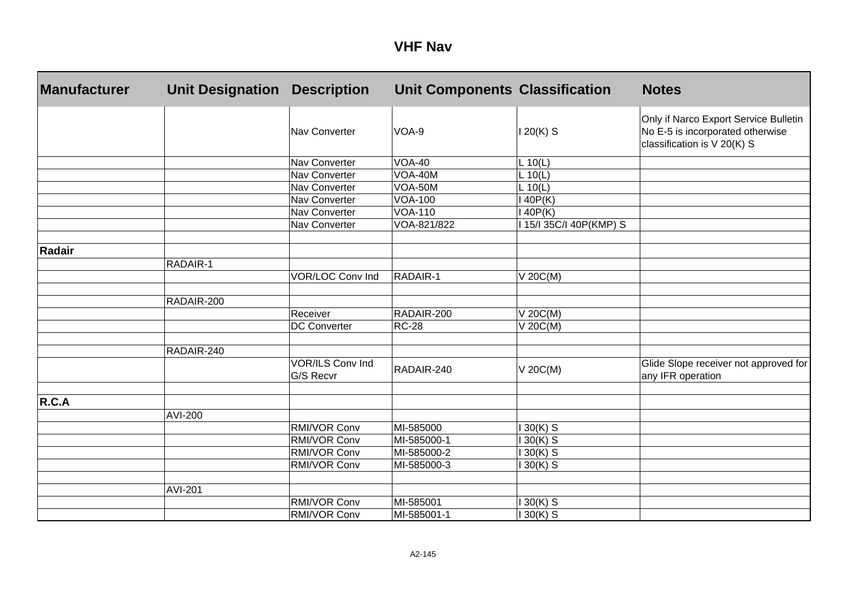#### **VHF Nav**

| <b>Manufacturer</b> | <b>Unit Designation</b> | <b>Description</b>            | <b>Unit Components Classification</b> |                       | <b>Notes</b>                                                                                             |
|---------------------|-------------------------|-------------------------------|---------------------------------------|-----------------------|----------------------------------------------------------------------------------------------------------|
|                     |                         | Nav Converter                 | VOA-9                                 | 120(K) S              | Only if Narco Export Service Bulletin<br>No E-5 is incorporated otherwise<br>classification is V 20(K) S |
|                     |                         | Nav Converter                 | <b>VOA-40</b>                         | L 10(L)               |                                                                                                          |
|                     |                         | Nav Converter                 | VOA-40M                               | L 10(L)               |                                                                                                          |
|                     |                         | Nav Converter                 | VOA-50M                               | L 10(L)               |                                                                                                          |
|                     |                         | Nav Converter                 | <b>VOA-100</b>                        | 40P(K)                |                                                                                                          |
|                     |                         | Nav Converter                 | <b>VOA-110</b>                        | 40P(K)                |                                                                                                          |
|                     |                         | Nav Converter                 | VOA-821/822                           | 15/I 35C/I 40P(KMP) S |                                                                                                          |
| <b>Radair</b>       |                         |                               |                                       |                       |                                                                                                          |
|                     | RADAIR-1                |                               |                                       |                       |                                                                                                          |
|                     |                         | <b>VOR/LOC Conv Ind</b>       | RADAIR-1                              | V 20C(M)              |                                                                                                          |
|                     | RADAIR-200              |                               |                                       |                       |                                                                                                          |
|                     |                         | Receiver                      | RADAIR-200                            | V 20C(M)              |                                                                                                          |
|                     |                         | <b>DC Converter</b>           | <b>RC-28</b>                          | V 20C(M)              |                                                                                                          |
|                     | RADAIR-240              |                               |                                       |                       |                                                                                                          |
|                     |                         | VOR/ILS Conv Ind<br>G/S Recvr | RADAIR-240                            | V 20C(M)              | Glide Slope receiver not approved for<br>any IFR operation                                               |
| R.C.A               |                         |                               |                                       |                       |                                                                                                          |
|                     | AVI-200                 |                               |                                       |                       |                                                                                                          |
|                     |                         | RMI/VOR Conv                  | MI-585000                             | $130(K)$ S            |                                                                                                          |
|                     |                         | RMI/VOR Conv                  | MI-585000-1                           | $30(K)$ S             |                                                                                                          |
|                     |                         | RMI/VOR Conv                  | MI-585000-2                           | $30(K)$ S             |                                                                                                          |
|                     |                         | RMI/VOR Conv                  | MI-585000-3                           | $30(K)$ S             |                                                                                                          |
|                     | <b>AVI-201</b>          |                               |                                       |                       |                                                                                                          |
|                     |                         | RMI/VOR Conv                  | MI-585001                             | $30(K)$ S             |                                                                                                          |
|                     |                         | RMI/VOR Conv                  | MI-585001-1                           | $130(K)$ S            |                                                                                                          |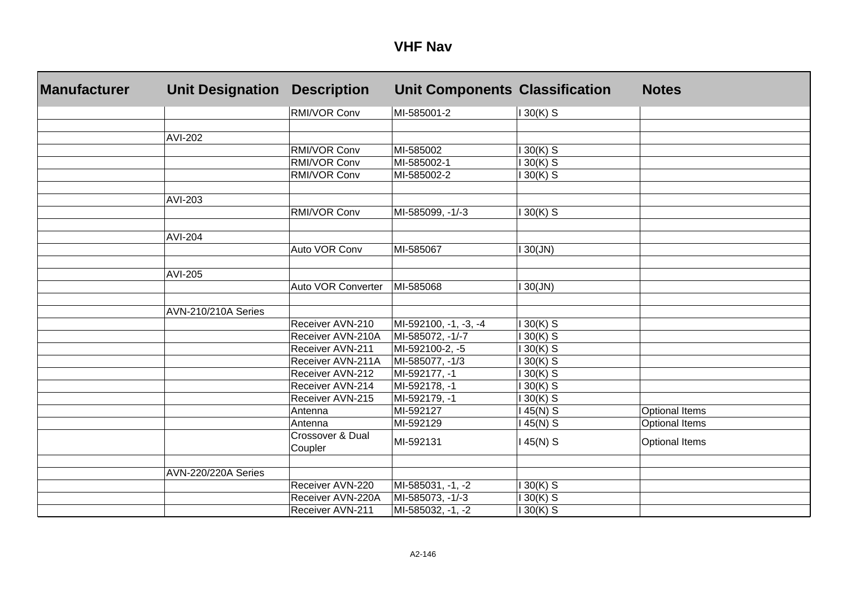#### **VHF Nav**

| <b>Manufacturer</b> | <b>Unit Designation</b>    | <b>Description</b>          | <b>Unit Components Classification</b> |            | <b>Notes</b>          |
|---------------------|----------------------------|-----------------------------|---------------------------------------|------------|-----------------------|
|                     |                            | <b>RMI/VOR Conv</b>         | MI-585001-2                           | $130(K)$ S |                       |
|                     |                            |                             |                                       |            |                       |
|                     | <b>AVI-202</b>             |                             |                                       |            |                       |
|                     |                            | RMI/VOR Conv                | MI-585002                             | $30(K)$ S  |                       |
|                     |                            | RMI/VOR Conv                | MI-585002-1                           | $30(K)$ S  |                       |
|                     |                            | RMI/VOR Conv                | MI-585002-2                           | $30(K)$ S  |                       |
|                     | AVI-203                    |                             |                                       |            |                       |
|                     |                            | RMI/VOR Conv                | MI-585099, -1/-3                      | $30(K)$ S  |                       |
|                     | <b>AVI-204</b>             |                             |                                       |            |                       |
|                     |                            | Auto VOR Conv               | MI-585067                             | 130(JN)    |                       |
|                     |                            |                             |                                       |            |                       |
|                     | AVI-205                    | Auto VOR Converter          | MI-585068                             |            |                       |
|                     |                            |                             |                                       | 30(JN)     |                       |
|                     | <b>AVN-210/210A Series</b> |                             |                                       |            |                       |
|                     |                            | Receiver AVN-210            | MI-592100, -1, -3, -4                 | $130(K)$ S |                       |
|                     |                            | Receiver AVN-210A           | MI-585072, -1/-7                      | $30(K)$ S  |                       |
|                     |                            | Receiver AVN-211            | MI-592100-2, -5                       | $30(K)$ S  |                       |
|                     |                            | Receiver AVN-211A           | MI-585077, -1/3                       | $30(K)$ S  |                       |
|                     |                            | Receiver AVN-212            | MI-592177, -1                         | $30(K)$ S  |                       |
|                     |                            | Receiver AVN-214            | MI-592178, -1                         | $30(K)$ S  |                       |
|                     |                            | Receiver AVN-215            | MI-592179, -1                         | $30(K)$ S  |                       |
|                     |                            | Antenna                     | MI-592127                             | 45(N) S    | <b>Optional Items</b> |
|                     |                            | Antenna                     | MI-592129                             | 45(N) S    | <b>Optional Items</b> |
|                     |                            | Crossover & Dual<br>Coupler | MI-592131                             | 45(N) S    | <b>Optional Items</b> |
|                     |                            |                             |                                       |            |                       |
|                     | AVN-220/220A Series        |                             |                                       |            |                       |
|                     |                            | Receiver AVN-220            | MI-585031, -1, -2                     | $30(K)$ S  |                       |
|                     |                            | Receiver AVN-220A           | MI-585073, -1/-3                      | $30(K)$ S  |                       |
|                     |                            | Receiver AVN-211            | MI-585032, -1, -2                     | $30(K)$ S  |                       |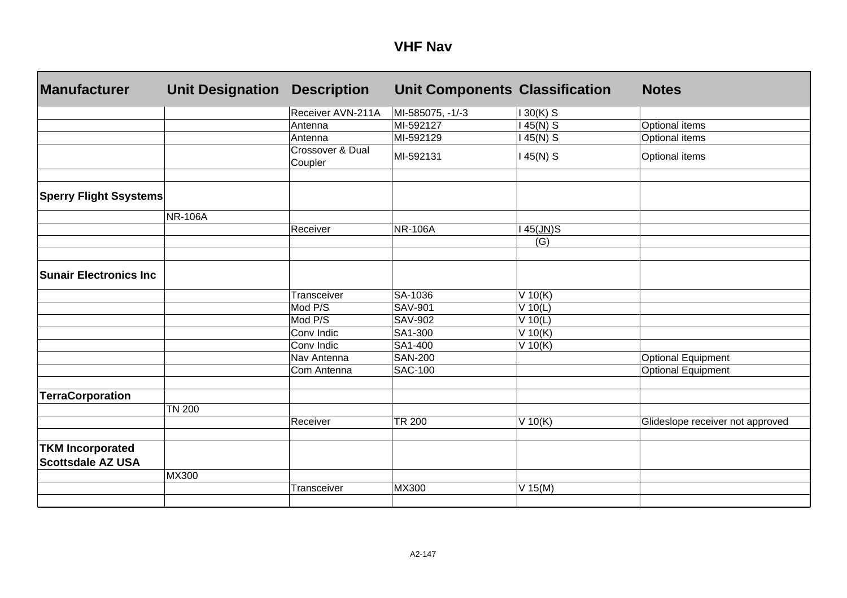#### **VHF Nav**

| <b>Manufacturer</b>                                 | <b>Unit Designation</b> | <b>Description</b>          | <b>Unit Components Classification</b> |            | <b>Notes</b>                     |
|-----------------------------------------------------|-------------------------|-----------------------------|---------------------------------------|------------|----------------------------------|
|                                                     |                         | Receiver AVN-211A           | MI-585075, -1/-3                      | $130(K)$ S |                                  |
|                                                     |                         | Antenna                     | MI-592127                             | $145(N)$ S | Optional items                   |
|                                                     |                         | Antenna                     | MI-592129                             | $145(N)$ S | Optional items                   |
|                                                     |                         | Crossover & Dual<br>Coupler | MI-592131                             | $145(N)$ S | Optional items                   |
| <b>Sperry Flight Ssystems</b>                       |                         |                             |                                       |            |                                  |
|                                                     | <b>NR-106A</b>          |                             |                                       |            |                                  |
|                                                     |                         | Receiver                    | <b>NR-106A</b>                        | 45(JN)S    |                                  |
|                                                     |                         |                             |                                       | (G)        |                                  |
| <b>Sunair Electronics Inc</b>                       |                         |                             |                                       |            |                                  |
|                                                     |                         | Transceiver                 | SA-1036                               | $V$ 10(K)  |                                  |
|                                                     |                         | Mod P/S                     | <b>SAV-901</b>                        | $V$ 10(L)  |                                  |
|                                                     |                         | Mod P/S                     | <b>SAV-902</b>                        | $V$ 10(L)  |                                  |
|                                                     |                         | Conv Indic                  | SA1-300                               | $V$ 10(K)  |                                  |
|                                                     |                         | Conv Indic                  | SA1-400                               | $V$ 10(K)  |                                  |
|                                                     |                         | Nav Antenna                 | <b>SAN-200</b>                        |            | <b>Optional Equipment</b>        |
|                                                     |                         | Com Antenna                 | <b>SAC-100</b>                        |            | <b>Optional Equipment</b>        |
| <b>TerraCorporation</b>                             |                         |                             |                                       |            |                                  |
|                                                     | <b>TN 200</b>           |                             |                                       |            |                                  |
|                                                     |                         | Receiver                    | <b>TR 200</b>                         | $V$ 10(K)  | Glideslope receiver not approved |
|                                                     |                         |                             |                                       |            |                                  |
| <b>TKM Incorporated</b><br><b>Scottsdale AZ USA</b> |                         |                             |                                       |            |                                  |
|                                                     | <b>MX300</b>            |                             |                                       |            |                                  |
|                                                     |                         | Transceiver                 | MX300                                 | $V$ 15(M)  |                                  |
|                                                     |                         |                             |                                       |            |                                  |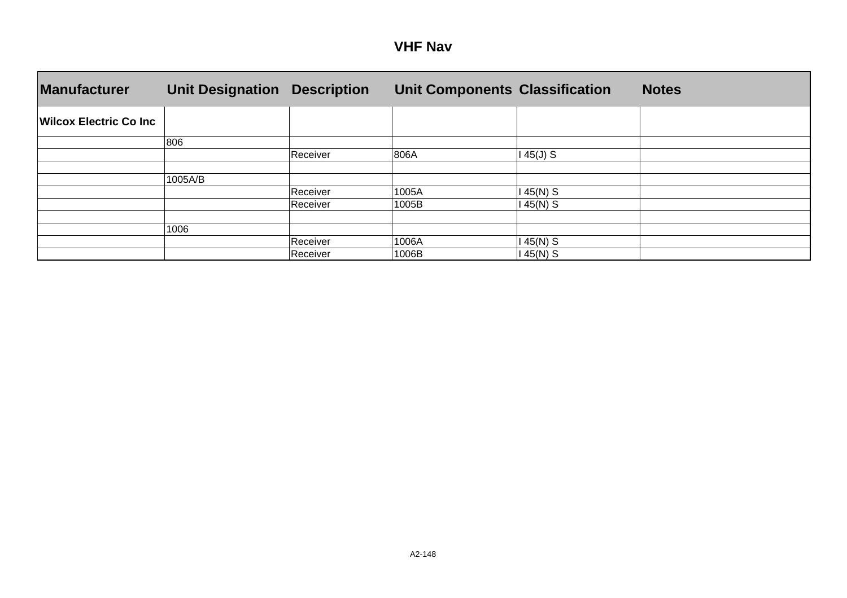| VHF | <b>Nav</b> |
|-----|------------|
|-----|------------|

| <b>Manufacturer</b>            | <b>Unit Designation</b> | <b>Description</b> | <b>Unit Components Classification</b> |           | <b>Notes</b> |
|--------------------------------|-------------------------|--------------------|---------------------------------------|-----------|--------------|
| <b>Wilcox Electric Co Inc.</b> |                         |                    |                                       |           |              |
|                                | 806                     |                    |                                       |           |              |
|                                |                         | Receiver           | 806A                                  | $45(J)$ S |              |
|                                |                         |                    |                                       |           |              |
|                                | 1005A/B                 |                    |                                       |           |              |
|                                |                         | Receiver           | 1005A                                 | 45(N) S   |              |
|                                |                         | Receiver           | 1005B                                 | 45(N) S   |              |
|                                |                         |                    |                                       |           |              |
|                                | 1006                    |                    |                                       |           |              |
|                                |                         | Receiver           | 1006A                                 | 45(N) S   |              |
|                                |                         | Receiver           | 1006B                                 | 45(N) S   |              |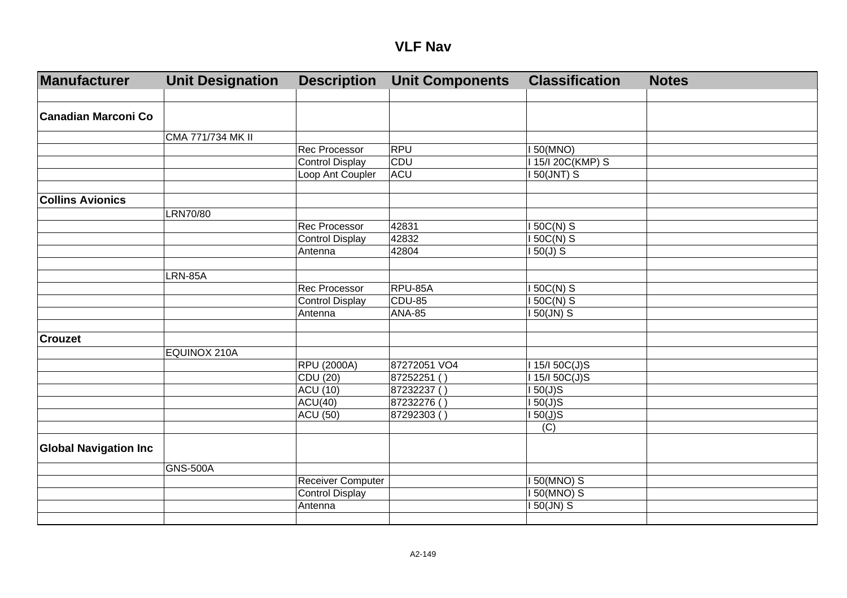#### **VLF Nav**

| Manufacturer                 | <b>Unit Designation</b> | <b>Description</b>     | <b>Unit Components</b> | <b>Classification</b> | <b>Notes</b> |
|------------------------------|-------------------------|------------------------|------------------------|-----------------------|--------------|
|                              |                         |                        |                        |                       |              |
| Canadian Marconi Co          |                         |                        |                        |                       |              |
|                              | CMA 771/734 MK II       |                        |                        |                       |              |
|                              |                         | <b>Rec Processor</b>   | <b>RPU</b>             | 150(MNO)              |              |
|                              |                         | <b>Control Display</b> | CDU                    | 115/120C(KMP) S       |              |
|                              |                         | Loop Ant Coupler       | <b>ACU</b>             | $150$ (JNT) S         |              |
|                              |                         |                        |                        |                       |              |
| <b>Collins Avionics</b>      |                         |                        |                        |                       |              |
|                              | LRN70/80                |                        |                        |                       |              |
|                              |                         | <b>Rec Processor</b>   | 42831                  | $150C(N)$ S           |              |
|                              |                         | Control Display        | 42832                  | I 50C(N) S            |              |
|                              |                         | Antenna                | 42804                  | $150(J)$ S            |              |
|                              |                         |                        |                        |                       |              |
|                              | <b>LRN-85A</b>          |                        |                        |                       |              |
|                              |                         | <b>Rec Processor</b>   | RPU-85A                | 150C(N) S             |              |
|                              |                         | <b>Control Display</b> | CDU-85                 | $150C(N)$ S           |              |
|                              |                         | Antenna                | <b>ANA-85</b>          | I 50(JN) S            |              |
|                              |                         |                        |                        |                       |              |
| <b>Crouzet</b>               |                         |                        |                        |                       |              |
|                              | EQUINOX 210A            |                        |                        |                       |              |
|                              |                         | <b>RPU (2000A)</b>     | 87272051 VO4           | I 15/I 50C(J)S        |              |
|                              |                         | CDU (20)               | 87252251()             | 1 15/1 50C(J)S        |              |
|                              |                         | <b>ACU (10)</b>        | 87232237()             | 150(J)S               |              |
|                              |                         | $\overline{ACU(40)}$   | 87232276()             | 150(J)S               |              |
|                              |                         | <b>ACU (50)</b>        | 87292303()             | $150(\underline{J})S$ |              |
|                              |                         |                        |                        | (C)                   |              |
| <b>Global Navigation Inc</b> |                         |                        |                        |                       |              |
|                              | <b>GNS-500A</b>         |                        |                        |                       |              |
|                              |                         | Receiver Computer      |                        | I 50(MNO) S           |              |
|                              |                         | <b>Control Display</b> |                        | <b>I 50(MNO) S</b>    |              |
|                              |                         | Antenna                |                        | I 50(JN) S            |              |
|                              |                         |                        |                        |                       |              |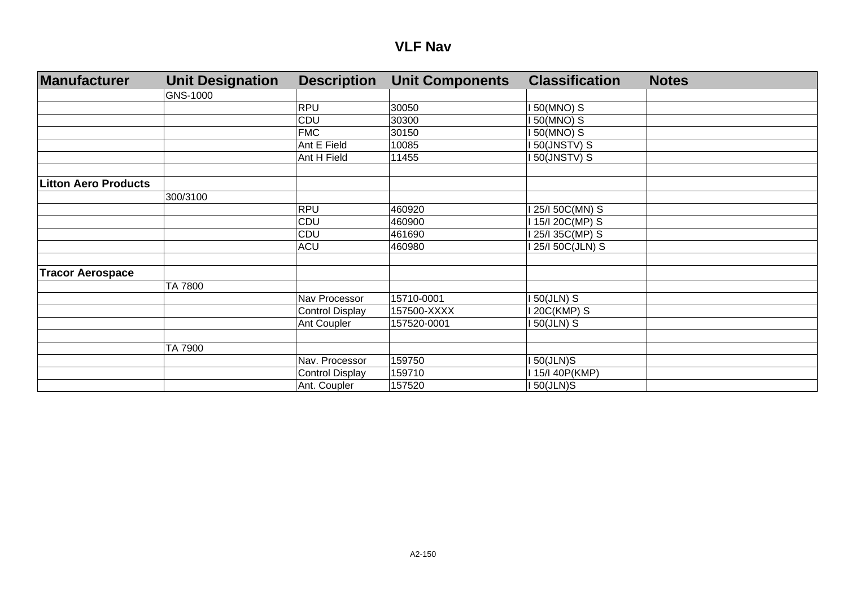#### **VLF Nav**

| <b>Manufacturer</b>         | <b>Unit Designation</b> | <b>Description</b>     | <b>Unit Components</b> | <b>Classification</b> | <b>Notes</b> |
|-----------------------------|-------------------------|------------------------|------------------------|-----------------------|--------------|
|                             | GNS-1000                |                        |                        |                       |              |
|                             |                         | <b>RPU</b>             | 30050                  | 50(MNO) S             |              |
|                             |                         | CDU                    | 30300                  | 50(MNO) S             |              |
|                             |                         | <b>FMC</b>             | 30150                  | 50(MNO) S             |              |
|                             |                         | Ant E Field            | 10085                  | 50(JNSTV) S           |              |
|                             |                         | Ant H Field            | 11455                  | 50(JNSTV) S           |              |
|                             |                         |                        |                        |                       |              |
| <b>Litton Aero Products</b> |                         |                        |                        |                       |              |
|                             | 300/3100                |                        |                        |                       |              |
|                             |                         | <b>RPU</b>             | 460920                 | 25/I 50C(MN) S        |              |
|                             |                         | <b>CDU</b>             | 460900                 | 15/I 20C(MP) S        |              |
|                             |                         | CDU                    | 461690                 | 25/I 35C(MP) S        |              |
|                             |                         | <b>ACU</b>             | 460980                 | 25/I 50C(JLN) S       |              |
|                             |                         |                        |                        |                       |              |
| <b>Tracor Aerospace</b>     |                         |                        |                        |                       |              |
|                             | TA 7800                 |                        |                        |                       |              |
|                             |                         | Nav Processor          | 15710-0001             | $50(JLN)$ S           |              |
|                             |                         | <b>Control Display</b> | 157500-XXXX            | 20C(KMP) S            |              |
|                             |                         | Ant Coupler            | 157520-0001            | $50(JLN)$ S           |              |
|                             |                         |                        |                        |                       |              |
|                             | TA 7900                 |                        |                        |                       |              |
|                             |                         | Nav. Processor         | 159750                 | 50(JLN)S              |              |
|                             |                         | <b>Control Display</b> | 159710                 | 15/I 40P(KMP)         |              |
|                             |                         | Ant. Coupler           | 157520                 | 150(JLN)S             |              |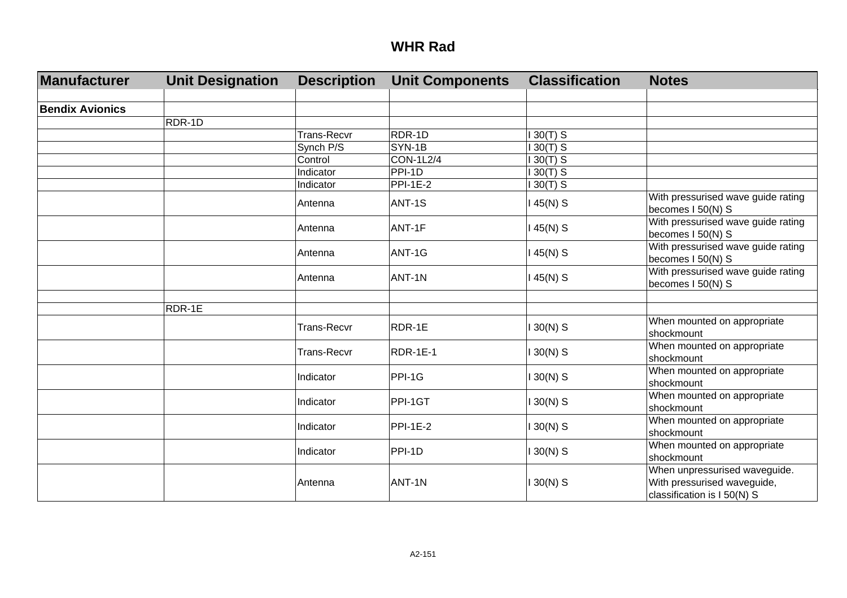| Manufacturer           | <b>Unit Designation</b> | <b>Description</b> | <b>Unit Components</b> | <b>Classification</b> | <b>Notes</b>                                                                                |
|------------------------|-------------------------|--------------------|------------------------|-----------------------|---------------------------------------------------------------------------------------------|
|                        |                         |                    |                        |                       |                                                                                             |
| <b>Bendix Avionics</b> |                         |                    |                        |                       |                                                                                             |
|                        | RDR-1D                  |                    |                        |                       |                                                                                             |
|                        |                         | <b>Trans-Recvr</b> | RDR-1D                 | $130(T)$ S            |                                                                                             |
|                        |                         | Synch P/S          | SYN-1B                 | $130(T)$ S            |                                                                                             |
|                        |                         | Control            | <b>CON-1L2/4</b>       | $130(T)$ S            |                                                                                             |
|                        |                         | Indicator          | PPI-1D                 | $130(T)$ S            |                                                                                             |
|                        |                         | Indicator          | <b>PPI-1E-2</b>        | $30(T)$ S             |                                                                                             |
|                        |                         | Antenna            | ANT-1S                 | 45(N) S               | With pressurised wave guide rating<br>becomes I 50(N) S                                     |
|                        |                         | Antenna            | ANT-1F                 | 45(N) S               | With pressurised wave guide rating<br>becomes I 50(N) S                                     |
|                        |                         | Antenna            | ANT-1G                 | 45(N) S               | With pressurised wave guide rating<br>becomes I 50(N) S                                     |
|                        |                         | Antenna            | ANT-1N                 | 45(N) S               | With pressurised wave guide rating<br>becomes I 50(N) S                                     |
|                        |                         |                    |                        |                       |                                                                                             |
|                        | RDR-1E                  |                    |                        |                       |                                                                                             |
|                        |                         | <b>Trans-Recvr</b> | RDR-1E                 | $130(N)$ S            | When mounted on appropriate<br>shockmount                                                   |
|                        |                         | <b>Trans-Recvr</b> | <b>RDR-1E-1</b>        | $130(N)$ S            | When mounted on appropriate<br>shockmount                                                   |
|                        |                         | Indicator          | PPI-1G                 | $130(N)$ S            | When mounted on appropriate<br>shockmount                                                   |
|                        |                         | Indicator          | PPI-1GT                | $130(N)$ S            | When mounted on appropriate<br>shockmount                                                   |
|                        |                         | Indicator          | <b>PPI-1E-2</b>        | $130(N)$ S            | When mounted on appropriate<br>shockmount                                                   |
|                        |                         | Indicator          | PPI-1D                 | $130(N)$ S            | When mounted on appropriate<br>shockmount                                                   |
|                        |                         | Antenna            | ANT-1N                 | $130(N)$ S            | When unpressurised waveguide.<br>With pressurised waveguide,<br>classification is I 50(N) S |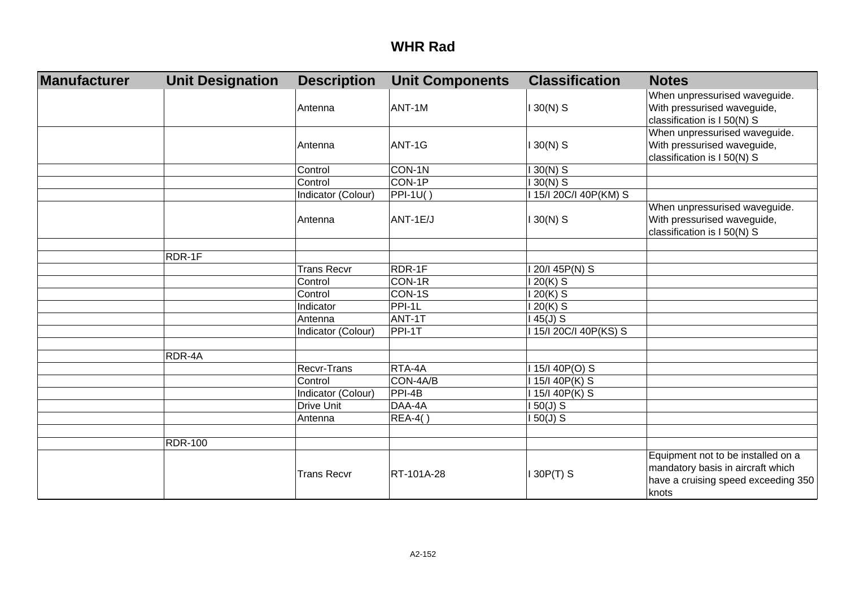| Manufacturer | <b>Unit Designation</b> | <b>Description</b> | <b>Unit Components</b> | <b>Classification</b> | <b>Notes</b>                                                                                                            |
|--------------|-------------------------|--------------------|------------------------|-----------------------|-------------------------------------------------------------------------------------------------------------------------|
|              |                         | Antenna            | ANT-1M                 | $130(N)$ S            | When unpressurised waveguide.<br>With pressurised waveguide,<br>classification is I 50(N) S                             |
|              |                         | Antenna            | ANT-1G                 | $30(N)$ S             | When unpressurised waveguide.<br>With pressurised waveguide,<br>classification is I 50(N) S                             |
|              |                         | Control            | CON-1N                 | $130(N)$ S            |                                                                                                                         |
|              |                         | Control            | CON-1P                 | $130(N)$ S            |                                                                                                                         |
|              |                         | Indicator (Colour) | <b>PPI-1U()</b>        | 115/120C/I 40P(KM) S  |                                                                                                                         |
|              |                         | Antenna            | ANT-1E/J               | $130(N)$ S            | When unpressurised waveguide.<br>With pressurised waveguide,<br>classification is I 50(N) S                             |
|              | RDR-1F                  |                    |                        |                       |                                                                                                                         |
|              |                         | <b>Trans Recvr</b> | RDR-1F                 | 20/I 45P(N) S         |                                                                                                                         |
|              |                         | Control            | CON-1R                 | $20(K)$ S             |                                                                                                                         |
|              |                         | Control            | CON-1S                 | 20(K) S               |                                                                                                                         |
|              |                         | Indicator          | PPI-1L                 | 20(K) S               |                                                                                                                         |
|              |                         | Antenna            | ANT-1T                 | $45(J)$ S             |                                                                                                                         |
|              |                         | Indicator (Colour) | PPI-1T                 | 115/120C/I 40P(KS) S  |                                                                                                                         |
|              | RDR-4A                  |                    |                        |                       |                                                                                                                         |
|              |                         | Recvr-Trans        | RTA-4A                 | 15/140P(O) S          |                                                                                                                         |
|              |                         | Control            | CON-4A/B               | 15/I 40P(K) S         |                                                                                                                         |
|              |                         | Indicator (Colour) | PPI-4B                 | 15/140P(K) S          |                                                                                                                         |
|              |                         | <b>Drive Unit</b>  | DAA-4A                 | $150(J)$ S            |                                                                                                                         |
|              |                         | Antenna            | <b>REA-4()</b>         | $150(J)$ S            |                                                                                                                         |
|              | <b>RDR-100</b>          |                    |                        |                       |                                                                                                                         |
|              |                         | <b>Trans Recvr</b> | RT-101A-28             | 30P(T) S              | Equipment not to be installed on a<br>mandatory basis in aircraft which<br>have a cruising speed exceeding 350<br>knots |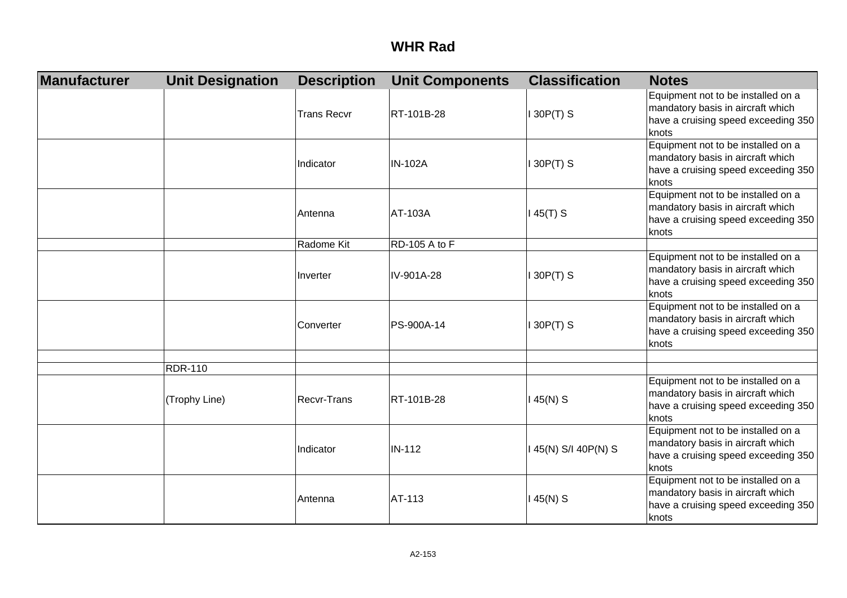| Manufacturer | <b>Unit Designation</b> | <b>Description</b> | <b>Unit Components</b> | <b>Classification</b> | <b>Notes</b>                                                                                                            |
|--------------|-------------------------|--------------------|------------------------|-----------------------|-------------------------------------------------------------------------------------------------------------------------|
|              |                         | <b>Trans Recvr</b> | RT-101B-28             | 130P(T) S             | Equipment not to be installed on a<br>mandatory basis in aircraft which<br>have a cruising speed exceeding 350<br>knots |
|              |                         | Indicator          | <b>IN-102A</b>         | 130P(T) S             | Equipment not to be installed on a<br>mandatory basis in aircraft which<br>have a cruising speed exceeding 350<br>knots |
|              |                         | Antenna            | AT-103A                | 145(T) S              | Equipment not to be installed on a<br>mandatory basis in aircraft which<br>have a cruising speed exceeding 350<br>knots |
|              |                         | Radome Kit         | RD-105 A to F          |                       |                                                                                                                         |
|              |                         | Inverter           | IV-901A-28             | 130P(T) S             | Equipment not to be installed on a<br>mandatory basis in aircraft which<br>have a cruising speed exceeding 350<br>knots |
|              |                         | Converter          | PS-900A-14             | 130P(T) S             | Equipment not to be installed on a<br>mandatory basis in aircraft which<br>have a cruising speed exceeding 350<br>knots |
|              |                         |                    |                        |                       |                                                                                                                         |
|              | <b>RDR-110</b>          |                    |                        |                       |                                                                                                                         |
|              | (Trophy Line)           | Recvr-Trans        | RT-101B-28             | 145(N) S              | Equipment not to be installed on a<br>mandatory basis in aircraft which<br>have a cruising speed exceeding 350<br>knots |
|              |                         | Indicator          | <b>IN-112</b>          | 145(N) S/I 40P(N) S   | Equipment not to be installed on a<br>mandatory basis in aircraft which<br>have a cruising speed exceeding 350<br>knots |
|              |                         | Antenna            | AT-113                 | 145(N) S              | Equipment not to be installed on a<br>mandatory basis in aircraft which<br>have a cruising speed exceeding 350<br>knots |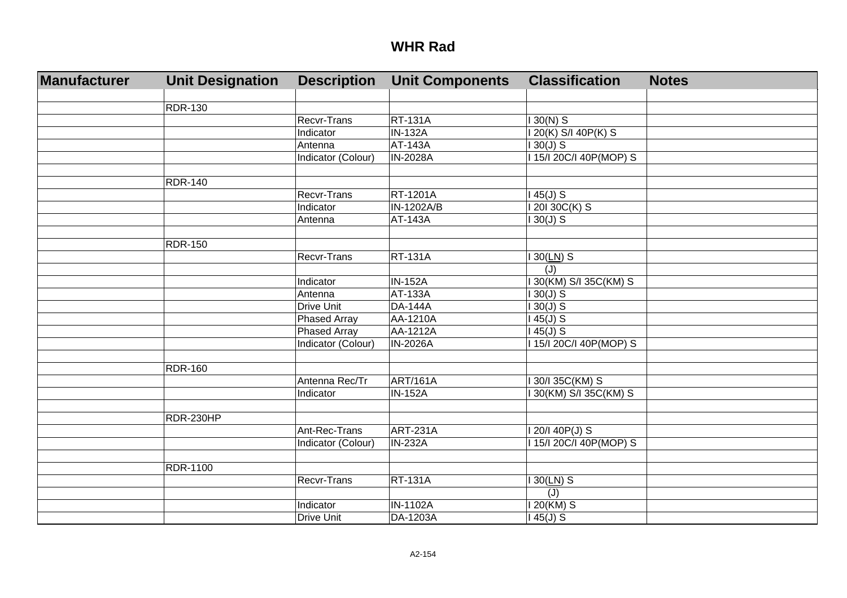| Manufacturer | <b>Unit Designation</b> | <b>Description</b>  | <b>Unit Components</b> | <b>Classification</b> | <b>Notes</b> |
|--------------|-------------------------|---------------------|------------------------|-----------------------|--------------|
|              |                         |                     |                        |                       |              |
|              | <b>RDR-130</b>          |                     |                        |                       |              |
|              |                         | Recvr-Trans         | <b>RT-131A</b>         | $30(N)$ S             |              |
|              |                         | Indicator           | <b>IN-132A</b>         | 20(K) S/I 40P(K) S    |              |
|              |                         | Antenna             | <b>AT-143A</b>         | $30(J)$ S             |              |
|              |                         | Indicator (Colour)  | <b>IN-2028A</b>        | 15/1 20C/I 40P(MOP) S |              |
|              |                         |                     |                        |                       |              |
|              | <b>RDR-140</b>          |                     |                        |                       |              |
|              |                         | Recvr-Trans         | <b>RT-1201A</b>        | $45(J)$ S             |              |
|              |                         | <b>Indicator</b>    | IN-1202A/B             | 201 30C(K) S          |              |
|              |                         | Antenna             | AT-143A                | $30(J)$ S             |              |
|              | <b>RDR-150</b>          |                     |                        |                       |              |
|              |                         | <b>Recvr-Trans</b>  | <b>RT-131A</b>         | $130(LN)$ S           |              |
|              |                         |                     |                        | (J)                   |              |
|              |                         | Indicator           | <b>IN-152A</b>         | 30(KM) S/I 35C(KM) S  |              |
|              |                         | Antenna             | <b>AT-133A</b>         | $30(J)$ S             |              |
|              |                         | Drive Unit          | <b>DA-144A</b>         | $30(J)$ S             |              |
|              |                         | <b>Phased Array</b> | AA-1210A               | $45(J)$ S             |              |
|              |                         | <b>Phased Array</b> | AA-1212A               | $45(J)$ S             |              |
|              |                         | Indicator (Colour)  | <b>IN-2026A</b>        | 15/I 20C/I 40P(MOP) S |              |
|              |                         |                     |                        |                       |              |
|              | <b>RDR-160</b>          |                     |                        |                       |              |
|              |                         | Antenna Rec/Tr      | <b>ART/161A</b>        | 30/I 35C(KM) S        |              |
|              |                         | Indicator           | <b>IN-152A</b>         | 30(KM) S/I 35C(KM) S  |              |
|              |                         |                     |                        |                       |              |
|              | RDR-230HP               |                     |                        |                       |              |
|              |                         | Ant-Rec-Trans       | ART-231A               | 20/140P(J) S          |              |
|              |                         | Indicator (Colour)  | <b>IN-232A</b>         | 15/I 20C/I 40P(MOP) S |              |
|              |                         |                     |                        |                       |              |
|              | RDR-1100                |                     |                        |                       |              |
|              |                         | <b>Recvr-Trans</b>  | <b>RT-131A</b>         | $30(LN)$ S            |              |
|              |                         |                     |                        | (J)                   |              |
|              |                         | Indicator           | <b>IN-1102A</b>        | $20$ (KM) S           |              |
|              |                         | Drive Unit          | DA-1203A               | $45(J)$ S             |              |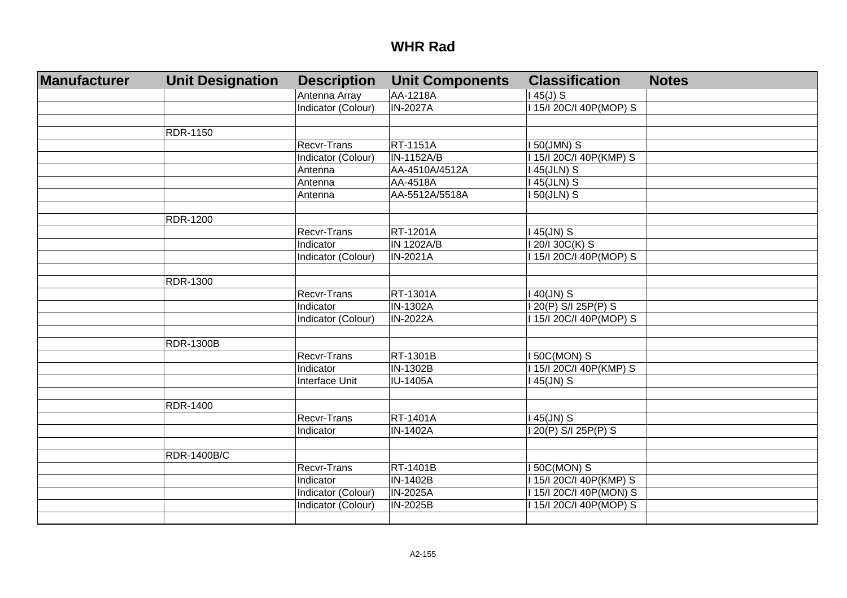| Manufacturer | <b>Unit Designation</b> | <b>Description</b> | <b>Unit Components</b> | <b>Classification</b>   | <b>Notes</b> |
|--------------|-------------------------|--------------------|------------------------|-------------------------|--------------|
|              |                         | Antenna Array      | AA-1218A               | $145(J)$ S              |              |
|              |                         | Indicator (Colour) | <b>IN-2027A</b>        | I 15/I 20C/I 40P(MOP) S |              |
|              |                         |                    |                        |                         |              |
|              | RDR-1150                |                    |                        |                         |              |
|              |                         | <b>Recvr-Trans</b> | RT-1151A               | I 50(JMN) S             |              |
|              |                         | Indicator (Colour) | IN-1152A/B             | I 15/I 20C/I 40P(KMP) S |              |
|              |                         | Antenna            | AA-4510A/4512A         | 145(JLN) S              |              |
|              |                         | Antenna            | AA-4518A               | I 45(JLN) S             |              |
|              |                         | Antenna            | AA-5512A/5518A         | I 50(JLN) S             |              |
|              |                         |                    |                        |                         |              |
|              | RDR-1200                |                    |                        |                         |              |
|              |                         | <b>Recvr-Trans</b> | RT-1201A               | $145$ (JN) S            |              |
|              |                         | Indicator          | <b>IN 1202A/B</b>      | I 20/I 30C(K) S         |              |
|              |                         | Indicator (Colour) | IN-2021A               | I 15/I 20C/I 40P(MOP) S |              |
|              |                         |                    |                        |                         |              |
|              | RDR-1300                |                    |                        |                         |              |
|              |                         | <b>Recvr-Trans</b> | RT-1301A               | $140$ (JN) S            |              |
|              |                         | Indicator          | IN-1302A               | I 20(P) S/I 25P(P) S    |              |
|              |                         | Indicator (Colour) | <b>IN-2022A</b>        | 115/120C/I 40P(MOP) S   |              |
|              |                         |                    |                        |                         |              |
|              | <b>RDR-1300B</b>        |                    |                        |                         |              |
|              |                         | <b>Recvr-Trans</b> | RT-1301B               | I 50C(MON) S            |              |
|              |                         | Indicator          | IN-1302B               | I 15/I 20C/I 40P(KMP) S |              |
|              |                         | Interface Unit     | <b>IU-1405A</b>        | 145(JN) S               |              |
|              |                         |                    |                        |                         |              |
|              | <b>RDR-1400</b>         |                    |                        |                         |              |
|              |                         | <b>Recvr-Trans</b> | RT-1401A               | 145(JN) S               |              |
|              |                         | Indicator          | IN-1402A               | I 20(P) S/I 25P(P) S    |              |
|              |                         |                    |                        |                         |              |
|              | <b>RDR-1400B/C</b>      |                    |                        |                         |              |
|              |                         | <b>Recvr-Trans</b> | RT-1401B               | <b>I 50C(MON) S</b>     |              |
|              |                         | Indicator          | IN-1402B               | I 15/I 20C/I 40P(KMP) S |              |
|              |                         | Indicator (Colour) | <b>IN-2025A</b>        | I 15/I 20C/I 40P(MON) S |              |
|              |                         | Indicator (Colour) | IN-2025B               | I 15/I 20C/I 40P(MOP) S |              |
|              |                         |                    |                        |                         |              |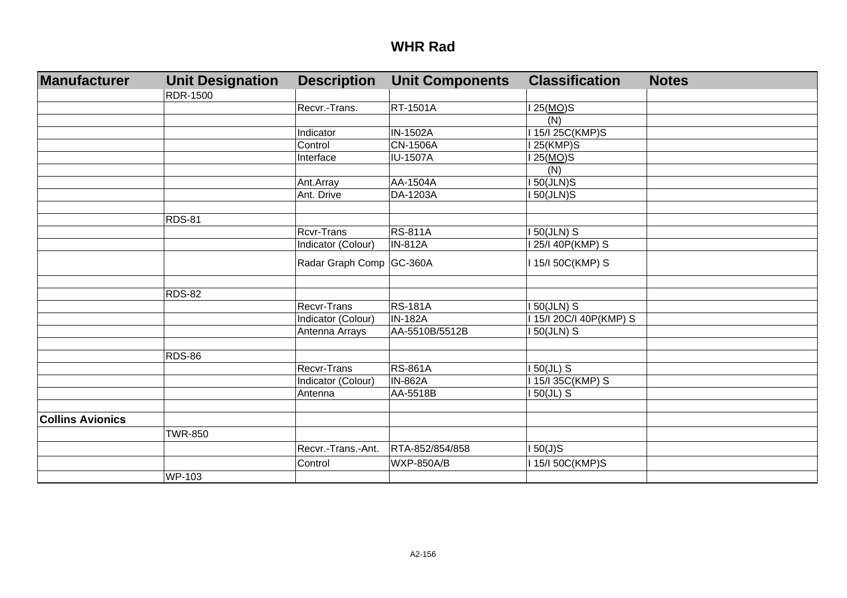| Manufacturer            | <b>Unit Designation</b> | <b>Description</b>       | <b>Unit Components</b> | <b>Classification</b> | <b>Notes</b> |
|-------------------------|-------------------------|--------------------------|------------------------|-----------------------|--------------|
|                         | <b>RDR-1500</b>         |                          |                        |                       |              |
|                         |                         | Recvr.-Trans.            | RT-1501A               | 25( <u>MO</u> )S      |              |
|                         |                         |                          |                        | (N)                   |              |
|                         |                         | Indicator                | <b>IN-1502A</b>        | 15/I 25C(KMP)S        |              |
|                         |                         | Control                  | <b>CN-1506A</b>        | 25(KMP)S              |              |
|                         |                         | Interface                | <b>IU-1507A</b>        | 25(MO)S               |              |
|                         |                         |                          |                        | (N)                   |              |
|                         |                         | Ant.Array                | AA-1504A               | 50(JLN)S              |              |
|                         |                         | Ant. Drive               | DA-1203A               | 50(JLN)S              |              |
|                         |                         |                          |                        |                       |              |
|                         | RDS-81                  | <b>Rcvr-Trans</b>        | <b>RS-811A</b>         | 50(JLN) S             |              |
|                         |                         | Indicator (Colour)       | <b>IN-812A</b>         | 25/I 40P(KMP) S       |              |
|                         |                         | Radar Graph Comp GC-360A |                        | 15/I 50C(KMP) S       |              |
|                         |                         |                          |                        |                       |              |
|                         | RDS-82                  |                          |                        |                       |              |
|                         |                         | Recvr-Trans              | <b>RS-181A</b>         | 50(JLN) S             |              |
|                         |                         | Indicator (Colour)       | <b>IN-182A</b>         | 15/I 20C/I 40P(KMP) S |              |
|                         |                         | Antenna Arrays           | AA-5510B/5512B         | 50(JLN) S             |              |
|                         | <b>RDS-86</b>           |                          |                        |                       |              |
|                         |                         | Recvr-Trans              | <b>RS-861A</b>         | $50(JL)$ S            |              |
|                         |                         | Indicator (Colour)       | <b>IN-862A</b>         | 15/I 35C(KMP) S       |              |
|                         |                         | Antenna                  | AA-5518B               | $50(JL)$ S            |              |
|                         |                         |                          |                        |                       |              |
| <b>Collins Avionics</b> |                         |                          |                        |                       |              |
|                         | <b>TWR-850</b>          |                          |                        |                       |              |
|                         |                         | Recvr.-Trans.-Ant.       | RTA-852/854/858        | 50(J)S                |              |
|                         |                         | Control                  | <b>WXP-850A/B</b>      | 15/I 50C(KMP)S        |              |
|                         | WP-103                  |                          |                        |                       |              |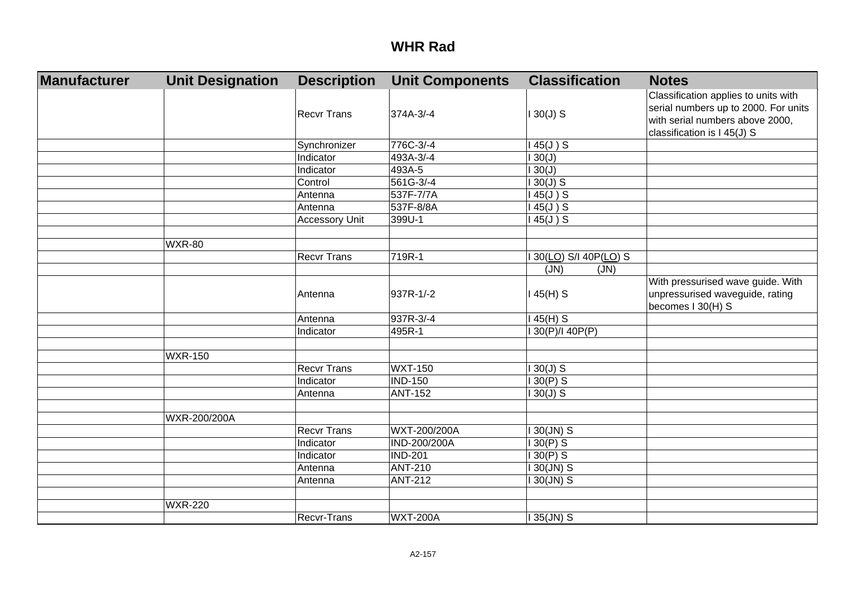| <b>Manufacturer</b> | <b>Unit Designation</b> | <b>Description</b>    | <b>Unit Components</b> | <b>Classification</b> | <b>Notes</b>                                                                                                                                   |
|---------------------|-------------------------|-----------------------|------------------------|-----------------------|------------------------------------------------------------------------------------------------------------------------------------------------|
|                     |                         | <b>Recvr Trans</b>    | 374A-3/-4              | $130(J)$ S            | Classification applies to units with<br>serial numbers up to 2000. For units<br>with serial numbers above 2000,<br>classification is I 45(J) S |
|                     |                         | Synchronizer          | 776C-3/-4              | $145(J)$ S            |                                                                                                                                                |
|                     |                         | Indicator             | 493A-3/-4              | 130(J)                |                                                                                                                                                |
|                     |                         | Indicator             | 493A-5                 | 130(J)                |                                                                                                                                                |
|                     |                         | Control               | 561G-3/-4              | $130(J)$ S            |                                                                                                                                                |
|                     |                         | Antenna               | 537F-7/7A              | $145(J)$ S            |                                                                                                                                                |
|                     |                         | Antenna               | 537F-8/8A              | $145(J)$ S            |                                                                                                                                                |
|                     |                         | <b>Accessory Unit</b> | 399U-1                 | $45(J)$ S             |                                                                                                                                                |
|                     |                         |                       |                        |                       |                                                                                                                                                |
|                     | <b>WXR-80</b>           |                       |                        |                       |                                                                                                                                                |
|                     |                         | <b>Recvr Trans</b>    | 719R-1                 | 30(LO) S/I 40P(LO) S  |                                                                                                                                                |
|                     |                         |                       |                        | (JN)<br>(JN)          |                                                                                                                                                |
|                     |                         | Antenna               | 937R-1/-2              | 145(H) S              | With pressurised wave guide. With<br>unpressurised waveguide, rating<br>becomes I 30(H) S                                                      |
|                     |                         | Antenna               | 937R-3/-4              | 145(H) S              |                                                                                                                                                |
|                     |                         | Indicator             | 495R-1                 | 30(P)/I 40P(P)        |                                                                                                                                                |
|                     |                         |                       |                        |                       |                                                                                                                                                |
|                     | <b>WXR-150</b>          |                       |                        |                       |                                                                                                                                                |
|                     |                         | <b>Recvr Trans</b>    | <b>WXT-150</b>         | $30(J)$ S             |                                                                                                                                                |
|                     |                         | Indicator             | <b>IND-150</b>         | $130(P)$ S            |                                                                                                                                                |
|                     |                         | Antenna               | <b>ANT-152</b>         | $130(J)$ S            |                                                                                                                                                |
|                     |                         |                       |                        |                       |                                                                                                                                                |
|                     | WXR-200/200A            |                       |                        |                       |                                                                                                                                                |
|                     |                         | Recvr Trans           | WXT-200/200A           | $130$ (JN) S          |                                                                                                                                                |
|                     |                         | Indicator             | IND-200/200A           | $130(P)$ S            |                                                                                                                                                |
|                     |                         | Indicator             | <b>IND-201</b>         | $130(P)$ S            |                                                                                                                                                |
|                     |                         | Antenna               | <b>ANT-210</b>         | I 30(JN) S            |                                                                                                                                                |
|                     |                         | Antenna               | <b>ANT-212</b>         | I 30(JN) S            |                                                                                                                                                |
|                     |                         |                       |                        |                       |                                                                                                                                                |
|                     | <b>WXR-220</b>          |                       |                        |                       |                                                                                                                                                |
|                     |                         | Recvr-Trans           | <b>WXT-200A</b>        | 35(JN) S              |                                                                                                                                                |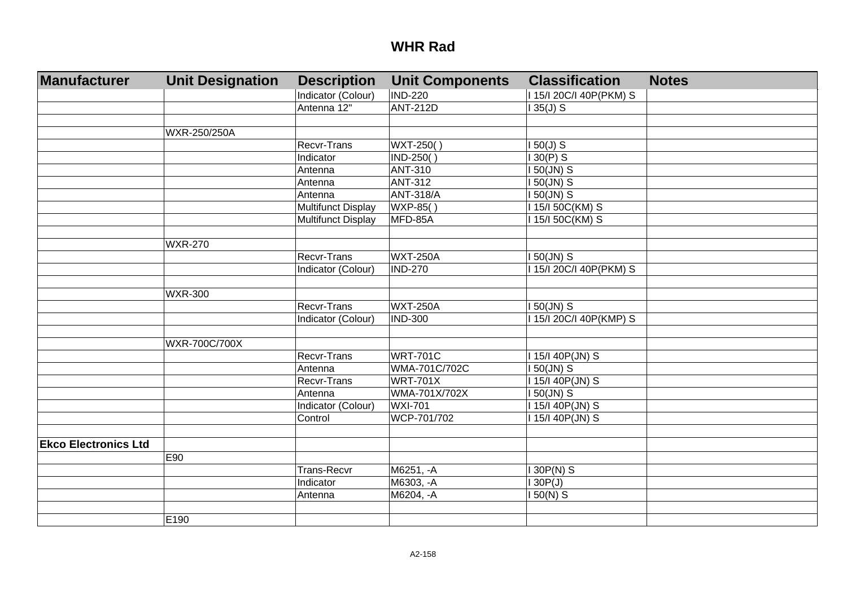| Manufacturer                | <b>Unit Designation</b> | <b>Description</b> | <b>Unit Components</b> | <b>Classification</b>      | <b>Notes</b> |
|-----------------------------|-------------------------|--------------------|------------------------|----------------------------|--------------|
|                             |                         | Indicator (Colour) | <b>IND-220</b>         | I 15/I 20C/I 40P(PKM) S    |              |
|                             |                         | Antenna 12"        | <b>ANT-212D</b>        | $135(J)$ S                 |              |
|                             |                         |                    |                        |                            |              |
|                             | WXR-250/250A            |                    |                        |                            |              |
|                             |                         | <b>Recvr-Trans</b> | WXT-250()              | $150(J)$ S                 |              |
|                             |                         | Indicator          | IND-250()              | $130(P)$ S                 |              |
|                             |                         | Antenna            | <b>ANT-310</b>         | I 50(JN) S                 |              |
|                             |                         | Antenna            | <b>ANT-312</b>         | $150$ (JN) S               |              |
|                             |                         | Antenna            | <b>ANT-318/A</b>       | $150$ (JN) S               |              |
|                             |                         | Multifunct Display | WXP-85()               | 115/150C(KM) S             |              |
|                             |                         | Multifunct Display | MFD-85A                | 115/150C(KM) S             |              |
|                             |                         |                    |                        |                            |              |
|                             | <b>WXR-270</b>          |                    |                        |                            |              |
|                             |                         | Recvr-Trans        | <b>WXT-250A</b>        | $150$ (JN) S               |              |
|                             |                         | Indicator (Colour) | <b>IND-270</b>         | 1 15/1 20 C/I 40 P (PKM) S |              |
|                             |                         |                    |                        |                            |              |
|                             | <b>WXR-300</b>          |                    |                        |                            |              |
|                             |                         | Recvr-Trans        | <b>WXT-250A</b>        | $150$ (JN) S               |              |
|                             |                         | Indicator (Colour) | <b>IND-300</b>         | 115/120C/140P(KMP) S       |              |
|                             |                         |                    |                        |                            |              |
|                             | WXR-700C/700X           |                    |                        |                            |              |
|                             |                         | Recvr-Trans        | <b>WRT-701C</b>        | I 15/I 40P(JN) S           |              |
|                             |                         | Antenna            | WMA-701C/702C          | I 50(JN) S                 |              |
|                             |                         | Recvr-Trans        | <b>WRT-701X</b>        | I 15/I 40P(JN) S           |              |
|                             |                         | Antenna            | WMA-701X/702X          | I 50(JN) S                 |              |
|                             |                         | Indicator (Colour) | <b>WXI-701</b>         | I 15/I 40P(JN) S           |              |
|                             |                         | Control            | WCP-701/702            | 15/140P(JN) S              |              |
|                             |                         |                    |                        |                            |              |
| <b>Ekco Electronics Ltd</b> |                         |                    |                        |                            |              |
|                             | E90                     |                    |                        |                            |              |
|                             |                         | <b>Trans-Recvr</b> | M6251, -A              | 130P(N) S                  |              |
|                             |                         | Indicator          | M6303, -A              | 130P(J)                    |              |
|                             |                         | Antenna            | M6204, -A              | $150(N)$ S                 |              |
|                             |                         |                    |                        |                            |              |
|                             | E190                    |                    |                        |                            |              |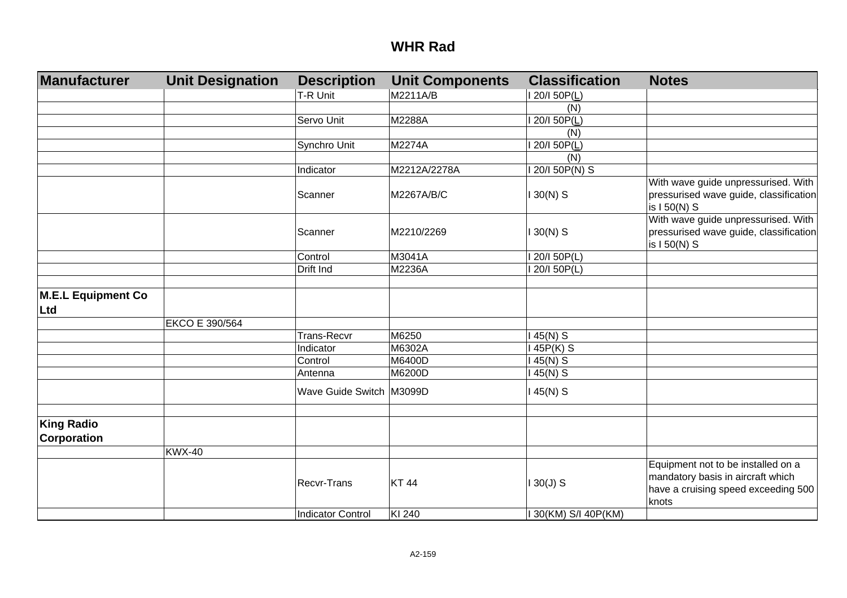| Manufacturer                     | <b>Unit Designation</b> | <b>Description</b>       | <b>Unit Components</b> | <b>Classification</b> | <b>Notes</b>                                                                                                            |
|----------------------------------|-------------------------|--------------------------|------------------------|-----------------------|-------------------------------------------------------------------------------------------------------------------------|
|                                  |                         | T-R Unit                 | M2211A/B               | 20/1 50P(L)           |                                                                                                                         |
|                                  |                         |                          |                        | (N)                   |                                                                                                                         |
|                                  |                         | Servo Unit               | M2288A                 | 20/I 50P(L)           |                                                                                                                         |
|                                  |                         |                          |                        | (N)                   |                                                                                                                         |
|                                  |                         | Synchro Unit             | M2274A                 | 20/I 50P(L)           |                                                                                                                         |
|                                  |                         |                          |                        | (N)                   |                                                                                                                         |
|                                  |                         | Indicator                | M2212A/2278A           | 20/I 50P(N) S         |                                                                                                                         |
|                                  |                         |                          |                        |                       | With wave guide unpressurised. With                                                                                     |
|                                  |                         | Scanner                  | M2267A/B/C             | $130(N)$ S            | pressurised wave guide, classification<br>is I 50(N) S                                                                  |
|                                  |                         |                          |                        |                       | With wave guide unpressurised. With                                                                                     |
|                                  |                         | Scanner                  | M2210/2269             | $30(N)$ S             | pressurised wave guide, classification<br>is I 50(N) S                                                                  |
|                                  |                         | Control                  | M3041A                 | 20/150P(L)            |                                                                                                                         |
|                                  |                         | Drift Ind                | M2236A                 | 20/I 50P(L)           |                                                                                                                         |
|                                  |                         |                          |                        |                       |                                                                                                                         |
| M.E.L Equipment Co<br>Ltd        |                         |                          |                        |                       |                                                                                                                         |
|                                  | EKCO E 390/564          |                          |                        |                       |                                                                                                                         |
|                                  |                         | <b>Trans-Recvr</b>       | M6250                  | 45(N) S               |                                                                                                                         |
|                                  |                         | Indicator                | M6302A                 | 45P(K) S              |                                                                                                                         |
|                                  |                         | Control                  | M6400D                 | 45(N) S               |                                                                                                                         |
|                                  |                         | Antenna                  | M6200D                 | 45(N) S               |                                                                                                                         |
|                                  |                         | Wave Guide Switch M3099D |                        | $145(N)$ S            |                                                                                                                         |
|                                  |                         |                          |                        |                       |                                                                                                                         |
| <b>King Radio</b><br>Corporation |                         |                          |                        |                       |                                                                                                                         |
|                                  | <b>KWX-40</b>           |                          |                        |                       |                                                                                                                         |
|                                  |                         | Recvr-Trans              | <b>KT44</b>            | $130(J)$ S            | Equipment not to be installed on a<br>mandatory basis in aircraft which<br>have a cruising speed exceeding 500<br>knots |
|                                  |                         | Indicator Control        | KI 240                 | 30(KM) S/I 40P(KM)    |                                                                                                                         |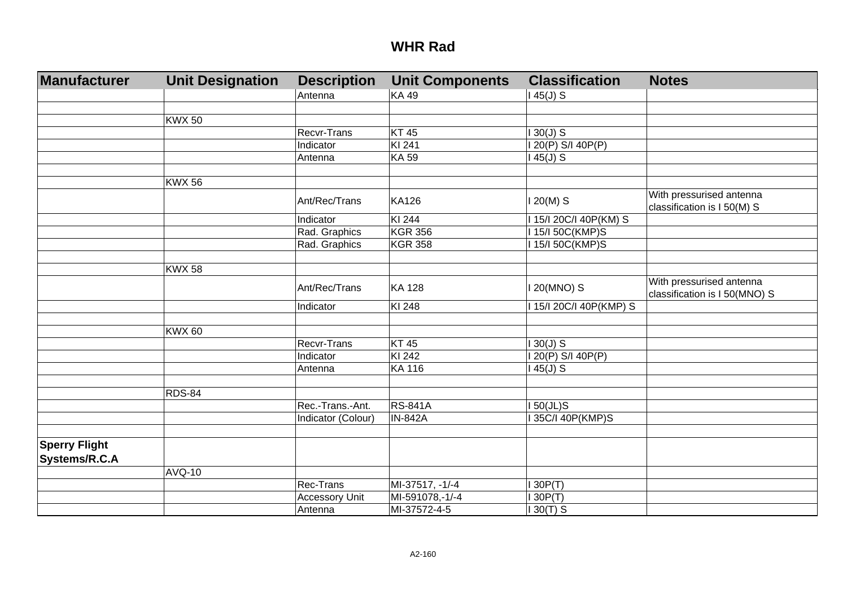| Manufacturer                          | <b>Unit Designation</b> | <b>Description</b>    | <b>Unit Components</b> | <b>Classification</b>   | <b>Notes</b>                                              |
|---------------------------------------|-------------------------|-----------------------|------------------------|-------------------------|-----------------------------------------------------------|
|                                       |                         | Antenna               | <b>KA49</b>            | $145(J)$ S              |                                                           |
|                                       |                         |                       |                        |                         |                                                           |
|                                       | <b>KWX 50</b>           |                       |                        |                         |                                                           |
|                                       |                         | Recvr-Trans           | <b>KT45</b>            | $130(J)$ S              |                                                           |
|                                       |                         | Indicator             | KI 241                 | I 20(P) S/I 40P(P)      |                                                           |
|                                       |                         | Antenna               | KA 59                  | $145(J)$ S              |                                                           |
|                                       |                         |                       |                        |                         |                                                           |
|                                       | <b>KWX 56</b>           |                       |                        |                         |                                                           |
|                                       |                         | Ant/Rec/Trans         | <b>KA126</b>           | $120(M)$ S              | With pressurised antenna<br>classification is I 50(M) S   |
|                                       |                         | Indicator             | KI 244                 | 115/120C/I 40P(KM) S    |                                                           |
|                                       |                         | Rad. Graphics         | <b>KGR 356</b>         | 15/150C(KMP)S           |                                                           |
|                                       |                         | Rad. Graphics         | <b>KGR 358</b>         | 15/150C(KMP)S           |                                                           |
|                                       |                         |                       |                        |                         |                                                           |
|                                       | <b>KWX 58</b>           |                       |                        |                         |                                                           |
|                                       |                         | Ant/Rec/Trans         | <b>KA 128</b>          | I 20(MNO) S             | With pressurised antenna<br>classification is I 50(MNO) S |
|                                       |                         | Indicator             | KI 248                 | I 15/I 20C/I 40P(KMP) S |                                                           |
|                                       |                         |                       |                        |                         |                                                           |
|                                       | <b>KWX 60</b>           |                       |                        |                         |                                                           |
|                                       |                         | Recvr-Trans           | <b>KT45</b>            | $130(J)$ S              |                                                           |
|                                       |                         | Indicator             | KI 242                 | I 20(P) S/I 40P(P)      |                                                           |
|                                       |                         | Antenna               | <b>KA 116</b>          | $145(J)$ S              |                                                           |
|                                       |                         |                       |                        |                         |                                                           |
|                                       | <b>RDS-84</b>           |                       |                        |                         |                                                           |
|                                       |                         | Rec.-Trans.-Ant.      | <b>RS-841A</b>         | $150(JL)$ S             |                                                           |
|                                       |                         | Indicator (Colour)    | <b>IN-842A</b>         | 35C/I 40P(KMP)S         |                                                           |
|                                       |                         |                       |                        |                         |                                                           |
| <b>Sperry Flight</b><br>Systems/R.C.A |                         |                       |                        |                         |                                                           |
|                                       | <b>AVQ-10</b>           |                       |                        |                         |                                                           |
|                                       |                         | Rec-Trans             | MI-37517, -1/-4        | 130P(T)                 |                                                           |
|                                       |                         | <b>Accessory Unit</b> | MI-591078,-1/-4        | 130P(T)                 |                                                           |
|                                       |                         | Antenna               | MI-37572-4-5           | $130(T)$ S              |                                                           |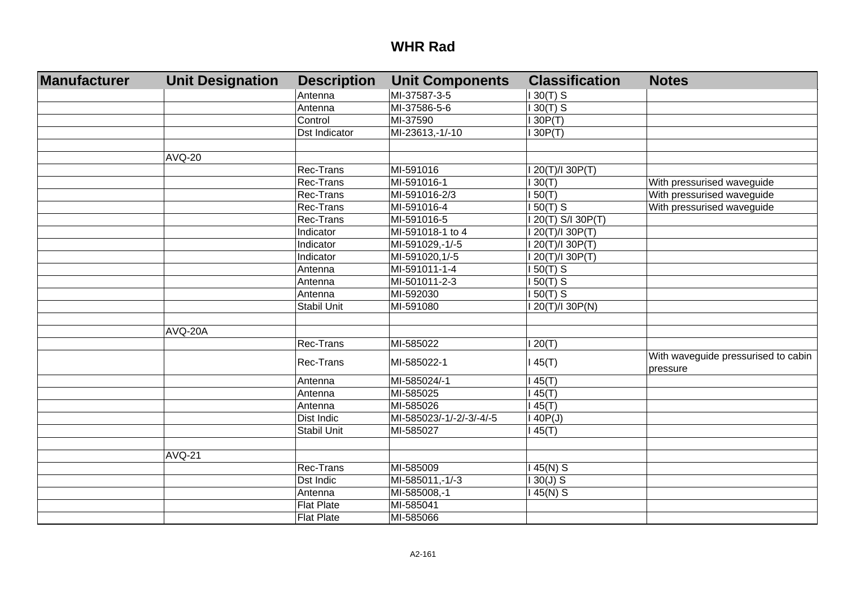| Manufacturer | <b>Unit Designation</b> | <b>Description</b> | <b>Unit Components</b>   | <b>Classification</b> | <b>Notes</b>                                    |
|--------------|-------------------------|--------------------|--------------------------|-----------------------|-------------------------------------------------|
|              |                         | Antenna            | MI-37587-3-5             | $130(T)$ S            |                                                 |
|              |                         | Antenna            | MI-37586-5-6             | $130(T)$ S            |                                                 |
|              |                         | Control            | MI-37590                 | 130P(T)               |                                                 |
|              |                         | Dst Indicator      | MI-23613,-1/-10          | 130P(T)               |                                                 |
|              |                         |                    |                          |                       |                                                 |
|              | <b>AVQ-20</b>           |                    |                          |                       |                                                 |
|              |                         | Rec-Trans          | MI-591016                | 20(T)/I 30P(T)        |                                                 |
|              |                         | Rec-Trans          | MI-591016-1              | 130(T)                | With pressurised waveguide                      |
|              |                         | Rec-Trans          | MI-591016-2/3            | 150(T)                | With pressurised waveguide                      |
|              |                         | Rec-Trans          | MI-591016-4              | $150(T)$ S            | With pressurised waveguide                      |
|              |                         | Rec-Trans          | MI-591016-5              | $120(T)$ S/I 30P(T)   |                                                 |
|              |                         | Indicator          | MI-591018-1 to 4         | I 20(T)/I 30P(T)      |                                                 |
|              |                         | Indicator          | MI-591029,-1/-5          | I 20(T)/I 30P(T)      |                                                 |
|              |                         | Indicator          | MI-591020,1/-5           | I 20(T)/I 30P(T)      |                                                 |
|              |                         | Antenna            | MI-591011-1-4            | $150(T)$ S            |                                                 |
|              |                         | Antenna            | MI-501011-2-3            | $150(T)$ S            |                                                 |
|              |                         | Antenna            | MI-592030                | $50(T)$ S             |                                                 |
|              |                         | Stabil Unit        | MI-591080                | 1 20(T)/I 30P(N)      |                                                 |
|              |                         |                    |                          |                       |                                                 |
|              | AVQ-20A                 |                    |                          |                       |                                                 |
|              |                         | Rec-Trans          | MI-585022                | 120(T)                |                                                 |
|              |                         | Rec-Trans          | MI-585022-1              | 145(T)                | With waveguide pressurised to cabin<br>pressure |
|              |                         | Antenna            | MI-585024/-1             | 145(T)                |                                                 |
|              |                         | Antenna            | MI-585025                | 145(T)                |                                                 |
|              |                         | Antenna            | MI-585026                | 145(T)                |                                                 |
|              |                         | Dist Indic         | MI-585023/-1/-2/-3/-4/-5 | 140P(J)               |                                                 |
|              |                         | Stabil Unit        | MI-585027                | 145(T)                |                                                 |
|              |                         |                    |                          |                       |                                                 |
|              | <b>AVQ-21</b>           |                    |                          |                       |                                                 |
|              |                         | Rec-Trans          | MI-585009                | $145(N)$ S            |                                                 |
|              |                         | <b>Dst Indic</b>   | MI-585011,-1/-3          | $130(J)$ S            |                                                 |
|              |                         | Antenna            | MI-585008,-1             | 145(N) S              |                                                 |
|              |                         | <b>Flat Plate</b>  | MI-585041                |                       |                                                 |
|              |                         | <b>Flat Plate</b>  | MI-585066                |                       |                                                 |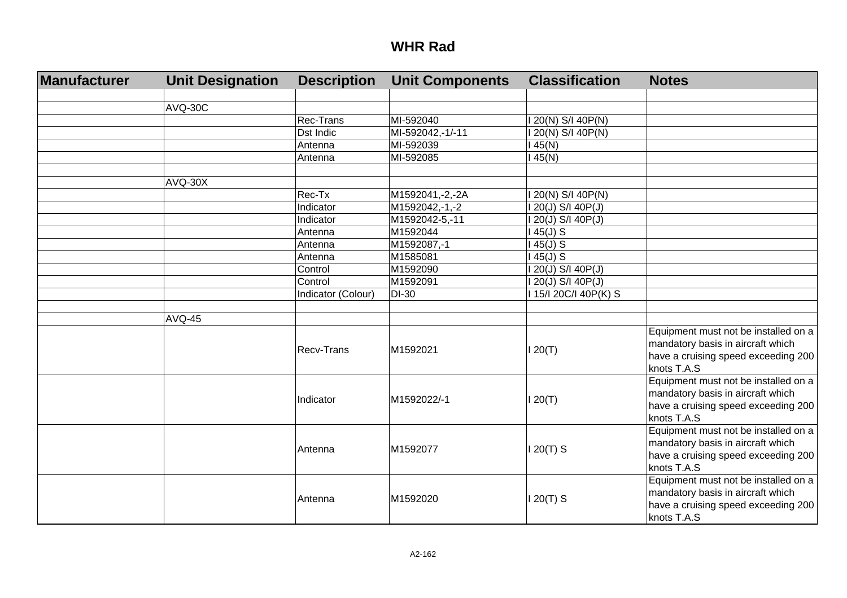| Manufacturer | <b>Unit Designation</b> | <b>Description</b> | <b>Unit Components</b> | <b>Classification</b> | <b>Notes</b>                                                                                                                    |
|--------------|-------------------------|--------------------|------------------------|-----------------------|---------------------------------------------------------------------------------------------------------------------------------|
|              | <b>AVQ-30C</b>          |                    |                        |                       |                                                                                                                                 |
|              |                         | Rec-Trans          | MI-592040              | 1 20(N) S/I 40P(N)    |                                                                                                                                 |
|              |                         | Dst Indic          | MI-592042,-1/-11       | 20(N) S/I 40P(N)      |                                                                                                                                 |
|              |                         | Antenna            | MI-592039              | 45(N)                 |                                                                                                                                 |
|              |                         | Antenna            | MI-592085              | 45(N)                 |                                                                                                                                 |
|              | AVQ-30X                 |                    |                        |                       |                                                                                                                                 |
|              |                         | Rec-Tx             | M1592041,-2,-2A        | 20(N) S/I 40P(N)      |                                                                                                                                 |
|              |                         | Indicator          | M1592042,-1,-2         | 20(J) S/I 40P(J)      |                                                                                                                                 |
|              |                         | Indicator          | M1592042-5,-11         | 20(J) S/I 40P(J)      |                                                                                                                                 |
|              |                         | Antenna            | M1592044               | $45(J)$ S             |                                                                                                                                 |
|              |                         | Antenna            | M1592087,-1            | $45(J)$ S             |                                                                                                                                 |
|              |                         | Antenna            | M1585081               | $45(J)$ S             |                                                                                                                                 |
|              |                         | Control            | M1592090               | 1 20(J) S/I 40P(J)    |                                                                                                                                 |
|              |                         | Control            | M1592091               | 20(J) S/I 40P(J)      |                                                                                                                                 |
|              |                         | Indicator (Colour) | <b>DI-30</b>           | 15/I 20C/I 40P(K) S   |                                                                                                                                 |
|              | AVQ-45                  |                    |                        |                       |                                                                                                                                 |
|              |                         | Recv-Trans         | M1592021               | 20(T)                 | Equipment must not be installed on a<br>mandatory basis in aircraft which<br>have a cruising speed exceeding 200<br>knots T.A.S |
|              |                         | Indicator          | M1592022/-1            | 120(T)                | Equipment must not be installed on a<br>mandatory basis in aircraft which<br>have a cruising speed exceeding 200<br>knots T.A.S |
|              |                         | Antenna            | M1592077               | $120(T)$ S            | Equipment must not be installed on a<br>mandatory basis in aircraft which<br>have a cruising speed exceeding 200<br>knots T.A.S |
|              |                         | Antenna            | M1592020               | $20(T)$ S             | Equipment must not be installed on a<br>mandatory basis in aircraft which<br>have a cruising speed exceeding 200<br>knots T.A.S |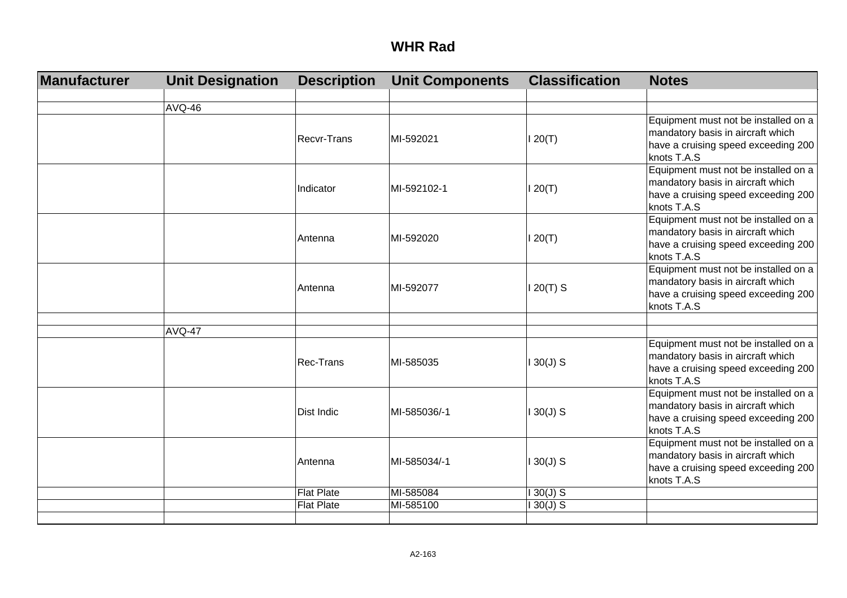| Manufacturer | <b>Unit Designation</b> | <b>Description</b> | <b>Unit Components</b> | <b>Classification</b> | <b>Notes</b>                                       |
|--------------|-------------------------|--------------------|------------------------|-----------------------|----------------------------------------------------|
|              |                         |                    |                        |                       |                                                    |
|              | <b>AVQ-46</b>           |                    |                        |                       |                                                    |
|              |                         |                    |                        |                       | Equipment must not be installed on a               |
|              |                         | <b>Recvr-Trans</b> | MI-592021              | 120(T)                | mandatory basis in aircraft which                  |
|              |                         |                    |                        |                       | have a cruising speed exceeding 200<br>knots T.A.S |
|              |                         |                    |                        |                       | Equipment must not be installed on a               |
|              |                         |                    |                        |                       | mandatory basis in aircraft which                  |
|              |                         | Indicator          | MI-592102-1            | 120(T)                | have a cruising speed exceeding 200                |
|              |                         |                    |                        |                       | knots T.A.S                                        |
|              |                         |                    |                        |                       | Equipment must not be installed on a               |
|              |                         | <b>Antenna</b>     | MI-592020              | 120(T)                | mandatory basis in aircraft which                  |
|              |                         |                    |                        |                       | have a cruising speed exceeding 200                |
|              |                         |                    |                        |                       | knots T.A.S                                        |
|              |                         |                    |                        |                       | Equipment must not be installed on a               |
|              |                         | <b>Antenna</b>     | MI-592077              | $120(T)$ S            | mandatory basis in aircraft which                  |
|              |                         |                    |                        |                       | have a cruising speed exceeding 200                |
|              |                         |                    |                        |                       | knots T.A.S                                        |
|              | <b>AVQ-47</b>           |                    |                        |                       |                                                    |
|              |                         |                    |                        |                       | Equipment must not be installed on a               |
|              |                         | <b>Rec-Trans</b>   | MI-585035              | $130(J)$ S            | mandatory basis in aircraft which                  |
|              |                         |                    |                        |                       | have a cruising speed exceeding 200                |
|              |                         |                    |                        |                       | knots T.A.S                                        |
|              |                         |                    |                        |                       | Equipment must not be installed on a               |
|              |                         | <b>Dist Indic</b>  | MI-585036/-1           | $130(J)$ S            | mandatory basis in aircraft which                  |
|              |                         |                    |                        |                       | have a cruising speed exceeding 200                |
|              |                         |                    |                        |                       | knots T.A.S                                        |
|              |                         |                    |                        |                       | Equipment must not be installed on a               |
|              |                         | Antenna            | MI-585034/-1           | $130(J)$ S            | mandatory basis in aircraft which                  |
|              |                         |                    |                        |                       | have a cruising speed exceeding 200<br>knots T.A.S |
|              |                         | <b>Flat Plate</b>  | MI-585084              | $130(J)$ S            |                                                    |
|              |                         | <b>Flat Plate</b>  | MI-585100              | $130(J)$ S            |                                                    |
|              |                         |                    |                        |                       |                                                    |
|              |                         |                    |                        |                       |                                                    |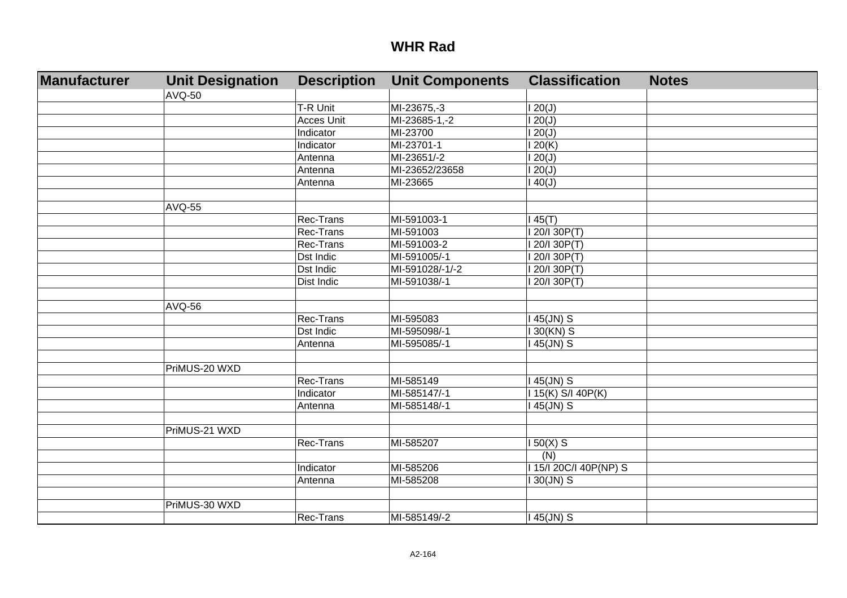| <b>Manufacturer</b> | <b>Unit Designation</b> | <b>Description</b> | <b>Unit Components</b> | <b>Classification</b> | <b>Notes</b> |
|---------------------|-------------------------|--------------------|------------------------|-----------------------|--------------|
|                     | <b>AVQ-50</b>           |                    |                        |                       |              |
|                     |                         | T-R Unit           | MI-23675,-3            | 120(J)                |              |
|                     |                         | <b>Acces Unit</b>  | MI-23685-1,-2          | $\overline{120(J)}$   |              |
|                     |                         | Indicator          | MI-23700               | 20(J)                 |              |
|                     |                         | Indicator          | MI-23701-1             | 20(K)                 |              |
|                     |                         | Antenna            | MI-23651/-2            | 20(J)                 |              |
|                     |                         | Antenna            | MI-23652/23658         | 120(J)                |              |
|                     |                         | Antenna            | MI-23665               | 40(J)                 |              |
|                     |                         |                    |                        |                       |              |
|                     | AVQ-55                  |                    |                        |                       |              |
|                     |                         | Rec-Trans          | MI-591003-1            | 45(T)                 |              |
|                     |                         | Rec-Trans          | MI-591003              | 20/130P(T)            |              |
|                     |                         | Rec-Trans          | MI-591003-2            | I 20/I 30P(T)         |              |
|                     |                         | Dst Indic          | MI-591005/-1           | 20/I 30P(T)           |              |
|                     |                         | Dst Indic          | MI-591028/-1/-2        | 20/I 30P(T)           |              |
|                     |                         | Dist Indic         | MI-591038/-1           | 20/I 30P(T)           |              |
|                     |                         |                    |                        |                       |              |
|                     | AVQ-56                  |                    |                        |                       |              |
|                     |                         | Rec-Trans          | MI-595083              | 45(JN) S              |              |
|                     |                         | Dst Indic          | MI-595098/-1           | 30(KN) S              |              |
|                     |                         | Antenna            | MI-595085/-1           | 45(JN) S              |              |
|                     |                         |                    |                        |                       |              |
|                     | PriMUS-20 WXD           |                    |                        |                       |              |
|                     |                         | Rec-Trans          | MI-585149              | 45(JN) S              |              |
|                     |                         | Indicator          | MI-585147/-1           | 15(K) S/I 40P(K)      |              |
|                     |                         | Antenna            | MI-585148/-1           | 45(JN) S              |              |
|                     |                         |                    |                        |                       |              |
|                     | PriMUS-21 WXD           |                    |                        |                       |              |
|                     |                         | Rec-Trans          | MI-585207              | $150(X)$ S            |              |
|                     |                         |                    |                        | (N)                   |              |
|                     |                         | Indicator          | MI-585206              | 15/1 20C/I 40P(NP) S  |              |
|                     |                         | Antenna            | MI-585208              | $30(JN)$ S            |              |
|                     |                         |                    |                        |                       |              |
|                     | PriMUS-30 WXD           |                    |                        |                       |              |
|                     |                         | Rec-Trans          | MI-585149/-2           | 45(JN) S              |              |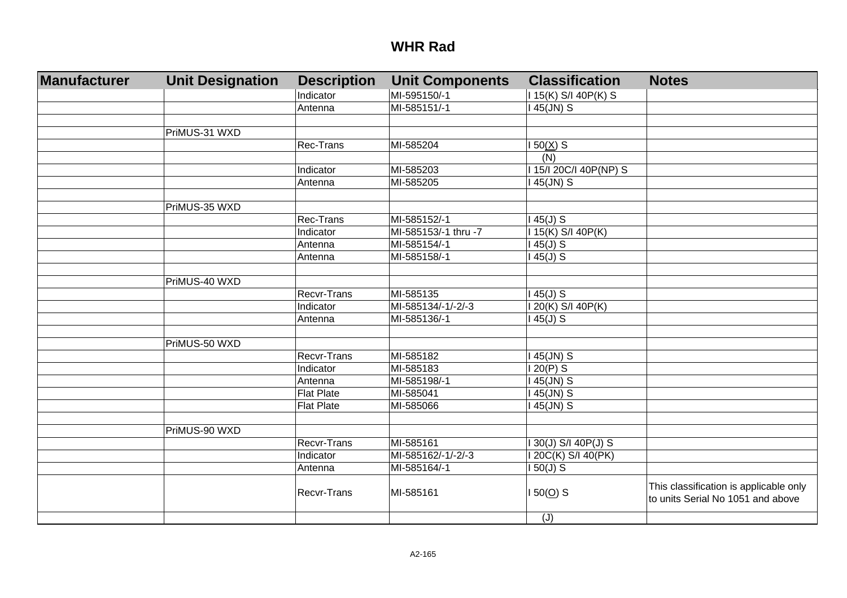| <b>Manufacturer</b> | <b>Unit Designation</b> | <b>Description</b> | <b>Unit Components</b> | <b>Classification</b>  | <b>Notes</b>                                                                |
|---------------------|-------------------------|--------------------|------------------------|------------------------|-----------------------------------------------------------------------------|
|                     |                         | Indicator          | MI-595150/-1           | 115(K) S/I 40P(K) S    |                                                                             |
|                     |                         | Antenna            | MI-585151/-1           | I 45(JN) S             |                                                                             |
|                     |                         |                    |                        |                        |                                                                             |
|                     | PriMUS-31 WXD           |                    |                        |                        |                                                                             |
|                     |                         | Rec-Trans          | MI-585204              | $150(X)$ S             |                                                                             |
|                     |                         |                    |                        | $\overline{(N)}$       |                                                                             |
|                     |                         | Indicator          | MI-585203              | I 15/I 20C/I 40P(NP) S |                                                                             |
|                     |                         | Antenna            | MI-585205              | I 45(JN) S             |                                                                             |
|                     |                         |                    |                        |                        |                                                                             |
|                     | PriMUS-35 WXD           |                    |                        |                        |                                                                             |
|                     |                         | Rec-Trans          | MI-585152/-1           | $145(J)$ S             |                                                                             |
|                     |                         | Indicator          | MI-585153/-1 thru -7   | 115(K) S/I 40P(K)      |                                                                             |
|                     |                         | Antenna            | MI-585154/-1           | $145(J)$ S             |                                                                             |
|                     |                         | Antenna            | MI-585158/-1           | $145(J)$ S             |                                                                             |
|                     |                         |                    |                        |                        |                                                                             |
|                     | PriMUS-40 WXD           |                    |                        |                        |                                                                             |
|                     |                         | Recvr-Trans        | MI-585135              | $145(J)$ S             |                                                                             |
|                     |                         | Indicator          | MI-585134/-1/-2/-3     | I 20(K) S/I 40P(K)     |                                                                             |
|                     |                         | Antenna            | MI-585136/-1           | $145(J)$ S             |                                                                             |
|                     |                         |                    |                        |                        |                                                                             |
|                     | PriMUS-50 WXD           |                    |                        |                        |                                                                             |
|                     |                         | Recvr-Trans        | MI-585182              | I 45(JN) S             |                                                                             |
|                     |                         | Indicator          | MI-585183              | $120(P)$ S             |                                                                             |
|                     |                         | Antenna            | MI-585198/-1           | I 45(JN) S             |                                                                             |
|                     |                         | <b>Flat Plate</b>  | MI-585041              | I 45(JN) S             |                                                                             |
|                     |                         | <b>Flat Plate</b>  | MI-585066              | I 45(JN) S             |                                                                             |
|                     |                         |                    |                        |                        |                                                                             |
|                     | PriMUS-90 WXD           |                    |                        |                        |                                                                             |
|                     |                         | Recvr-Trans        | MI-585161              | I 30(J) S/I 40P(J) S   |                                                                             |
|                     |                         | Indicator          | MI-585162/-1/-2/-3     | I 20C(K) S/I 40(PK)    |                                                                             |
|                     |                         | Antenna            | MI-585164/-1           | $150(J)$ S             |                                                                             |
|                     |                         | Recvr-Trans        | MI-585161              | $150(0)$ S             | This classification is applicable only<br>to units Serial No 1051 and above |
|                     |                         |                    |                        | (J)                    |                                                                             |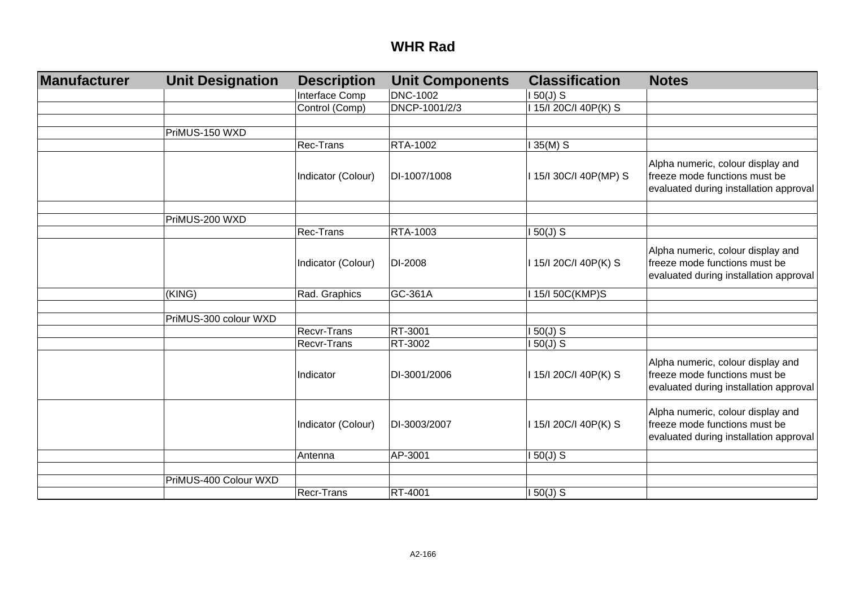| Manufacturer | <b>Unit Designation</b> | <b>Description</b> | <b>Unit Components</b> | <b>Classification</b>  | <b>Notes</b>                                                                                                 |
|--------------|-------------------------|--------------------|------------------------|------------------------|--------------------------------------------------------------------------------------------------------------|
|              |                         | Interface Comp     | <b>DNC-1002</b>        | $150(J)$ S             |                                                                                                              |
|              |                         | Control (Comp)     | DNCP-1001/2/3          | I 15/I 20C/I 40P(K) S  |                                                                                                              |
|              |                         |                    |                        |                        |                                                                                                              |
|              | PriMUS-150 WXD          |                    |                        |                        |                                                                                                              |
|              |                         | Rec-Trans          | RTA-1002               | $135(M)$ S             |                                                                                                              |
|              |                         | Indicator (Colour) | DI-1007/1008           | I 15/I 30C/I 40P(MP) S | Alpha numeric, colour display and<br>freeze mode functions must be<br>evaluated during installation approval |
|              | PriMUS-200 WXD          |                    |                        |                        |                                                                                                              |
|              |                         | Rec-Trans          | RTA-1003               | $150(J)$ S             |                                                                                                              |
|              |                         |                    |                        |                        |                                                                                                              |
|              |                         | Indicator (Colour) | DI-2008                | I 15/I 20C/I 40P(K) S  | Alpha numeric, colour display and<br>freeze mode functions must be<br>evaluated during installation approval |
|              | (KING)                  | Rad. Graphics      | GC-361A                | I 15/I 50C(KMP)S       |                                                                                                              |
|              |                         |                    |                        |                        |                                                                                                              |
|              | PriMUS-300 colour WXD   |                    |                        |                        |                                                                                                              |
|              |                         | <b>Recvr-Trans</b> | RT-3001                | $150(J)$ S             |                                                                                                              |
|              |                         | Recvr-Trans        | RT-3002                | $150(J)$ S             |                                                                                                              |
|              |                         | Indicator          | DI-3001/2006           | I 15/I 20C/I 40P(K) S  | Alpha numeric, colour display and<br>freeze mode functions must be<br>evaluated during installation approval |
|              |                         | Indicator (Colour) | DI-3003/2007           | 115/120C/I 40P(K) S    | Alpha numeric, colour display and<br>freeze mode functions must be<br>evaluated during installation approval |
|              |                         | Antenna            | AP-3001                | $150(J)$ S             |                                                                                                              |
|              |                         |                    |                        |                        |                                                                                                              |
|              | PriMUS-400 Colour WXD   |                    |                        |                        |                                                                                                              |
|              |                         | Recr-Trans         | RT-4001                | $150(J)$ S             |                                                                                                              |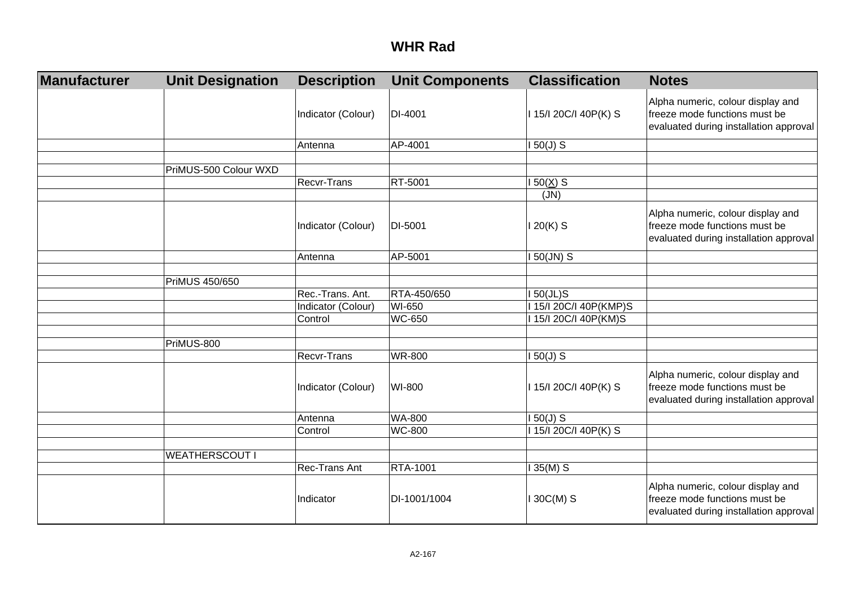| Manufacturer | <b>Unit Designation</b> | <b>Description</b> | <b>Unit Components</b> | <b>Classification</b>  | <b>Notes</b>                                                                                                 |
|--------------|-------------------------|--------------------|------------------------|------------------------|--------------------------------------------------------------------------------------------------------------|
|              |                         | Indicator (Colour) | DI-4001                | I 15/I 20C/I 40P(K) S  | Alpha numeric, colour display and<br>freeze mode functions must be<br>evaluated during installation approval |
|              |                         | Antenna            | AP-4001                | $150(J)$ S             |                                                                                                              |
|              | PriMUS-500 Colour WXD   |                    |                        |                        |                                                                                                              |
|              |                         | <b>Recvr-Trans</b> | RT-5001                | $150(X)$ S             |                                                                                                              |
|              |                         |                    |                        | (JN)                   |                                                                                                              |
|              |                         | Indicator (Colour) | DI-5001                | $120(K)$ S             | Alpha numeric, colour display and<br>freeze mode functions must be<br>evaluated during installation approval |
|              |                         | Antenna            | AP-5001                | I 50(JN) S             |                                                                                                              |
|              |                         |                    |                        |                        |                                                                                                              |
|              | PriMUS 450/650          |                    |                        |                        |                                                                                                              |
|              |                         | Rec.-Trans. Ant.   | RTA-450/650            | $150(JL)$ S            |                                                                                                              |
|              |                         | Indicator (Colour) | WI-650                 | I 15/I 20C/I 40P(KMP)S |                                                                                                              |
|              |                         | Control            | <b>WC-650</b>          | 115/120C/I 40P(KM)S    |                                                                                                              |
|              |                         |                    |                        |                        |                                                                                                              |
|              | PriMUS-800              |                    |                        |                        |                                                                                                              |
|              |                         | Recvr-Trans        | <b>WR-800</b>          | $150(J)$ S             |                                                                                                              |
|              |                         | Indicator (Colour) | WI-800                 | I 15/I 20C/I 40P(K) S  | Alpha numeric, colour display and<br>freeze mode functions must be<br>evaluated during installation approval |
|              |                         | Antenna            | <b>WA-800</b>          | $150(J)$ S             |                                                                                                              |
|              |                         | Control            | <b>WC-800</b>          | I 15/I 20C/I 40P(K) S  |                                                                                                              |
|              |                         |                    |                        |                        |                                                                                                              |
|              | <b>WEATHERSCOUT I</b>   |                    |                        |                        |                                                                                                              |
|              |                         | Rec-Trans Ant      | RTA-1001               | $135(M)$ S             |                                                                                                              |
|              |                         | Indicator          | DI-1001/1004           | I 30C(M) S             | Alpha numeric, colour display and<br>freeze mode functions must be<br>evaluated during installation approval |